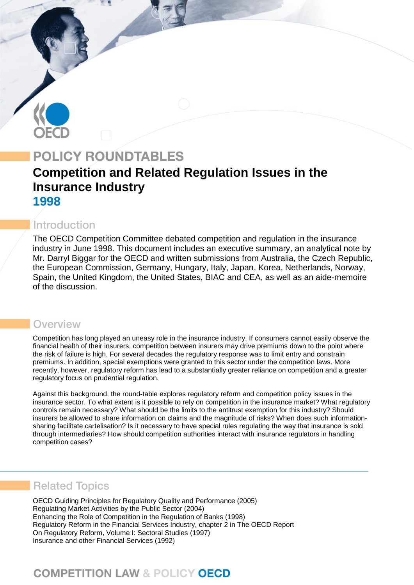# **POLICY ROUNDTABLES**

# **Competition and Related Regulation Issues in the Insurance Industry 1998**

## Introduction

The OECD Competition Committee debated competition and regulation in the insurance industry in June 1998. This document includes an executive summary, an analytical note by Mr. Darryl Biggar for the OECD and written submissions from Australia, the Czech Republic, the European Commission, Germany, Hungary, Italy, Japan, Korea, Netherlands, Norway, Spain, the United Kingdom, the United States, BIAC and CEA, as well as an aide-memoire of the discussion.

## Overview

Competition has long played an uneasy role in the insurance industry. If consumers cannot easily observe the financial health of their insurers, competition between insurers may drive premiums down to the point where the risk of failure is high. For several decades the regulatory response was to limit entry and constrain premiums. In addition, special exemptions were granted to this sector under the competition laws. More recently, however, regulatory reform has lead to a substantially greater reliance on competition and a greater regulatory focus on prudential regulation.

Against this background, the round-table explores regulatory reform and competition policy issues in the insurance sector. To what extent is it possible to rely on competition in the insurance market? What regulatory controls remain necessary? What should be the limits to the antitrust exemption for this industry? Should insurers be allowed to share information on claims and the magnitude of risks? When does such informationsharing facilitate cartelisation? Is it necessary to have special rules regulating the way that insurance is sold through intermediaries? How should competition authorities interact with insurance regulators in handling competition cases?

# **Related Topics**

OECD Guiding Principles for Regulatory Quality and Performance (2005) Regulating Market Activities by the Public Sector (2004) Enhancing the Role of Competition in the Regulation of Banks (1998) Regulatory Reform in the Financial Services Industry, chapter 2 in The OECD Report On Regulatory Reform, Volume I: Sectoral Studies (1997) Insurance and other Financial Services (1992)

# **COMPETITION LAW & POLICY OECD**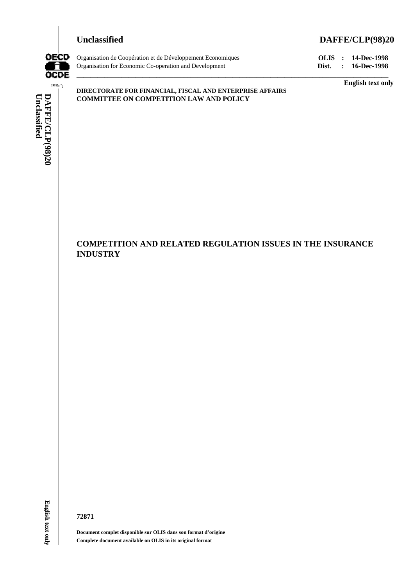

## **Unclassified DAFFE/CLP(98)20**



Organisation de Coopération et de Développement Economiques **OLIS : 14-Dec-1998** Organisation for Economic Co-operation and Development **Dist. : 16-Dec-1998**

# Unclassified DAFFE/CLP(98)20 **Unclassified DAFFE/CLP(98)20 English text only**

## **DIRECTORATE FOR FINANCIAL, FISCAL AND ENTERPRISE AFFAIRS COMMITTEE ON COMPETITION LAW AND POLICY**

## **COMPETITION AND RELATED REGULATION ISSUES IN THE INSURANCE INDUSTRY**

\_\_\_\_\_\_\_\_\_\_\_\_\_\_\_\_\_\_\_\_\_\_\_\_\_\_\_\_\_\_\_\_\_\_\_\_\_\_\_\_\_\_\_\_\_\_\_\_\_\_\_\_\_\_\_\_\_\_\_\_\_\_\_\_\_\_\_\_\_\_\_\_\_\_\_\_\_\_\_\_\_\_\_\_\_\_\_\_\_\_

English text only

#### **72871**

**Document complet disponible sur OLIS dans son format d'origine Complete document available on OLIS in its original format**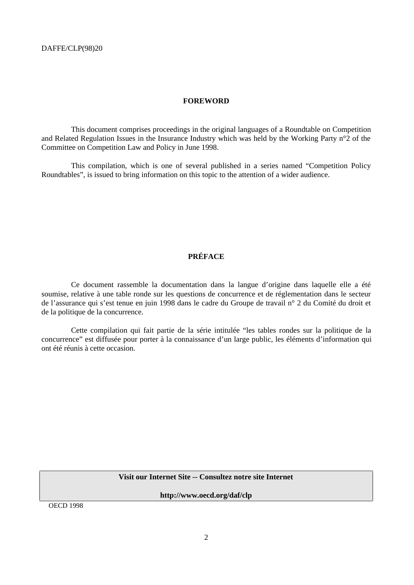#### **FOREWORD**

This document comprises proceedings in the original languages of a Roundtable on Competition and Related Regulation Issues in the Insurance Industry which was held by the Working Party n°2 of the Committee on Competition Law and Policy in June 1998.

This compilation, which is one of several published in a series named "Competition Policy Roundtables", is issued to bring information on this topic to the attention of a wider audience.

## **PRÉFACE**

Ce document rassemble la documentation dans la langue d'origine dans laquelle elle a été soumise, relative à une table ronde sur les questions de concurrence et de réglementation dans le secteur de l'assurance qui s'est tenue en juin 1998 dans le cadre du Groupe de travail n° 2 du Comité du droit et de la politique de la concurrence.

Cette compilation qui fait partie de la série intitulée "les tables rondes sur la politique de la concurrence" est diffusée pour porter à la connaissance d'un large public, les éléments d'information qui ont été réunis à cette occasion.

### **Visit our Internet Site -- Consultez notre site Internet**

**http://www.oecd.org/daf/clp**

© OECD 1998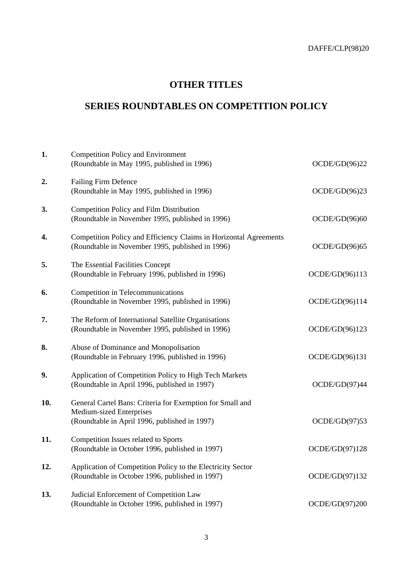## **OTHER TITLES**

## **SERIES ROUNDTABLES ON COMPETITION POLICY**

| 1.  | <b>Competition Policy and Environment</b><br>(Roundtable in May 1995, published in 1996)                                               | OCDE/GD(96)22  |
|-----|----------------------------------------------------------------------------------------------------------------------------------------|----------------|
| 2.  | <b>Failing Firm Defence</b><br>(Roundtable in May 1995, published in 1996)                                                             | OCDE/GD(96)23  |
| 3.  | Competition Policy and Film Distribution<br>(Roundtable in November 1995, published in 1996)                                           | OCDE/GD(96)60  |
| 4.  | Competition Policy and Efficiency Claims in Horizontal Agreements<br>(Roundtable in November 1995, published in 1996)                  | OCDE/GD(96)65  |
| 5.  | The Essential Facilities Concept<br>(Roundtable in February 1996, published in 1996)                                                   | OCDE/GD(96)113 |
| 6.  | Competition in Telecommunications<br>(Roundtable in November 1995, published in 1996)                                                  | OCDE/GD(96)114 |
| 7.  | The Reform of International Satellite Organisations<br>(Roundtable in November 1995, published in 1996)                                | OCDE/GD(96)123 |
| 8.  | Abuse of Dominance and Monopolisation<br>(Roundtable in February 1996, published in 1996)                                              | OCDE/GD(96)131 |
| 9.  | Application of Competition Policy to High Tech Markets<br>(Roundtable in April 1996, published in 1997)                                | OCDE/GD(97)44  |
| 10. | General Cartel Bans: Criteria for Exemption for Small and<br>Medium-sized Enterprises<br>(Roundtable in April 1996, published in 1997) | OCDE/GD(97)53  |
| 11. | Competition Issues related to Sports<br>(Roundtable in October 1996, published in 1997)                                                | OCDE/GD(97)128 |
| 12. | Application of Competition Policy to the Electricity Sector<br>(Roundtable in October 1996, published in 1997)                         | OCDE/GD(97)132 |
| 13. | Judicial Enforcement of Competition Law<br>(Roundtable in October 1996, published in 1997)                                             | OCDE/GD(97)200 |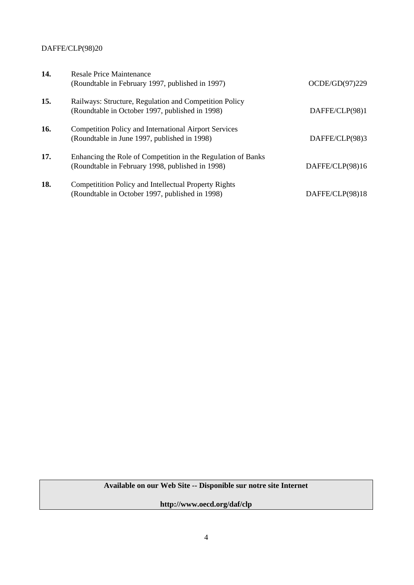| 14. | <b>Resale Price Maintenance</b><br>(Roundtable in February 1997, published in 1997)                              | OCDE/GD(97)229  |
|-----|------------------------------------------------------------------------------------------------------------------|-----------------|
| 15. | Railways: Structure, Regulation and Competition Policy<br>(Roundtable in October 1997, published in 1998)        | DAFFE/CLP(98)1  |
| 16. | <b>Competition Policy and International Airport Services</b><br>(Roundtable in June 1997, published in 1998)     | DAFFE/CLP(98)3  |
| 17. | Enhancing the Role of Competition in the Regulation of Banks<br>(Roundtable in February 1998, published in 1998) | DAFFE/CLP(98)16 |
| 18. | Competitition Policy and Intellectual Property Rights<br>(Roundtable in October 1997, published in 1998)         | DAFFE/CLP(98)18 |

**Available on our Web Site -- Disponible sur notre site Internet**

**http://www.oecd.org/daf/clp**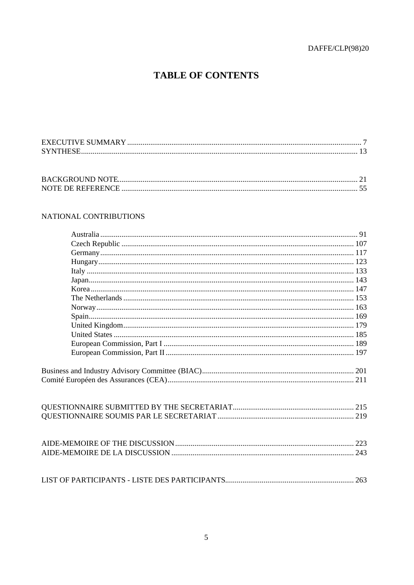# **TABLE OF CONTENTS**

## NATIONAL CONTRIBUTIONS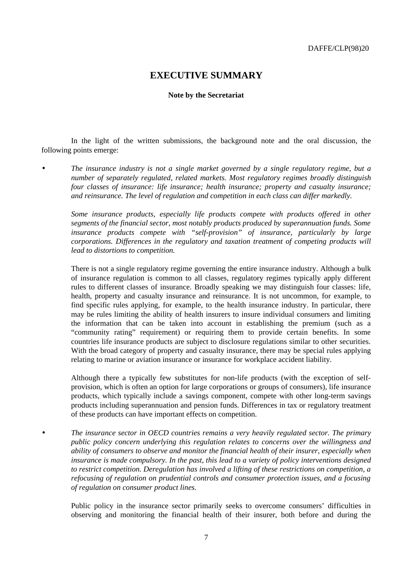## **EXECUTIVE SUMMARY**

#### **Note by the Secretariat**

In the light of the written submissions, the background note and the oral discussion, the following points emerge:

• *The insurance industry is not a single market governed by a single regulatory regime, but a number of separately regulated, related markets. Most regulatory regimes broadly distinguish four classes of insurance: life insurance; health insurance; property and casualty insurance; and reinsurance. The level of regulation and competition in each class can differ markedly.*

*Some insurance products, especially life products compete with products offered in other segments of the financial sector, most notably products produced by superannuation funds. Some insurance products compete with "self-provision" of insurance, particularly by large corporations. Differences in the regulatory and taxation treatment of competing products will lead to distortions to competition.*

There is not a single regulatory regime governing the entire insurance industry. Although a bulk of insurance regulation is common to all classes, regulatory regimes typically apply different rules to different classes of insurance. Broadly speaking we may distinguish four classes: life, health, property and casualty insurance and reinsurance. It is not uncommon, for example, to find specific rules applying, for example, to the health insurance industry. In particular, there may be rules limiting the ability of health insurers to insure individual consumers and limiting the information that can be taken into account in establishing the premium (such as a "community rating" requirement) or requiring them to provide certain benefits. In some countries life insurance products are subject to disclosure regulations similar to other securities. With the broad category of property and casualty insurance, there may be special rules applying relating to marine or aviation insurance or insurance for workplace accident liability.

Although there a typically few substitutes for non-life products (with the exception of selfprovision, which is often an option for large corporations or groups of consumers), life insurance products, which typically include a savings component, compete with other long-term savings products including superannuation and pension funds. Differences in tax or regulatory treatment of these products can have important effects on competition.

• *The insurance sector in OECD countries remains a very heavily regulated sector. The primary public policy concern underlying this regulation relates to concerns over the willingness and ability of consumers to observe and monitor the financial health of their insurer, especially when insurance is made compulsory. In the past, this lead to a variety of policy interventions designed to restrict competition. Deregulation has involved a lifting of these restrictions on competition, a refocusing of regulation on prudential controls and consumer protection issues, and a focusing of regulation on consumer product lines.*

Public policy in the insurance sector primarily seeks to overcome consumers' difficulties in observing and monitoring the financial health of their insurer, both before and during the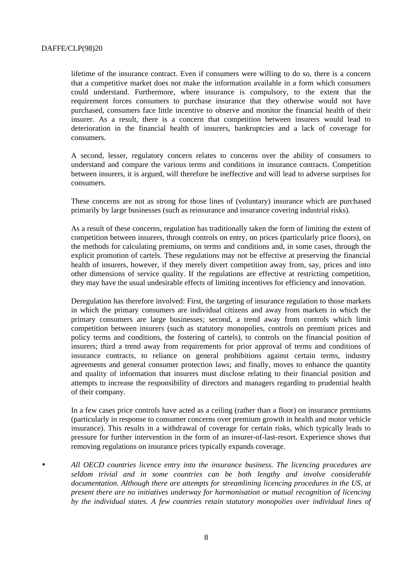lifetime of the insurance contract. Even if consumers were willing to do so, there is a concern that a competitive market does not make the information available in a form which consumers could understand. Furthermore, where insurance is compulsory, to the extent that the requirement forces consumers to purchase insurance that they otherwise would not have purchased, consumers face little incentive to observe and monitor the financial health of their insurer. As a result, there is a concern that competition between insurers would lead to deterioration in the financial health of insurers, bankruptcies and a lack of coverage for consumers.

A second, lesser, regulatory concern relates to concerns over the ability of consumers to understand and compare the various terms and conditions in insurance contracts. Competition between insurers, it is argued, will therefore be ineffective and will lead to adverse surprises for consumers.

These concerns are not as strong for those lines of (voluntary) insurance which are purchased primarily by large businesses (such as reinsurance and insurance covering industrial risks).

As a result of these concerns, regulation has traditionally taken the form of limiting the extent of competition between insurers, through controls on entry, on prices (particularly price floors), on the methods for calculating premiums, on terms and conditions and, in some cases, through the explicit promotion of cartels. These regulations may not be effective at preserving the financial health of insurers, however, if they merely divert competition away from, say, prices and into other dimensions of service quality. If the regulations are effective at restricting competition, they may have the usual undesirable effects of limiting incentives for efficiency and innovation.

Deregulation has therefore involved: First, the targeting of insurance regulation to those markets in which the primary consumers are individual citizens and away from markets in which the primary consumers are large businesses; second, a trend away from controls which limit competition between insurers (such as statutory monopolies, controls on premium prices and policy terms and conditions, the fostering of cartels), to controls on the financial position of insurers; third a trend away from requirements for prior approval of terms and conditions of insurance contracts, to reliance on general prohibitions against certain terms, industry agreements and general consumer protection laws; and finally, moves to enhance the quantity and quality of information that insurers must disclose relating to their financial position and attempts to increase the responsibility of directors and managers regarding to prudential health of their company.

In a few cases price controls have acted as a ceiling (rather than a floor) on insurance premiums (particularly in response to consumer concerns over premium growth in health and motor vehicle insurance). This results in a withdrawal of coverage for certain risks, which typically leads to pressure for further intervention in the form of an insurer-of-last-resort. Experience shows that removing regulations on insurance prices typically expands coverage.

• *All OECD countries licence entry into the insurance business. The licencing procedures are seldom trivial and in some countries can be both lengthy and involve considerable documentation. Although there are attempts for streamlining licencing procedures in the US, at present there are no initiatives underway for harmonisation or mutual recognition of licencing by the individual states. A few countries retain statutory monopolies over individual lines of*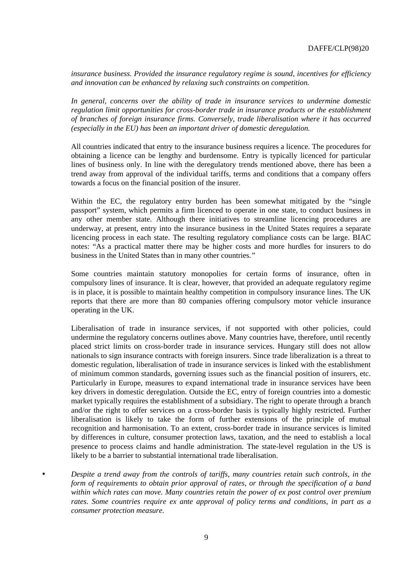*insurance business. Provided the insurance regulatory regime is sound, incentives for efficiency and innovation can be enhanced by relaxing such constraints on competition.*

*In general, concerns over the ability of trade in insurance services to undermine domestic regulation limit opportunities for cross-border trade in insurance products or the establishment of branches of foreign insurance firms. Conversely, trade liberalisation where it has occurred (especially in the EU) has been an important driver of domestic deregulation.*

All countries indicated that entry to the insurance business requires a licence. The procedures for obtaining a licence can be lengthy and burdensome. Entry is typically licenced for particular lines of business only. In line with the deregulatory trends mentioned above, there has been a trend away from approval of the individual tariffs, terms and conditions that a company offers towards a focus on the financial position of the insurer.

Within the EC, the regulatory entry burden has been somewhat mitigated by the "single passport" system, which permits a firm licenced to operate in one state, to conduct business in any other member state. Although there initiatives to streamline licencing procedures are underway, at present, entry into the insurance business in the United States requires a separate licencing process in each state. The resulting regulatory compliance costs can be large. BIAC notes: "As a practical matter there may be higher costs and more hurdles for insurers to do business in the United States than in many other countries."

Some countries maintain statutory monopolies for certain forms of insurance, often in compulsory lines of insurance. It is clear, however, that provided an adequate regulatory regime is in place, it is possible to maintain healthy competition in compulsory insurance lines. The UK reports that there are more than 80 companies offering compulsory motor vehicle insurance operating in the UK.

Liberalisation of trade in insurance services, if not supported with other policies, could undermine the regulatory concerns outlines above. Many countries have, therefore, until recently placed strict limits on cross-border trade in insurance services. Hungary still does not allow nationals to sign insurance contracts with foreign insurers. Since trade liberalization is a threat to domestic regulation, liberalisation of trade in insurance services is linked with the establishment of minimum common standards, governing issues such as the financial position of insurers, etc. Particularly in Europe, measures to expand international trade in insurance services have been key drivers in domestic deregulation. Outside the EC, entry of foreign countries into a domestic market typically requires the establishment of a subsidiary. The right to operate through a branch and/or the right to offer services on a cross-border basis is typically highly restricted. Further liberalisation is likely to take the form of further extensions of the principle of mutual recognition and harmonisation. To an extent, cross-border trade in insurance services is limited by differences in culture, consumer protection laws, taxation, and the need to establish a local presence to process claims and handle administration. The state-level regulation in the US is likely to be a barrier to substantial international trade liberalisation.

• *Despite a trend away from the controls of tariffs, many countries retain such controls, in the form of requirements to obtain prior approval of rates, or through the specification of a band within which rates can move. Many countries retain the power of ex post control over premium rates. Some countries require ex ante approval of policy terms and conditions, in part as a consumer protection measure.*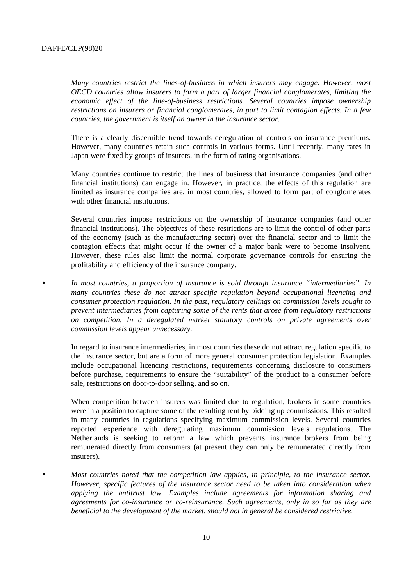*Many countries restrict the lines-of-business in which insurers may engage. However, most OECD countries allow insurers to form a part of larger financial conglomerates, limiting the economic effect of the line-of-business restrictions. Several countries impose ownership restrictions on insurers or financial conglomerates, in part to limit contagion effects. In a few countries, the government is itself an owner in the insurance sector.*

There is a clearly discernible trend towards deregulation of controls on insurance premiums. However, many countries retain such controls in various forms. Until recently, many rates in Japan were fixed by groups of insurers, in the form of rating organisations.

Many countries continue to restrict the lines of business that insurance companies (and other financial institutions) can engage in. However, in practice, the effects of this regulation are limited as insurance companies are, in most countries, allowed to form part of conglomerates with other financial institutions.

Several countries impose restrictions on the ownership of insurance companies (and other financial institutions). The objectives of these restrictions are to limit the control of other parts of the economy (such as the manufacturing sector) over the financial sector and to limit the contagion effects that might occur if the owner of a major bank were to become insolvent. However, these rules also limit the normal corporate governance controls for ensuring the profitability and efficiency of the insurance company.

• *In most countries, a proportion of insurance is sold through insurance "intermediaries". In many countries these do not attract specific regulation beyond occupational licencing and consumer protection regulation. In the past, regulatory ceilings on commission levels sought to prevent intermediaries from capturing some of the rents that arose from regulatory restrictions on competition. In a deregulated market statutory controls on private agreements over commission levels appear unnecessary.*

In regard to insurance intermediaries, in most countries these do not attract regulation specific to the insurance sector, but are a form of more general consumer protection legislation. Examples include occupational licencing restrictions, requirements concerning disclosure to consumers before purchase, requirements to ensure the "suitability" of the product to a consumer before sale, restrictions on door-to-door selling, and so on.

When competition between insurers was limited due to regulation, brokers in some countries were in a position to capture some of the resulting rent by bidding up commissions. This resulted in many countries in regulations specifying maximum commission levels. Several countries reported experience with deregulating maximum commission levels regulations. The Netherlands is seeking to reform a law which prevents insurance brokers from being remunerated directly from consumers (at present they can only be remunerated directly from insurers).

• *Most countries noted that the competition law applies, in principle, to the insurance sector. However, specific features of the insurance sector need to be taken into consideration when applying the antitrust law. Examples include agreements for information sharing and agreements for co-insurance or co-reinsurance. Such agreements, only in so far as they are beneficial to the development of the market, should not in general be considered restrictive.*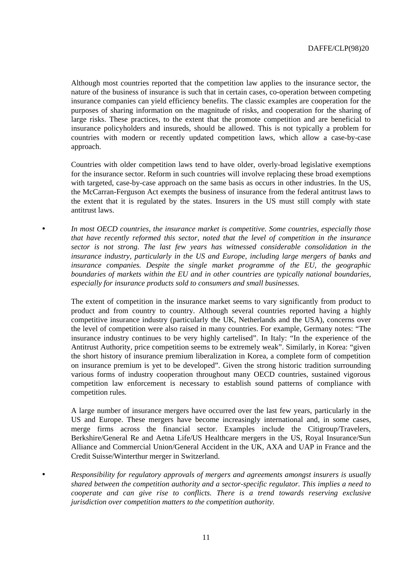Although most countries reported that the competition law applies to the insurance sector, the nature of the business of insurance is such that in certain cases, co-operation between competing insurance companies can yield efficiency benefits. The classic examples are cooperation for the purposes of sharing information on the magnitude of risks, and cooperation for the sharing of large risks. These practices, to the extent that the promote competition and are beneficial to insurance policyholders and insureds, should be allowed. This is not typically a problem for countries with modern or recently updated competition laws, which allow a case-by-case approach.

Countries with older competition laws tend to have older, overly-broad legislative exemptions for the insurance sector. Reform in such countries will involve replacing these broad exemptions with targeted, case-by-case approach on the same basis as occurs in other industries. In the US, the McCarran-Ferguson Act exempts the business of insurance from the federal antitrust laws to the extent that it is regulated by the states. Insurers in the US must still comply with state antitrust laws.

• *In most OECD countries, the insurance market is competitive. Some countries, especially those that have recently reformed this sector, noted that the level of competition in the insurance sector is not strong. The last few years has witnessed considerable consolidation in the insurance industry, particularly in the US and Europe, including large mergers of banks and insurance companies. Despite the single market programme of the EU, the geographic boundaries of markets within the EU and in other countries are typically national boundaries, especially for insurance products sold to consumers and small businesses.*

The extent of competition in the insurance market seems to vary significantly from product to product and from country to country. Although several countries reported having a highly competitive insurance industry (particularly the UK, Netherlands and the USA), concerns over the level of competition were also raised in many countries. For example, Germany notes: "The insurance industry continues to be very highly cartelised". In Italy: "In the experience of the Antitrust Authority, price competition seems to be extremely weak". Similarly, in Korea: "given the short history of insurance premium liberalization in Korea, a complete form of competition on insurance premium is yet to be developed". Given the strong historic tradition surrounding various forms of industry cooperation throughout many OECD countries, sustained vigorous competition law enforcement is necessary to establish sound patterns of compliance with competition rules.

A large number of insurance mergers have occurred over the last few years, particularly in the US and Europe. These mergers have become increasingly international and, in some cases, merge firms across the financial sector. Examples include the Citigroup/Travelers, Berkshire/General Re and Aetna Life/US Healthcare mergers in the US, Royal Insurance/Sun Alliance and Commercial Union/General Accident in the UK, AXA and UAP in France and the Credit Suisse/Winterthur merger in Switzerland.

• *Responsibility for regulatory approvals of mergers and agreements amongst insurers is usually shared between the competition authority and a sector-specific regulator. This implies a need to cooperate and can give rise to conflicts. There is a trend towards reserving exclusive jurisdiction over competition matters to the competition authority.*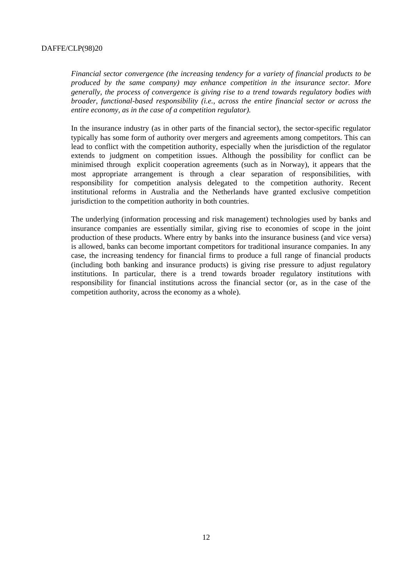*Financial sector convergence (the increasing tendency for a variety of financial products to be produced by the same company) may enhance competition in the insurance sector. More generally, the process of convergence is giving rise to a trend towards regulatory bodies with broader, functional-based responsibility (i.e., across the entire financial sector or across the entire economy, as in the case of a competition regulator).*

In the insurance industry (as in other parts of the financial sector), the sector-specific regulator typically has some form of authority over mergers and agreements among competitors. This can lead to conflict with the competition authority, especially when the jurisdiction of the regulator extends to judgment on competition issues. Although the possibility for conflict can be minimised through explicit cooperation agreements (such as in Norway), it appears that the most appropriate arrangement is through a clear separation of responsibilities, with responsibility for competition analysis delegated to the competition authority. Recent institutional reforms in Australia and the Netherlands have granted exclusive competition jurisdiction to the competition authority in both countries.

The underlying (information processing and risk management) technologies used by banks and insurance companies are essentially similar, giving rise to economies of scope in the joint production of these products. Where entry by banks into the insurance business (and vice versa) is allowed, banks can become important competitors for traditional insurance companies. In any case, the increasing tendency for financial firms to produce a full range of financial products (including both banking and insurance products) is giving rise pressure to adjust regulatory institutions. In particular, there is a trend towards broader regulatory institutions with responsibility for financial institutions across the financial sector (or, as in the case of the competition authority, across the economy as a whole).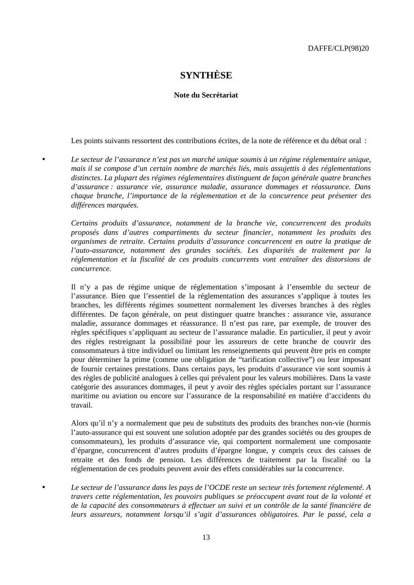## **SYNTHÈSE**

#### **Note du Secrétariat**

Les points suivants ressortent des contributions écrites, de la note de référence et du débat oral :

• *Le secteur de l'assurance n'est pas un marché unique soumis à un régime réglementaire unique, mais il se compose d'un certain nombre de marchés liés, mais assujettis à des réglementations distinctes. La plupart des régimes réglementaires distinguent de façon générale quatre branches d'assurance : assurance vie, assurance maladie, assurance dommages et réassurance. Dans chaque branche, l'importance de la réglementation et de la concurrence peut présenter des différences marquées.*

*Certains produits d'assurance, notamment de la branche vie, concurrencent des produits proposés dans d'autres compartiments du secteur financier, notamment les produits des organismes de retraite. Certains produits d'assurance concurrencent en outre la pratique de l'auto-assurance, notamment des grandes sociétés. Les disparités de traitement par la réglementation et la fiscalité de ces produits concurrents vont entraîner des distorsions de concurrence.*

Il n'y a pas de régime unique de réglementation s'imposant à l'ensemble du secteur de l'assurance. Bien que l'essentiel de la réglementation des assurances s'applique à toutes les branches, les différents régimes soumettent normalement les diverses branches à des règles différentes. De façon générale, on peut distinguer quatre branches : assurance vie, assurance maladie, assurance dommages et réassurance. Il n'est pas rare, par exemple, de trouver des règles spécifiques s'appliquant au secteur de l'assurance maladie. En particulier, il peut y avoir des règles restreignant la possibilité pour les assureurs de cette branche de couvrir des consommateurs à titre individuel ou limitant les renseignements qui peuvent être pris en compte pour déterminer la prime (comme une obligation de "tarification collective") ou leur imposant de fournir certaines prestations. Dans certains pays, les produits d'assurance vie sont soumis à des règles de publicité analogues à celles qui prévalent pour les valeurs mobilières. Dans la vaste catégorie des assurances dommages, il peut y avoir des règles spéciales portant sur l'assurance maritime ou aviation ou encore sur l'assurance de la responsabilité en matière d'accidents du travail.

Alors qu'il n'y a normalement que peu de substituts des produits des branches non-vie (hormis l'auto-assurance qui est souvent une solution adoptée par des grandes sociétés ou des groupes de consommateurs), les produits d'assurance vie, qui comportent normalement une composante d'épargne, concurrencent d'autres produits d'épargne longue, y compris ceux des caisses de retraite et des fonds de pension. Les différences de traitement par la fiscalité ou la réglementation de ces produits peuvent avoir des effets considérables sur la concurrence.

• *Le secteur de l'assurance dans les pays de l'OCDE reste un secteur très fortement réglementé. A travers cette réglementation, les pouvoirs publiques se préoccupent avant tout de la volonté et de la capacité des consommateurs à effectuer un suivi et un contrôle de la santé financière de leurs assureurs, notamment lorsqu'il s'agit d'assurances obligatoires. Par le passé, cela a*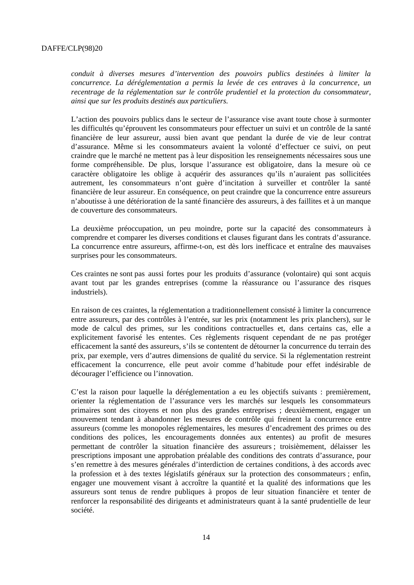*conduit à diverses mesures d'intervention des pouvoirs publics destinées à limiter la concurrence. La déréglementation a permis la levée de ces entraves à la concurrence, un recentrage de la réglementation sur le contrôle prudentiel et la protection du consommateur, ainsi que sur les produits destinés aux particuliers.*

L'action des pouvoirs publics dans le secteur de l'assurance vise avant toute chose à surmonter les difficultés qu'éprouvent les consommateurs pour effectuer un suivi et un contrôle de la santé financière de leur assureur, aussi bien avant que pendant la durée de vie de leur contrat d'assurance. Même si les consommateurs avaient la volonté d'effectuer ce suivi, on peut craindre que le marché ne mettent pas à leur disposition les renseignements nécessaires sous une forme compréhensible. De plus, lorsque l'assurance est obligatoire, dans la mesure où ce caractère obligatoire les oblige à acquérir des assurances qu'ils n'auraient pas sollicitées autrement, les consommateurs n'ont guère d'incitation à surveiller et contrôler la santé financière de leur assureur. En conséquence, on peut craindre que la concurrence entre assureurs n'aboutisse à une détérioration de la santé financière des assureurs, à des faillites et à un manque de couverture des consommateurs.

La deuxième préoccupation, un peu moindre, porte sur la capacité des consommateurs à comprendre et comparer les diverses conditions et clauses figurant dans les contrats d'assurance. La concurrence entre assureurs, affirme-t-on, est dès lors inefficace et entraîne des mauvaises surprises pour les consommateurs.

Ces craintes ne sont pas aussi fortes pour les produits d'assurance (volontaire) qui sont acquis avant tout par les grandes entreprises (comme la réassurance ou l'assurance des risques industriels).

En raison de ces craintes, la réglementation a traditionnellement consisté à limiter la concurrence entre assureurs, par des contrôles à l'entrée, sur les prix (notamment les prix planchers), sur le mode de calcul des primes, sur les conditions contractuelles et, dans certains cas, elle a explicitement favorisé les ententes. Ces règlements risquent cependant de ne pas protéger efficacement la santé des assureurs, s'ils se contentent de détourner la concurrence du terrain des prix, par exemple, vers d'autres dimensions de qualité du service. Si la réglementation restreint efficacement la concurrence, elle peut avoir comme d'habitude pour effet indésirable de décourager l'efficience ou l'innovation.

C'est la raison pour laquelle la déréglementation a eu les objectifs suivants : premièrement, orienter la réglementation de l'assurance vers les marchés sur lesquels les consommateurs primaires sont des citoyens et non plus des grandes entreprises ; deuxièmement, engager un mouvement tendant à abandonner les mesures de contrôle qui freinent la concurrence entre assureurs (comme les monopoles réglementaires, les mesures d'encadrement des primes ou des conditions des polices, les encouragements données aux ententes) au profit de mesures permettant de contrôler la situation financière des assureurs ; troisièmement, délaisser les prescriptions imposant une approbation préalable des conditions des contrats d'assurance, pour s'en remettre à des mesures générales d'interdiction de certaines conditions, à des accords avec la profession et à des textes législatifs généraux sur la protection des consommateurs ; enfin, engager une mouvement visant à accroître la quantité et la qualité des informations que les assureurs sont tenus de rendre publiques à propos de leur situation financière et tenter de renforcer la responsabilité des dirigeants et administrateurs quant à la santé prudentielle de leur société.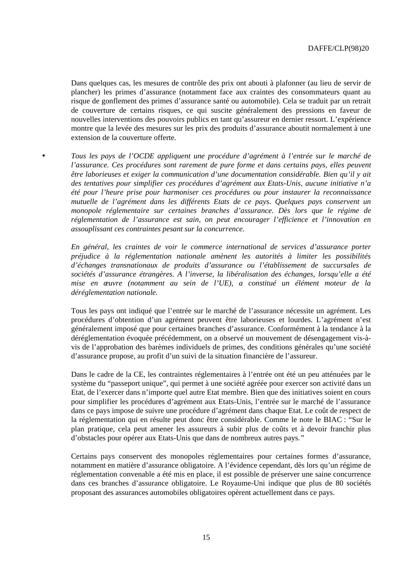Dans quelques cas, les mesures de contrôle des prix ont abouti à plafonner (au lieu de servir de plancher) les primes d'assurance (notamment face aux craintes des consommateurs quant au risque de gonflement des primes d'assurance santé ou automobile). Cela se traduit par un retrait de couverture de certains risques, ce qui suscite généralement des pressions en faveur de nouvelles interventions des pouvoirs publics en tant qu'assureur en dernier ressort. L'expérience montre que la levée des mesures sur les prix des produits d'assurance aboutit normalement à une extension de la couverture offerte.

• *Tous les pays de l'OCDE appliquent une procédure d'agrément à l'entrée sur le marché de l'assurance. Ces procédures sont rarement de pure forme et dans certains pays, elles peuvent être laborieuses et exiger la communication d'une documentation considérable. Bien qu'il y ait des tentatives pour simplifier ces procédures d'agrément aux Etats-Unis, aucune initiative n'a été pour l'heure prise pour harmoniser ces procédures ou pour instaurer la reconnaissance mutuelle de l'agrément dans les différents Etats de ce pays. Quelques pays conservent un monopole réglementaire sur certaines branches d'assurance. Dès lors que le régime de réglementation de l'assurance est sain, on peut encourager l'efficience et l'innovation en assouplissant ces contraintes pesant sur la concurrence.*

*En général, les craintes de voir le commerce international de services d'assurance porter préjudice à la réglementation nationale amènent les autorités à limiter les possibilités d'échanges transnationaux de produits d'assurance ou l'établissement de succursales de sociétés d'assurance étrangères. A l'inverse, la libéralisation des échanges, lorsqu'elle a été mise en œuvre (notamment au sein de l'UE), a constitué un élément moteur de la déréglementation nationale.*

Tous les pays ont indiqué que l'entrée sur le marché de l'assurance nécessite un agrément. Les procédures d'obtention d'un agrément peuvent être laborieuses et lourdes. L'agrément n'est généralement imposé que pour certaines branches d'assurance. Conformément à la tendance à la déréglementation évoquée précédemment, on a observé un mouvement de désengagement vis-àvis de l'approbation des barèmes individuels de primes, des conditions générales qu'une société d'assurance propose, au profit d'un suivi de la situation financière de l'assureur.

Dans le cadre de la CE, les contraintes réglementaires à l'entrée ont été un peu atténuées par le système du "passeport unique", qui permet à une société agréée pour exercer son activité dans un Etat, de l'exercer dans n'importe quel autre Etat membre. Bien que des initiatives soient en cours pour simplifier les procédures d'agrément aux Etats-Unis, l'entrée sur le marché de l'assurance dans ce pays impose de suivre une procédure d'agrément dans chaque Etat. Le coût de respect de la réglementation qui en résulte peut donc être considérable. Comme le note le BIAC : "Sur le plan pratique, cela peut amener les assureurs à subir plus de coûts et à devoir franchir plus d'obstacles pour opérer aux Etats-Unis que dans de nombreux autres pays."

Certains pays conservent des monopoles réglementaires pour certaines formes d'assurance, notamment en matière d'assurance obligatoire. A l'évidence cependant, dès lors qu'un régime de réglementation convenable a été mis en place, il est possible de préserver une saine concurrence dans ces branches d'assurance obligatoire. Le Royaume-Uni indique que plus de 80 sociétés proposant des assurances automobiles obligatoires opèrent actuellement dans ce pays.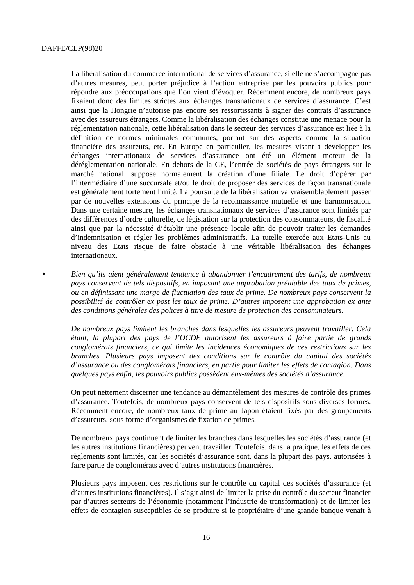La libéralisation du commerce international de services d'assurance, si elle ne s'accompagne pas d'autres mesures, peut porter préjudice à l'action entreprise par les pouvoirs publics pour répondre aux préoccupations que l'on vient d'évoquer. Récemment encore, de nombreux pays fixaient donc des limites strictes aux échanges transnationaux de services d'assurance. C'est ainsi que la Hongrie n'autorise pas encore ses ressortissants à signer des contrats d'assurance avec des assureurs étrangers. Comme la libéralisation des échanges constitue une menace pour la réglementation nationale, cette libéralisation dans le secteur des services d'assurance est liée à la définition de normes minimales communes, portant sur des aspects comme la situation financière des assureurs, etc. En Europe en particulier, les mesures visant à développer les échanges internationaux de services d'assurance ont été un élément moteur de la déréglementation nationale. En dehors de la CE, l'entrée de sociétés de pays étrangers sur le marché national, suppose normalement la création d'une filiale. Le droit d'opérer par l'intermédiaire d'une succursale et/ou le droit de proposer des services de façon transnationale est généralement fortement limité. La poursuite de la libéralisation va vraisemblablement passer par de nouvelles extensions du principe de la reconnaissance mutuelle et une harmonisation. Dans une certaine mesure, les échanges transnationaux de services d'assurance sont limités par des différences d'ordre culturelle, de législation sur la protection des consommateurs, de fiscalité ainsi que par la nécessité d'établir une présence locale afin de pouvoir traiter les demandes d'indemnisation et régler les problèmes administratifs. La tutelle exercée aux Etats-Unis au niveau des Etats risque de faire obstacle à une véritable libéralisation des échanges internationaux.

• *Bien qu'ils aient généralement tendance à abandonner l'encadrement des tarifs, de nombreux pays conservent de tels dispositifs, en imposant une approbation préalable des taux de primes, ou en définissant une marge de fluctuation des taux de prime. De nombreux pays conservent la possibilité de contrôler ex post les taux de prime. D'autres imposent une approbation ex ante des conditions générales des polices à titre de mesure de protection des consommateurs.*

*De nombreux pays limitent les branches dans lesquelles les assureurs peuvent travailler. Cela étant, la plupart des pays de l'OCDE autorisent les assureurs à faire partie de grands conglomérats financiers, ce qui limite les incidences économiques de ces restrictions sur les branches. Plusieurs pays imposent des conditions sur le contrôle du capital des sociétés d'assurance ou des conglomérats financiers, en partie pour limiter les effets de contagion. Dans quelques pays enfin, les pouvoirs publics possèdent eux-mêmes des sociétés d'assurance.*

On peut nettement discerner une tendance au démantèlement des mesures de contrôle des primes d'assurance. Toutefois, de nombreux pays conservent de tels dispositifs sous diverses formes. Récemment encore, de nombreux taux de prime au Japon étaient fixés par des groupements d'assureurs, sous forme d'organismes de fixation de primes.

De nombreux pays continuent de limiter les branches dans lesquelles les sociétés d'assurance (et les autres institutions financières) peuvent travailler. Toutefois, dans la pratique, les effets de ces règlements sont limités, car les sociétés d'assurance sont, dans la plupart des pays, autorisées à faire partie de conglomérats avec d'autres institutions financières.

Plusieurs pays imposent des restrictions sur le contrôle du capital des sociétés d'assurance (et d'autres institutions financières). Il s'agit ainsi de limiter la prise du contrôle du secteur financier par d'autres secteurs de l'économie (notamment l'industrie de transformation) et de limiter les effets de contagion susceptibles de se produire si le propriétaire d'une grande banque venait à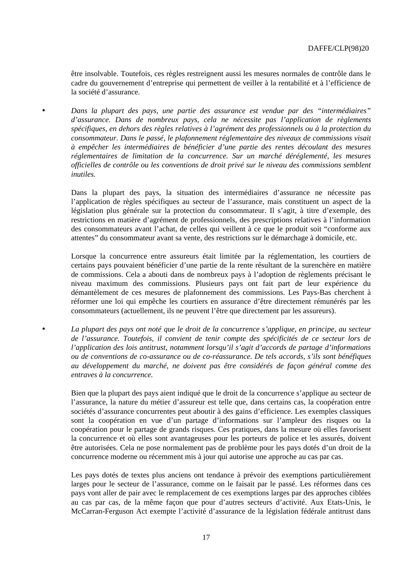être insolvable. Toutefois, ces règles restreignent aussi les mesures normales de contrôle dans le cadre du gouvernement d'entreprise qui permettent de veiller à la rentabilité et à l'efficience de la société d'assurance.

• *Dans la plupart des pays, une partie des assurance est vendue par des "intermédiaires" d'assurance. Dans de nombreux pays, cela ne nécessite pas l'application de règlements spécifiques, en dehors des règles relatives à l'agrément des professionnels ou à la protection du consommateur. Dans le passé, le plafonnement réglementaire des niveaux de commissions visait à empêcher les intermédiaires de bénéficier d'une partie des rentes découlant des mesures réglementaires de limitation de la concurrence. Sur un marché déréglementé, les mesures officielles de contrôle ou les conventions de droit privé sur le niveau des commissions semblent inutiles.*

Dans la plupart des pays, la situation des intermédiaires d'assurance ne nécessite pas l'application de règles spécifiques au secteur de l'assurance, mais constituent un aspect de la législation plus générale sur la protection du consommateur. Il s'agit, à titre d'exemple, des restrictions en matière d'agrément de professionnels, des prescriptions relatives à l'information des consommateurs avant l'achat, de celles qui veillent à ce que le produit soit "conforme aux attentes" du consommateur avant sa vente, des restrictions sur le démarchage à domicile, etc.

Lorsque la concurrence entre assureurs était limitée par la réglementation, les courtiers de certains pays pouvaient bénéficier d'une partie de la rente résultant de la surenchère en matière de commissions. Cela a abouti dans de nombreux pays à l'adoption de règlements précisant le niveau maximum des commissions. Plusieurs pays ont fait part de leur expérience du démantèlement de ces mesures de plafonnement des commissions. Les Pays-Bas cherchent à réformer une loi qui empêche les courtiers en assurance d'être directement rémunérés par les consommateurs (actuellement, ils ne peuvent l'être que directement par les assureurs).

• *La plupart des pays ont noté que le droit de la concurrence s'applique, en principe, au secteur de l'assurance. Toutefois, il convient de tenir compte des spécificités de ce secteur lors de l'application des lois antitrust, notamment lorsqu'il s'agit d'accords de partage d'informations ou de conventions de co-assurance ou de co-réassurance. De tels accords, s'ils sont bénéfiques au développement du marché, ne doivent pas être considérés de façon général comme des entraves à la concurrence.*

Bien que la plupart des pays aient indiqué que le droit de la concurrence s'applique au secteur de l'assurance, la nature du métier d'assureur est telle que, dans certains cas, la coopération entre sociétés d'assurance concurrentes peut aboutir à des gains d'efficience. Les exemples classiques sont la coopération en vue d'un partage d'informations sur l'ampleur des risques ou la coopération pour le partage de grands risques. Ces pratiques, dans la mesure où elles favorisent la concurrence et où elles sont avantageuses pour les porteurs de police et les assurés, doivent être autorisées. Cela ne pose normalement pas de problème pour les pays dotés d'un droit de la concurrence moderne ou récemment mis à jour qui autorise une approche au cas par cas.

Les pays dotés de textes plus anciens ont tendance à prévoir des exemptions particulièrement larges pour le secteur de l'assurance, comme on le faisait par le passé. Les réformes dans ces pays vont aller de pair avec le remplacement de ces exemptions larges par des approches ciblées au cas par cas, de la même façon que pour d'autres secteurs d'activité. Aux Etats-Unis, le McCarran-Ferguson Act exempte l'activité d'assurance de la législation fédérale antitrust dans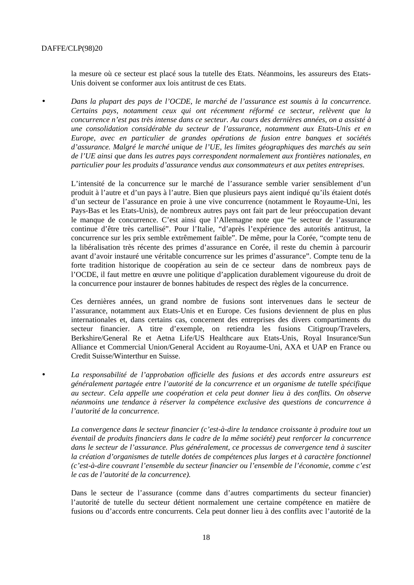la mesure où ce secteur est placé sous la tutelle des Etats. Néanmoins, les assureurs des Etats-Unis doivent se conformer aux lois antitrust de ces Etats.

• *Dans la plupart des pays de l'OCDE, le marché de l'assurance est soumis à la concurrence. Certains pays, notamment ceux qui ont récemment réformé ce secteur, relèvent que la concurrence n'est pas très intense dans ce secteur. Au cours des dernières années, on a assisté à une consolidation considérable du secteur de l'assurance, notamment aux Etats-Unis et en Europe, avec en particulier de grandes opérations de fusion entre banques et sociétés d'assurance. Malgré le marché unique de l'UE, les limites géographiques des marchés au sein de l'UE ainsi que dans les autres pays correspondent normalement aux frontières nationales, en particulier pour les produits d'assurance vendus aux consommateurs et aux petites entreprises.*

L'intensité de la concurrence sur le marché de l'assurance semble varier sensiblement d'un produit à l'autre et d'un pays à l'autre. Bien que plusieurs pays aient indiqué qu'ils étaient dotés d'un secteur de l'assurance en proie à une vive concurrence (notamment le Royaume-Uni, les Pays-Bas et les Etats-Unis), de nombreux autres pays ont fait part de leur préoccupation devant le manque de concurrence. C'est ainsi que l'Allemagne note que "le secteur de l'assurance continue d'être très cartellisé". Pour l'Italie, "d'après l'expérience des autorités antitrust, la concurrence sur les prix semble extrêmement faible". De même, pour la Corée, "compte tenu de la libéralisation très récente des primes d'assurance en Corée, il reste du chemin à parcourir avant d'avoir instauré une véritable concurrence sur les primes d'assurance". Compte tenu de la forte tradition historique de coopération au sein de ce secteur dans de nombreux pays de l'OCDE, il faut mettre en œuvre une politique d'application durablement vigoureuse du droit de la concurrence pour instaurer de bonnes habitudes de respect des règles de la concurrence.

Ces dernières années, un grand nombre de fusions sont intervenues dans le secteur de l'assurance, notamment aux Etats-Unis et en Europe. Ces fusions deviennent de plus en plus internationales et, dans certains cas, concernent des entreprises des divers compartiments du secteur financier. A titre d'exemple, on retiendra les fusions Citigroup/Travelers, Berkshire/General Re et Aetna Life/US Healthcare aux Etats-Unis, Royal Insurance/Sun Alliance et Commercial Union/General Accident au Royaume-Uni, AXA et UAP en France ou Credit Suisse/Winterthur en Suisse.

• *La responsabilité de l'approbation officielle des fusions et des accords entre assureurs est généralement partagée entre l'autorité de la concurrence et un organisme de tutelle spécifique au secteur. Cela appelle une coopération et cela peut donner lieu à des conflits. On observe néanmoins une tendance à réserver la compétence exclusive des questions de concurrence à l'autorité de la concurrence.*

*La convergence dans le secteur financier (c'est-à-dire la tendance croissante à produire tout un éventail de produits financiers dans le cadre de la même société) peut renforcer la concurrence dans le secteur de l'assurance. Plus généralement, ce processus de convergence tend à susciter la création d'organismes de tutelle dotées de compétences plus larges et à caractère fonctionnel (c'est-à-dire couvrant l'ensemble du secteur financier ou l'ensemble de l'économie, comme c'est le cas de l'autorité de la concurrence).*

Dans le secteur de l'assurance (comme dans d'autres compartiments du secteur financier) l'autorité de tutelle du secteur détient normalement une certaine compétence en matière de fusions ou d'accords entre concurrents. Cela peut donner lieu à des conflits avec l'autorité de la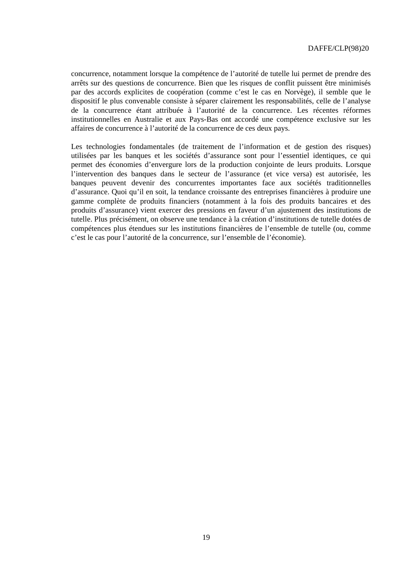concurrence, notamment lorsque la compétence de l'autorité de tutelle lui permet de prendre des arrêts sur des questions de concurrence. Bien que les risques de conflit puissent être minimisés par des accords explicites de coopération (comme c'est le cas en Norvège), il semble que le dispositif le plus convenable consiste à séparer clairement les responsabilités, celle de l'analyse de la concurrence étant attribuée à l'autorité de la concurrence. Les récentes réformes institutionnelles en Australie et aux Pays-Bas ont accordé une compétence exclusive sur les affaires de concurrence à l'autorité de la concurrence de ces deux pays.

Les technologies fondamentales (de traitement de l'information et de gestion des risques) utilisées par les banques et les sociétés d'assurance sont pour l'essentiel identiques, ce qui permet des économies d'envergure lors de la production conjointe de leurs produits. Lorsque l'intervention des banques dans le secteur de l'assurance (et vice versa) est autorisée, les banques peuvent devenir des concurrentes importantes face aux sociétés traditionnelles d'assurance. Quoi qu'il en soit, la tendance croissante des entreprises financières à produire une gamme complète de produits financiers (notamment à la fois des produits bancaires et des produits d'assurance) vient exercer des pressions en faveur d'un ajustement des institutions de tutelle. Plus précisément, on observe une tendance à la création d'institutions de tutelle dotées de compétences plus étendues sur les institutions financières de l'ensemble de tutelle (ou, comme c'est le cas pour l'autorité de la concurrence, sur l'ensemble de l'économie).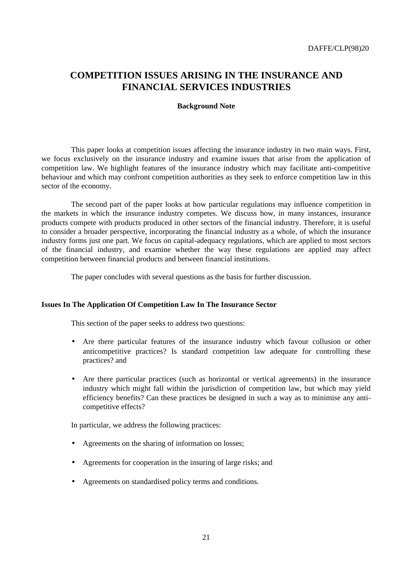## **COMPETITION ISSUES ARISING IN THE INSURANCE AND FINANCIAL SERVICES INDUSTRIES**

#### **Background Note**

This paper looks at competition issues affecting the insurance industry in two main ways. First, we focus exclusively on the insurance industry and examine issues that arise from the application of competition law. We highlight features of the insurance industry which may facilitate anti-competitive behaviour and which may confront competition authorities as they seek to enforce competition law in this sector of the economy.

The second part of the paper looks at how particular regulations may influence competition in the markets in which the insurance industry competes. We discuss how, in many instances, insurance products compete with products produced in other sectors of the financial industry. Therefore, it is useful to consider a broader perspective, incorporating the financial industry as a whole, of which the insurance industry forms just one part. We focus on capital-adequacy regulations, which are applied to most sectors of the financial industry, and examine whether the way these regulations are applied may affect competition between financial products and between financial institutions.

The paper concludes with several questions as the basis for further discussion.

#### **Issues In The Application Of Competition Law In The Insurance Sector**

This section of the paper seeks to address two questions:

- Are there particular features of the insurance industry which favour collusion or other anticompetitive practices? Is standard competition law adequate for controlling these practices? and
- Are there particular practices (such as horizontal or vertical agreements) in the insurance industry which might fall within the jurisdiction of competition law, but which may yield efficiency benefits? Can these practices be designed in such a way as to minimise any anticompetitive effects?

In particular, we address the following practices:

- Agreements on the sharing of information on losses;
- Agreements for cooperation in the insuring of large risks; and
- Agreements on standardised policy terms and conditions.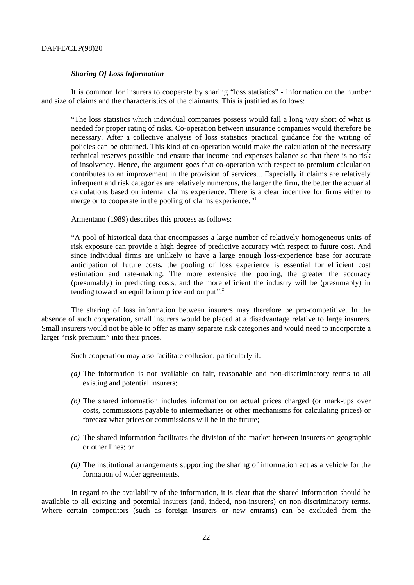#### *Sharing Of Loss Information*

It is common for insurers to cooperate by sharing "loss statistics" - information on the number and size of claims and the characteristics of the claimants. This is justified as follows:

"The loss statistics which individual companies possess would fall a long way short of what is needed for proper rating of risks. Co-operation between insurance companies would therefore be necessary. After a collective analysis of loss statistics practical guidance for the writing of policies can be obtained. This kind of co-operation would make the calculation of the necessary technical reserves possible and ensure that income and expenses balance so that there is no risk of insolvency. Hence, the argument goes that co-operation with respect to premium calculation contributes to an improvement in the provision of services... Especially if claims are relatively infrequent and risk categories are relatively numerous, the larger the firm, the better the actuarial calculations based on internal claims experience. There is a clear incentive for firms either to merge or to cooperate in the pooling of claims experience."

Armentano (1989) describes this process as follows:

"A pool of historical data that encompasses a large number of relatively homogeneous units of risk exposure can provide a high degree of predictive accuracy with respect to future cost. And since individual firms are unlikely to have a large enough loss-experience base for accurate anticipation of future costs, the pooling of loss experience is essential for efficient cost estimation and rate-making. The more extensive the pooling, the greater the accuracy (presumably) in predicting costs, and the more efficient the industry will be (presumably) in tending toward an equilibrium price and output".<sup>2</sup>

The sharing of loss information between insurers may therefore be pro-competitive. In the absence of such cooperation, small insurers would be placed at a disadvantage relative to large insurers. Small insurers would not be able to offer as many separate risk categories and would need to incorporate a larger "risk premium" into their prices.

Such cooperation may also facilitate collusion, particularly if:

- *(a)* The information is not available on fair, reasonable and non-discriminatory terms to all existing and potential insurers;
- *(b)* The shared information includes information on actual prices charged (or mark-ups over costs, commissions payable to intermediaries or other mechanisms for calculating prices) or forecast what prices or commissions will be in the future;
- *(c)* The shared information facilitates the division of the market between insurers on geographic or other lines; or
- *(d)* The institutional arrangements supporting the sharing of information act as a vehicle for the formation of wider agreements.

In regard to the availability of the information, it is clear that the shared information should be available to all existing and potential insurers (and, indeed, non-insurers) on non-discriminatory terms. Where certain competitors (such as foreign insurers or new entrants) can be excluded from the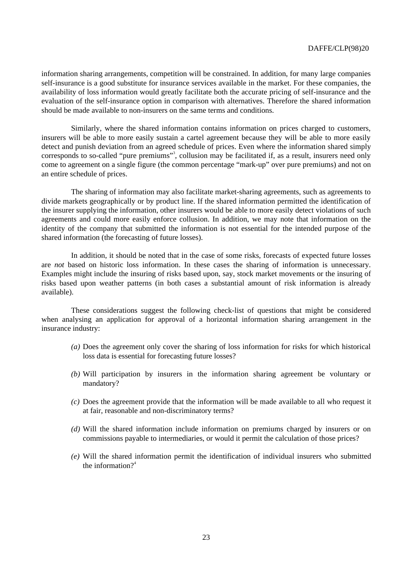information sharing arrangements, competition will be constrained. In addition, for many large companies self-insurance is a good substitute for insurance services available in the market. For these companies, the availability of loss information would greatly facilitate both the accurate pricing of self-insurance and the evaluation of the self-insurance option in comparison with alternatives. Therefore the shared information should be made available to non-insurers on the same terms and conditions.

Similarly, where the shared information contains information on prices charged to customers, insurers will be able to more easily sustain a cartel agreement because they will be able to more easily detect and punish deviation from an agreed schedule of prices. Even where the information shared simply corresponds to so-called "pure premiums"<sup>3</sup>, collusion may be facilitated if, as a result, insurers need only come to agreement on a single figure (the common percentage "mark-up" over pure premiums) and not on an entire schedule of prices.

The sharing of information may also facilitate market-sharing agreements, such as agreements to divide markets geographically or by product line. If the shared information permitted the identification of the insurer supplying the information, other insurers would be able to more easily detect violations of such agreements and could more easily enforce collusion. In addition, we may note that information on the identity of the company that submitted the information is not essential for the intended purpose of the shared information (the forecasting of future losses).

In addition, it should be noted that in the case of some risks, forecasts of expected future losses are *not* based on historic loss information. In these cases the sharing of information is unnecessary. Examples might include the insuring of risks based upon, say, stock market movements or the insuring of risks based upon weather patterns (in both cases a substantial amount of risk information is already available).

These considerations suggest the following check-list of questions that might be considered when analysing an application for approval of a horizontal information sharing arrangement in the insurance industry:

- *(a)* Does the agreement only cover the sharing of loss information for risks for which historical loss data is essential for forecasting future losses?
- *(b)* Will participation by insurers in the information sharing agreement be voluntary or mandatory?
- *(c)* Does the agreement provide that the information will be made available to all who request it at fair, reasonable and non-discriminatory terms?
- *(d)* Will the shared information include information on premiums charged by insurers or on commissions payable to intermediaries, or would it permit the calculation of those prices?
- *(e)* Will the shared information permit the identification of individual insurers who submitted the information? $4^4$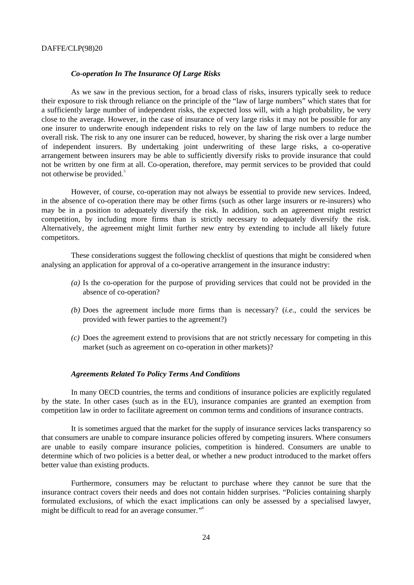#### *Co-operation In The Insurance Of Large Risks*

As we saw in the previous section, for a broad class of risks, insurers typically seek to reduce their exposure to risk through reliance on the principle of the "law of large numbers" which states that for a sufficiently large number of independent risks, the expected loss will, with a high probability, be very close to the average. However, in the case of insurance of very large risks it may not be possible for any one insurer to underwrite enough independent risks to rely on the law of large numbers to reduce the overall risk. The risk to any one insurer can be reduced, however, by sharing the risk over a large number of independent insurers. By undertaking joint underwriting of these large risks, a co-operative arrangement between insurers may be able to sufficiently diversify risks to provide insurance that could not be written by one firm at all. Co-operation, therefore, may permit services to be provided that could not otherwise be provided.<sup>5</sup>

However, of course, co-operation may not always be essential to provide new services. Indeed, in the absence of co-operation there may be other firms (such as other large insurers or re-insurers) who may be in a position to adequately diversify the risk. In addition, such an agreement might restrict competition, by including more firms than is strictly necessary to adequately diversify the risk. Alternatively, the agreement might limit further new entry by extending to include all likely future competitors.

These considerations suggest the following checklist of questions that might be considered when analysing an application for approval of a co-operative arrangement in the insurance industry:

- *(a)* Is the co-operation for the purpose of providing services that could not be provided in the absence of co-operation?
- *(b)* Does the agreement include more firms than is necessary? (*i.e.*, could the services be provided with fewer parties to the agreement?)
- *(c)* Does the agreement extend to provisions that are not strictly necessary for competing in this market (such as agreement on co-operation in other markets)?

#### *Agreements Related To Policy Terms And Conditions*

In many OECD countries, the terms and conditions of insurance policies are explicitly regulated by the state. In other cases (such as in the EU), insurance companies are granted an exemption from competition law in order to facilitate agreement on common terms and conditions of insurance contracts.

It is sometimes argued that the market for the supply of insurance services lacks transparency so that consumers are unable to compare insurance policies offered by competing insurers. Where consumers are unable to easily compare insurance policies, competition is hindered. Consumers are unable to determine which of two policies is a better deal, or whether a new product introduced to the market offers better value than existing products.

Furthermore, consumers may be reluctant to purchase where they cannot be sure that the insurance contract covers their needs and does not contain hidden surprises. "Policies containing sharply formulated exclusions, of which the exact implications can only be assessed by a specialised lawyer, might be difficult to read for an average consumer."<sup>6</sup>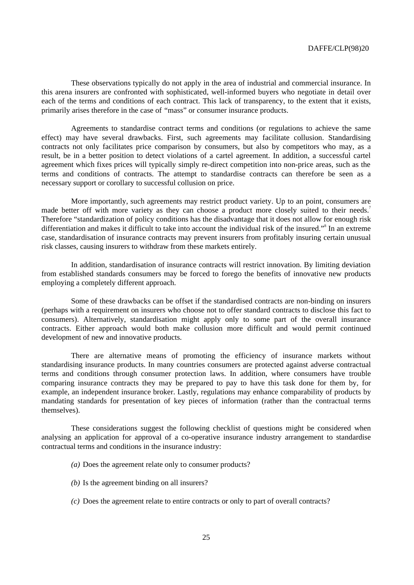These observations typically do not apply in the area of industrial and commercial insurance. In this arena insurers are confronted with sophisticated, well-informed buyers who negotiate in detail over each of the terms and conditions of each contract. This lack of transparency, to the extent that it exists, primarily arises therefore in the case of "mass" or consumer insurance products.

Agreements to standardise contract terms and conditions (or regulations to achieve the same effect) may have several drawbacks. First, such agreements may facilitate collusion. Standardising contracts not only facilitates price comparison by consumers, but also by competitors who may, as a result, be in a better position to detect violations of a cartel agreement. In addition, a successful cartel agreement which fixes prices will typically simply re-direct competition into non-price areas, such as the terms and conditions of contracts. The attempt to standardise contracts can therefore be seen as a necessary support or corollary to successful collusion on price.

More importantly, such agreements may restrict product variety. Up to an point, consumers are made better off with more variety as they can choose a product more closely suited to their needs.<sup>7</sup> Therefore "standardization of policy conditions has the disadvantage that it does not allow for enough risk differentiation and makes it difficult to take into account the individual risk of the insured."<sup>8</sup> In an extreme case, standardisation of insurance contracts may prevent insurers from profitably insuring certain unusual risk classes, causing insurers to withdraw from these markets entirely.

In addition, standardisation of insurance contracts will restrict innovation. By limiting deviation from established standards consumers may be forced to forego the benefits of innovative new products employing a completely different approach.

Some of these drawbacks can be offset if the standardised contracts are non-binding on insurers (perhaps with a requirement on insurers who choose not to offer standard contracts to disclose this fact to consumers). Alternatively, standardisation might apply only to some part of the overall insurance contracts. Either approach would both make collusion more difficult and would permit continued development of new and innovative products.

There are alternative means of promoting the efficiency of insurance markets without standardising insurance products. In many countries consumers are protected against adverse contractual terms and conditions through consumer protection laws. In addition, where consumers have trouble comparing insurance contracts they may be prepared to pay to have this task done for them by, for example, an independent insurance broker. Lastly, regulations may enhance comparability of products by mandating standards for presentation of key pieces of information (rather than the contractual terms themselves).

These considerations suggest the following checklist of questions might be considered when analysing an application for approval of a co-operative insurance industry arrangement to standardise contractual terms and conditions in the insurance industry:

- *(a)* Does the agreement relate only to consumer products?
- *(b)* Is the agreement binding on all insurers?
- *(c)* Does the agreement relate to entire contracts or only to part of overall contracts?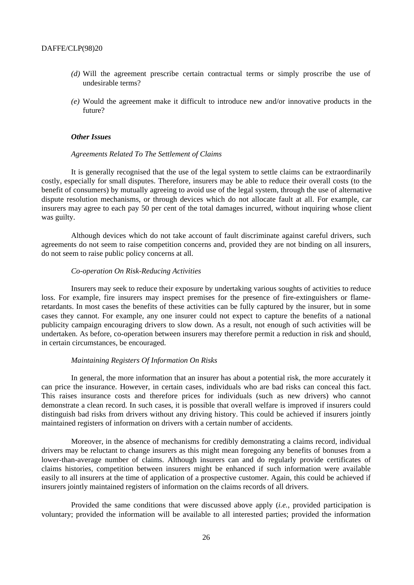- *(d)* Will the agreement prescribe certain contractual terms or simply proscribe the use of undesirable terms?
- *(e)* Would the agreement make it difficult to introduce new and/or innovative products in the future?

#### *Other Issues*

#### *Agreements Related To The Settlement of Claims*

It is generally recognised that the use of the legal system to settle claims can be extraordinarily costly, especially for small disputes. Therefore, insurers may be able to reduce their overall costs (to the benefit of consumers) by mutually agreeing to avoid use of the legal system, through the use of alternative dispute resolution mechanisms, or through devices which do not allocate fault at all. For example, car insurers may agree to each pay 50 per cent of the total damages incurred, without inquiring whose client was guilty.

Although devices which do not take account of fault discriminate against careful drivers, such agreements do not seem to raise competition concerns and, provided they are not binding on all insurers, do not seem to raise public policy concerns at all.

#### *Co-operation On Risk-Reducing Activities*

Insurers may seek to reduce their exposure by undertaking various soughts of activities to reduce loss. For example, fire insurers may inspect premises for the presence of fire-extinguishers or flameretardants. In most cases the benefits of these activities can be fully captured by the insurer, but in some cases they cannot. For example, any one insurer could not expect to capture the benefits of a national publicity campaign encouraging drivers to slow down. As a result, not enough of such activities will be undertaken. As before, co-operation between insurers may therefore permit a reduction in risk and should, in certain circumstances, be encouraged.

#### *Maintaining Registers Of Information On Risks*

In general, the more information that an insurer has about a potential risk, the more accurately it can price the insurance. However, in certain cases, individuals who are bad risks can conceal this fact. This raises insurance costs and therefore prices for individuals (such as new drivers) who cannot demonstrate a clean record. In such cases, it is possible that overall welfare is improved if insurers could distinguish bad risks from drivers without any driving history. This could be achieved if insurers jointly maintained registers of information on drivers with a certain number of accidents.

Moreover, in the absence of mechanisms for credibly demonstrating a claims record, individual drivers may be reluctant to change insurers as this might mean foregoing any benefits of bonuses from a lower-than-average number of claims. Although insurers can and do regularly provide certificates of claims histories, competition between insurers might be enhanced if such information were available easily to all insurers at the time of application of a prospective customer. Again, this could be achieved if insurers jointly maintained registers of information on the claims records of all drivers.

Provided the same conditions that were discussed above apply (*i.e.*, provided participation is voluntary; provided the information will be available to all interested parties; provided the information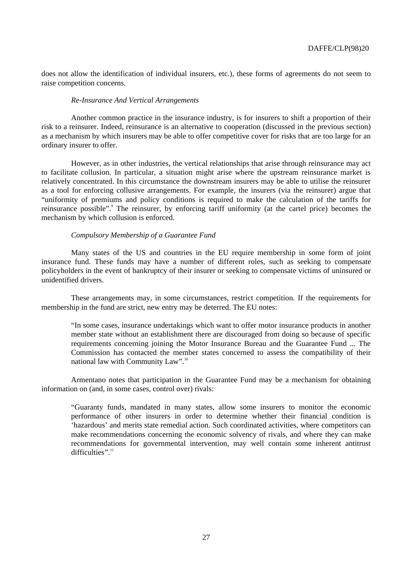does not allow the identification of individual insurers, etc.), these forms of agreements do not seem to raise competition concerns.

#### *Re-Insurance And Vertical Arrangements*

Another common practice in the insurance industry, is for insurers to shift a proportion of their risk to a reinsurer. Indeed, reinsurance is an alternative to cooperation (discussed in the previous section) as a mechanism by which insurers may be able to offer competitive cover for risks that are too large for an ordinary insurer to offer.

However, as in other industries, the vertical relationships that arise through reinsurance may act to facilitate collusion. In particular, a situation might arise where the upstream reinsurance market is relatively concentrated. In this circumstance the downstream insurers may be able to utilise the reinsurer as a tool for enforcing collusive arrangements. For example, the insurers (via the reinsurer) argue that "uniformity of premiums and policy conditions is required to make the calculation of the tariffs for reinsurance possible". The reinsurer, by enforcing tariff uniformity (at the cartel price) becomes the mechanism by which collusion is enforced.

#### *Compulsory Membership of a Guarantee Fund*

Many states of the US and countries in the EU require membership in some form of joint insurance fund. These funds may have a number of different roles, such as seeking to compensate policyholders in the event of bankruptcy of their insurer or seeking to compensate victims of uninsured or unidentified drivers.

These arrangements may, in some circumstances, restrict competition. If the requirements for membership in the fund are strict, new entry may be deterred. The EU notes:

"In some cases, insurance undertakings which want to offer motor insurance products in another member state without an establishment there are discouraged from doing so because of specific requirements concerning joining the Motor Insurance Bureau and the Guarantee Fund ... The Commission has contacted the member states concerned to assess the compatibility of their national law with Community Law".<sup>10</sup>

Armentano notes that participation in the Guarantee Fund may be a mechanism for obtaining information on (and, in some cases, control over) rivals:

"Guaranty funds, mandated in many states, allow some insurers to monitor the economic performance of other insurers in order to determine whether their financial condition is 'hazardous' and merits state remedial action. Such coordinated activities, where competitors can make recommendations concerning the economic solvency of rivals, and where they can make recommendations for governmental intervention, may well contain some inherent antitrust difficulties".<sup>11</sup>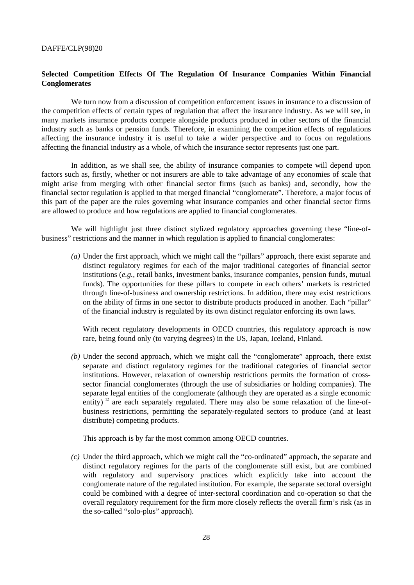#### **Selected Competition Effects Of The Regulation Of Insurance Companies Within Financial Conglomerates**

We turn now from a discussion of competition enforcement issues in insurance to a discussion of the competition effects of certain types of regulation that affect the insurance industry. As we will see, in many markets insurance products compete alongside products produced in other sectors of the financial industry such as banks or pension funds. Therefore, in examining the competition effects of regulations affecting the insurance industry it is useful to take a wider perspective and to focus on regulations affecting the financial industry as a whole, of which the insurance sector represents just one part.

In addition, as we shall see, the ability of insurance companies to compete will depend upon factors such as, firstly, whether or not insurers are able to take advantage of any economies of scale that might arise from merging with other financial sector firms (such as banks) and, secondly, how the financial sector regulation is applied to that merged financial "conglomerate". Therefore, a major focus of this part of the paper are the rules governing what insurance companies and other financial sector firms are allowed to produce and how regulations are applied to financial conglomerates.

We will highlight just three distinct stylized regulatory approaches governing these "line-ofbusiness" restrictions and the manner in which regulation is applied to financial conglomerates:

*(a)* Under the first approach, which we might call the "pillars" approach, there exist separate and distinct regulatory regimes for each of the major traditional categories of financial sector institutions (*e.g.*, retail banks, investment banks, insurance companies, pension funds, mutual funds). The opportunities for these pillars to compete in each others' markets is restricted through line-of-business and ownership restrictions. In addition, there may exist restrictions on the ability of firms in one sector to distribute products produced in another. Each "pillar" of the financial industry is regulated by its own distinct regulator enforcing its own laws.

With recent regulatory developments in OECD countries, this regulatory approach is now rare, being found only (to varying degrees) in the US, Japan, Iceland, Finland.

*(b)* Under the second approach, which we might call the "conglomerate" approach, there exist separate and distinct regulatory regimes for the traditional categories of financial sector institutions. However, relaxation of ownership restrictions permits the formation of crosssector financial conglomerates (through the use of subsidiaries or holding companies). The separate legal entities of the conglomerate (although they are operated as a single economic entity)<sup>12</sup> are each separately regulated. There may also be some relaxation of the line-ofbusiness restrictions, permitting the separately-regulated sectors to produce (and at least distribute) competing products.

This approach is by far the most common among OECD countries.

*(c)* Under the third approach, which we might call the "co-ordinated" approach, the separate and distinct regulatory regimes for the parts of the conglomerate still exist, but are combined with regulatory and supervisory practices which explicitly take into account the conglomerate nature of the regulated institution. For example, the separate sectoral oversight could be combined with a degree of inter-sectoral coordination and co-operation so that the overall regulatory requirement for the firm more closely reflects the overall firm's risk (as in the so-called "solo-plus" approach).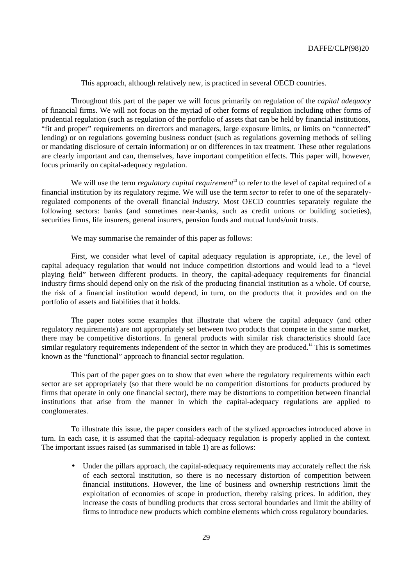This approach, although relatively new, is practiced in several OECD countries.

Throughout this part of the paper we will focus primarily on regulation of the *capital adequacy* of financial firms. We will not focus on the myriad of other forms of regulation including other forms of prudential regulation (such as regulation of the portfolio of assets that can be held by financial institutions, "fit and proper" requirements on directors and managers, large exposure limits, or limits on "connected" lending) or on regulations governing business conduct (such as regulations governing methods of selling or mandating disclosure of certain information) or on differences in tax treatment. These other regulations are clearly important and can, themselves, have important competition effects. This paper will, however, focus primarily on capital-adequacy regulation.

We will use the term *regulatory capital requirement*<sup>13</sup> to refer to the level of capital required of a financial institution by its regulatory regime. We will use the term *sector* to refer to one of the separatelyregulated components of the overall financial *industry*. Most OECD countries separately regulate the following sectors: banks (and sometimes near-banks, such as credit unions or building societies), securities firms, life insurers, general insurers, pension funds and mutual funds/unit trusts.

We may summarise the remainder of this paper as follows:

First, we consider what level of capital adequacy regulation is appropriate, *i.e.*, the level of capital adequacy regulation that would not induce competition distortions and would lead to a "level playing field" between different products. In theory, the capital-adequacy requirements for financial industry firms should depend only on the risk of the producing financial institution as a whole. Of course, the risk of a financial institution would depend, in turn, on the products that it provides and on the portfolio of assets and liabilities that it holds.

The paper notes some examples that illustrate that where the capital adequacy (and other regulatory requirements) are not appropriately set between two products that compete in the same market, there may be competitive distortions. In general products with similar risk characteristics should face similar regulatory requirements independent of the sector in which they are produced.<sup>14</sup> This is sometimes known as the "functional" approach to financial sector regulation.

This part of the paper goes on to show that even where the regulatory requirements within each sector are set appropriately (so that there would be no competition distortions for products produced by firms that operate in only one financial sector), there may be distortions to competition between financial institutions that arise from the manner in which the capital-adequacy regulations are applied to conglomerates.

To illustrate this issue, the paper considers each of the stylized approaches introduced above in turn. In each case, it is assumed that the capital-adequacy regulation is properly applied in the context. The important issues raised (as summarised in table 1) are as follows:

• Under the pillars approach, the capital-adequacy requirements may accurately reflect the risk of each sectoral institution, so there is no necessary distortion of competition between financial institutions. However, the line of business and ownership restrictions limit the exploitation of economies of scope in production, thereby raising prices. In addition, they increase the costs of bundling products that cross sectoral boundaries and limit the ability of firms to introduce new products which combine elements which cross regulatory boundaries.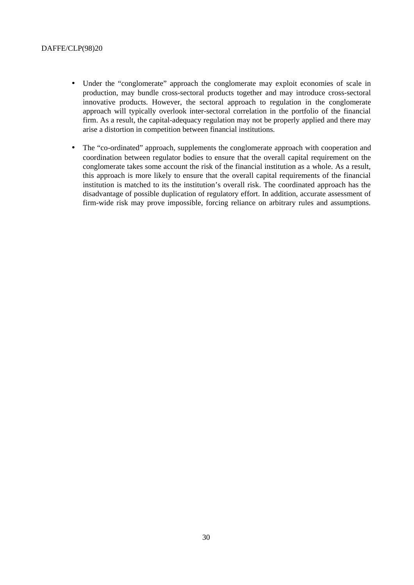- Under the "conglomerate" approach the conglomerate may exploit economies of scale in production, may bundle cross-sectoral products together and may introduce cross-sectoral innovative products. However, the sectoral approach to regulation in the conglomerate approach will typically overlook inter-sectoral correlation in the portfolio of the financial firm. As a result, the capital-adequacy regulation may not be properly applied and there may arise a distortion in competition between financial institutions.
- The "co-ordinated" approach, supplements the conglomerate approach with cooperation and coordination between regulator bodies to ensure that the overall capital requirement on the conglomerate takes some account the risk of the financial institution as a whole. As a result, this approach is more likely to ensure that the overall capital requirements of the financial institution is matched to its the institution's overall risk. The coordinated approach has the disadvantage of possible duplication of regulatory effort. In addition, accurate assessment of firm-wide risk may prove impossible, forcing reliance on arbitrary rules and assumptions.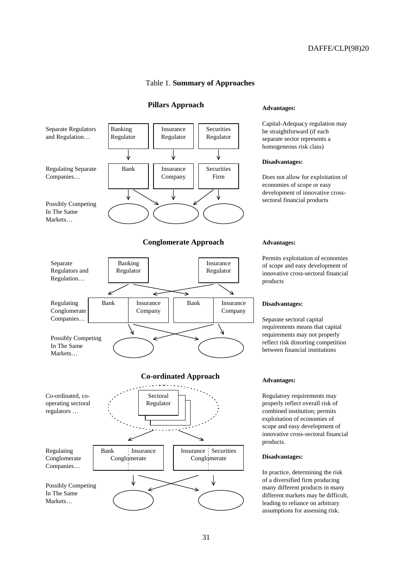#### Table 1. **Summary of Approaches**

#### **Pillars Approach**



#### **Advantages:**

Capital-Adequacy regulation may be straightforward (if each separate sector represents a homogeneous risk class)

#### **Disadvantages:**

Does not allow for exploitation of economies of scope or easy development of innovative crosssectoral financial products

#### **Advantages:**

Permits exploitation of economies of scope and easy development of innovative cross-sectoral financial products

#### **Disadvantages:**

Separate sectoral capital requirements means that capital requirements may not properly reflect risk distorting competition between financial institutions

#### **Advantages:**

Regulatory requirements may properly reflect overall risk of combined institution; permits exploitation of economies of scope and easy development of innovative cross-sectoral financial products.

#### **Disadvantages:**

In practice, determining the risk of a diversified firm producing many different products in many different markets may be difficult, leading to reliance on arbitrary assumptions for assessing risk.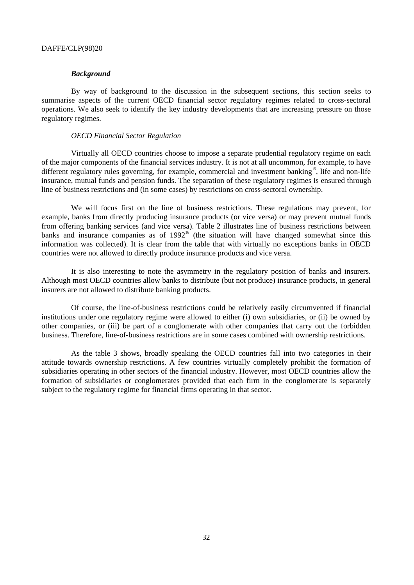#### *Background*

By way of background to the discussion in the subsequent sections, this section seeks to summarise aspects of the current OECD financial sector regulatory regimes related to cross-sectoral operations. We also seek to identify the key industry developments that are increasing pressure on those regulatory regimes.

#### *OECD Financial Sector Regulation*

Virtually all OECD countries choose to impose a separate prudential regulatory regime on each of the major components of the financial services industry. It is not at all uncommon, for example, to have different regulatory rules governing, for example, commercial and investment banking<sup>15</sup>, life and non-life insurance, mutual funds and pension funds. The separation of these regulatory regimes is ensured through line of business restrictions and (in some cases) by restrictions on cross-sectoral ownership.

We will focus first on the line of business restrictions. These regulations may prevent, for example, banks from directly producing insurance products (or vice versa) or may prevent mutual funds from offering banking services (and vice versa). Table 2 illustrates line of business restrictions between banks and insurance companies as of  $1992<sup>16</sup>$  (the situation will have changed somewhat since this information was collected). It is clear from the table that with virtually no exceptions banks in OECD countries were not allowed to directly produce insurance products and vice versa.

It is also interesting to note the asymmetry in the regulatory position of banks and insurers. Although most OECD countries allow banks to distribute (but not produce) insurance products, in general insurers are not allowed to distribute banking products.

Of course, the line-of-business restrictions could be relatively easily circumvented if financial institutions under one regulatory regime were allowed to either (i) own subsidiaries, or (ii) be owned by other companies, or (iii) be part of a conglomerate with other companies that carry out the forbidden business. Therefore, line-of-business restrictions are in some cases combined with ownership restrictions.

As the table 3 shows, broadly speaking the OECD countries fall into two categories in their attitude towards ownership restrictions. A few countries virtually completely prohibit the formation of subsidiaries operating in other sectors of the financial industry. However, most OECD countries allow the formation of subsidiaries or conglomerates provided that each firm in the conglomerate is separately subject to the regulatory regime for financial firms operating in that sector.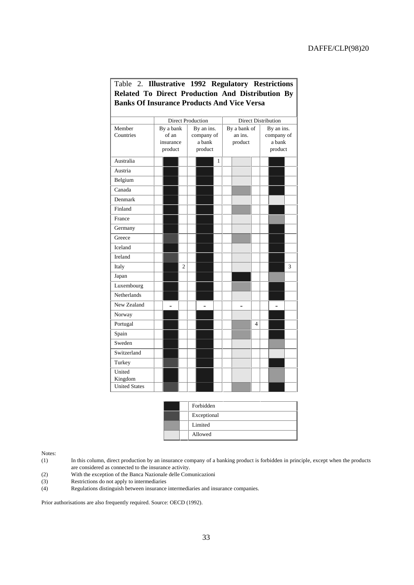## Table 2. **Illustrative 1992 Regulatory Restrictions Related To Direct Production And Distribution By Banks Of Insurance Products And Vice Versa**

|                      | <b>Direct Production</b> |                |            |                   |   |              | <b>Direct Distribution</b> |                |        |  |   |  |  |  |
|----------------------|--------------------------|----------------|------------|-------------------|---|--------------|----------------------------|----------------|--------|--|---|--|--|--|
| Member               | By a bank                |                | By an ins. |                   |   | By a bank of |                            | By an ins.     |        |  |   |  |  |  |
| Countries            | of an<br>insurance       | company of     |            |                   |   | an ins.      |                            | company of     |        |  |   |  |  |  |
|                      | product                  |                |            | a bank<br>product |   |              | product                    |                | a bank |  |   |  |  |  |
|                      |                          |                |            |                   |   |              |                            | product        |        |  |   |  |  |  |
| Australia            |                          |                |            |                   | 1 |              |                            |                |        |  |   |  |  |  |
| Austria              |                          |                |            |                   |   |              |                            |                |        |  |   |  |  |  |
| Belgium              |                          |                |            |                   |   |              |                            |                |        |  |   |  |  |  |
| Canada               |                          |                |            |                   |   |              |                            |                |        |  |   |  |  |  |
| Denmark              |                          |                |            |                   |   |              |                            |                |        |  |   |  |  |  |
| Finland              |                          |                |            |                   |   |              |                            |                |        |  |   |  |  |  |
| France               |                          |                |            |                   |   |              |                            |                |        |  |   |  |  |  |
| Germany              |                          |                |            |                   |   |              |                            |                |        |  |   |  |  |  |
| Greece               |                          |                |            |                   |   |              |                            |                |        |  |   |  |  |  |
| Iceland              |                          |                |            |                   |   |              |                            |                |        |  |   |  |  |  |
| Ireland              |                          |                |            |                   |   |              |                            |                |        |  |   |  |  |  |
| Italy                |                          | $\overline{c}$ |            |                   |   |              |                            |                |        |  | 3 |  |  |  |
| Japan                |                          |                |            |                   |   |              |                            |                |        |  |   |  |  |  |
| Luxembourg           |                          |                |            |                   |   |              |                            |                |        |  |   |  |  |  |
| <b>Netherlands</b>   |                          |                |            |                   |   |              |                            |                |        |  |   |  |  |  |
| New Zealand          | $\overline{a}$           |                |            | $\overline{a}$    |   |              |                            |                |        |  |   |  |  |  |
| Norway               |                          |                |            |                   |   |              |                            |                |        |  |   |  |  |  |
| Portugal             |                          |                |            |                   |   |              |                            | $\overline{4}$ |        |  |   |  |  |  |
| Spain                |                          |                |            |                   |   |              |                            |                |        |  |   |  |  |  |
| Sweden               |                          |                |            |                   |   |              |                            |                |        |  |   |  |  |  |
| Switzerland          |                          |                |            |                   |   |              |                            |                |        |  |   |  |  |  |
| Turkey               |                          |                |            |                   |   |              |                            |                |        |  |   |  |  |  |
| United               |                          |                |            |                   |   |              |                            |                |        |  |   |  |  |  |
| Kingdom              |                          |                |            |                   |   |              |                            |                |        |  |   |  |  |  |
| <b>United States</b> |                          |                |            |                   |   |              |                            |                |        |  |   |  |  |  |

|  | Forbidden   |
|--|-------------|
|  | Exceptional |
|  | Limited     |
|  | Allowed     |

Notes:

- (1) In this column, direct production by an insurance company of a banking product is forbidden in principle, except when the products are considered as connected to the insurance activity.
- (2) With the exception of the Banca Nazionale delle Comunicazioni
- Restrictions do not apply to intermediaries
- (4) Regulations distinguish between insurance intermediaries and insurance companies.

Prior authorisations are also frequently required. Source: OECD (1992).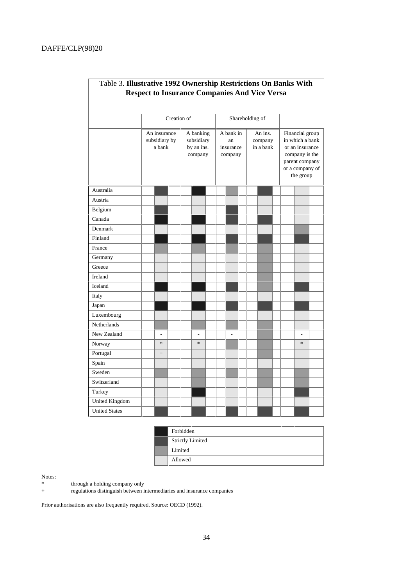è

| Table 3. Illustrative 1992 Ownership Restrictions On Banks With | <b>Respect to Insurance Companies And Vice Versa</b> |  |  |                                                  |  |  |                                                                            |                 |  |                                                                                                                           |  |  |                |  |
|-----------------------------------------------------------------|------------------------------------------------------|--|--|--------------------------------------------------|--|--|----------------------------------------------------------------------------|-----------------|--|---------------------------------------------------------------------------------------------------------------------------|--|--|----------------|--|
|                                                                 | Creation of                                          |  |  |                                                  |  |  |                                                                            | Shareholding of |  |                                                                                                                           |  |  |                |  |
|                                                                 | An insurance<br>subsidiary by<br>a bank              |  |  | A banking<br>subsidiary<br>by an ins.<br>company |  |  | A bank in<br>An ins.<br>an<br>company<br>in a bank<br>insurance<br>company |                 |  | Financial group<br>in which a bank<br>or an insurance<br>company is the<br>parent company<br>or a company of<br>the group |  |  |                |  |
| Australia                                                       |                                                      |  |  |                                                  |  |  |                                                                            |                 |  |                                                                                                                           |  |  |                |  |
| Austria                                                         |                                                      |  |  |                                                  |  |  |                                                                            |                 |  |                                                                                                                           |  |  |                |  |
| Belgium                                                         |                                                      |  |  |                                                  |  |  |                                                                            |                 |  |                                                                                                                           |  |  |                |  |
| Canada                                                          |                                                      |  |  |                                                  |  |  |                                                                            |                 |  |                                                                                                                           |  |  |                |  |
| Denmark                                                         |                                                      |  |  |                                                  |  |  |                                                                            |                 |  |                                                                                                                           |  |  |                |  |
| Finland                                                         |                                                      |  |  |                                                  |  |  |                                                                            |                 |  |                                                                                                                           |  |  |                |  |
| France                                                          |                                                      |  |  |                                                  |  |  |                                                                            |                 |  |                                                                                                                           |  |  |                |  |
| Germany                                                         |                                                      |  |  |                                                  |  |  |                                                                            |                 |  |                                                                                                                           |  |  |                |  |
| Greece                                                          |                                                      |  |  |                                                  |  |  |                                                                            |                 |  |                                                                                                                           |  |  |                |  |
| Ireland                                                         |                                                      |  |  |                                                  |  |  |                                                                            |                 |  |                                                                                                                           |  |  |                |  |
| Iceland                                                         |                                                      |  |  |                                                  |  |  |                                                                            |                 |  |                                                                                                                           |  |  |                |  |
| Italy                                                           |                                                      |  |  |                                                  |  |  |                                                                            |                 |  |                                                                                                                           |  |  |                |  |
| Japan                                                           |                                                      |  |  |                                                  |  |  |                                                                            |                 |  |                                                                                                                           |  |  |                |  |
| Luxembourg                                                      |                                                      |  |  |                                                  |  |  |                                                                            |                 |  |                                                                                                                           |  |  |                |  |
| Netherlands                                                     |                                                      |  |  |                                                  |  |  |                                                                            |                 |  |                                                                                                                           |  |  |                |  |
| New Zealand                                                     | ÷,                                                   |  |  | L,                                               |  |  | $\overline{a}$                                                             |                 |  |                                                                                                                           |  |  | $\overline{a}$ |  |
| Norway                                                          | $\ast$                                               |  |  | $\ast$                                           |  |  |                                                                            |                 |  |                                                                                                                           |  |  | $\ast$         |  |
| Portugal                                                        | $\! +$                                               |  |  |                                                  |  |  |                                                                            |                 |  |                                                                                                                           |  |  |                |  |
| Spain                                                           |                                                      |  |  |                                                  |  |  |                                                                            |                 |  |                                                                                                                           |  |  |                |  |
| Sweden                                                          |                                                      |  |  |                                                  |  |  |                                                                            |                 |  |                                                                                                                           |  |  |                |  |
| Switzerland                                                     |                                                      |  |  |                                                  |  |  |                                                                            |                 |  |                                                                                                                           |  |  |                |  |
| Turkey                                                          |                                                      |  |  |                                                  |  |  |                                                                            |                 |  |                                                                                                                           |  |  |                |  |
| <b>United Kingdom</b>                                           |                                                      |  |  |                                                  |  |  |                                                                            |                 |  |                                                                                                                           |  |  |                |  |
| <b>United States</b>                                            |                                                      |  |  |                                                  |  |  |                                                                            |                 |  |                                                                                                                           |  |  |                |  |

| Forbidden               |
|-------------------------|
| <b>Strictly Limited</b> |
| Limited                 |
| Allowed                 |

Notes:<br>\*

\* through a holding company only

+ regulations distinguish between intermediaries and insurance companies

Prior authorisations are also frequently required. Source: OECD (1992).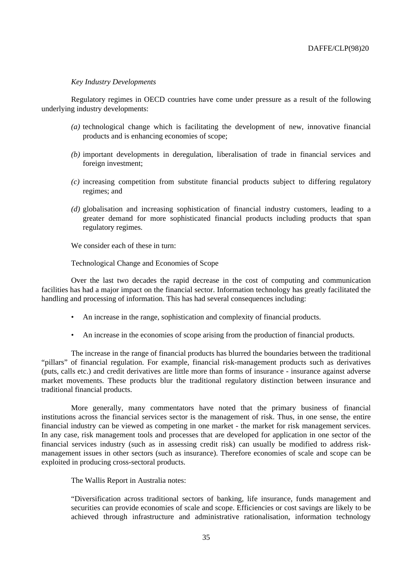#### *Key Industry Developments*

Regulatory regimes in OECD countries have come under pressure as a result of the following underlying industry developments:

- *(a)* technological change which is facilitating the development of new, innovative financial products and is enhancing economies of scope;
- *(b)* important developments in deregulation, liberalisation of trade in financial services and foreign investment;
- *(c)* increasing competition from substitute financial products subject to differing regulatory regimes; and
- *(d)* globalisation and increasing sophistication of financial industry customers, leading to a greater demand for more sophisticated financial products including products that span regulatory regimes.

We consider each of these in turn:

Technological Change and Economies of Scope

Over the last two decades the rapid decrease in the cost of computing and communication facilities has had a major impact on the financial sector. Information technology has greatly facilitated the handling and processing of information. This has had several consequences including:

- An increase in the range, sophistication and complexity of financial products.
- An increase in the economies of scope arising from the production of financial products.

The increase in the range of financial products has blurred the boundaries between the traditional "pillars" of financial regulation. For example, financial risk-management products such as derivatives (puts, calls etc.) and credit derivatives are little more than forms of insurance - insurance against adverse market movements. These products blur the traditional regulatory distinction between insurance and traditional financial products.

More generally, many commentators have noted that the primary business of financial institutions across the financial services sector is the management of risk. Thus, in one sense, the entire financial industry can be viewed as competing in one market - the market for risk management services. In any case, risk management tools and processes that are developed for application in one sector of the financial services industry (such as in assessing credit risk) can usually be modified to address riskmanagement issues in other sectors (such as insurance). Therefore economies of scale and scope can be exploited in producing cross-sectoral products.

The Wallis Report in Australia notes:

"Diversification across traditional sectors of banking, life insurance, funds management and securities can provide economies of scale and scope. Efficiencies or cost savings are likely to be achieved through infrastructure and administrative rationalisation, information technology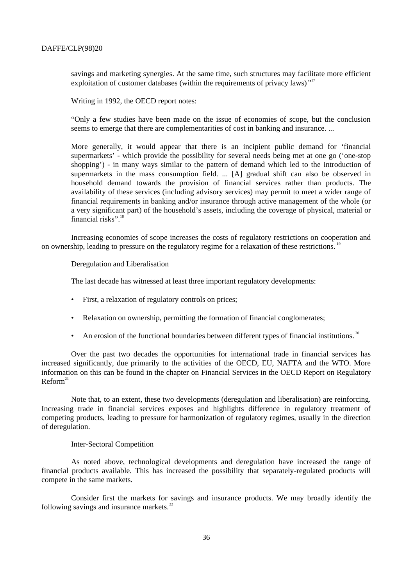savings and marketing synergies. At the same time, such structures may facilitate more efficient exploitation of customer databases (within the requirements of privacy laws)"<sup>17</sup>

Writing in 1992, the OECD report notes:

"Only a few studies have been made on the issue of economies of scope, but the conclusion seems to emerge that there are complementarities of cost in banking and insurance. ...

More generally, it would appear that there is an incipient public demand for 'financial supermarkets' - which provide the possibility for several needs being met at one go ('one-stop shopping') - in many ways similar to the pattern of demand which led to the introduction of supermarkets in the mass consumption field. ... [A] gradual shift can also be observed in household demand towards the provision of financial services rather than products. The availability of these services (including advisory services) may permit to meet a wider range of financial requirements in banking and/or insurance through active management of the whole (or a very significant part) of the household's assets, including the coverage of physical, material or financial risks".<sup>18</sup>

Increasing economies of scope increases the costs of regulatory restrictions on cooperation and on ownership, leading to pressure on the regulatory regime for a relaxation of these restrictions. <sup>19</sup>

Deregulation and Liberalisation

The last decade has witnessed at least three important regulatory developments:

- First, a relaxation of regulatory controls on prices;
- Relaxation on ownership, permitting the formation of financial conglomerates;
- An erosion of the functional boundaries between different types of financial institutions.<sup>20</sup>

Over the past two decades the opportunities for international trade in financial services has increased significantly, due primarily to the activities of the OECD, EU, NAFTA and the WTO. More information on this can be found in the chapter on Financial Services in the OECD Report on Regulatory  $Reform<sup>21</sup>$ 

Note that, to an extent, these two developments (deregulation and liberalisation) are reinforcing. Increasing trade in financial services exposes and highlights difference in regulatory treatment of competing products, leading to pressure for harmonization of regulatory regimes, usually in the direction of deregulation.

# Inter-Sectoral Competition

As noted above, technological developments and deregulation have increased the range of financial products available. This has increased the possibility that separately-regulated products will compete in the same markets.

Consider first the markets for savings and insurance products. We may broadly identify the following savings and insurance markets. $^{22}$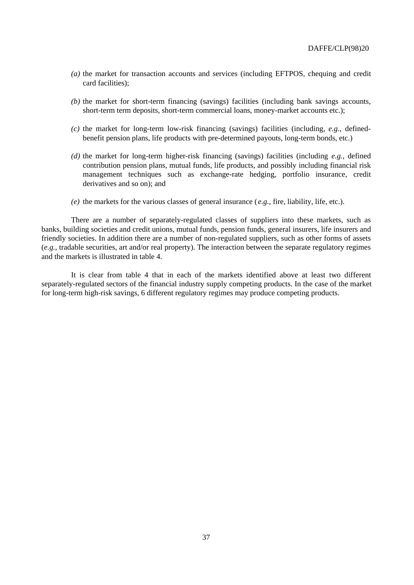- *(a)* the market for transaction accounts and services (including EFTPOS, chequing and credit card facilities);
- *(b)* the market for short-term financing (savings) facilities (including bank savings accounts, short-term term deposits, short-term commercial loans, money-market accounts etc.);
- *(c)* the market for long-term low-risk financing (savings) facilities (including, *e.g.*, definedbenefit pension plans, life products with pre-determined payouts, long-term bonds, etc.)
- *(d)* the market for long-term higher-risk financing (savings) facilities (including *e.g.*, defined contribution pension plans, mutual funds, life products, and possibly including financial risk management techniques such as exchange-rate hedging, portfolio insurance, credit derivatives and so on); and
- *(e)* the markets for the various classes of general insurance (*e.g.*, fire, liability, life, etc.).

There are a number of separately-regulated classes of suppliers into these markets, such as banks, building societies and credit unions, mutual funds, pension funds, general insurers, life insurers and friendly societies. In addition there are a number of non-regulated suppliers, such as other forms of assets (*e.g.*, tradable securities, art and/or real property). The interaction between the separate regulatory regimes and the markets is illustrated in table 4.

It is clear from table 4 that in each of the markets identified above at least two different separately-regulated sectors of the financial industry supply competing products. In the case of the market for long-term high-risk savings, 6 different regulatory regimes may produce competing products.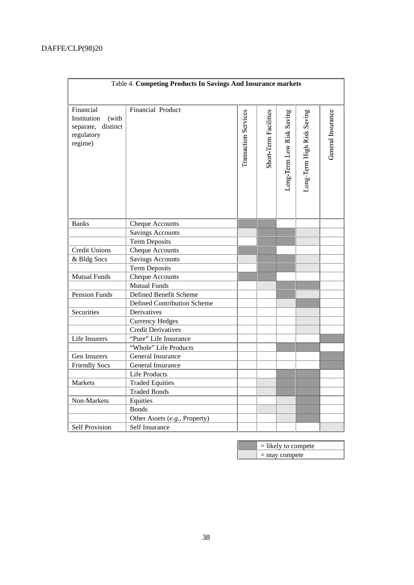|                                                                                     | Table 4. Competing Products In Savings And Insurance markets       |                             |                       |                           |                            |                   |
|-------------------------------------------------------------------------------------|--------------------------------------------------------------------|-----------------------------|-----------------------|---------------------------|----------------------------|-------------------|
| Financial<br>Institution<br>(with<br>distinct<br>separate,<br>regulatory<br>regime) | Financial Product                                                  | <b>Transaction Services</b> | Short-Term Facilities | Long-Term Low Risk Saving | Long-Term High Risk Saving | General Insurance |
| <b>Banks</b>                                                                        | Cheque Accounts<br><b>Savings Accounts</b><br><b>Term Deposits</b> |                             |                       |                           |                            |                   |
| <b>Credit Unions</b>                                                                | <b>Cheque Accounts</b>                                             |                             |                       |                           |                            |                   |
| & Bldg Socs                                                                         | <b>Savings Accounts</b>                                            |                             |                       |                           |                            |                   |
|                                                                                     | <b>Term Deposits</b>                                               |                             |                       |                           |                            |                   |
| <b>Mutual Funds</b>                                                                 | Cheque Accounts                                                    |                             |                       |                           |                            |                   |
|                                                                                     | <b>Mutual Funds</b>                                                |                             |                       |                           |                            |                   |
| <b>Pension Funds</b>                                                                | Defined Benefit Scheme                                             |                             |                       |                           |                            |                   |
|                                                                                     | Defined Contribution Scheme                                        |                             |                       |                           |                            |                   |
| Securities                                                                          | Derivatives                                                        |                             |                       |                           |                            |                   |
|                                                                                     | <b>Currency Hedges</b>                                             |                             |                       |                           |                            |                   |
|                                                                                     | <b>Credit Derivatives</b>                                          |                             |                       |                           |                            |                   |
| Life Insurers                                                                       | "Pure" Life Insurance                                              |                             |                       |                           |                            |                   |
|                                                                                     | "Whole" Life Products                                              |                             |                       |                           |                            |                   |
| Gen Insurers                                                                        | General Insurance                                                  |                             |                       |                           |                            |                   |
| <b>Friendly Socs</b>                                                                | General Insurance                                                  |                             |                       |                           |                            |                   |
|                                                                                     | <b>Life Products</b>                                               |                             |                       |                           |                            |                   |
| Markets                                                                             | <b>Traded Equities</b>                                             |                             |                       |                           |                            |                   |
|                                                                                     | <b>Traded Bonds</b>                                                |                             |                       |                           |                            |                   |
| Non-Markets                                                                         | Equities                                                           |                             |                       |                           |                            |                   |
|                                                                                     | <b>Bonds</b>                                                       |                             |                       |                           |                            |                   |
|                                                                                     | Other Assets (e.g., Property)                                      |                             |                       |                           |                            |                   |
| <b>Self Provision</b>                                                               | <b>Self Insurance</b>                                              |                             |                       |                           |                            |                   |

| $=$ likely to compete |
|-----------------------|
| $=$ may compete       |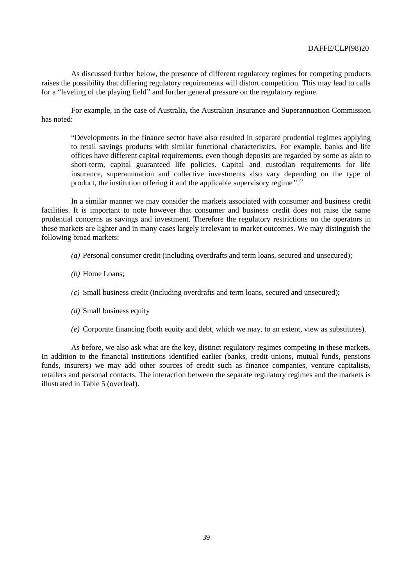As discussed further below, the presence of different regulatory regimes for competing products raises the possibility that differing regulatory requirements will distort competition. This may lead to calls for a "leveling of the playing field" and further general pressure on the regulatory regime.

For example, in the case of Australia, the Australian Insurance and Superannuation Commission has noted:

"Developments in the finance sector have also resulted in separate prudential regimes applying to retail savings products with similar functional characteristics. For example, banks and life offices have different capital requirements, even though deposits are regarded by some as akin to short-term, capital guaranteed life policies. Capital and custodian requirements for life insurance, superannuation and collective investments also vary depending on the type of product, the institution offering it and the applicable supervisory regime".<sup>23</sup>

In a similar manner we may consider the markets associated with consumer and business credit facilities. It is important to note however that consumer and business credit does not raise the same prudential concerns as savings and investment. Therefore the regulatory restrictions on the operators in these markets are lighter and in many cases largely irrelevant to market outcomes. We may distinguish the following broad markets:

- *(a)* Personal consumer credit (including overdrafts and term loans, secured and unsecured);
- *(b)* Home Loans;
- *(c)* Small business credit (including overdrafts and term loans, secured and unsecured);
- *(d)* Small business equity
- *(e)* Corporate financing (both equity and debt, which we may, to an extent, view as substitutes).

As before, we also ask what are the key, distinct regulatory regimes competing in these markets. In addition to the financial institutions identified earlier (banks, credit unions, mutual funds, pensions funds, insurers) we may add other sources of credit such as finance companies, venture capitalists, retailers and personal contacts. The interaction between the separate regulatory regimes and the markets is illustrated in Table 5 (overleaf).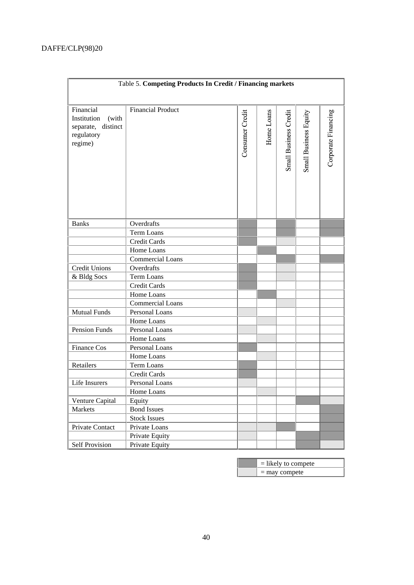| Table 5. Competing Products In Credit / Financing markets |                                 |                 |            |                       |                       |                     |  |
|-----------------------------------------------------------|---------------------------------|-----------------|------------|-----------------------|-----------------------|---------------------|--|
| Financial<br>Institution<br>(with                         | <b>Financial Product</b>        | Consumer Credit | Home Loans | Small Business Credit | Small Business Equity | Corporate Financing |  |
| separate, distinct                                        |                                 |                 |            |                       |                       |                     |  |
| regulatory                                                |                                 |                 |            |                       |                       |                     |  |
| regime)                                                   |                                 |                 |            |                       |                       |                     |  |
|                                                           |                                 |                 |            |                       |                       |                     |  |
|                                                           |                                 |                 |            |                       |                       |                     |  |
|                                                           |                                 |                 |            |                       |                       |                     |  |
|                                                           |                                 |                 |            |                       |                       |                     |  |
|                                                           |                                 |                 |            |                       |                       |                     |  |
|                                                           |                                 |                 |            |                       |                       |                     |  |
|                                                           |                                 |                 |            |                       |                       |                     |  |
|                                                           |                                 |                 |            |                       |                       |                     |  |
| <b>Banks</b>                                              | Overdrafts<br><b>Term Loans</b> |                 |            |                       |                       |                     |  |
|                                                           | <b>Credit Cards</b>             |                 |            |                       |                       |                     |  |
|                                                           | Home Loans                      |                 |            |                       |                       |                     |  |
|                                                           | Commercial Loans                |                 |            |                       |                       |                     |  |
| <b>Credit Unions</b>                                      | Overdrafts                      |                 |            |                       |                       |                     |  |
| & Bldg Socs                                               | Term Loans                      |                 |            |                       |                       |                     |  |
|                                                           | Credit Cards                    |                 |            |                       |                       |                     |  |
|                                                           | Home Loans                      |                 |            |                       |                       |                     |  |
|                                                           | Commercial Loans                |                 |            |                       |                       |                     |  |
| <b>Mutual Funds</b>                                       | Personal Loans                  |                 |            |                       |                       |                     |  |
|                                                           | Home Loans                      |                 |            |                       |                       |                     |  |
| Pension Funds                                             | Personal Loans                  |                 |            |                       |                       |                     |  |
|                                                           | Home Loans                      |                 |            |                       |                       |                     |  |
| Finance Cos                                               | Personal Loans                  |                 |            |                       |                       |                     |  |
|                                                           | Home Loans                      |                 |            |                       |                       |                     |  |
| Retailers                                                 | Term Loans                      |                 |            |                       |                       |                     |  |
|                                                           | Credit Cards                    |                 |            |                       |                       |                     |  |
| Life Insurers                                             | Personal Loans                  |                 |            |                       |                       |                     |  |
|                                                           | Home Loans                      |                 |            |                       |                       |                     |  |
| Venture Capital                                           | Equity                          |                 |            |                       |                       |                     |  |
| Markets                                                   | <b>Bond Issues</b>              |                 |            |                       |                       |                     |  |
|                                                           | <b>Stock Issues</b>             |                 |            |                       |                       |                     |  |
| Private Contact                                           | Private Loans                   |                 |            |                       |                       |                     |  |
|                                                           | Private Equity                  |                 |            |                       |                       |                     |  |
| <b>Self Provision</b>                                     | Private Equity                  |                 |            |                       |                       |                     |  |

| $=$ likely to compete |
|-----------------------|
| $=$ may compete       |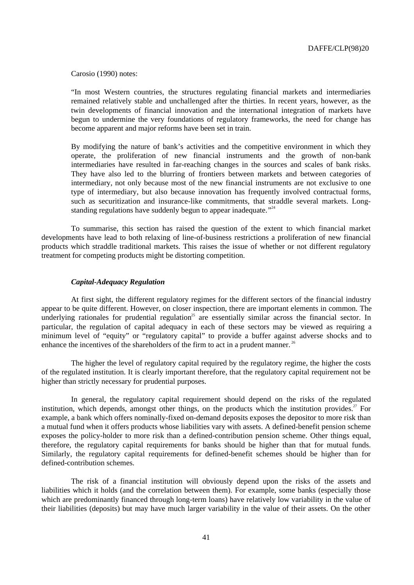Carosio (1990) notes:

"In most Western countries, the structures regulating financial markets and intermediaries remained relatively stable and unchallenged after the thirties. In recent years, however, as the twin developments of financial innovation and the international integration of markets have begun to undermine the very foundations of regulatory frameworks, the need for change has become apparent and major reforms have been set in train.

By modifying the nature of bank's activities and the competitive environment in which they operate, the proliferation of new financial instruments and the growth of non-bank intermediaries have resulted in far-reaching changes in the sources and scales of bank risks. They have also led to the blurring of frontiers between markets and between categories of intermediary, not only because most of the new financial instruments are not exclusive to one type of intermediary, but also because innovation has frequently involved contractual forms, such as securitization and insurance-like commitments, that straddle several markets. Longstanding regulations have suddenly begun to appear inadequate." $24$ 

To summarise, this section has raised the question of the extent to which financial market developments have lead to both relaxing of line-of-business restrictions a proliferation of new financial products which straddle traditional markets. This raises the issue of whether or not different regulatory treatment for competing products might be distorting competition.

# *Capital-Adequacy Regulation*

At first sight, the different regulatory regimes for the different sectors of the financial industry appear to be quite different. However, on closer inspection, there are important elements in common. The underlying rationales for prudential regulation<sup>25</sup> are essentially similar across the financial sector. In particular, the regulation of capital adequacy in each of these sectors may be viewed as requiring a minimum level of "equity" or "regulatory capital" to provide a buffer against adverse shocks and to enhance the incentives of the shareholders of the firm to act in a prudent manner.<sup>26</sup>

The higher the level of regulatory capital required by the regulatory regime, the higher the costs of the regulated institution. It is clearly important therefore, that the regulatory capital requirement not be higher than strictly necessary for prudential purposes.

In general, the regulatory capital requirement should depend on the risks of the regulated institution, which depends, amongst other things, on the products which the institution provides. $27$  For example, a bank which offers nominally-fixed on-demand deposits exposes the depositor to more risk than a mutual fund when it offers products whose liabilities vary with assets. A defined-benefit pension scheme exposes the policy-holder to more risk than a defined-contribution pension scheme. Other things equal, therefore, the regulatory capital requirements for banks should be higher than that for mutual funds. Similarly, the regulatory capital requirements for defined-benefit schemes should be higher than for defined-contribution schemes.

The risk of a financial institution will obviously depend upon the risks of the assets and liabilities which it holds (and the correlation between them). For example, some banks (especially those which are predominantly financed through long-term loans) have relatively low variability in the value of their liabilities (deposits) but may have much larger variability in the value of their assets. On the other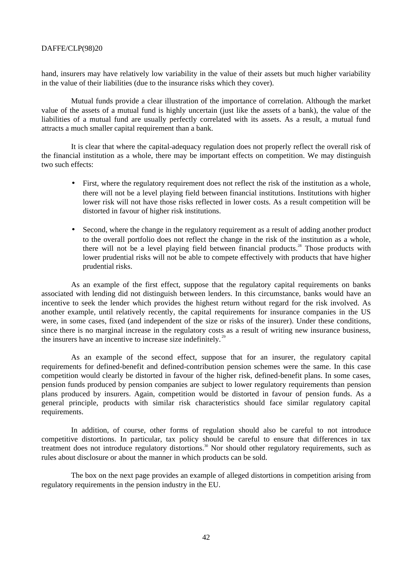hand, insurers may have relatively low variability in the value of their assets but much higher variability in the value of their liabilities (due to the insurance risks which they cover).

Mutual funds provide a clear illustration of the importance of correlation. Although the market value of the assets of a mutual fund is highly uncertain (just like the assets of a bank), the value of the liabilities of a mutual fund are usually perfectly correlated with its assets. As a result, a mutual fund attracts a much smaller capital requirement than a bank.

It is clear that where the capital-adequacy regulation does not properly reflect the overall risk of the financial institution as a whole, there may be important effects on competition. We may distinguish two such effects:

- First, where the regulatory requirement does not reflect the risk of the institution as a whole, there will not be a level playing field between financial institutions. Institutions with higher lower risk will not have those risks reflected in lower costs. As a result competition will be distorted in favour of higher risk institutions.
- Second, where the change in the regulatory requirement as a result of adding another product to the overall portfolio does not reflect the change in the risk of the institution as a whole, there will not be a level playing field between financial products.<sup>28</sup> Those products with lower prudential risks will not be able to compete effectively with products that have higher prudential risks.

As an example of the first effect, suppose that the regulatory capital requirements on banks associated with lending did not distinguish between lenders. In this circumstance, banks would have an incentive to seek the lender which provides the highest return without regard for the risk involved. As another example, until relatively recently, the capital requirements for insurance companies in the US were, in some cases, fixed (and independent of the size or risks of the insurer). Under these conditions, since there is no marginal increase in the regulatory costs as a result of writing new insurance business, the insurers have an incentive to increase size indefinitely.<sup>29</sup>

As an example of the second effect, suppose that for an insurer, the regulatory capital requirements for defined-benefit and defined-contribution pension schemes were the same. In this case competition would clearly be distorted in favour of the higher risk, defined-benefit plans. In some cases, pension funds produced by pension companies are subject to lower regulatory requirements than pension plans produced by insurers. Again, competition would be distorted in favour of pension funds. As a general principle, products with similar risk characteristics should face similar regulatory capital requirements.

In addition, of course, other forms of regulation should also be careful to not introduce competitive distortions. In particular, tax policy should be careful to ensure that differences in tax treatment does not introduce regulatory distortions.<sup>30</sup> Nor should other regulatory requirements, such as rules about disclosure or about the manner in which products can be sold.

The box on the next page provides an example of alleged distortions in competition arising from regulatory requirements in the pension industry in the EU.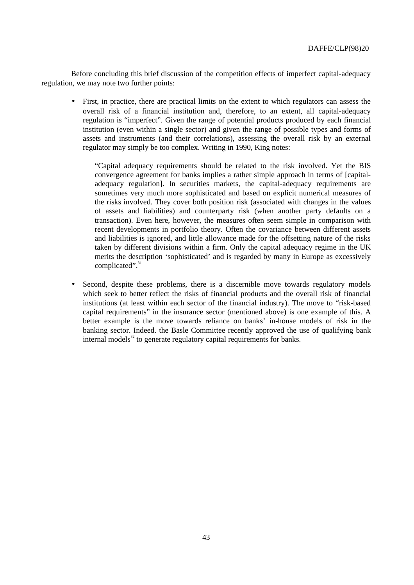Before concluding this brief discussion of the competition effects of imperfect capital-adequacy regulation, we may note two further points:

• First, in practice, there are practical limits on the extent to which regulators can assess the overall risk of a financial institution and, therefore, to an extent, all capital-adequacy regulation is "imperfect". Given the range of potential products produced by each financial institution (even within a single sector) and given the range of possible types and forms of assets and instruments (and their correlations), assessing the overall risk by an external regulator may simply be too complex. Writing in 1990, King notes:

"Capital adequacy requirements should be related to the risk involved. Yet the BIS convergence agreement for banks implies a rather simple approach in terms of [capitaladequacy regulation]. In securities markets, the capital-adequacy requirements are sometimes very much more sophisticated and based on explicit numerical measures of the risks involved. They cover both position risk (associated with changes in the values of assets and liabilities) and counterparty risk (when another party defaults on a transaction). Even here, however, the measures often seem simple in comparison with recent developments in portfolio theory. Often the covariance between different assets and liabilities is ignored, and little allowance made for the offsetting nature of the risks taken by different divisions within a firm. Only the capital adequacy regime in the UK merits the description 'sophisticated' and is regarded by many in Europe as excessively complicated".<sup>31</sup>

• Second, despite these problems, there is a discernible move towards regulatory models which seek to better reflect the risks of financial products and the overall risk of financial institutions (at least within each sector of the financial industry). The move to "risk-based capital requirements" in the insurance sector (mentioned above) is one example of this. A better example is the move towards reliance on banks' in-house models of risk in the banking sector. Indeed. the Basle Committee recently approved the use of qualifying bank  $\frac{1}{2}$  internal models<sup>32</sup> to generate regulatory capital requirements for banks.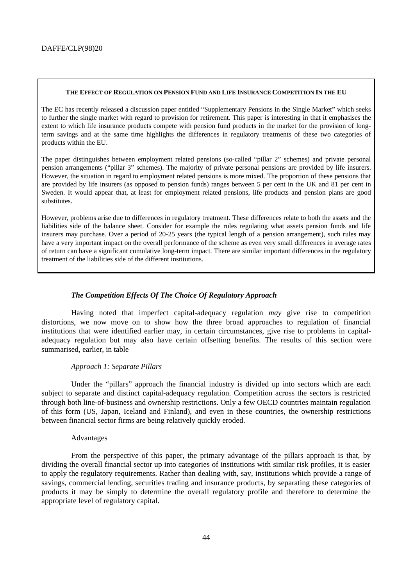# **THE EFFECT OF REGULATION ON PENSION FUND AND LIFE INSURANCE COMPETITION IN THE EU**

The EC has recently released a discussion paper entitled "Supplementary Pensions in the Single Market" which seeks to further the single market with regard to provision for retirement. This paper is interesting in that it emphasises the extent to which life insurance products compete with pension fund products in the market for the provision of longterm savings and at the same time highlights the differences in regulatory treatments of these two categories of products within the EU.

The paper distinguishes between employment related pensions (so-called "pillar 2" schemes) and private personal pension arrangements ("pillar 3" schemes). The majority of private personal pensions are provided by life insurers. However, the situation in regard to employment related pensions is more mixed. The proportion of these pensions that are provided by life insurers (as opposed to pension funds) ranges between 5 per cent in the UK and 81 per cent in Sweden. It would appear that, at least for employment related pensions, life products and pension plans are good substitutes.

However, problems arise due to differences in regulatory treatment. These differences relate to both the assets and the liabilities side of the balance sheet. Consider for example the rules regulating what assets pension funds and life insurers may purchase. Over a period of 20-25 years (the typical length of a pension arrangement), such rules may have a very important impact on the overall performance of the scheme as even very small differences in average rates of return can have a significant cumulative long-term impact. There are similar important differences in the regulatory treatment of the liabilities side of the different institutions.

# *The Competition Effects Of The Choice Of Regulatory Approach*

Having noted that imperfect capital-adequacy regulation *may* give rise to competition distortions, we now move on to show how the three broad approaches to regulation of financial institutions that were identified earlier may, in certain circumstances, give rise to problems in capitaladequacy regulation but may also have certain offsetting benefits. The results of this section were summarised, earlier, in table

# *Approach 1: Separate Pillars*

Under the "pillars" approach the financial industry is divided up into sectors which are each subject to separate and distinct capital-adequacy regulation. Competition across the sectors is restricted through both line-of-business and ownership restrictions. Only a few OECD countries maintain regulation of this form (US, Japan, Iceland and Finland), and even in these countries, the ownership restrictions between financial sector firms are being relatively quickly eroded.

# Advantages

From the perspective of this paper, the primary advantage of the pillars approach is that, by dividing the overall financial sector up into categories of institutions with similar risk profiles, it is easier to apply the regulatory requirements. Rather than dealing with, say, institutions which provide a range of savings, commercial lending, securities trading and insurance products, by separating these categories of products it may be simply to determine the overall regulatory profile and therefore to determine the appropriate level of regulatory capital.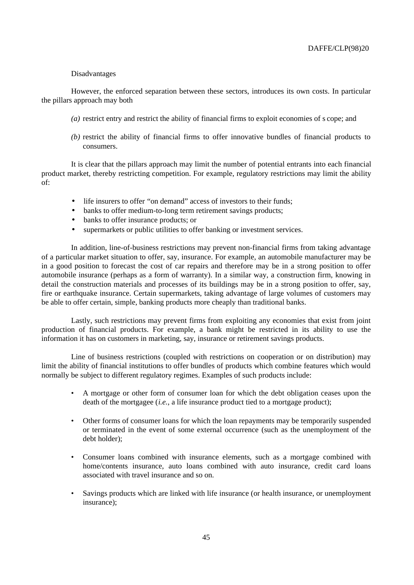# Disadvantages

However, the enforced separation between these sectors, introduces its own costs. In particular the pillars approach may both

- *(a)* restrict entry and restrict the ability of financial firms to exploit economies of s cope; and
- *(b)* restrict the ability of financial firms to offer innovative bundles of financial products to consumers.

It is clear that the pillars approach may limit the number of potential entrants into each financial product market, thereby restricting competition. For example, regulatory restrictions may limit the ability of:

- life insurers to offer "on demand" access of investors to their funds;
- banks to offer medium-to-long term retirement savings products;
- banks to offer insurance products; or
- supermarkets or public utilities to offer banking or investment services.

In addition, line-of-business restrictions may prevent non-financial firms from taking advantage of a particular market situation to offer, say, insurance. For example, an automobile manufacturer may be in a good position to forecast the cost of car repairs and therefore may be in a strong position to offer automobile insurance (perhaps as a form of warranty). In a similar way, a construction firm, knowing in detail the construction materials and processes of its buildings may be in a strong position to offer, say, fire or earthquake insurance. Certain supermarkets, taking advantage of large volumes of customers may be able to offer certain, simple, banking products more cheaply than traditional banks.

Lastly, such restrictions may prevent firms from exploiting any economies that exist from joint production of financial products. For example, a bank might be restricted in its ability to use the information it has on customers in marketing, say, insurance or retirement savings products.

Line of business restrictions (coupled with restrictions on cooperation or on distribution) may limit the ability of financial institutions to offer bundles of products which combine features which would normally be subject to different regulatory regimes. Examples of such products include:

- A mortgage or other form of consumer loan for which the debt obligation ceases upon the death of the mortgagee (*i.e.*, a life insurance product tied to a mortgage product);
- Other forms of consumer loans for which the loan repayments may be temporarily suspended or terminated in the event of some external occurrence (such as the unemployment of the debt holder);
- Consumer loans combined with insurance elements, such as a mortgage combined with home/contents insurance, auto loans combined with auto insurance, credit card loans associated with travel insurance and so on.
- Savings products which are linked with life insurance (or health insurance, or unemployment insurance);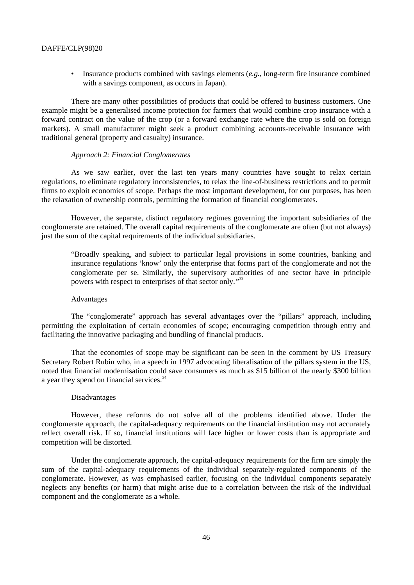• Insurance products combined with savings elements (*e.g.*, long-term fire insurance combined with a savings component, as occurs in Japan).

There are many other possibilities of products that could be offered to business customers. One example might be a generalised income protection for farmers that would combine crop insurance with a forward contract on the value of the crop (or a forward exchange rate where the crop is sold on foreign markets). A small manufacturer might seek a product combining accounts-receivable insurance with traditional general (property and casualty) insurance.

# *Approach 2: Financial Conglomerates*

As we saw earlier, over the last ten years many countries have sought to relax certain regulations, to eliminate regulatory inconsistencies, to relax the line-of-business restrictions and to permit firms to exploit economies of scope. Perhaps the most important development, for our purposes, has been the relaxation of ownership controls, permitting the formation of financial conglomerates.

However, the separate, distinct regulatory regimes governing the important subsidiaries of the conglomerate are retained. The overall capital requirements of the conglomerate are often (but not always) just the sum of the capital requirements of the individual subsidiaries.

"Broadly speaking, and subject to particular legal provisions in some countries, banking and insurance regulations 'know' only the enterprise that forms part of the conglomerate and not the conglomerate per se. Similarly, the supervisory authorities of one sector have in principle powers with respect to enterprises of that sector only."<sup>33</sup>

# Advantages

The "conglomerate" approach has several advantages over the "pillars" approach, including permitting the exploitation of certain economies of scope; encouraging competition through entry and facilitating the innovative packaging and bundling of financial products.

That the economies of scope may be significant can be seen in the comment by US Treasury Secretary Robert Rubin who, in a speech in 1997 advocating liberalisation of the pillars system in the US, noted that financial modernisation could save consumers as much as \$15 billion of the nearly \$300 billion a year they spend on financial services.<sup>34</sup>

### Disadvantages

However, these reforms do not solve all of the problems identified above. Under the conglomerate approach, the capital-adequacy requirements on the financial institution may not accurately reflect overall risk. If so, financial institutions will face higher or lower costs than is appropriate and competition will be distorted.

Under the conglomerate approach, the capital-adequacy requirements for the firm are simply the sum of the capital-adequacy requirements of the individual separately-regulated components of the conglomerate. However, as was emphasised earlier, focusing on the individual components separately neglects any benefits (or harm) that might arise due to a correlation between the risk of the individual component and the conglomerate as a whole.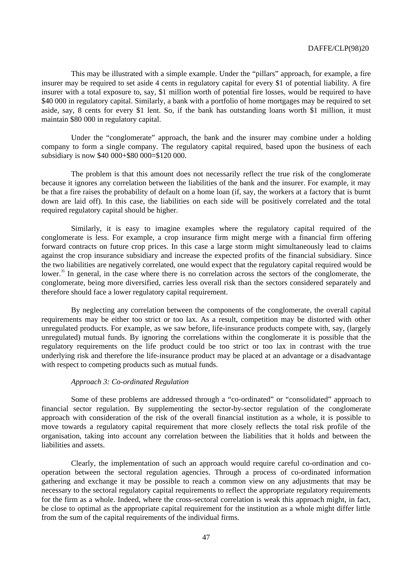This may be illustrated with a simple example. Under the "pillars" approach, for example, a fire insurer may be required to set aside 4 cents in regulatory capital for every \$1 of potential liability. A fire insurer with a total exposure to, say, \$1 million worth of potential fire losses, would be required to have \$40 000 in regulatory capital. Similarly, a bank with a portfolio of home mortgages may be required to set aside, say, 8 cents for every \$1 lent. So, if the bank has outstanding loans worth \$1 million, it must maintain \$80 000 in regulatory capital.

Under the "conglomerate" approach, the bank and the insurer may combine under a holding company to form a single company. The regulatory capital required, based upon the business of each subsidiary is now \$40 000+\$80 000=\$120 000.

The problem is that this amount does not necessarily reflect the true risk of the conglomerate because it ignores any correlation between the liabilities of the bank and the insurer. For example, it may be that a fire raises the probability of default on a home loan (if, say, the workers at a factory that is burnt down are laid off). In this case, the liabilities on each side will be positively correlated and the total required regulatory capital should be higher.

Similarly, it is easy to imagine examples where the regulatory capital required of the conglomerate is less. For example, a crop insurance firm might merge with a financial firm offering forward contracts on future crop prices. In this case a large storm might simultaneously lead to claims against the crop insurance subsidiary and increase the expected profits of the financial subsidiary. Since the two liabilities are negatively correlated, one would expect that the regulatory capital required would be lower.<sup>35</sup> In general, in the case where there is no correlation across the sectors of the conglomerate, the conglomerate, being more diversified, carries less overall risk than the sectors considered separately and therefore should face a lower regulatory capital requirement.

By neglecting any correlation between the components of the conglomerate, the overall capital requirements may be either too strict or too lax. As a result, competition may be distorted with other unregulated products. For example, as we saw before, life-insurance products compete with, say, (largely unregulated) mutual funds. By ignoring the correlations within the conglomerate it is possible that the regulatory requirements on the life product could be too strict or too lax in contrast with the true underlying risk and therefore the life-insurance product may be placed at an advantage or a disadvantage with respect to competing products such as mutual funds.

# *Approach 3: Co-ordinated Regulation*

Some of these problems are addressed through a "co-ordinated" or "consolidated" approach to financial sector regulation. By supplementing the sector-by-sector regulation of the conglomerate approach with consideration of the risk of the overall financial institution as a whole, it is possible to move towards a regulatory capital requirement that more closely reflects the total risk profile of the organisation, taking into account any correlation between the liabilities that it holds and between the liabilities and assets.

Clearly, the implementation of such an approach would require careful co-ordination and cooperation between the sectoral regulation agencies. Through a process of co-ordinated information gathering and exchange it may be possible to reach a common view on any adjustments that may be necessary to the sectoral regulatory capital requirements to reflect the appropriate regulatory requirements for the firm as a whole. Indeed, where the cross-sectoral correlation is weak this approach might, in fact, be close to optimal as the appropriate capital requirement for the institution as a whole might differ little from the sum of the capital requirements of the individual firms.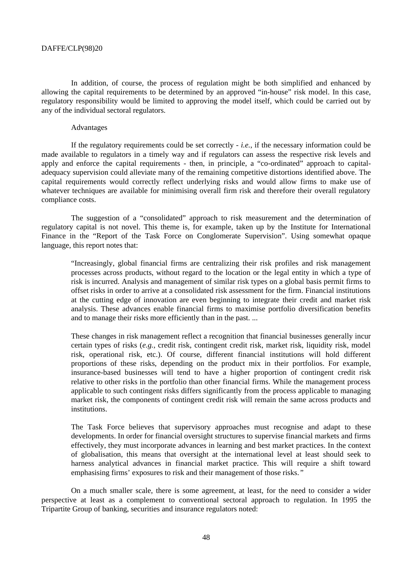In addition, of course, the process of regulation might be both simplified and enhanced by allowing the capital requirements to be determined by an approved "in-house" risk model. In this case, regulatory responsibility would be limited to approving the model itself, which could be carried out by any of the individual sectoral regulators.

### Advantages

If the regulatory requirements could be set correctly - *i.e.*, if the necessary information could be made available to regulators in a timely way and if regulators can assess the respective risk levels and apply and enforce the capital requirements - then, in principle, a "co-ordinated" approach to capitaladequacy supervision could alleviate many of the remaining competitive distortions identified above. The capital requirements would correctly reflect underlying risks and would allow firms to make use of whatever techniques are available for minimising overall firm risk and therefore their overall regulatory compliance costs.

The suggestion of a "consolidated" approach to risk measurement and the determination of regulatory capital is not novel. This theme is, for example, taken up by the Institute for International Finance in the "Report of the Task Force on Conglomerate Supervision". Using somewhat opaque language, this report notes that:

"Increasingly, global financial firms are centralizing their risk profiles and risk management processes across products, without regard to the location or the legal entity in which a type of risk is incurred. Analysis and management of similar risk types on a global basis permit firms to offset risks in order to arrive at a consolidated risk assessment for the firm. Financial institutions at the cutting edge of innovation are even beginning to integrate their credit and market risk analysis. These advances enable financial firms to maximise portfolio diversification benefits and to manage their risks more efficiently than in the past. ...

These changes in risk management reflect a recognition that financial businesses generally incur certain types of risks (*e.g.*, credit risk, contingent credit risk, market risk, liquidity risk, model risk, operational risk, etc.). Of course, different financial institutions will hold different proportions of these risks, depending on the product mix in their portfolios. For example, insurance-based businesses will tend to have a higher proportion of contingent credit risk relative to other risks in the portfolio than other financial firms. While the management process applicable to such contingent risks differs significantly from the process applicable to managing market risk, the components of contingent credit risk will remain the same across products and institutions.

The Task Force believes that supervisory approaches must recognise and adapt to these developments. In order for financial oversight structures to supervise financial markets and firms effectively, they must incorporate advances in learning and best market practices. In the context of globalisation, this means that oversight at the international level at least should seek to harness analytical advances in financial market practice. This will require a shift toward emphasising firms' exposures to risk and their management of those risks. "

On a much smaller scale, there is some agreement, at least, for the need to consider a wider perspective at least as a complement to conventional sectoral approach to regulation. In 1995 the Tripartite Group of banking, securities and insurance regulators noted: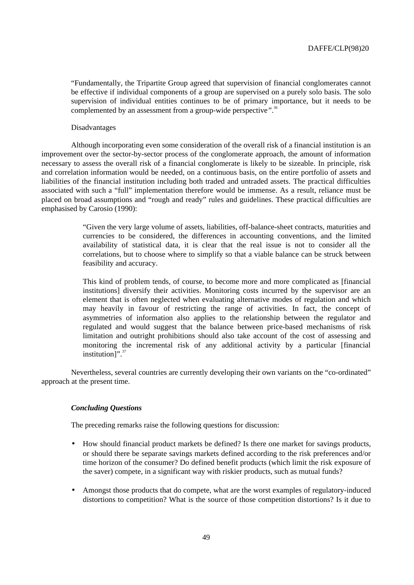"Fundamentally, the Tripartite Group agreed that supervision of financial conglomerates cannot be effective if individual components of a group are supervised on a purely solo basis. The solo supervision of individual entities continues to be of primary importance, but it needs to be complemented by an assessment from a group-wide perspective".<sup>36</sup>

# Disadvantages

Although incorporating even some consideration of the overall risk of a financial institution is an improvement over the sector-by-sector process of the conglomerate approach, the amount of information necessary to assess the overall risk of a financial conglomerate is likely to be sizeable. In principle, risk and correlation information would be needed, on a continuous basis, on the entire portfolio of assets and liabilities of the financial institution including both traded and untraded assets. The practical difficulties associated with such a "full" implementation therefore would be immense. As a result, reliance must be placed on broad assumptions and "rough and ready" rules and guidelines. These practical difficulties are emphasised by Carosio (1990):

> "Given the very large volume of assets, liabilities, off-balance-sheet contracts, maturities and currencies to be considered, the differences in accounting conventions, and the limited availability of statistical data, it is clear that the real issue is not to consider all the correlations, but to choose where to simplify so that a viable balance can be struck between feasibility and accuracy.

> This kind of problem tends, of course, to become more and more complicated as [financial institutions] diversify their activities. Monitoring costs incurred by the supervisor are an element that is often neglected when evaluating alternative modes of regulation and which may heavily in favour of restricting the range of activities. In fact, the concept of asymmetries of information also applies to the relationship between the regulator and regulated and would suggest that the balance between price-based mechanisms of risk limitation and outright prohibitions should also take account of the cost of assessing and monitoring the incremental risk of any additional activity by a particular [financial institution]".<sup>37</sup>

Nevertheless, several countries are currently developing their own variants on the "co-ordinated" approach at the present time.

# *Concluding Questions*

The preceding remarks raise the following questions for discussion:

- How should financial product markets be defined? Is there one market for savings products, or should there be separate savings markets defined according to the risk preferences and/or time horizon of the consumer? Do defined benefit products (which limit the risk exposure of the saver) compete, in a significant way with riskier products, such as mutual funds?
- Amongst those products that do compete, what are the worst examples of regulatory-induced distortions to competition? What is the source of those competition distortions? Is it due to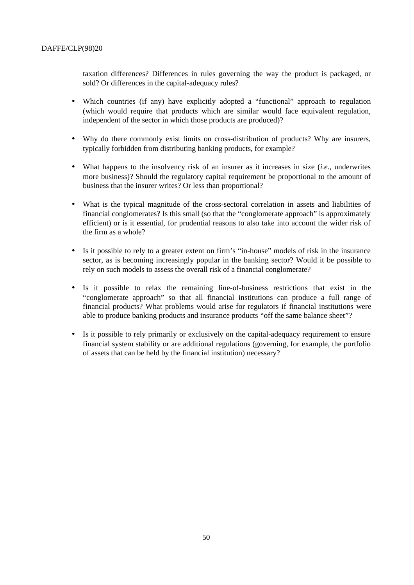taxation differences? Differences in rules governing the way the product is packaged, or sold? Or differences in the capital-adequacy rules?

- Which countries (if any) have explicitly adopted a "functional" approach to regulation (which would require that products which are similar would face equivalent regulation, independent of the sector in which those products are produced)?
- Why do there commonly exist limits on cross-distribution of products? Why are insurers, typically forbidden from distributing banking products, for example?
- What happens to the insolvency risk of an insurer as it increases in size (*i.e.*, underwrites more business)? Should the regulatory capital requirement be proportional to the amount of business that the insurer writes? Or less than proportional?
- What is the typical magnitude of the cross-sectoral correlation in assets and liabilities of financial conglomerates? Is this small (so that the "conglomerate approach" is approximately efficient) or is it essential, for prudential reasons to also take into account the wider risk of the firm as a whole?
- Is it possible to rely to a greater extent on firm's "in-house" models of risk in the insurance sector, as is becoming increasingly popular in the banking sector? Would it be possible to rely on such models to assess the overall risk of a financial conglomerate?
- Is it possible to relax the remaining line-of-business restrictions that exist in the "conglomerate approach" so that all financial institutions can produce a full range of financial products? What problems would arise for regulators if financial institutions were able to produce banking products and insurance products "off the same balance sheet"?
- Is it possible to rely primarily or exclusively on the capital-adequacy requirement to ensure financial system stability or are additional regulations (governing, for example, the portfolio of assets that can be held by the financial institution) necessary?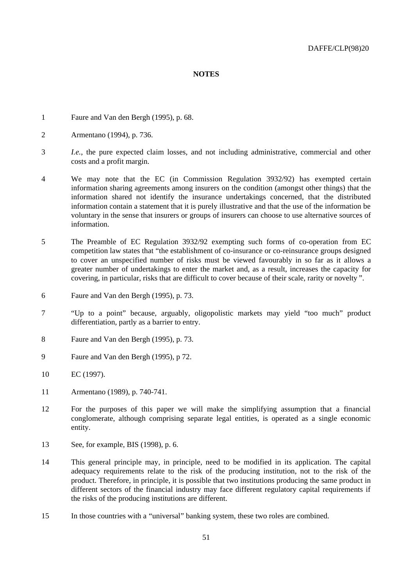# **NOTES**

- 1 Faure and Van den Bergh (1995), p. 68.
- 2 Armentano (1994), p. 736.
- 3 *I.e.*, the pure expected claim losses, and not including administrative, commercial and other costs and a profit margin.
- 4 We may note that the EC (in Commission Regulation 3932/92) has exempted certain information sharing agreements among insurers on the condition (amongst other things) that the information shared not identify the insurance undertakings concerned, that the distributed information contain a statement that it is purely illustrative and that the use of the information be voluntary in the sense that insurers or groups of insurers can choose to use alternative sources of information.
- 5 The Preamble of EC Regulation 3932/92 exempting such forms of co-operation from EC competition law states that "the establishment of co-insurance or co-reinsurance groups designed to cover an unspecified number of risks must be viewed favourably in so far as it allows a greater number of undertakings to enter the market and, as a result, increases the capacity for covering, in particular, risks that are difficult to cover because of their scale, rarity or novelty ".
- 6 Faure and Van den Bergh (1995), p. 73.
- 7 "Up to a point" because, arguably, oligopolistic markets may yield "too much" product differentiation, partly as a barrier to entry.
- 8 Faure and Van den Bergh (1995), p. 73.
- 9 Faure and Van den Bergh (1995), p 72.
- 10 EC (1997).
- 11 Armentano (1989), p. 740-741.
- 12 For the purposes of this paper we will make the simplifying assumption that a financial conglomerate, although comprising separate legal entities, is operated as a single economic entity.
- 13 See, for example, BIS (1998), p. 6.
- 14 This general principle may, in principle, need to be modified in its application. The capital adequacy requirements relate to the risk of the producing institution, not to the risk of the product. Therefore, in principle, it is possible that two institutions producing the same product in different sectors of the financial industry may face different regulatory capital requirements if the risks of the producing institutions are different.
- 15 In those countries with a "universal" banking system, these two roles are combined.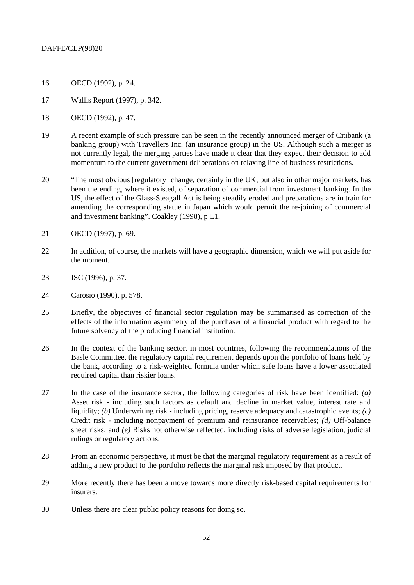- 16 OECD (1992), p. 24.
- 17 Wallis Report (1997), p. 342.
- 18 OECD (1992), p. 47.
- 19 A recent example of such pressure can be seen in the recently announced merger of Citibank (a banking group) with Travellers Inc. (an insurance group) in the US. Although such a merger is not currently legal, the merging parties have made it clear that they expect their decision to add momentum to the current government deliberations on relaxing line of business restrictions.
- 20 "The most obvious [regulatory] change, certainly in the UK, but also in other major markets, has been the ending, where it existed, of separation of commercial from investment banking. In the US, the effect of the Glass-Steagall Act is being steadily eroded and preparations are in train for amending the corresponding statue in Japan which would permit the re-joining of commercial and investment banking". Coakley (1998), p L1.
- 21 OECD (1997), p. 69.
- 22 In addition, of course, the markets will have a geographic dimension, which we will put aside for the moment.
- 23 ISC (1996), p. 37.
- 24 Carosio (1990), p. 578.
- 25 Briefly, the objectives of financial sector regulation may be summarised as correction of the effects of the information asymmetry of the purchaser of a financial product with regard to the future solvency of the producing financial institution.
- 26 In the context of the banking sector, in most countries, following the recommendations of the Basle Committee, the regulatory capital requirement depends upon the portfolio of loans held by the bank, according to a risk-weighted formula under which safe loans have a lower associated required capital than riskier loans.
- 27 In the case of the insurance sector, the following categories of risk have been identified: *(a)* Asset risk - including such factors as default and decline in market value, interest rate and liquidity; *(b)* Underwriting risk - including pricing, reserve adequacy and catastrophic events; *(c)* Credit risk - including nonpayment of premium and reinsurance receivables; *(d)* Off-balance sheet risks; and *(e)* Risks not otherwise reflected, including risks of adverse legislation, judicial rulings or regulatory actions.
- 28 From an economic perspective, it must be that the marginal regulatory requirement as a result of adding a new product to the portfolio reflects the marginal risk imposed by that product.
- 29 More recently there has been a move towards more directly risk-based capital requirements for insurers.
- 30 Unless there are clear public policy reasons for doing so.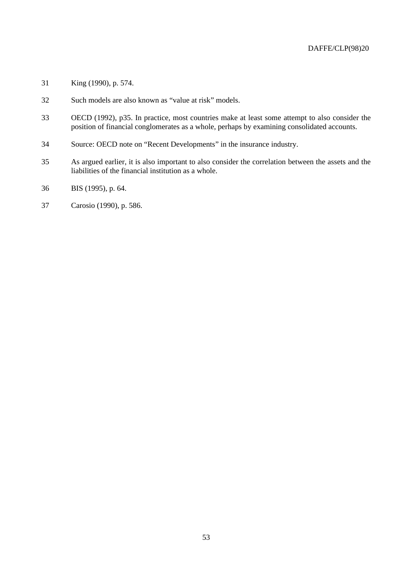- 31 King (1990), p. 574.
- 32 Such models are also known as "value at risk" models.
- 33 OECD (1992), p35. In practice, most countries make at least some attempt to also consider the position of financial conglomerates as a whole, perhaps by examining consolidated accounts.
- 34 Source: OECD note on "Recent Developments" in the insurance industry.
- 35 As argued earlier, it is also important to also consider the correlation between the assets and the liabilities of the financial institution as a whole.
- 36 BIS (1995), p. 64.
- 37 Carosio (1990), p. 586.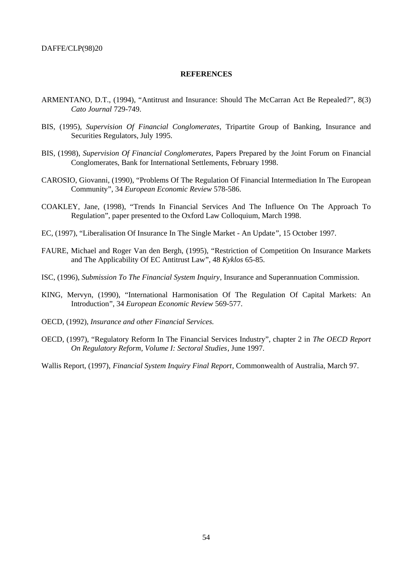# **REFERENCES**

- ARMENTANO, D.T., (1994), "Antitrust and Insurance: Should The McCarran Act Be Repealed?", 8(3) *Cato Journal* 729-749.
- BIS, (1995), *Supervision Of Financial Conglomerates*, Tripartite Group of Banking, Insurance and Securities Regulators, July 1995.
- BIS, (1998), *Supervision Of Financial Conglomerates*, Papers Prepared by the Joint Forum on Financial Conglomerates, Bank for International Settlements, February 1998.
- CAROSIO, Giovanni, (1990), "Problems Of The Regulation Of Financial Intermediation In The European Community", 34 *European Economic Review* 578-586.
- COAKLEY, Jane, (1998), "Trends In Financial Services And The Influence On The Approach To Regulation", paper presented to the Oxford Law Colloquium, March 1998.
- EC, (1997), "Liberalisation Of Insurance In The Single Market An Update", 15 October 1997.
- FAURE, Michael and Roger Van den Bergh, (1995), "Restriction of Competition On Insurance Markets and The Applicability Of EC Antitrust Law", 48 *Kyklos* 65-85.
- ISC, (1996), *Submission To The Financial System Inquiry*, Insurance and Superannuation Commission.
- KING, Mervyn, (1990), "International Harmonisation Of The Regulation Of Capital Markets: An Introduction", 34 *European Economic Review* 569-577.
- OECD, (1992), *Insurance and other Financial Services.*
- OECD, (1997), "Regulatory Reform In The Financial Services Industry", chapter 2 in *The OECD Report On Regulatory Reform, Volume I: Sectoral Studies*, June 1997.

Wallis Report, (1997), *Financial System Inquiry Final Report*, Commonwealth of Australia, March 97.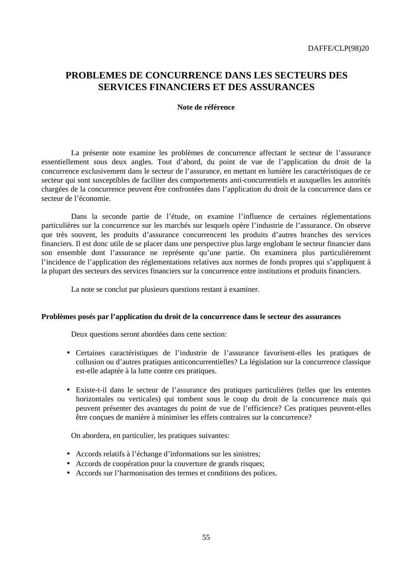# **PROBLEMES DE CONCURRENCE DANS LES SECTEURS DES SERVICES FINANCIERS ET DES ASSURANCES**

**Note de référence**

La présente note examine les problèmes de concurrence affectant le secteur de l'assurance essentiellement sous deux angles. Tout d'abord, du point de vue de l'application du droit de la concurrence exclusivement dans le secteur de l'assurance, en mettant en lumière les caractéristiques de ce secteur qui sont susceptibles de faciliter des comportements anti-concurrentiels et auxquelles les autorités chargées de la concurrence peuvent être confrontées dans l'application du droit de la concurrence dans ce secteur de l'économie.

Dans la seconde partie de l'étude, on examine l'influence de certaines réglementations particulières sur la concurrence sur les marchés sur lesquels opère l'industrie de l'assurance. On observe que très souvent, les produits d'assurance concurrencent les produits d'autres branches des services financiers. Il est donc utile de se placer dans une perspective plus large englobant le secteur financier dans son ensemble dont l'assurance ne représente qu'une partie. On examinera plus particulièrement l'incidence de l'application des réglementations relatives aux normes de fonds propres qui s'appliquent à la plupart des secteurs des services financiers sur la concurrence entre institutions et produits financiers.

La note se conclut par plusieurs questions restant à examiner.

# **Problèmes posés par l'application du droit de la concurrence dans le secteur des assurances**

Deux questions seront abordées dans cette section:

- Certaines caractéristiques de l'industrie de l'assurance favorisent-elles les pratiques de collusion ou d'autres pratiques anticoncurrentielles? La législation sur la concurrence classique est-elle adaptée à la lutte contre ces pratiques.
- Existe-t-il dans le secteur de l'assurance des pratiques particulières (telles que les ententes horizontales ou verticales) qui tombent sous le coup du droit de la concurrence mais qui peuvent présenter des avantages du point de vue de l'efficience? Ces pratiques peuvent-elles être conçues de manière à minimiser les effets contraires sur la concurrence?

On abordera, en particulier, les pratiques suivantes:

- Accords relatifs à l'échange d'informations sur les sinistres;
- Accords de coopération pour la couverture de grands risques;
- Accords sur l'harmonisation des termes et conditions des polices.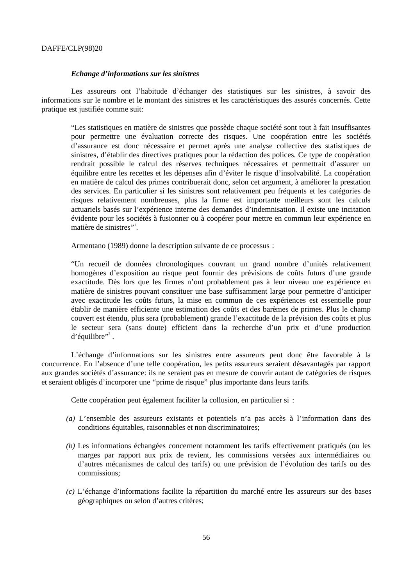# *Echange d'informations sur les sinistres*

Les assureurs ont l'habitude d'échanger des statistiques sur les sinistres, à savoir des informations sur le nombre et le montant des sinistres et les caractéristiques des assurés concernés. Cette pratique est justifiée comme suit:

"Les statistiques en matière de sinistres que possède chaque société sont tout à fait insuffisantes pour permettre une évaluation correcte des risques. Une coopération entre les sociétés d'assurance est donc nécessaire et permet après une analyse collective des statistiques de sinistres, d'établir des directives pratiques pour la rédaction des polices. Ce type de coopération rendrait possible le calcul des réserves techniques nécessaires et permettrait d'assurer un équilibre entre les recettes et les dépenses afin d'éviter le risque d'insolvabilité. La coopération en matière de calcul des primes contribuerait donc, selon cet argument, à améliorer la prestation des services. En particulier si les sinistres sont relativement peu fréquents et les catégories de risques relativement nombreuses, plus la firme est importante meilleurs sont les calculs actuariels basés sur l'expérience interne des demandes d'indemnisation. Il existe une incitation évidente pour les sociétés à fusionner ou à coopérer pour mettre en commun leur expérience en matière de sinistres"<sup>1</sup>.

Armentano (1989) donne la description suivante de ce processus :

"Un recueil de données chronologiques couvrant un grand nombre d'unités relativement homogènes d'exposition au risque peut fournir des prévisions de coûts futurs d'une grande exactitude. Dès lors que les firmes n'ont probablement pas à leur niveau une expérience en matière de sinistres pouvant constituer une base suffisamment large pour permettre d'anticiper avec exactitude les coûts futurs, la mise en commun de ces expériences est essentielle pour établir de manière efficiente une estimation des coûts et des barèmes de primes. Plus le champ couvert est étendu, plus sera (probablement) grande l'exactitude de la prévision des coûts et plus le secteur sera (sans doute) efficient dans la recherche d'un prix et d'une production d'équilibre"<sup>2</sup>.

L'échange d'informations sur les sinistres entre assureurs peut donc être favorable à la concurrence. En l'absence d'une telle coopération, les petits assureurs seraient désavantagés par rapport aux grandes sociétés d'assurance: ils ne seraient pas en mesure de couvrir autant de catégories de risques et seraient obligés d'incorporer une "prime de risque" plus importante dans leurs tarifs.

Cette coopération peut également faciliter la collusion, en particulier si :

- *(a)* L'ensemble des assureurs existants et potentiels n'a pas accès à l'information dans des conditions équitables, raisonnables et non discriminatoires;
- *(b)* Les informations échangées concernent notamment les tarifs effectivement pratiqués (ou les marges par rapport aux prix de revient, les commissions versées aux intermédiaires ou d'autres mécanismes de calcul des tarifs) ou une prévision de l'évolution des tarifs ou des commissions;
- *(c)* L'échange d'informations facilite la répartition du marché entre les assureurs sur des bases géographiques ou selon d'autres critères;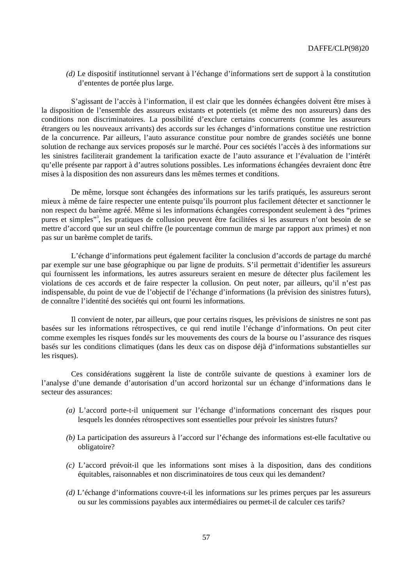*(d)* Le dispositif institutionnel servant à l'échange d'informations sert de support à la constitution d'ententes de portée plus large.

S'agissant de l'accès à l'information, il est clair que les données échangées doivent être mises à la disposition de l'ensemble des assureurs existants et potentiels (et même des non assureurs) dans des conditions non discriminatoires. La possibilité d'exclure certains concurrents (comme les assureurs étrangers ou les nouveaux arrivants) des accords sur les échanges d'informations constitue une restriction de la concurrence. Par ailleurs, l'auto assurance constitue pour nombre de grandes sociétés une bonne solution de rechange aux services proposés sur le marché. Pour ces sociétés l'accès à des informations sur les sinistres faciliterait grandement la tarification exacte de l'auto assurance et l'évaluation de l'intérêt qu'elle présente par rapport à d'autres solutions possibles. Les informations échangées devraient donc être mises à la disposition des non assureurs dans les mêmes termes et conditions.

De même, lorsque sont échangées des informations sur les tarifs pratiqués, les assureurs seront mieux à même de faire respecter une entente puisqu'ils pourront plus facilement détecter et sanctionner le non respect du barème agréé. Même si les informations échangées correspondent seulement à des "primes pures et simples"<sup>3</sup>, les pratiques de collusion peuvent être facilitées si les assureurs n'ont besoin de se mettre d'accord que sur un seul chiffre (le pourcentage commun de marge par rapport aux primes) et non pas sur un barème complet de tarifs.

L'échange d'informations peut également faciliter la conclusion d'accords de partage du marché par exemple sur une base géographique ou par ligne de produits. S'il permettait d'identifier les assureurs qui fournissent les informations, les autres assureurs seraient en mesure de détecter plus facilement les violations de ces accords et de faire respecter la collusion. On peut noter, par ailleurs, qu'il n'est pas indispensable, du point de vue de l'objectif de l'échange d'informations (la prévision des sinistres futurs), de connaître l'identité des sociétés qui ont fourni les informations.

Il convient de noter, par ailleurs, que pour certains risques, les prévisions de sinistres ne sont pas basées sur les informations rétrospectives, ce qui rend inutile l'échange d'informations. On peut citer comme exemples les risques fondés sur les mouvements des cours de la bourse ou l'assurance des risques basés sur les conditions climatiques (dans les deux cas on dispose déjà d'informations substantielles sur les risques).

Ces considérations suggèrent la liste de contrôle suivante de questions à examiner lors de l'analyse d'une demande d'autorisation d'un accord horizontal sur un échange d'informations dans le secteur des assurances:

- *(a)* L'accord porte-t-il uniquement sur l'échange d'informations concernant des risques pour lesquels les données rétrospectives sont essentielles pour prévoir les sinistres futurs?
- *(b)* La participation des assureurs à l'accord sur l'échange des informations est-elle facultative ou obligatoire?
- *(c)* L'accord prévoit-il que les informations sont mises à la disposition, dans des conditions équitables, raisonnables et non discriminatoires de tous ceux qui les demandent?
- *(d)* L'échange d'informations couvre-t-il les informations sur les primes perçues par les assureurs ou sur les commissions payables aux intermédiaires ou permet-il de calculer ces tarifs?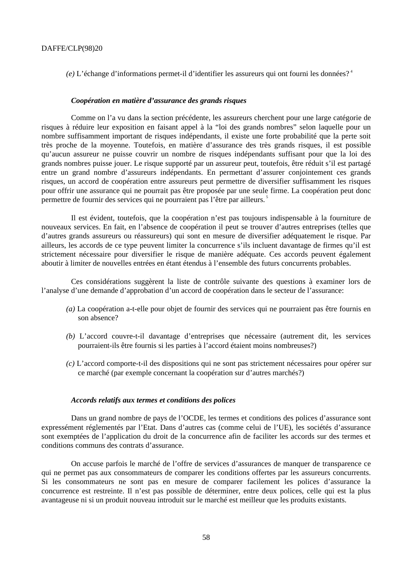*(e)* L'échange d'informations permet-il d'identifier les assureurs qui ont fourni les données? <sup>4</sup>

### *Coopération en matière d'assurance des grands risques*

Comme on l'a vu dans la section précédente, les assureurs cherchent pour une large catégorie de risques à réduire leur exposition en faisant appel à la "loi des grands nombres" selon laquelle pour un nombre suffisamment important de risques indépendants, il existe une forte probabilité que la perte soit très proche de la moyenne. Toutefois, en matière d'assurance des très grands risques, il est possible qu'aucun assureur ne puisse couvrir un nombre de risques indépendants suffisant pour que la loi des grands nombres puisse jouer. Le risque supporté par un assureur peut, toutefois, être réduit s'il est partagé entre un grand nombre d'assureurs indépendants. En permettant d'assurer conjointement ces grands risques, un accord de coopération entre assureurs peut permettre de diversifier suffisamment les risques pour offrir une assurance qui ne pourrait pas être proposée par une seule firme. La coopération peut donc permettre de fournir des services qui ne pourraient pas l'être par ailleurs. <sup>5</sup>

Il est évident, toutefois, que la coopération n'est pas toujours indispensable à la fourniture de nouveaux services. En fait, en l'absence de coopération il peut se trouver d'autres entreprises (telles que d'autres grands assureurs ou réassureurs) qui sont en mesure de diversifier adéquatement le risque. Par ailleurs, les accords de ce type peuvent limiter la concurrence s'ils incluent davantage de firmes qu'il est strictement nécessaire pour diversifier le risque de manière adéquate. Ces accords peuvent également aboutir à limiter de nouvelles entrées en étant étendus à l'ensemble des futurs concurrents probables.

Ces considérations suggèrent la liste de contrôle suivante des questions à examiner lors de l'analyse d'une demande d'approbation d'un accord de coopération dans le secteur de l'assurance:

- *(a)* La coopération a-t-elle pour objet de fournir des services qui ne pourraient pas être fournis en son absence?
- *(b)* L'accord couvre-t-il davantage d'entreprises que nécessaire (autrement dit, les services pourraient-ils être fournis si les parties à l'accord étaient moins nombreuses?)
- *(c)* L'accord comporte-t-il des dispositions qui ne sont pas strictement nécessaires pour opérer sur ce marché (par exemple concernant la coopération sur d'autres marchés?)

# *Accords relatifs aux termes et conditions des polices*

Dans un grand nombre de pays de l'OCDE, les termes et conditions des polices d'assurance sont expressément réglementés par l'Etat. Dans d'autres cas (comme celui de l'UE), les sociétés d'assurance sont exemptées de l'application du droit de la concurrence afin de faciliter les accords sur des termes et conditions communs des contrats d'assurance.

On accuse parfois le marché de l'offre de services d'assurances de manquer de transparence ce qui ne permet pas aux consommateurs de comparer les conditions offertes par les assureurs concurrents. Si les consommateurs ne sont pas en mesure de comparer facilement les polices d'assurance la concurrence est restreinte. Il n'est pas possible de déterminer, entre deux polices, celle qui est la plus avantageuse ni si un produit nouveau introduit sur le marché est meilleur que les produits existants.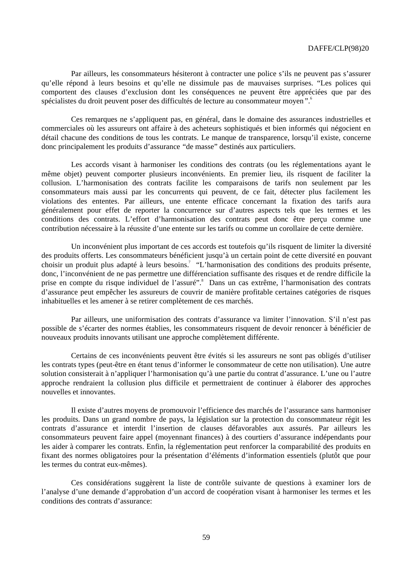Par ailleurs, les consommateurs hésiteront à contracter une police s'ils ne peuvent pas s'assurer qu'elle répond à leurs besoins et qu'elle ne dissimule pas de mauvaises surprises. "Les polices qui comportent des clauses d'exclusion dont les conséquences ne peuvent être appréciées que par des spécialistes du droit peuvent poser des difficultés de lecture au consommateur moyen".

Ces remarques ne s'appliquent pas, en général, dans le domaine des assurances industrielles et commerciales où les assureurs ont affaire à des acheteurs sophistiqués et bien informés qui négocient en détail chacune des conditions de tous les contrats. Le manque de transparence, lorsqu'il existe, concerne donc principalement les produits d'assurance "de masse" destinés aux particuliers.

Les accords visant à harmoniser les conditions des contrats (ou les réglementations ayant le même objet) peuvent comporter plusieurs inconvénients. En premier lieu, ils risquent de faciliter la collusion. L'harmonisation des contrats facilite les comparaisons de tarifs non seulement par les consommateurs mais aussi par les concurrents qui peuvent, de ce fait, détecter plus facilement les violations des ententes. Par ailleurs, une entente efficace concernant la fixation des tarifs aura généralement pour effet de reporter la concurrence sur d'autres aspects tels que les termes et les conditions des contrats. L'effort d'harmonisation des contrats peut donc être perçu comme une contribution nécessaire à la réussite d'une entente sur les tarifs ou comme un corollaire de cette dernière.

Un inconvénient plus important de ces accords est toutefois qu'ils risquent de limiter la diversité des produits offerts. Les consommateurs bénéficient jusqu'à un certain point de cette diversité en pouvant choisir un produit plus adapté à leurs besoins.<sup>7</sup> "L'harmonisation des conditions des produits présente, donc, l'inconvénient de ne pas permettre une différenciation suffisante des risques et de rendre difficile la prise en compte du risque individuel de l'assuré". <sup>8</sup> Dans un cas extrême, l'harmonisation des contrats d'assurance peut empêcher les assureurs de couvrir de manière profitable certaines catégories de risques inhabituelles et les amener à se retirer complètement de ces marchés.

Par ailleurs, une uniformisation des contrats d'assurance va limiter l'innovation. S'il n'est pas possible de s'écarter des normes établies, les consommateurs risquent de devoir renoncer à bénéficier de nouveaux produits innovants utilisant une approche complètement différente.

Certains de ces inconvénients peuvent être évités si les assureurs ne sont pas obligés d'utiliser les contrats types (peut-être en étant tenus d'informer le consommateur de cette non utilisation). Une autre solution consisterait à n'appliquer l'harmonisation qu'à une partie du contrat d'assurance. L'une ou l'autre approche rendraient la collusion plus difficile et permettraient de continuer à élaborer des approches nouvelles et innovantes.

Il existe d'autres moyens de promouvoir l'efficience des marchés de l'assurance sans harmoniser les produits. Dans un grand nombre de pays, la législation sur la protection du consommateur régit les contrats d'assurance et interdit l'insertion de clauses défavorables aux assurés. Par ailleurs les consommateurs peuvent faire appel (moyennant finances) à des courtiers d'assurance indépendants pour les aider à comparer les contrats. Enfin, la réglementation peut renforcer la comparabilité des produits en fixant des normes obligatoires pour la présentation d'éléments d'information essentiels (plutôt que pour les termes du contrat eux-mêmes).

Ces considérations suggèrent la liste de contrôle suivante de questions à examiner lors de l'analyse d'une demande d'approbation d'un accord de coopération visant à harmoniser les termes et les conditions des contrats d'assurance: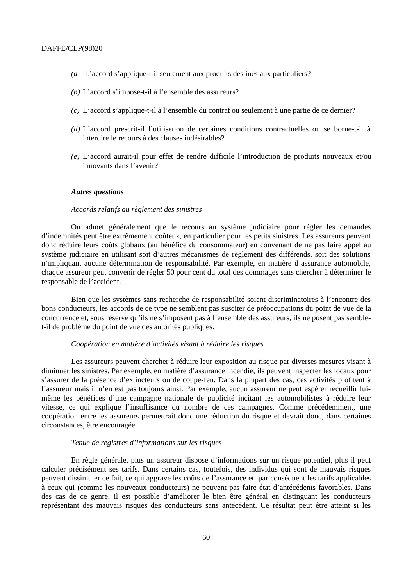- *(a* L'accord s'applique-t-il seulement aux produits destinés aux particuliers?
- *(b)* L'accord s'impose-t-il à l'ensemble des assureurs?
- *(c)* L'accord s'applique-t-il à l'ensemble du contrat ou seulement à une partie de ce dernier?
- *(d)* L'accord prescrit-il l'utilisation de certaines conditions contractuelles ou se borne-t-il à interdire le recours à des clauses indésirables?
- *(e)* L'accord aurait-il pour effet de rendre difficile l'introduction de produits nouveaux et/ou innovants dans l'avenir?

#### *Autres questions*

# *Accords relatifs au règlement des sinistres*

On admet généralement que le recours au système judiciaire pour régler les demandes d'indemnités peut être extrêmement coûteux, en particulier pour les petits sinistres. Les assureurs peuvent donc réduire leurs coûts globaux (au bénéfice du consommateur) en convenant de ne pas faire appel au système judiciaire en utilisant soit d'autres mécanismes de règlement des différends, soit des solutions n'impliquant aucune détermination de responsabilité. Par exemple, en matière d'assurance automobile, chaque assureur peut convenir de régler 50 pour cent du total des dommages sans chercher à déterminer le responsable de l'accident.

Bien que les systèmes sans recherche de responsabilité soient discriminatoires à l'encontre des bons conducteurs, les accords de ce type ne semblent pas susciter de préoccupations du point de vue de la concurrence et, sous réserve qu'ils ne s'imposent pas à l'ensemble des assureurs, ils ne posent pas semblet-il de problème du point de vue des autorités publiques.

# *Coopération en matière d'activités visant à réduire les risques*

Les assureurs peuvent chercher à réduire leur exposition au risque par diverses mesures visant à diminuer les sinistres. Par exemple, en matière d'assurance incendie, ils peuvent inspecter les locaux pour s'assurer de la présence d'extincteurs ou de coupe-feu. Dans la plupart des cas, ces activités profitent à l'assureur mais il n'en est pas toujours ainsi. Par exemple, aucun assureur ne peut espérer recueillir luimême les bénéfices d'une campagne nationale de publicité incitant les automobilistes à réduire leur vitesse, ce qui explique l'insuffisance du nombre de ces campagnes. Comme précédemment, une coopération entre les assureurs permettrait donc une réduction du risque et devrait donc, dans certaines circonstances, être encouragée.

### *Tenue de registres d'informations sur les risques*

En règle générale, plus un assureur dispose d'informations sur un risque potentiel, plus il peut calculer précisément ses tarifs. Dans certains cas, toutefois, des individus qui sont de mauvais risques peuvent dissimuler ce fait, ce qui aggrave les coûts de l'assurance et par conséquent les tarifs applicables à ceux qui (comme les nouveaux conducteurs) ne peuvent pas faire état d'antécédents favorables. Dans des cas de ce genre, il est possible d'améliorer le bien être général en distinguant les conducteurs représentant des mauvais risques des conducteurs sans antécédent. Ce résultat peut être atteint si les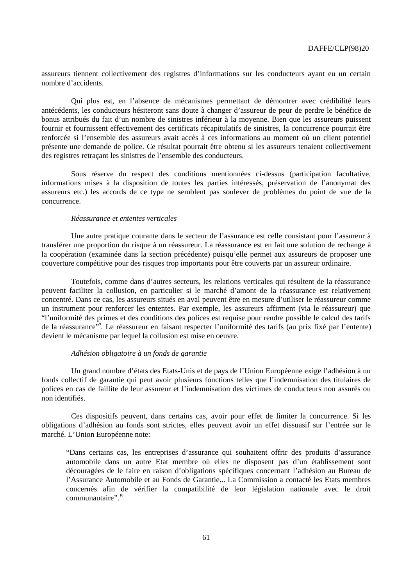assureurs tiennent collectivement des registres d'informations sur les conducteurs ayant eu un certain nombre d'accidents.

Qui plus est, en l'absence de mécanismes permettant de démontrer avec crédibilité leurs antécédents, les conducteurs hésiteront sans doute à changer d'assureur de peur de perdre le bénéfice de bonus attribués du fait d'un nombre de sinistres inférieur à la moyenne. Bien que les assureurs puissent fournir et fournissent effectivement des certificats récapitulatifs de sinistres, la concurrence pourrait être renforcée si l'ensemble des assureurs avait accès à ces informations au moment où un client potentiel présente une demande de police. Ce résultat pourrait être obtenu si les assureurs tenaient collectivement des registres retraçant les sinistres de l'ensemble des conducteurs.

Sous réserve du respect des conditions mentionnées ci-dessus (participation facultative, informations mises à la disposition de toutes les parties intéressés, préservation de l'anonymat des assureurs etc.) les accords de ce type ne semblent pas soulever de problèmes du point de vue de la concurrence.

# *Réassurance et ententes verticales*

Une autre pratique courante dans le secteur de l'assurance est celle consistant pour l'assureur à transférer une proportion du risque à un réassureur. La réassurance est en fait une solution de rechange à la coopération (examinée dans la section précédente) puisqu'elle permet aux assureurs de proposer une couverture compétitive pour des risques trop importants pour être couverts par un assureur ordinaire.

Toutefois, comme dans d'autres secteurs, les relations verticales qui résultent de la réassurance peuvent faciliter la collusion, en particulier si le marché d'amont de la réassurance est relativement concentré. Dans ce cas, les assureurs situés en aval peuvent être en mesure d'utiliser le réassureur comme un instrument pour renforcer les ententes. Par exemple, les assureurs affirment (via le réassureur) que "l'uniformité des primes et des conditions des polices est requise pour rendre possible le calcul des tarifs de la réassurance"<sup>9</sup>. Le réassureur en faisant respecter l'uniformité des tarifs (au prix fixé par l'entente) devient le mécanisme par lequel la collusion est mise en oeuvre.

# *Adhésion obligatoire à un fonds de garantie*

Un grand nombre d'états des Etats-Unis et de pays de l'Union Européenne exige l'adhésion à un fonds collectif de garantie qui peut avoir plusieurs fonctions telles que l'indemnisation des titulaires de polices en cas de faillite de leur assureur et l'indemnisation des victimes de conducteurs non assurés ou non identifiés.

Ces dispositifs peuvent, dans certains cas, avoir pour effet de limiter la concurrence. Si les obligations d'adhésion au fonds sont strictes, elles peuvent avoir un effet dissuasif sur l'entrée sur le marché. L'Union Européenne note:

"Dans certains cas, les entreprises d'assurance qui souhaitent offrir des produits d'assurance automobile dans un autre Etat membre où elles ne disposent pas d'un établissement sont découragées de le faire en raison d'obligations spécifiques concernant l'adhésion au Bureau de l'Assurance Automobile et au Fonds de Garantie... La Commission a contacté les Etats membres concernés afin de vérifier la compatibilité de leur législation nationale avec le droit  $communautaire"$ <sup>10</sup>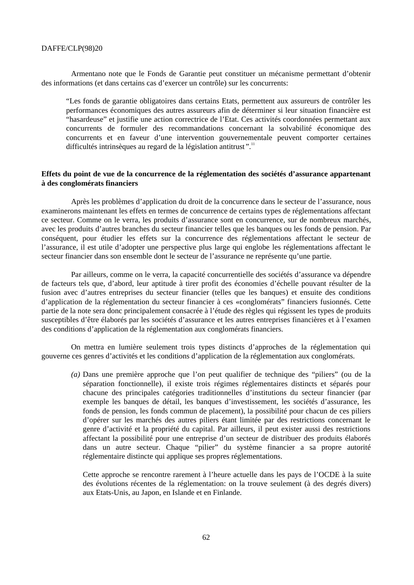Armentano note que le Fonds de Garantie peut constituer un mécanisme permettant d'obtenir des informations (et dans certains cas d'exercer un contrôle) sur les concurrents:

"Les fonds de garantie obligatoires dans certains Etats, permettent aux assureurs de contrôler les performances économiques des autres assureurs afin de déterminer si leur situation financière est "hasardeuse" et justifie une action correctrice de l'Etat. Ces activités coordonnées permettant aux concurrents de formuler des recommandations concernant la solvabilité économique des concurrents et en faveur d'une intervention gouvernementale peuvent comporter certaines difficultés intrinsèques au regard de la législation antitrust".<sup>11</sup>

# **Effets du point de vue de la concurrence de la réglementation des sociétés d'assurance appartenant à des conglomérats financiers**

Après les problèmes d'application du droit de la concurrence dans le secteur de l'assurance, nous examinerons maintenant les effets en termes de concurrence de certains types de réglementations affectant ce secteur. Comme on le verra, les produits d'assurance sont en concurrence, sur de nombreux marchés, avec les produits d'autres branches du secteur financier telles que les banques ou les fonds de pension. Par conséquent, pour étudier les effets sur la concurrence des réglementations affectant le secteur de l'assurance, il est utile d'adopter une perspective plus large qui englobe les réglementations affectant le secteur financier dans son ensemble dont le secteur de l'assurance ne représente qu'une partie.

Par ailleurs, comme on le verra, la capacité concurrentielle des sociétés d'assurance va dépendre de facteurs tels que, d'abord, leur aptitude à tirer profit des économies d'échelle pouvant résulter de la fusion avec d'autres entreprises du secteur financier (telles que les banques) et ensuite des conditions d'application de la réglementation du secteur financier à ces «conglomérats" financiers fusionnés. Cette partie de la note sera donc principalement consacrée à l'étude des règles qui régissent les types de produits susceptibles d'être élaborés par les sociétés d'assurance et les autres entreprises financières et à l'examen des conditions d'application de la réglementation aux conglomérats financiers.

On mettra en lumière seulement trois types distincts d'approches de la réglementation qui gouverne ces genres d'activités et les conditions d'application de la réglementation aux conglomérats.

*(a)* Dans une première approche que l'on peut qualifier de technique des "piliers" (ou de la séparation fonctionnelle), il existe trois régimes réglementaires distincts et séparés pour chacune des principales catégories traditionnelles d'institutions du secteur financier (par exemple les banques de détail, les banques d'investissement, les sociétés d'assurance, les fonds de pension, les fonds commun de placement), la possibilité pour chacun de ces piliers d'opérer sur les marchés des autres piliers étant limitée par des restrictions concernant le genre d'activité et la propriété du capital. Par ailleurs, il peut exister aussi des restrictions affectant la possibilité pour une entreprise d'un secteur de distribuer des produits élaborés dans un autre secteur. Chaque "pilier" du système financier a sa propre autorité réglementaire distincte qui applique ses propres réglementations.

Cette approche se rencontre rarement à l'heure actuelle dans les pays de l'OCDE à la suite des évolutions récentes de la réglementation: on la trouve seulement (à des degrés divers) aux Etats-Unis, au Japon, en Islande et en Finlande.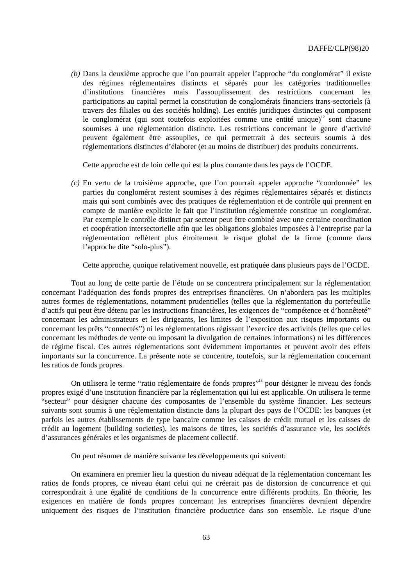*(b)* Dans la deuxième approche que l'on pourrait appeler l'approche "du conglomérat" il existe des régimes réglementaires distincts et séparés pour les catégories traditionnelles d'institutions financières mais l'assouplissement des restrictions concernant les participations au capital permet la constitution de conglomérats financiers trans-sectoriels (à travers des filiales ou des sociétés holding). Les entités juridiques distinctes qui composent le conglomérat (qui sont toutefois exploitées comme une entité unique)<sup>12</sup> sont chacune soumises à une réglementation distincte. Les restrictions concernant le genre d'activité peuvent également être assouplies, ce qui permettrait à des secteurs soumis à des réglementations distinctes d'élaborer (et au moins de distribuer) des produits concurrents.

Cette approche est de loin celle qui est la plus courante dans les pays de l'OCDE.

*(c)* En vertu de la troisième approche, que l'on pourrait appeler approche "coordonnée" les parties du conglomérat restent soumises à des régimes réglementaires séparés et distincts mais qui sont combinés avec des pratiques de réglementation et de contrôle qui prennent en compte de manière explicite le fait que l'institution réglementée constitue un conglomérat. Par exemple le contrôle distinct par secteur peut être combiné avec une certaine coordination et coopération intersectorielle afin que les obligations globales imposées à l'entreprise par la réglementation reflètent plus étroitement le risque global de la firme (comme dans l'approche dite "solo-plus").

Cette approche, quoique relativement nouvelle, est pratiquée dans plusieurs pays de l'OCDE.

Tout au long de cette partie de l'étude on se concentrera principalement sur la réglementation concernant l'adéquation des fonds propres des entreprises financières. On n'abordera pas les multiples autres formes de réglementations, notamment prudentielles (telles que la réglementation du portefeuille d'actifs qui peut être détenu par les instructions financières, les exigences de "compétence et d'honnêteté" concernant les administrateurs et les dirigeants, les limites de l'exposition aux risques importants ou concernant les prêts "connectés") ni les réglementations régissant l'exercice des activités (telles que celles concernant les méthodes de vente ou imposant la divulgation de certaines informations) ni les différences de régime fiscal. Ces autres réglementations sont évidemment importantes et peuvent avoir des effets importants sur la concurrence. La présente note se concentre, toutefois, sur la réglementation concernant les ratios de fonds propres.

On utilisera le terme "ratio réglementaire de fonds propres"<sup>13</sup> pour désigner le niveau des fonds propres exigé d'une institution financière par la réglementation qui lui est applicable. On utilisera le terme "secteur" pour désigner chacune des composantes de l'ensemble du système financier. Les secteurs suivants sont soumis à une réglementation distincte dans la plupart des pays de l'OCDE: les banques (et parfois les autres établissements de type bancaire comme les caisses de crédit mutuel et les caisses de crédit au logement (building societies), les maisons de titres, les sociétés d'assurance vie, les sociétés d'assurances générales et les organismes de placement collectif.

On peut résumer de manière suivante les développements qui suivent:

On examinera en premier lieu la question du niveau adéquat de la réglementation concernant les ratios de fonds propres, ce niveau étant celui qui ne créerait pas de distorsion de concurrence et qui correspondrait à une égalité de conditions de la concurrence entre différents produits. En théorie, les exigences en matière de fonds propres concernant les entreprises financières devraient dépendre uniquement des risques de l'institution financière productrice dans son ensemble. Le risque d'une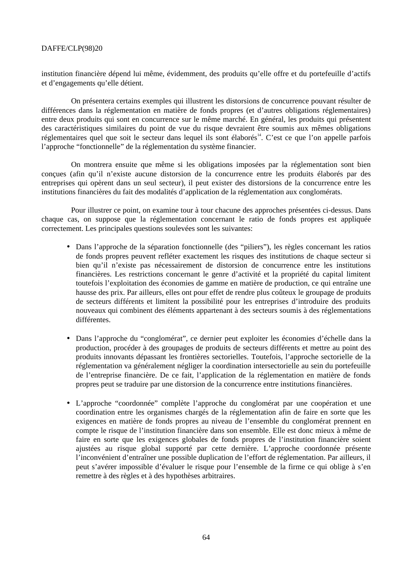institution financière dépend lui même, évidemment, des produits qu'elle offre et du portefeuille d'actifs et d'engagements qu'elle détient.

On présentera certains exemples qui illustrent les distorsions de concurrence pouvant résulter de différences dans la réglementation en matière de fonds propres (et d'autres obligations réglementaires) entre deux produits qui sont en concurrence sur le même marché. En général, les produits qui présentent des caractéristiques similaires du point de vue du risque devraient être soumis aux mêmes obligations réglementaires quel que soit le secteur dans lequel ils sont élaborés<sup>14</sup>. C'est ce que l'on appelle parfois l'approche "fonctionnelle" de la réglementation du système financier.

On montrera ensuite que même si les obligations imposées par la réglementation sont bien conçues (afin qu'il n'existe aucune distorsion de la concurrence entre les produits élaborés par des entreprises qui opèrent dans un seul secteur), il peut exister des distorsions de la concurrence entre les institutions financières du fait des modalités d'application de la réglementation aux conglomérats.

Pour illustrer ce point, on examine tour à tour chacune des approches présentées ci-dessus. Dans chaque cas, on suppose que la réglementation concernant le ratio de fonds propres est appliquée correctement. Les principales questions soulevées sont les suivantes:

- Dans l'approche de la séparation fonctionnelle (des "piliers"), les règles concernant les ratios de fonds propres peuvent refléter exactement les risques des institutions de chaque secteur si bien qu'il n'existe pas nécessairement de distorsion de concurrence entre les institutions financières. Les restrictions concernant le genre d'activité et la propriété du capital limitent toutefois l'exploitation des économies de gamme en matière de production, ce qui entraîne une hausse des prix. Par ailleurs, elles ont pour effet de rendre plus coûteux le groupage de produits de secteurs différents et limitent la possibilité pour les entreprises d'introduire des produits nouveaux qui combinent des éléments appartenant à des secteurs soumis à des réglementations différentes.
- Dans l'approche du "conglomérat", ce dernier peut exploiter les économies d'échelle dans la production, procéder à des groupages de produits de secteurs différents et mettre au point des produits innovants dépassant les frontières sectorielles. Toutefois, l'approche sectorielle de la réglementation va généralement négliger la coordination intersectorielle au sein du portefeuille de l'entreprise financière. De ce fait, l'application de la réglementation en matière de fonds propres peut se traduire par une distorsion de la concurrence entre institutions financières.
- L'approche "coordonnée" complète l'approche du conglomérat par une coopération et une coordination entre les organismes chargés de la réglementation afin de faire en sorte que les exigences en matière de fonds propres au niveau de l'ensemble du conglomérat prennent en compte le risque de l'institution financière dans son ensemble. Elle est donc mieux à même de faire en sorte que les exigences globales de fonds propres de l'institution financière soient ajustées au risque global supporté par cette dernière. L'approche coordonnée présente l'inconvénient d'entraîner une possible duplication de l'effort de réglementation. Par ailleurs, il peut s'avérer impossible d'évaluer le risque pour l'ensemble de la firme ce qui oblige à s'en remettre à des règles et à des hypothèses arbitraires.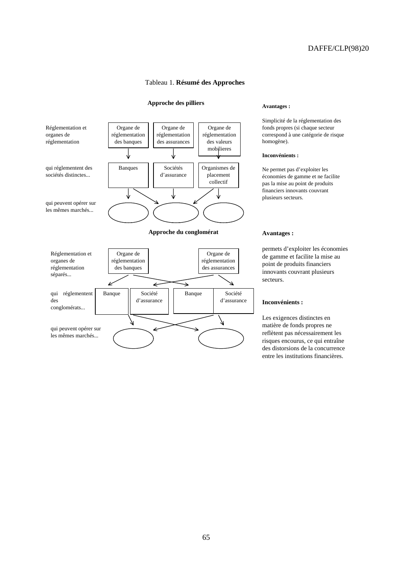# Tableau 1. **Résumé des Approches**





#### **Avantages :**

Simplicité de la réglementation des fonds propres (si chaque secteur correspond à une catégorie de risque homogène).

#### **Inconvénients :**

Ne permet pas d'exploiter les économies de gamme et ne facilite pas la mise au point de produits financiers innovants couvrant plusieurs secteurs.

#### **Avantages :**

permets d'exploiter les économies de gamme et facilite la mise au point de produits financiers innovants couvrant plusieurs secteurs.

#### **Inconvénients :**

Les exigences distinctes en matière de fonds propres ne reflètent pas nécessairement les risques encourus, ce qui entraîne des distorsions de la concurrence entre les institutions financières.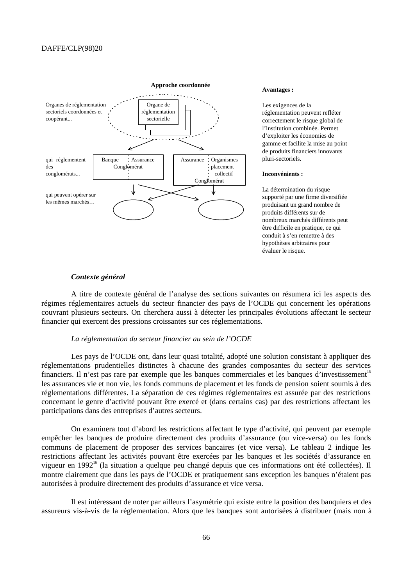

#### **Avantages :**

Les exigences de la réglementation peuvent refléter correctement le risque global de l'institution combinée. Permet d'exploiter les économies de gamme et facilite la mise au point de produits financiers innovants pluri-sectoriels.

#### **Inconvénients :**

La détermination du risque supporté par une firme diversifiée produisant un grand nombre de produits différents sur de nombreux marchés différents peut être difficile en pratique, ce qui conduit à s'en remettre à des hypothèses arbitraires pour évaluer le risque.

# *Contexte général*

A titre de contexte général de l'analyse des sections suivantes on résumera ici les aspects des régimes réglementaires actuels du secteur financier des pays de l'OCDE qui concernent les opérations couvrant plusieurs secteurs. On cherchera aussi à détecter les principales évolutions affectant le secteur financier qui exercent des pressions croissantes sur ces réglementations.

### *La réglementation du secteur financier au sein de l'OCDE*

Les pays de l'OCDE ont, dans leur quasi totalité, adopté une solution consistant à appliquer des réglementations prudentielles distinctes à chacune des grandes composantes du secteur des services financiers. Il n'est pas rare par exemple que les banques commerciales et les banques d'investissement<sup>15</sup> les assurances vie et non vie, les fonds communs de placement et les fonds de pension soient soumis à des réglementations différentes. La séparation de ces régimes réglementaires est assurée par des restrictions concernant le genre d'activité pouvant être exercé et (dans certains cas) par des restrictions affectant les participations dans des entreprises d'autres secteurs.

On examinera tout d'abord les restrictions affectant le type d'activité, qui peuvent par exemple empêcher les banques de produire directement des produits d'assurance (ou vice-versa) ou les fonds communs de placement de proposer des services bancaires (et vice versa). Le tableau 2 indique les restrictions affectant les activités pouvant être exercées par les banques et les sociétés d'assurance en vigueur en 1992<sup>16</sup> (la situation a quelque peu changé depuis que ces informations ont été collectées). Il montre clairement que dans les pays de l'OCDE et pratiquement sans exception les banques n'étaient pas autorisées à produire directement des produits d'assurance et vice versa.

Il est intéressant de noter par ailleurs l'asymétrie qui existe entre la position des banquiers et des assureurs vis-à-vis de la réglementation. Alors que les banques sont autorisées à distribuer (mais non à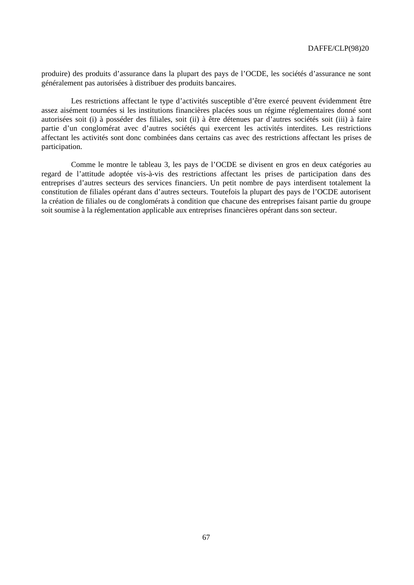produire) des produits d'assurance dans la plupart des pays de l'OCDE, les sociétés d'assurance ne sont généralement pas autorisées à distribuer des produits bancaires.

Les restrictions affectant le type d'activités susceptible d'être exercé peuvent évidemment être assez aisément tournées si les institutions financières placées sous un régime réglementaires donné sont autorisées soit (i) à posséder des filiales, soit (ii) à être détenues par d'autres sociétés soit (iii) à faire partie d'un conglomérat avec d'autres sociétés qui exercent les activités interdites. Les restrictions affectant les activités sont donc combinées dans certains cas avec des restrictions affectant les prises de participation.

Comme le montre le tableau 3, les pays de l'OCDE se divisent en gros en deux catégories au regard de l'attitude adoptée vis-à-vis des restrictions affectant les prises de participation dans des entreprises d'autres secteurs des services financiers. Un petit nombre de pays interdisent totalement la constitution de filiales opérant dans d'autres secteurs. Toutefois la plupart des pays de l'OCDE autorisent la création de filiales ou de conglomérats à condition que chacune des entreprises faisant partie du groupe soit soumise à la réglementation applicable aux entreprises financières opérant dans son secteur.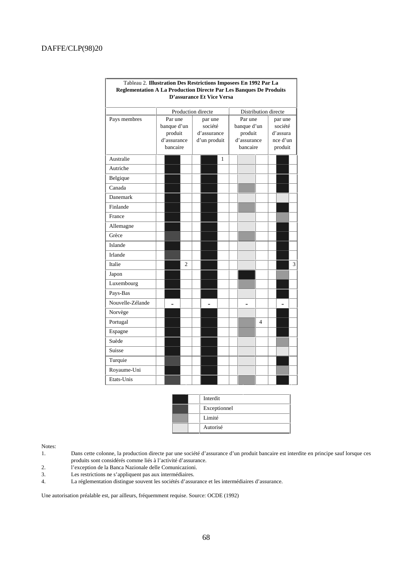| Tableau 2. Illustration Des Restrictions Imposees En 1992 Par La<br><b>Reglementation A La Production Directe Par Les Banques De Produits</b> |                                                              |                    |  | D'assurance Et Vice Versa                         |              |  |                                                              |                |  |                                                       |   |
|-----------------------------------------------------------------------------------------------------------------------------------------------|--------------------------------------------------------------|--------------------|--|---------------------------------------------------|--------------|--|--------------------------------------------------------------|----------------|--|-------------------------------------------------------|---|
|                                                                                                                                               |                                                              | Production directe |  |                                                   |              |  | Distribution directe                                         |                |  |                                                       |   |
| Pays membres                                                                                                                                  | Par une<br>banque d'un<br>produit<br>d'assurance<br>bancaire |                    |  | par une<br>société<br>d'assurance<br>d'un produit |              |  | Par une<br>banque d'un<br>produit<br>d'assurance<br>bancaire |                |  | par une<br>société<br>d'assura<br>nce d'un<br>produit |   |
| Australie                                                                                                                                     |                                                              |                    |  |                                                   | $\mathbf{1}$ |  |                                                              |                |  |                                                       |   |
| Autriche                                                                                                                                      |                                                              |                    |  |                                                   |              |  |                                                              |                |  |                                                       |   |
| Belgique                                                                                                                                      |                                                              |                    |  |                                                   |              |  |                                                              |                |  |                                                       |   |
| Canada                                                                                                                                        |                                                              |                    |  |                                                   |              |  |                                                              |                |  |                                                       |   |
| Danemark                                                                                                                                      |                                                              |                    |  |                                                   |              |  |                                                              |                |  |                                                       |   |
| Finlande                                                                                                                                      |                                                              |                    |  |                                                   |              |  |                                                              |                |  |                                                       |   |
| France                                                                                                                                        |                                                              |                    |  |                                                   |              |  |                                                              |                |  |                                                       |   |
| Allemagne                                                                                                                                     |                                                              |                    |  |                                                   |              |  |                                                              |                |  |                                                       |   |
| Grèce                                                                                                                                         |                                                              |                    |  |                                                   |              |  |                                                              |                |  |                                                       |   |
| Islande                                                                                                                                       |                                                              |                    |  |                                                   |              |  |                                                              |                |  |                                                       |   |
| Irlande                                                                                                                                       |                                                              |                    |  |                                                   |              |  |                                                              |                |  |                                                       |   |
| Italie                                                                                                                                        |                                                              | 2                  |  |                                                   |              |  |                                                              |                |  |                                                       | 3 |
| Japon                                                                                                                                         |                                                              |                    |  |                                                   |              |  |                                                              |                |  |                                                       |   |
| Luxembourg                                                                                                                                    |                                                              |                    |  |                                                   |              |  |                                                              |                |  |                                                       |   |
| Pays-Bas                                                                                                                                      |                                                              |                    |  |                                                   |              |  |                                                              |                |  |                                                       |   |
| Nouvelle-Zélande                                                                                                                              |                                                              |                    |  |                                                   |              |  |                                                              |                |  |                                                       |   |
| Norvège                                                                                                                                       |                                                              |                    |  |                                                   |              |  |                                                              |                |  |                                                       |   |
| Portugal                                                                                                                                      |                                                              |                    |  |                                                   |              |  |                                                              | $\overline{4}$ |  |                                                       |   |
| Espagne                                                                                                                                       |                                                              |                    |  |                                                   |              |  |                                                              |                |  |                                                       |   |
| Suède                                                                                                                                         |                                                              |                    |  |                                                   |              |  |                                                              |                |  |                                                       |   |
| Suisse                                                                                                                                        |                                                              |                    |  |                                                   |              |  |                                                              |                |  |                                                       |   |
| Turquie                                                                                                                                       |                                                              |                    |  |                                                   |              |  |                                                              |                |  |                                                       |   |
| Royaume-Uni                                                                                                                                   |                                                              |                    |  |                                                   |              |  |                                                              |                |  |                                                       |   |
| Etats-Unis                                                                                                                                    |                                                              |                    |  |                                                   |              |  |                                                              |                |  |                                                       |   |

|  | Interdit     |
|--|--------------|
|  | Exceptionnel |
|  | Limité       |
|  | Autorisé     |

Notes:

1. Dans cette colonne, la production directe par une société d'assurance d'un produit bancaire est interdite en principe sauf lorsque ces produits sont considérés comme liés à l'activité d'assurance.

- 
- 2. l'exception de la Banca Nazionale delle Comunicazioni.<br>3. Les restrictions ne s'appliquent pas aux intermédiaires. Les restrictions ne s'appliquent pas aux intermédiaires.
- 4. La réglementation distingue souvent les sociétés d'assurance et les intermédiaires d'assurance.

Une autorisation préalable est, par ailleurs, fréquemment requise. Source: OCDE (1992)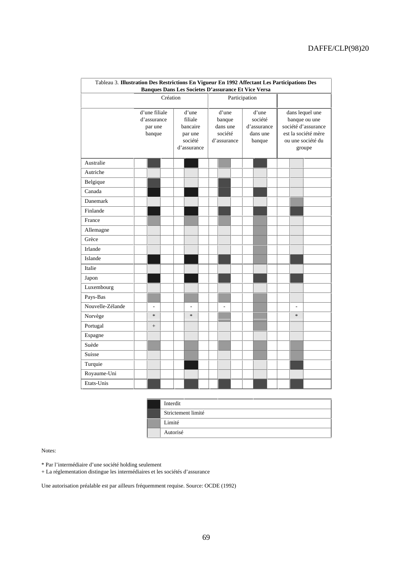| Tableau 3. Illustration Des Restrictions En Vigueur En 1992 Affectant Les Participations Des | Banques Dans Les Societes D'assurance Et Vice Versa |  |                                                                   |        |                                                       |               |                                                       |  |  |                                                                                                               |  |  |                |  |
|----------------------------------------------------------------------------------------------|-----------------------------------------------------|--|-------------------------------------------------------------------|--------|-------------------------------------------------------|---------------|-------------------------------------------------------|--|--|---------------------------------------------------------------------------------------------------------------|--|--|----------------|--|
| Création                                                                                     |                                                     |  |                                                                   |        |                                                       | Participation |                                                       |  |  |                                                                                                               |  |  |                |  |
|                                                                                              | d'une filiale<br>d'assurance<br>par une<br>banque   |  | d'une<br>filiale<br>bancaire<br>par une<br>société<br>d'assurance |        | d'une<br>banque<br>dans une<br>société<br>d'assurance |               | d'une<br>société<br>d'assurance<br>dans une<br>banque |  |  | dans lequel une<br>banque ou une<br>société d'assurance<br>est la société mère<br>ou une société du<br>groupe |  |  |                |  |
| Australie                                                                                    |                                                     |  |                                                                   |        |                                                       |               |                                                       |  |  |                                                                                                               |  |  |                |  |
| Autriche                                                                                     |                                                     |  |                                                                   |        |                                                       |               |                                                       |  |  |                                                                                                               |  |  |                |  |
| Belgique                                                                                     |                                                     |  |                                                                   |        |                                                       |               |                                                       |  |  |                                                                                                               |  |  |                |  |
| Canada                                                                                       |                                                     |  |                                                                   |        |                                                       |               |                                                       |  |  |                                                                                                               |  |  |                |  |
| Danemark                                                                                     |                                                     |  |                                                                   |        |                                                       |               |                                                       |  |  |                                                                                                               |  |  |                |  |
| Finlande                                                                                     |                                                     |  |                                                                   |        |                                                       |               |                                                       |  |  |                                                                                                               |  |  |                |  |
| France                                                                                       |                                                     |  |                                                                   |        |                                                       |               |                                                       |  |  |                                                                                                               |  |  |                |  |
| Allemagne                                                                                    |                                                     |  |                                                                   |        |                                                       |               |                                                       |  |  |                                                                                                               |  |  |                |  |
| Grèce                                                                                        |                                                     |  |                                                                   |        |                                                       |               |                                                       |  |  |                                                                                                               |  |  |                |  |
| Irlande                                                                                      |                                                     |  |                                                                   |        |                                                       |               |                                                       |  |  |                                                                                                               |  |  |                |  |
| Islande                                                                                      |                                                     |  |                                                                   |        |                                                       |               |                                                       |  |  |                                                                                                               |  |  |                |  |
| Italie                                                                                       |                                                     |  |                                                                   |        |                                                       |               |                                                       |  |  |                                                                                                               |  |  |                |  |
| Japon                                                                                        |                                                     |  |                                                                   |        |                                                       |               |                                                       |  |  |                                                                                                               |  |  |                |  |
| Luxembourg                                                                                   |                                                     |  |                                                                   |        |                                                       |               |                                                       |  |  |                                                                                                               |  |  |                |  |
| Pays-Bas                                                                                     |                                                     |  |                                                                   |        |                                                       |               |                                                       |  |  |                                                                                                               |  |  |                |  |
| Nouvelle-Zélande                                                                             |                                                     |  |                                                                   |        |                                                       |               |                                                       |  |  |                                                                                                               |  |  | $\overline{a}$ |  |
| Norvège                                                                                      | $*$                                                 |  |                                                                   | $\ast$ |                                                       |               |                                                       |  |  |                                                                                                               |  |  | $*$            |  |
| Portugal                                                                                     | $\boldsymbol{+}$                                    |  |                                                                   |        |                                                       |               |                                                       |  |  |                                                                                                               |  |  |                |  |
| Espagne                                                                                      |                                                     |  |                                                                   |        |                                                       |               |                                                       |  |  |                                                                                                               |  |  |                |  |
| Suède                                                                                        |                                                     |  |                                                                   |        |                                                       |               |                                                       |  |  |                                                                                                               |  |  |                |  |
| Suisse                                                                                       |                                                     |  |                                                                   |        |                                                       |               |                                                       |  |  |                                                                                                               |  |  |                |  |
| Turquie                                                                                      |                                                     |  |                                                                   |        |                                                       |               |                                                       |  |  |                                                                                                               |  |  |                |  |
| Royaume-Uni                                                                                  |                                                     |  |                                                                   |        |                                                       |               |                                                       |  |  |                                                                                                               |  |  |                |  |
| Etats-Unis                                                                                   |                                                     |  |                                                                   |        |                                                       |               |                                                       |  |  |                                                                                                               |  |  |                |  |

| Interdit           |
|--------------------|
| Strictement limité |
| Limité             |
| Autorisé           |

Notes:

\* Par l'intermédiaire d'une société holding seulement

+ La réglementation distingue les intermédiaires et les sociétés d'assurance

Une autorisation préalable est par ailleurs fréquemment requise. Source: OCDE (1992)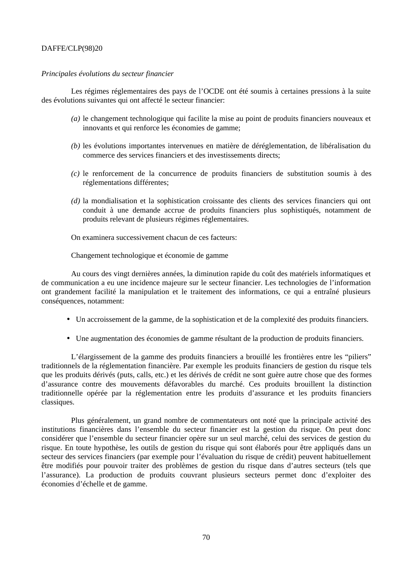# *Principales évolutions du secteur financier*

Les régimes réglementaires des pays de l'OCDE ont été soumis à certaines pressions à la suite des évolutions suivantes qui ont affecté le secteur financier:

- *(a)* le changement technologique qui facilite la mise au point de produits financiers nouveaux et innovants et qui renforce les économies de gamme;
- *(b)* les évolutions importantes intervenues en matière de déréglementation, de libéralisation du commerce des services financiers et des investissements directs;
- *(c)* le renforcement de la concurrence de produits financiers de substitution soumis à des réglementations différentes;
- *(d)* la mondialisation et la sophistication croissante des clients des services financiers qui ont conduit à une demande accrue de produits financiers plus sophistiqués, notamment de produits relevant de plusieurs régimes réglementaires.

On examinera successivement chacun de ces facteurs:

Changement technologique et économie de gamme

Au cours des vingt dernières années, la diminution rapide du coût des matériels informatiques et de communication a eu une incidence majeure sur le secteur financier. Les technologies de l'information ont grandement facilité la manipulation et le traitement des informations, ce qui a entraîné plusieurs conséquences, notamment:

- Un accroissement de la gamme, de la sophistication et de la complexité des produits financiers.
- Une augmentation des économies de gamme résultant de la production de produits financiers.

L'élargissement de la gamme des produits financiers a brouillé les frontières entre les "piliers" traditionnels de la réglementation financière. Par exemple les produits financiers de gestion du risque tels que les produits dérivés (puts, calls, etc.) et les dérivés de crédit ne sont guère autre chose que des formes d'assurance contre des mouvements défavorables du marché. Ces produits brouillent la distinction traditionnelle opérée par la réglementation entre les produits d'assurance et les produits financiers classiques.

Plus généralement, un grand nombre de commentateurs ont noté que la principale activité des institutions financières dans l'ensemble du secteur financier est la gestion du risque. On peut donc considérer que l'ensemble du secteur financier opère sur un seul marché, celui des services de gestion du risque. En toute hypothèse, les outils de gestion du risque qui sont élaborés pour être appliqués dans un secteur des services financiers (par exemple pour l'évaluation du risque de crédit) peuvent habituellement être modifiés pour pouvoir traiter des problèmes de gestion du risque dans d'autres secteurs (tels que l'assurance). La production de produits couvrant plusieurs secteurs permet donc d'exploiter des économies d'échelle et de gamme.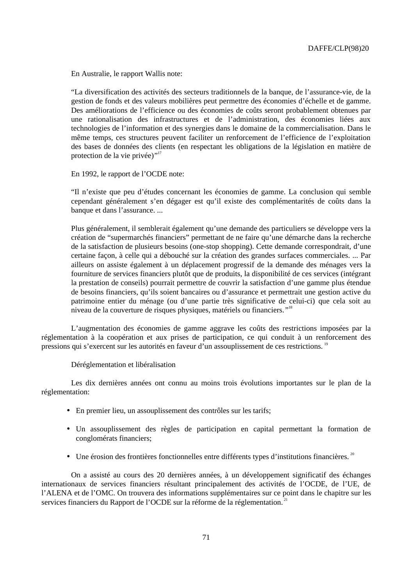En Australie, le rapport Wallis note:

"La diversification des activités des secteurs traditionnels de la banque, de l'assurance-vie, de la gestion de fonds et des valeurs mobilières peut permettre des économies d'échelle et de gamme. Des améliorations de l'efficience ou des économies de coûts seront probablement obtenues par une rationalisation des infrastructures et de l'administration, des économies liées aux technologies de l'information et des synergies dans le domaine de la commercialisation. Dans le même temps, ces structures peuvent faciliter un renforcement de l'efficience de l'exploitation des bases de données des clients (en respectant les obligations de la législation en matière de protection de la vie privée)"<sup>17</sup>

En 1992, le rapport de l'OCDE note:

"Il n'existe que peu d'études concernant les économies de gamme. La conclusion qui semble cependant généralement s'en dégager est qu'il existe des complémentarités de coûts dans la banque et dans l'assurance. ...

Plus généralement, il semblerait également qu'une demande des particuliers se développe vers la création de "supermarchés financiers" permettant de ne faire qu'une démarche dans la recherche de la satisfaction de plusieurs besoins (one-stop shopping). Cette demande correspondrait, d'une certaine façon, à celle qui a débouché sur la création des grandes surfaces commerciales. ... Par ailleurs on assiste également à un déplacement progressif de la demande des ménages vers la fourniture de services financiers plutôt que de produits, la disponibilité de ces services (intégrant la prestation de conseils) pourrait permettre de couvrir la satisfaction d'une gamme plus étendue de besoins financiers, qu'ils soient bancaires ou d'assurance et permettrait une gestion active du patrimoine entier du ménage (ou d'une partie très significative de celui-ci) que cela soit au niveau de la couverture de risques physiques, matériels ou financiers."<sup>18</sup>

L'augmentation des économies de gamme aggrave les coûts des restrictions imposées par la réglementation à la coopération et aux prises de participation, ce qui conduit à un renforcement des pressions qui s'exercent sur les autorités en faveur d'un assouplissement de ces restrictions. <sup>19</sup>

Déréglementation et libéralisation

Les dix dernières années ont connu au moins trois évolutions importantes sur le plan de la réglementation:

- En premier lieu, un assouplissement des contrôles sur les tarifs;
- Un assouplissement des règles de participation en capital permettant la formation de conglomérats financiers;
- $\bullet$  Une érosion des frontières fonctionnelles entre différents types d'institutions financières.<sup>20</sup>

On a assisté au cours des 20 dernières années, à un développement significatif des échanges internationaux de services financiers résultant principalement des activités de l'OCDE, de l'UE, de l'ALENA et de l'OMC. On trouvera des informations supplémentaires sur ce point dans le chapitre sur les services financiers du Rapport de l'OCDE sur la réforme de la réglementation.<sup>21</sup>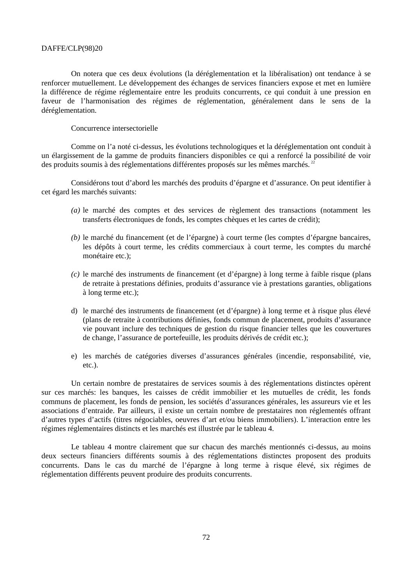On notera que ces deux évolutions (la déréglementation et la libéralisation) ont tendance à se renforcer mutuellement. Le développement des échanges de services financiers expose et met en lumière la différence de régime réglementaire entre les produits concurrents, ce qui conduit à une pression en faveur de l'harmonisation des régimes de réglementation, généralement dans le sens de la déréglementation.

Concurrence intersectorielle

Comme on l'a noté ci-dessus, les évolutions technologiques et la déréglementation ont conduit à un élargissement de la gamme de produits financiers disponibles ce qui a renforcé la possibilité de voir des produits soumis à des réglementations différentes proposés sur les mêmes marchés.

Considérons tout d'abord les marchés des produits d'épargne et d'assurance. On peut identifier à cet égard les marchés suivants:

- *(a)* le marché des comptes et des services de règlement des transactions (notamment les transferts électroniques de fonds, les comptes chèques et les cartes de crédit);
- *(b)* le marché du financement (et de l'épargne) à court terme (les comptes d'épargne bancaires, les dépôts à court terme, les crédits commerciaux à court terme, les comptes du marché monétaire etc.);
- *(c)* le marché des instruments de financement (et d'épargne) à long terme à faible risque (plans de retraite à prestations définies, produits d'assurance vie à prestations garanties, obligations à long terme etc.);
- d) le marché des instruments de financement (et d'épargne) à long terme et à risque plus élevé (plans de retraite à contributions définies, fonds commun de placement, produits d'assurance vie pouvant inclure des techniques de gestion du risque financier telles que les couvertures de change, l'assurance de portefeuille, les produits dérivés de crédit etc.);
- e) les marchés de catégories diverses d'assurances générales (incendie, responsabilité, vie, etc.).

Un certain nombre de prestataires de services soumis à des réglementations distinctes opèrent sur ces marchés: les banques, les caisses de crédit immobilier et les mutuelles de crédit, les fonds communs de placement, les fonds de pension, les sociétés d'assurances générales, les assureurs vie et les associations d'entraide. Par ailleurs, il existe un certain nombre de prestataires non réglementés offrant d'autres types d'actifs (titres négociables, oeuvres d'art et/ou biens immobiliers). L'interaction entre les régimes réglementaires distincts et les marchés est illustrée par le tableau 4.

Le tableau 4 montre clairement que sur chacun des marchés mentionnés ci-dessus, au moins deux secteurs financiers différents soumis à des réglementations distinctes proposent des produits concurrents. Dans le cas du marché de l'épargne à long terme à risque élevé, six régimes de réglementation différents peuvent produire des produits concurrents.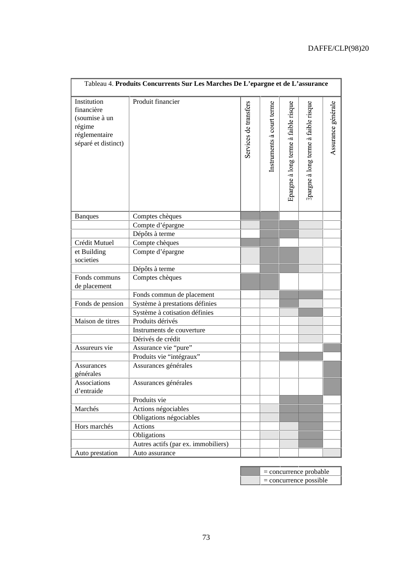|                                                                                              | Tableau 4. Produits Concurrents Sur Les Marches De L'epargne et de L'assurance |                       |                           |                                      |                                      |                    |
|----------------------------------------------------------------------------------------------|--------------------------------------------------------------------------------|-----------------------|---------------------------|--------------------------------------|--------------------------------------|--------------------|
| Institution<br>financière<br>(soumise à un<br>régime<br>réglementaire<br>séparé et distinct) | Produit financier                                                              | Services de transfers | Instruments à court terme | Epargne à long terme à faible risque | Epargne à long terme à faible risque | Assurance générale |
| <b>Banques</b>                                                                               | Comptes chèques                                                                |                       |                           |                                      |                                      |                    |
|                                                                                              | Compte d'épargne                                                               |                       |                           |                                      |                                      |                    |
|                                                                                              | Dépôts à terme                                                                 |                       |                           |                                      |                                      |                    |
| Crédit Mutuel                                                                                | Compte chèques                                                                 |                       |                           |                                      |                                      |                    |
| et Building<br>societies                                                                     | Compte d'épargne                                                               |                       |                           |                                      |                                      |                    |
|                                                                                              | Dépôts à terme                                                                 |                       |                           |                                      |                                      |                    |
| Fonds communs<br>de placement                                                                | Comptes chèques                                                                |                       |                           |                                      |                                      |                    |
|                                                                                              | Fonds commun de placement                                                      |                       |                           |                                      |                                      |                    |
| Fonds de pension                                                                             | Système à prestations définies<br>Système à cotisation définies                |                       |                           |                                      |                                      |                    |
| Maison de titres                                                                             | Produits dérivés                                                               |                       |                           |                                      |                                      |                    |
|                                                                                              | Instruments de couverture                                                      |                       |                           |                                      |                                      |                    |
|                                                                                              | Dérivés de crédit                                                              |                       |                           |                                      |                                      |                    |
| Assureurs vie                                                                                | Assurance vie "pure"                                                           |                       |                           |                                      |                                      |                    |
|                                                                                              | Produits vie "intégraux"                                                       |                       |                           |                                      |                                      |                    |
| Assurances<br>générales                                                                      | Assurances générales                                                           |                       |                           |                                      |                                      |                    |
| <b>Associations</b><br>d'entraide                                                            | Assurances générales                                                           |                       |                           |                                      |                                      |                    |
|                                                                                              | Produits vie                                                                   |                       |                           |                                      |                                      |                    |
| Marchés                                                                                      | Actions négociables                                                            |                       |                           |                                      |                                      |                    |
|                                                                                              | Obligations négociables                                                        |                       |                           |                                      |                                      |                    |
| Hors marchés                                                                                 | Actions                                                                        |                       |                           |                                      |                                      |                    |
|                                                                                              | Obligations                                                                    |                       |                           |                                      |                                      |                    |
|                                                                                              | Autres actifs (par ex. immobiliers)                                            |                       |                           |                                      |                                      |                    |
| Auto prestation                                                                              | Auto assurance                                                                 |                       |                           |                                      |                                      |                    |

| $=$ concurrence probable |
|--------------------------|
| $=$ concurrence possible |

F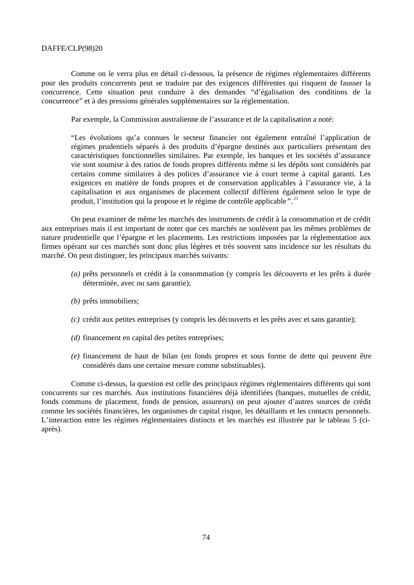Comme on le verra plus en détail ci-dessous, la présence de régimes réglementaires différents pour des produits concurrents peut se traduire par des exigences différentes qui risquent de fausser la concurrence. Cette situation peut conduire à des demandes "d'égalisation des conditions de la concurrence" et à des pressions générales supplémentaires sur la réglementation.

Par exemple, la Commission australienne de l'assurance et de la capitalisation a noté:

"Les évolutions qu'a connues le secteur financier ont également entraîné l'application de régimes prudentiels séparés à des produits d'épargne destinés aux particuliers présentant des caractéristiques fonctionnelles similaires. Par exemple, les banques et les sociétés d'assurance vie sont soumise à des ratios de fonds propres différents même si les dépôts sont considérés par certains comme similaires à des polices d'assurance vie à court terme à capital garanti. Les exigences en matière de fonds propres et de conservation applicables à l'assurance vie, à la capitalisation et aux organismes de placement collectif diffèrent également selon le type de produit, l'institution qui la propose et le régime de contrôle applicable ".<sup>23</sup>

On peut examiner de même les marchés des instruments de crédit à la consommation et de crédit aux entreprises mais il est important de noter que ces marchés ne soulèvent pas les mêmes problèmes de nature prudentielle que l'épargne et les placements. Les restrictions imposées par la réglementation aux firmes opérant sur ces marchés sont donc plus légères et très souvent sans incidence sur les résultats du marché. On peut distinguer, les principaux marchés suivants:

- *(a)* prêts personnels et crédit à la consommation (y compris les découverts et les prêts à durée déterminée, avec ou sans garantie);
- *(b)* prêts immobiliers;
- *(c)* crédit aux petites entreprises (y compris les découverts et les prêts avec et sans garantie);
- *(d)* financement en capital des petites entreprises;
- *(e)* financement de haut de bilan (en fonds propres et sous forme de dette qui peuvent être considérés dans une certaine mesure comme substituables).

Comme ci-dessus, la question est celle des principaux régimes réglementaires différents qui sont concurrents sur ces marchés. Aux institutions financières déjà identifiées (banques, mutuelles de crédit, fonds communs de placement, fonds de pension, assureurs) on peut ajouter d'autres sources de crédit comme les sociétés financières, les organismes de capital risque, les détaillants et les contacts personnels. L'interaction entre les régimes réglementaires distincts et les marchés est illustrée par le tableau 5 (ciaprès).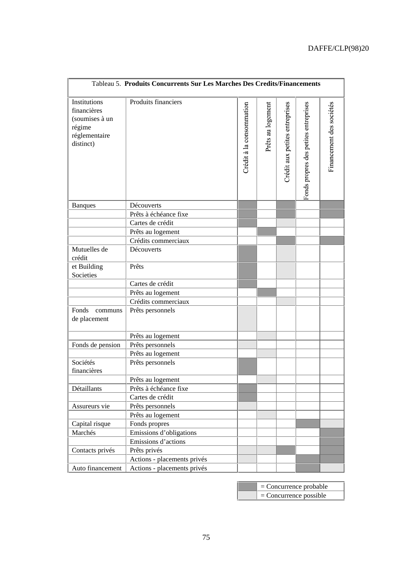| Tableau 5. Produits Concurrents Sur Les Marches Des Credits/Financements              |                             |                          |                   |                                |                                       |                          |
|---------------------------------------------------------------------------------------|-----------------------------|--------------------------|-------------------|--------------------------------|---------------------------------------|--------------------------|
| Institutions<br>financières<br>(soumises à un<br>régime<br>réglementaire<br>distinct) | Produits financiers         | Crédit à la consommation | Prêts au logement | Crédit aux petites entreprises | Fonds propres des petites entreprises | Financement des sociétés |
|                                                                                       | Découverts                  |                          |                   |                                |                                       |                          |
| <b>Banques</b>                                                                        | Prêts à échéance fixe       |                          |                   |                                |                                       |                          |
|                                                                                       | Cartes de crédit            |                          |                   |                                |                                       |                          |
|                                                                                       | Prêts au logement           |                          |                   |                                |                                       |                          |
|                                                                                       | Crédits commerciaux         |                          |                   |                                |                                       |                          |
| Mutuelles de<br>crédit                                                                | Découverts                  |                          |                   |                                |                                       |                          |
| et Building<br>Societies                                                              | Prêts                       |                          |                   |                                |                                       |                          |
|                                                                                       | Cartes de crédit            |                          |                   |                                |                                       |                          |
|                                                                                       | Prêts au logement           |                          |                   |                                |                                       |                          |
|                                                                                       | Crédits commerciaux         |                          |                   |                                |                                       |                          |
| Fonds<br>communs<br>de placement                                                      | Prêts personnels            |                          |                   |                                |                                       |                          |
|                                                                                       | Prêts au logement           |                          |                   |                                |                                       |                          |
| Fonds de pension                                                                      | Prêts personnels            |                          |                   |                                |                                       |                          |
|                                                                                       | Prêts au logement           |                          |                   |                                |                                       |                          |
| Sociétés<br>financières                                                               | Prêts personnels            |                          |                   |                                |                                       |                          |
|                                                                                       | Prêts au logement           |                          |                   |                                |                                       |                          |
| Détaillants                                                                           | Prêts à échéance fixe       |                          |                   |                                |                                       |                          |
|                                                                                       | Cartes de crédit            |                          |                   |                                |                                       |                          |
| Assureurs vie                                                                         | Prêts personnels            |                          |                   |                                |                                       |                          |
|                                                                                       | Prêts au logement           |                          |                   |                                |                                       |                          |
| Capital risque                                                                        | Fonds propres               |                          |                   |                                |                                       |                          |
| Marchés                                                                               | Emissions d'obligations     |                          |                   |                                |                                       |                          |
|                                                                                       | Emissions d'actions         |                          |                   |                                |                                       |                          |
| Contacts privés                                                                       | Prêts privés                |                          |                   |                                |                                       |                          |
|                                                                                       | Actions - placements privés |                          |                   |                                |                                       |                          |
| Auto financement                                                                      | Actions - placements privés |                          |                   |                                |                                       |                          |

| $=$ Concurrence probable           |
|------------------------------------|
| $\parallel$ = Concurrence possible |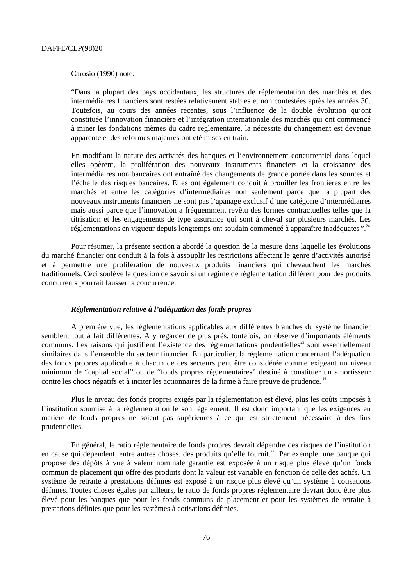Carosio (1990) note:

"Dans la plupart des pays occidentaux, les structures de réglementation des marchés et des intermédiaires financiers sont restées relativement stables et non contestées après les années 30. Toutefois, au cours des années récentes, sous l'influence de la double évolution qu'ont constituée l'innovation financière et l'intégration internationale des marchés qui ont commencé à miner les fondations mêmes du cadre réglementaire, la nécessité du changement est devenue apparente et des réformes majeures ont été mises en train.

En modifiant la nature des activités des banques et l'environnement concurrentiel dans lequel elles opèrent, la prolifération des nouveaux instruments financiers et la croissance des intermédiaires non bancaires ont entraîné des changements de grande portée dans les sources et l'échelle des risques bancaires. Elles ont également conduit à brouiller les frontières entre les marchés et entre les catégories d'intermédiaires non seulement parce que la plupart des nouveaux instruments financiers ne sont pas l'apanage exclusif d'une catégorie d'intermédiaires mais aussi parce que l'innovation a fréquemment revêtu des formes contractuelles telles que la titrisation et les engagements de type assurance qui sont à cheval sur plusieurs marchés. Les réglementations en vigueur depuis longtemps ont soudain commencé à apparaître inadéquates".<sup>24</sup>

Pour résumer, la présente section a abordé la question de la mesure dans laquelle les évolutions du marché financier ont conduit à la fois à assouplir les restrictions affectant le genre d'activités autorisé et à permettre une prolifération de nouveaux produits financiers qui chevauchent les marchés traditionnels. Ceci soulève la question de savoir si un régime de réglementation différent pour des produits concurrents pourrait fausser la concurrence.

### *Réglementation relative à l'adéquation des fonds propres*

A première vue, les réglementations applicables aux différentes branches du système financier semblent tout à fait différentes. A y regarder de plus près, toutefois, on observe d'importants éléments communs. Les raisons qui justifient l'existence des réglementations prudentielles<sup>25</sup> sont essentiellement similaires dans l'ensemble du secteur financier. En particulier, la réglementation concernant l'adéquation des fonds propres applicable à chacun de ces secteurs peut être considérée comme exigeant un niveau minimum de "capital social" ou de "fonds propres réglementaires" destiné à constituer un amortisseur contre les chocs négatifs et à inciter les actionnaires de la firme à faire preuve de prudence.<sup>26</sup>

Plus le niveau des fonds propres exigés par la réglementation est élevé, plus les coûts imposés à l'institution soumise à la réglementation le sont également. Il est donc important que les exigences en matière de fonds propres ne soient pas supérieures à ce qui est strictement nécessaire à des fins prudentielles.

En général, le ratio réglementaire de fonds propres devrait dépendre des risques de l'institution en cause qui dépendent, entre autres choses, des produits qu'elle fournit.<sup>27</sup> Par exemple, une banque qui propose des dépôts à vue à valeur nominale garantie est exposée à un risque plus élevé qu'un fonds commun de placement qui offre des produits dont la valeur est variable en fonction de celle des actifs. Un système de retraite à prestations définies est exposé à un risque plus élevé qu'un système à cotisations définies. Toutes choses égales par ailleurs, le ratio de fonds propres réglementaire devrait donc être plus élevé pour les banques que pour les fonds communs de placement et pour les systèmes de retraite à prestations définies que pour les systèmes à cotisations définies.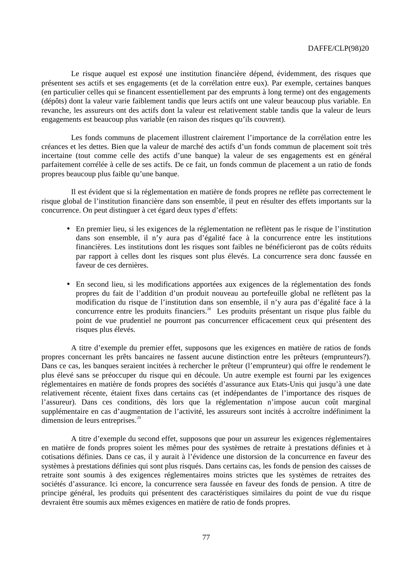Le risque auquel est exposé une institution financière dépend, évidemment, des risques que présentent ses actifs et ses engagements (et de la corrélation entre eux). Par exemple, certaines banques (en particulier celles qui se financent essentiellement par des emprunts à long terme) ont des engagements (dépôts) dont la valeur varie faiblement tandis que leurs actifs ont une valeur beaucoup plus variable. En revanche, les assureurs ont des actifs dont la valeur est relativement stable tandis que la valeur de leurs engagements est beaucoup plus variable (en raison des risques qu'ils couvrent).

Les fonds communs de placement illustrent clairement l'importance de la corrélation entre les créances et les dettes. Bien que la valeur de marché des actifs d'un fonds commun de placement soit très incertaine (tout comme celle des actifs d'une banque) la valeur de ses engagements est en général parfaitement corrélée à celle de ses actifs. De ce fait, un fonds commun de placement a un ratio de fonds propres beaucoup plus faible qu'une banque.

Il est évident que si la réglementation en matière de fonds propres ne reflète pas correctement le risque global de l'institution financière dans son ensemble, il peut en résulter des effets importants sur la concurrence. On peut distinguer à cet égard deux types d'effets:

- En premier lieu, si les exigences de la réglementation ne reflètent pas le risque de l'institution dans son ensemble, il n'y aura pas d'égalité face à la concurrence entre les institutions financières. Les institutions dont les risques sont faibles ne bénéficieront pas de coûts réduits par rapport à celles dont les risques sont plus élevés. La concurrence sera donc faussée en faveur de ces dernières.
- En second lieu, si les modifications apportées aux exigences de la réglementation des fonds propres du fait de l'addition d'un produit nouveau au portefeuille global ne reflètent pas la modification du risque de l'institution dans son ensemble, il n'y aura pas d'égalité face à la concurrence entre les produits financiers.<sup>28</sup> Les produits présentant un risque plus faible du point de vue prudentiel ne pourront pas concurrencer efficacement ceux qui présentent des risques plus élevés.

A titre d'exemple du premier effet, supposons que les exigences en matière de ratios de fonds propres concernant les prêts bancaires ne fassent aucune distinction entre les prêteurs (emprunteurs?). Dans ce cas, les banques seraient incitées à rechercher le prêteur (l'emprunteur) qui offre le rendement le plus élevé sans se préoccuper du risque qui en découle. Un autre exemple est fourni par les exigences réglementaires en matière de fonds propres des sociétés d'assurance aux Etats-Unis qui jusqu'à une date relativement récente, étaient fixes dans certains cas (et indépendantes de l'importance des risques de l'assureur). Dans ces conditions, dès lors que la réglementation n'impose aucun coût marginal supplémentaire en cas d'augmentation de l'activité, les assureurs sont incités à accroître indéfiniment la dimension de leurs entreprises.<sup>29</sup>

A titre d'exemple du second effet, supposons que pour un assureur les exigences réglementaires en matière de fonds propres soient les mêmes pour des systèmes de retraite à prestations définies et à cotisations définies. Dans ce cas, il y aurait à l'évidence une distorsion de la concurrence en faveur des systèmes à prestations définies qui sont plus risqués. Dans certains cas, les fonds de pension des caisses de retraite sont soumis à des exigences réglementaires moins strictes que les systèmes de retraites des sociétés d'assurance. Ici encore, la concurrence sera faussée en faveur des fonds de pension. A titre de principe général, les produits qui présentent des caractéristiques similaires du point de vue du risque devraient être soumis aux mêmes exigences en matière de ratio de fonds propres.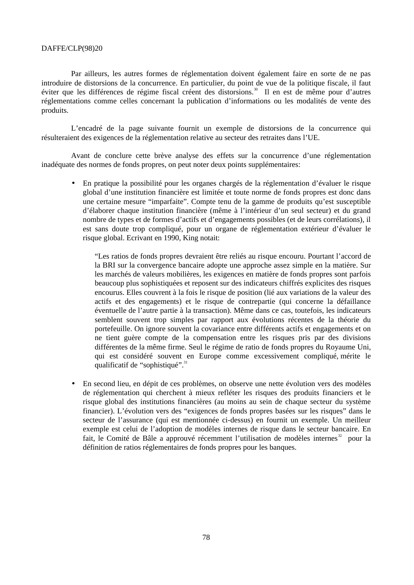Par ailleurs, les autres formes de réglementation doivent également faire en sorte de ne pas introduire de distorsions de la concurrence. En particulier, du point de vue de la politique fiscale, il faut éviter que les différences de régime fiscal créent des distorsions.30 Il en est de même pour d'autres réglementations comme celles concernant la publication d'informations ou les modalités de vente des produits.

L'encadré de la page suivante fournit un exemple de distorsions de la concurrence qui résulteraient des exigences de la réglementation relative au secteur des retraites dans l'UE.

Avant de conclure cette brève analyse des effets sur la concurrence d'une réglementation inadéquate des normes de fonds propres, on peut noter deux points supplémentaires:

• En pratique la possibilité pour les organes chargés de la réglementation d'évaluer le risque global d'une institution financière est limitée et toute norme de fonds propres est donc dans une certaine mesure "imparfaite". Compte tenu de la gamme de produits qu'est susceptible d'élaborer chaque institution financière (même à l'intérieur d'un seul secteur) et du grand nombre de types et de formes d'actifs et d'engagements possibles (et de leurs corrélations), il est sans doute trop compliqué, pour un organe de réglementation extérieur d'évaluer le risque global. Ecrivant en 1990, King notait:

"Les ratios de fonds propres devraient être reliés au risque encouru. Pourtant l'accord de la BRI sur la convergence bancaire adopte une approche assez simple en la matière. Sur les marchés de valeurs mobilières, les exigences en matière de fonds propres sont parfois beaucoup plus sophistiquées et reposent sur des indicateurs chiffrés explicites des risques encourus. Elles couvrent à la fois le risque de position (lié aux variations de la valeur des actifs et des engagements) et le risque de contrepartie (qui concerne la défaillance éventuelle de l'autre partie à la transaction). Même dans ce cas, toutefois, les indicateurs semblent souvent trop simples par rapport aux évolutions récentes de la théorie du portefeuille. On ignore souvent la covariance entre différents actifs et engagements et on ne tient guère compte de la compensation entre les risques pris par des divisions différentes de la même firme. Seul le régime de ratio de fonds propres du Royaume Uni, qui est considéré souvent en Europe comme excessivement compliqué, mérite le qualificatif de "sophistiqué". $31$ 

• En second lieu, en dépit de ces problèmes, on observe une nette évolution vers des modèles de réglementation qui cherchent à mieux refléter les risques des produits financiers et le risque global des institutions financières (au moins au sein de chaque secteur du système financier). L'évolution vers des "exigences de fonds propres basées sur les risques" dans le secteur de l'assurance (qui est mentionnée ci-dessus) en fournit un exemple. Un meilleur exemple est celui de l'adoption de modèles internes de risque dans le secteur bancaire. En fait, le Comité de Bâle a approuvé récemment l'utilisation de modèles internes<sup>32</sup> pour la définition de ratios réglementaires de fonds propres pour les banques.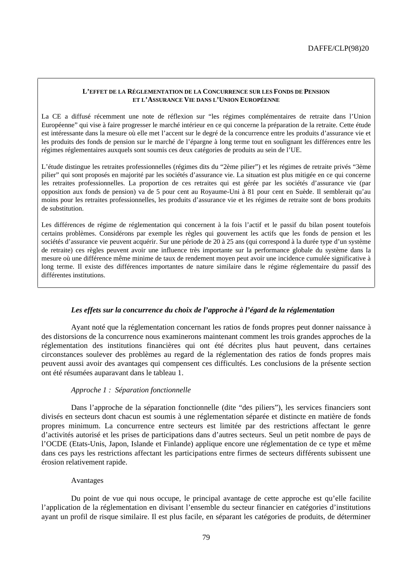### **L'EFFET DE LA RÉGLEMENTATION DE LA CONCURRENCE SUR LES FONDS DE PENSION ET L'ASSURANCE VIE DANS L'UNION EUROPÉENNE**

La CE a diffusé récemment une note de réflexion sur "les régimes complémentaires de retraite dans l'Union Européenne" qui vise à faire progresser le marché intérieur en ce qui concerne la préparation de la retraite. Cette étude est intéressante dans la mesure où elle met l'accent sur le degré de la concurrence entre les produits d'assurance vie et les produits des fonds de pension sur le marché de l'épargne à long terme tout en soulignant les différences entre les régimes réglementaires auxquels sont soumis ces deux catégories de produits au sein de l'UE.

L'étude distingue les retraites professionnelles (régimes dits du "2ème pilier") et les régimes de retraite privés "3ème pilier" qui sont proposés en majorité par les sociétés d'assurance vie. La situation est plus mitigée en ce qui concerne les retraites professionnelles. La proportion de ces retraites qui est gérée par les sociétés d'assurance vie (par opposition aux fonds de pension) va de 5 pour cent au Royaume-Uni à 81 pour cent en Suède. Il semblerait qu'au moins pour les retraites professionnelles, les produits d'assurance vie et les régimes de retraite sont de bons produits de substitution.

Les différences de régime de réglementation qui concernent à la fois l'actif et le passif du bilan posent toutefois certains problèmes. Considérons par exemple les règles qui gouvernent les actifs que les fonds de pension et les sociétés d'assurance vie peuvent acquérir. Sur une période de 20 à 25 ans (qui correspond à la durée type d'un système de retraite) ces règles peuvent avoir une influence très importante sur la performance globale du système dans la mesure où une différence même minime de taux de rendement moyen peut avoir une incidence cumulée significative à long terme. Il existe des différences importantes de nature similaire dans le régime réglementaire du passif des différentes institutions.

## *Les effets sur la concurrence du choix de l'approche à l'égard de la réglementation*

Ayant noté que la réglementation concernant les ratios de fonds propres peut donner naissance à des distorsions de la concurrence nous examinerons maintenant comment les trois grandes approches de la réglementation des institutions financières qui ont été décrites plus haut peuvent, dans certaines circonstances soulever des problèmes au regard de la réglementation des ratios de fonds propres mais peuvent aussi avoir des avantages qui compensent ces difficultés. Les conclusions de la présente section ont été résumées auparavant dans le tableau 1.

# *Approche 1 : Séparation fonctionnelle*

Dans l'approche de la séparation fonctionnelle (dite "des piliers"), les services financiers sont divisés en secteurs dont chacun est soumis à une réglementation séparée et distincte en matière de fonds propres minimum. La concurrence entre secteurs est limitée par des restrictions affectant le genre d'activités autorisé et les prises de participations dans d'autres secteurs. Seul un petit nombre de pays de l'OCDE (Etats-Unis, Japon, Islande et Finlande) applique encore une réglementation de ce type et même dans ces pays les restrictions affectant les participations entre firmes de secteurs différents subissent une érosion relativement rapide.

#### Avantages

Du point de vue qui nous occupe, le principal avantage de cette approche est qu'elle facilite l'application de la réglementation en divisant l'ensemble du secteur financier en catégories d'institutions ayant un profil de risque similaire. Il est plus facile, en séparant les catégories de produits, de déterminer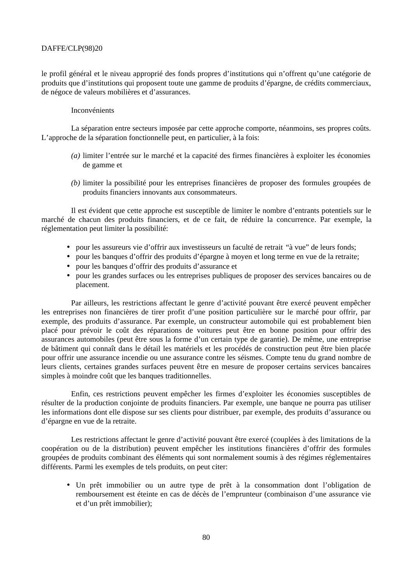le profil général et le niveau approprié des fonds propres d'institutions qui n'offrent qu'une catégorie de produits que d'institutions qui proposent toute une gamme de produits d'épargne, de crédits commerciaux, de négoce de valeurs mobilières et d'assurances.

# Inconvénients

La séparation entre secteurs imposée par cette approche comporte, néanmoins, ses propres coûts. L'approche de la séparation fonctionnelle peut, en particulier, à la fois:

- *(a)* limiter l'entrée sur le marché et la capacité des firmes financières à exploiter les économies de gamme et
- *(b)* limiter la possibilité pour les entreprises financières de proposer des formules groupées de produits financiers innovants aux consommateurs.

Il est évident que cette approche est susceptible de limiter le nombre d'entrants potentiels sur le marché de chacun des produits financiers, et de ce fait, de réduire la concurrence. Par exemple, la réglementation peut limiter la possibilité:

- pour les assureurs vie d'offrir aux investisseurs un faculté de retrait "à vue" de leurs fonds;
- pour les banques d'offrir des produits d'épargne à moyen et long terme en vue de la retraite;
- pour les banques d'offrir des produits d'assurance et
- pour les grandes surfaces ou les entreprises publiques de proposer des services bancaires ou de placement.

Par ailleurs, les restrictions affectant le genre d'activité pouvant être exercé peuvent empêcher les entreprises non financières de tirer profit d'une position particulière sur le marché pour offrir, par exemple, des produits d'assurance. Par exemple, un constructeur automobile qui est probablement bien placé pour prévoir le coût des réparations de voitures peut être en bonne position pour offrir des assurances automobiles (peut être sous la forme d'un certain type de garantie). De même, une entreprise de bâtiment qui connaît dans le détail les matériels et les procédés de construction peut être bien placée pour offrir une assurance incendie ou une assurance contre les séismes. Compte tenu du grand nombre de leurs clients, certaines grandes surfaces peuvent être en mesure de proposer certains services bancaires simples à moindre coût que les banques traditionnelles.

Enfin, ces restrictions peuvent empêcher les firmes d'exploiter les économies susceptibles de résulter de la production conjointe de produits financiers. Par exemple, une banque ne pourra pas utiliser les informations dont elle dispose sur ses clients pour distribuer, par exemple, des produits d'assurance ou d'épargne en vue de la retraite.

Les restrictions affectant le genre d'activité pouvant être exercé (couplées à des limitations de la coopération ou de la distribution) peuvent empêcher les institutions financières d'offrir des formules groupées de produits combinant des éléments qui sont normalement soumis à des régimes réglementaires différents. Parmi les exemples de tels produits, on peut citer:

• Un prêt immobilier ou un autre type de prêt à la consommation dont l'obligation de remboursement est éteinte en cas de décès de l'emprunteur (combinaison d'une assurance vie et d'un prêt immobilier);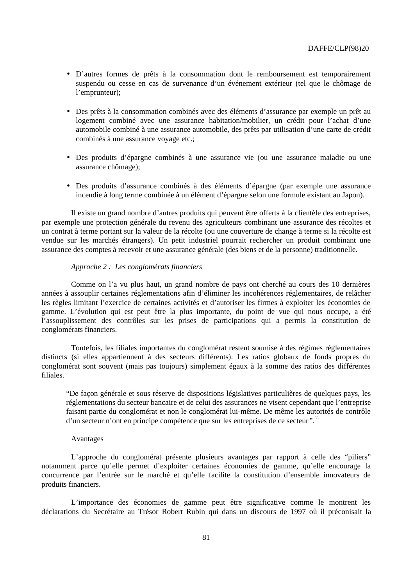- D'autres formes de prêts à la consommation dont le remboursement est temporairement suspendu ou cesse en cas de survenance d'un événement extérieur (tel que le chômage de l'emprunteur);
- Des prêts à la consommation combinés avec des éléments d'assurance par exemple un prêt au logement combiné avec une assurance habitation/mobilier, un crédit pour l'achat d'une automobile combiné à une assurance automobile, des prêts par utilisation d'une carte de crédit combinés à une assurance voyage etc.;
- Des produits d'épargne combinés à une assurance vie (ou une assurance maladie ou une assurance chômage);
- Des produits d'assurance combinés à des éléments d'épargne (par exemple une assurance incendie à long terme combinée à un élément d'épargne selon une formule existant au Japon).

Il existe un grand nombre d'autres produits qui peuvent être offerts à la clientèle des entreprises, par exemple une protection générale du revenu des agriculteurs combinant une assurance des récoltes et un contrat à terme portant sur la valeur de la récolte (ou une couverture de change à terme si la récolte est vendue sur les marchés étrangers). Un petit industriel pourrait rechercher un produit combinant une assurance des comptes à recevoir et une assurance générale (des biens et de la personne) traditionnelle.

# *Approche 2 : Les conglomérats financiers*

Comme on l'a vu plus haut, un grand nombre de pays ont cherché au cours des 10 dernières années à assouplir certaines réglementations afin d'éliminer les incohérences réglementaires, de relâcher les règles limitant l'exercice de certaines activités et d'autoriser les firmes à exploiter les économies de gamme. L'évolution qui est peut être la plus importante, du point de vue qui nous occupe, a été l'assouplissement des contrôles sur les prises de participations qui a permis la constitution de conglomérats financiers.

Toutefois, les filiales importantes du conglomérat restent soumise à des régimes réglementaires distincts (si elles appartiennent à des secteurs différents). Les ratios globaux de fonds propres du conglomérat sont souvent (mais pas toujours) simplement égaux à la somme des ratios des différentes filiales.

"De façon générale et sous réserve de dispositions législatives particulières de quelques pays, les réglementations du secteur bancaire et de celui des assurances ne visent cependant que l'entreprise faisant partie du conglomérat et non le conglomérat lui-même. De même les autorités de contrôle d'un secteur n'ont en principe compétence que sur les entreprises de ce secteur".<sup>33</sup>

# Avantages

L'approche du conglomérat présente plusieurs avantages par rapport à celle des "piliers" notamment parce qu'elle permet d'exploiter certaines économies de gamme, qu'elle encourage la concurrence par l'entrée sur le marché et qu'elle facilite la constitution d'ensemble innovateurs de produits financiers.

L'importance des économies de gamme peut être significative comme le montrent les déclarations du Secrétaire au Trésor Robert Rubin qui dans un discours de 1997 où il préconisait la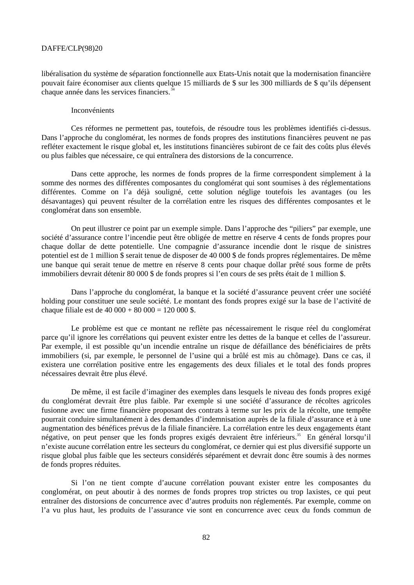libéralisation du système de séparation fonctionnelle aux Etats-Unis notait que la modernisation financière pouvait faire économiser aux clients quelque 15 milliards de \$ sur les 300 milliards de \$ qu'ils dépensent chaque année dans les services financiers.<sup>34</sup>

# Inconvénients

Ces réformes ne permettent pas, toutefois, de résoudre tous les problèmes identifiés ci-dessus. Dans l'approche du conglomérat, les normes de fonds propres des institutions financières peuvent ne pas refléter exactement le risque global et, les institutions financières subiront de ce fait des coûts plus élevés ou plus faibles que nécessaire, ce qui entraînera des distorsions de la concurrence.

Dans cette approche, les normes de fonds propres de la firme correspondent simplement à la somme des normes des différentes composantes du conglomérat qui sont soumises à des réglementations différentes. Comme on l'a déjà souligné, cette solution néglige toutefois les avantages (ou les désavantages) qui peuvent résulter de la corrélation entre les risques des différentes composantes et le conglomérat dans son ensemble.

On peut illustrer ce point par un exemple simple. Dans l'approche des "piliers" par exemple, une société d'assurance contre l'incendie peut être obligée de mettre en réserve 4 cents de fonds propres pour chaque dollar de dette potentielle. Une compagnie d'assurance incendie dont le risque de sinistres potentiel est de 1 million \$ serait tenue de disposer de 40 000 \$ de fonds propres réglementaires. De même une banque qui serait tenue de mettre en réserve 8 cents pour chaque dollar prêté sous forme de prêts immobiliers devrait détenir 80 000 \$ de fonds propres si l'en cours de ses prêts était de 1 million \$.

Dans l'approche du conglomérat, la banque et la société d'assurance peuvent créer une société holding pour constituer une seule société. Le montant des fonds propres exigé sur la base de l'activité de chaque filiale est de  $40\,000 + 80\,000 = 120\,000\,$ \$.

Le problème est que ce montant ne reflète pas nécessairement le risque réel du conglomérat parce qu'il ignore les corrélations qui peuvent exister entre les dettes de la banque et celles de l'assureur. Par exemple, il est possible qu'un incendie entraîne un risque de défaillance des bénéficiaires de prêts immobiliers (si, par exemple, le personnel de l'usine qui a brûlé est mis au chômage). Dans ce cas, il existera une corrélation positive entre les engagements des deux filiales et le total des fonds propres nécessaires devrait être plus élevé.

De même, il est facile d'imaginer des exemples dans lesquels le niveau des fonds propres exigé du conglomérat devrait être plus faible. Par exemple si une société d'assurance de récoltes agricoles fusionne avec une firme financière proposant des contrats à terme sur les prix de la récolte, une tempête pourrait conduire simultanément à des demandes d'indemnisation auprès de la filiale d'assurance et à une augmentation des bénéfices prévus de la filiale financière. La corrélation entre les deux engagements étant négative, on peut penser que les fonds propres exigés devraient être inférieurs.<sup>35</sup> En général lorsqu'il n'existe aucune corrélation entre les secteurs du conglomérat, ce dernier qui est plus diversifié supporte un risque global plus faible que les secteurs considérés séparément et devrait donc être soumis à des normes de fonds propres réduites.

Si l'on ne tient compte d'aucune corrélation pouvant exister entre les composantes du conglomérat, on peut aboutir à des normes de fonds propres trop strictes ou trop laxistes, ce qui peut entraîner des distorsions de concurrence avec d'autres produits non réglementés. Par exemple, comme on l'a vu plus haut, les produits de l'assurance vie sont en concurrence avec ceux du fonds commun de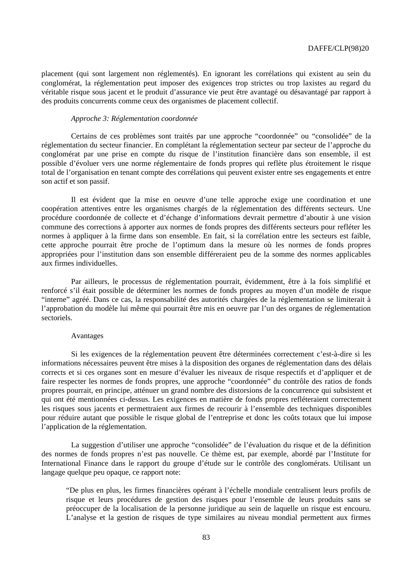placement (qui sont largement non réglementés). En ignorant les corrélations qui existent au sein du conglomérat, la réglementation peut imposer des exigences trop strictes ou trop laxistes au regard du véritable risque sous jacent et le produit d'assurance vie peut être avantagé ou désavantagé par rapport à des produits concurrents comme ceux des organismes de placement collectif.

### *Approche 3: Réglementation coordonnée*

Certains de ces problèmes sont traités par une approche "coordonnée" ou "consolidée" de la réglementation du secteur financier. En complétant la réglementation secteur par secteur de l'approche du conglomérat par une prise en compte du risque de l'institution financière dans son ensemble, il est possible d'évoluer vers une norme réglementaire de fonds propres qui reflète plus étroitement le risque total de l'organisation en tenant compte des corrélations qui peuvent exister entre ses engagements et entre son actif et son passif.

Il est évident que la mise en oeuvre d'une telle approche exige une coordination et une coopération attentives entre les organismes chargés de la réglementation des différents secteurs. Une procédure coordonnée de collecte et d'échange d'informations devrait permettre d'aboutir à une vision commune des corrections à apporter aux normes de fonds propres des différents secteurs pour refléter les normes à appliquer à la firme dans son ensemble. En fait, si la corrélation entre les secteurs est faible, cette approche pourrait être proche de l'optimum dans la mesure où les normes de fonds propres appropriées pour l'institution dans son ensemble différeraient peu de la somme des normes applicables aux firmes individuelles.

Par ailleurs, le processus de réglementation pourrait, évidemment, être à la fois simplifié et renforcé s'il était possible de déterminer les normes de fonds propres au moyen d'un modèle de risque "interne" agréé. Dans ce cas, la responsabilité des autorités chargées de la réglementation se limiterait à l'approbation du modèle lui même qui pourrait être mis en oeuvre par l'un des organes de réglementation sectoriels.

### Avantages

Si les exigences de la réglementation peuvent être déterminées correctement c'est-à-dire si les informations nécessaires peuvent être mises à la disposition des organes de réglementation dans des délais corrects et si ces organes sont en mesure d'évaluer les niveaux de risque respectifs et d'appliquer et de faire respecter les normes de fonds propres, une approche "coordonnée" du contrôle des ratios de fonds propres pourrait, en principe, atténuer un grand nombre des distorsions de la concurrence qui subsistent et qui ont été mentionnées ci-dessus. Les exigences en matière de fonds propres refléteraient correctement les risques sous jacents et permettraient aux firmes de recourir à l'ensemble des techniques disponibles pour réduire autant que possible le risque global de l'entreprise et donc les coûts totaux que lui impose l'application de la réglementation.

La suggestion d'utiliser une approche "consolidée" de l'évaluation du risque et de la définition des normes de fonds propres n'est pas nouvelle. Ce thème est, par exemple, abordé par l'Institute for International Finance dans le rapport du groupe d'étude sur le contrôle des conglomérats. Utilisant un langage quelque peu opaque, ce rapport note:

"De plus en plus, les firmes financières opérant à l'échelle mondiale centralisent leurs profils de risque et leurs procédures de gestion des risques pour l'ensemble de leurs produits sans se préoccuper de la localisation de la personne juridique au sein de laquelle un risque est encouru. L'analyse et la gestion de risques de type similaires au niveau mondial permettent aux firmes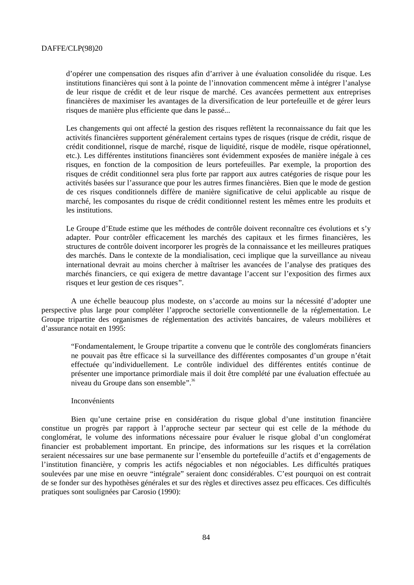d'opérer une compensation des risques afin d'arriver à une évaluation consolidée du risque. Les institutions financières qui sont à la pointe de l'innovation commencent même à intégrer l'analyse de leur risque de crédit et de leur risque de marché. Ces avancées permettent aux entreprises financières de maximiser les avantages de la diversification de leur portefeuille et de gérer leurs risques de manière plus efficiente que dans le passé...

Les changements qui ont affecté la gestion des risques reflètent la reconnaissance du fait que les activités financières supportent généralement certains types de risques (risque de crédit, risque de crédit conditionnel, risque de marché, risque de liquidité, risque de modèle, risque opérationnel, etc.). Les différentes institutions financières sont évidemment exposées de manière inégale à ces risques, en fonction de la composition de leurs portefeuilles. Par exemple, la proportion des risques de crédit conditionnel sera plus forte par rapport aux autres catégories de risque pour les activités basées sur l'assurance que pour les autres firmes financières. Bien que le mode de gestion de ces risques conditionnels diffère de manière significative de celui applicable au risque de marché, les composantes du risque de crédit conditionnel restent les mêmes entre les produits et les institutions.

Le Groupe d'Etude estime que les méthodes de contrôle doivent reconnaître ces évolutions et s'y adapter. Pour contrôler efficacement les marchés des capitaux et les firmes financières, les structures de contrôle doivent incorporer les progrès de la connaissance et les meilleures pratiques des marchés. Dans le contexte de la mondialisation, ceci implique que la surveillance au niveau international devrait au moins chercher à maîtriser les avancées de l'analyse des pratiques des marchés financiers, ce qui exigera de mettre davantage l'accent sur l'exposition des firmes aux risques et leur gestion de ces risques".

A une échelle beaucoup plus modeste, on s'accorde au moins sur la nécessité d'adopter une perspective plus large pour compléter l'approche sectorielle conventionnelle de la réglementation. Le Groupe tripartite des organismes de réglementation des activités bancaires, de valeurs mobilières et d'assurance notait en 1995:

"Fondamentalement, le Groupe tripartite a convenu que le contrôle des conglomérats financiers ne pouvait pas être efficace si la surveillance des différentes composantes d'un groupe n'était effectuée qu'individuellement. Le contrôle individuel des différentes entités continue de présenter une importance primordiale mais il doit être complété par une évaluation effectuée au niveau du Groupe dans son ensemble".<sup>36</sup>

# Inconvénients

Bien qu'une certaine prise en considération du risque global d'une institution financière constitue un progrès par rapport à l'approche secteur par secteur qui est celle de la méthode du conglomérat, le volume des informations nécessaire pour évaluer le risque global d'un conglomérat financier est probablement important. En principe, des informations sur les risques et la corrélation seraient nécessaires sur une base permanente sur l'ensemble du portefeuille d'actifs et d'engagements de l'institution financière, y compris les actifs négociables et non négociables. Les difficultés pratiques soulevées par une mise en oeuvre "intégrale" seraient donc considérables. C'est pourquoi on est contrait de se fonder sur des hypothèses générales et sur des règles et directives assez peu efficaces. Ces difficultés pratiques sont soulignées par Carosio (1990):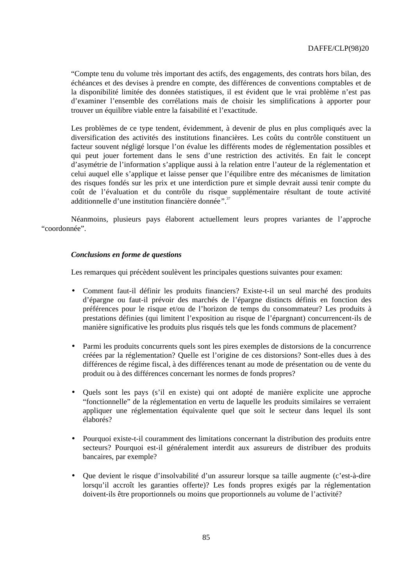"Compte tenu du volume très important des actifs, des engagements, des contrats hors bilan, des échéances et des devises à prendre en compte, des différences de conventions comptables et de la disponibilité limitée des données statistiques, il est évident que le vrai problème n'est pas d'examiner l'ensemble des corrélations mais de choisir les simplifications à apporter pour trouver un équilibre viable entre la faisabilité et l'exactitude.

Les problèmes de ce type tendent, évidemment, à devenir de plus en plus compliqués avec la diversification des activités des institutions financières. Les coûts du contrôle constituent un facteur souvent négligé lorsque l'on évalue les différents modes de réglementation possibles et qui peut jouer fortement dans le sens d'une restriction des activités. En fait le concept d'asymétrie de l'information s'applique aussi à la relation entre l'auteur de la réglementation et celui auquel elle s'applique et laisse penser que l'équilibre entre des mécanismes de limitation des risques fondés sur les prix et une interdiction pure et simple devrait aussi tenir compte du coût de l'évaluation et du contrôle du risque supplémentaire résultant de toute activité additionnelle d'une institution financière donnée".<sup>37</sup>

Néanmoins, plusieurs pays élaborent actuellement leurs propres variantes de l'approche "coordonnée".

# *Conclusions en forme de questions*

Les remarques qui précèdent soulèvent les principales questions suivantes pour examen:

- Comment faut-il définir les produits financiers? Existe-t-il un seul marché des produits d'épargne ou faut-il prévoir des marchés de l'épargne distincts définis en fonction des préférences pour le risque et/ou de l'horizon de temps du consommateur? Les produits à prestations définies (qui limitent l'exposition au risque de l'épargnant) concurrencent-ils de manière significative les produits plus risqués tels que les fonds communs de placement?
- Parmi les produits concurrents quels sont les pires exemples de distorsions de la concurrence créées par la réglementation? Quelle est l'origine de ces distorsions? Sont-elles dues à des différences de régime fiscal, à des différences tenant au mode de présentation ou de vente du produit ou à des différences concernant les normes de fonds propres?
- Quels sont les pays (s'il en existe) qui ont adopté de manière explicite une approche "fonctionnelle" de la réglementation en vertu de laquelle les produits similaires se verraient appliquer une réglementation équivalente quel que soit le secteur dans lequel ils sont élaborés?
- Pourquoi existe-t-il couramment des limitations concernant la distribution des produits entre secteurs? Pourquoi est-il généralement interdit aux assureurs de distribuer des produits bancaires, par exemple?
- Que devient le risque d'insolvabilité d'un assureur lorsque sa taille augmente (c'est-à-dire lorsqu'il accroît les garanties offerte)? Les fonds propres exigés par la réglementation doivent-ils être proportionnels ou moins que proportionnels au volume de l'activité?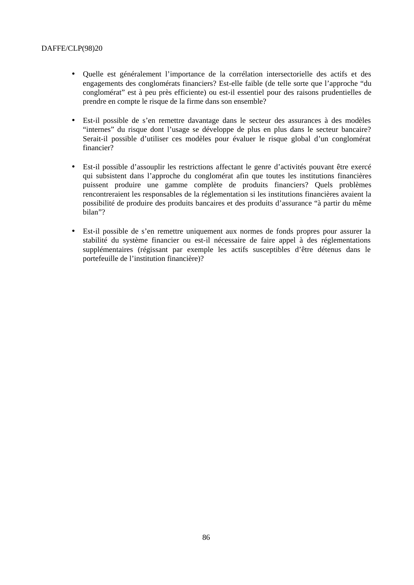- Quelle est généralement l'importance de la corrélation intersectorielle des actifs et des engagements des conglomérats financiers? Est-elle faible (de telle sorte que l'approche "du conglomérat" est à peu près efficiente) ou est-il essentiel pour des raisons prudentielles de prendre en compte le risque de la firme dans son ensemble?
- Est-il possible de s'en remettre davantage dans le secteur des assurances à des modèles "internes" du risque dont l'usage se développe de plus en plus dans le secteur bancaire? Serait-il possible d'utiliser ces modèles pour évaluer le risque global d'un conglomérat financier?
- Est-il possible d'assouplir les restrictions affectant le genre d'activités pouvant être exercé qui subsistent dans l'approche du conglomérat afin que toutes les institutions financières puissent produire une gamme complète de produits financiers? Quels problèmes rencontreraient les responsables de la réglementation si les institutions financières avaient la possibilité de produire des produits bancaires et des produits d'assurance "à partir du même bilan"?
- Est-il possible de s'en remettre uniquement aux normes de fonds propres pour assurer la stabilité du système financier ou est-il nécessaire de faire appel à des réglementations supplémentaires (régissant par exemple les actifs susceptibles d'être détenus dans le portefeuille de l'institution financière)?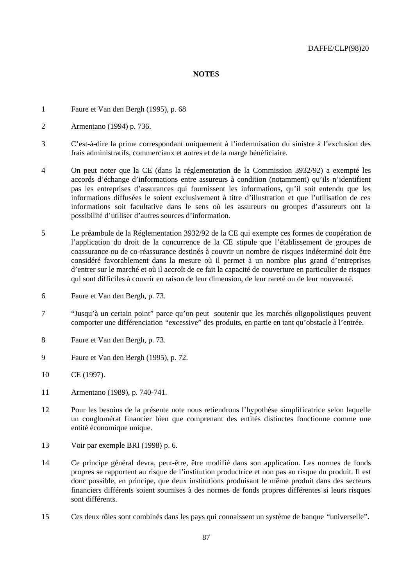# **NOTES**

- 1 Faure et Van den Bergh (1995), p. 68
- 2 Armentano (1994) p. 736.
- 3 C'est-à-dire la prime correspondant uniquement à l'indemnisation du sinistre à l'exclusion des frais administratifs, commerciaux et autres et de la marge bénéficiaire.
- 4 On peut noter que la CE (dans la réglementation de la Commission 3932/92) a exempté les accords d'échange d'informations entre assureurs à condition (notamment) qu'ils n'identifient pas les entreprises d'assurances qui fournissent les informations, qu'il soit entendu que les informations diffusées le soient exclusivement à titre d'illustration et que l'utilisation de ces informations soit facultative dans le sens où les assureurs ou groupes d'assureurs ont la possibilité d'utiliser d'autres sources d'information.
- 5 Le préambule de la Réglementation 3932/92 de la CE qui exempte ces formes de coopération de l'application du droit de la concurrence de la CE stipule que l'établissement de groupes de coassurance ou de co-réassurance destinés à couvrir un nombre de risques indéterminé doit être considéré favorablement dans la mesure où il permet à un nombre plus grand d'entreprises d'entrer sur le marché et où il accroît de ce fait la capacité de couverture en particulier de risques qui sont difficiles à couvrir en raison de leur dimension, de leur rareté ou de leur nouveauté.
- 6 Faure et Van den Bergh, p. 73.
- 7 "Jusqu'à un certain point" parce qu'on peut soutenir que les marchés oligopolistiques peuvent comporter une différenciation "excessive" des produits, en partie en tant qu'obstacle à l'entrée.
- 8 Faure et Van den Bergh, p. 73.
- 9 Faure et Van den Bergh (1995), p. 72.
- 10 CE (1997).
- 11 Armentano (1989), p. 740-741.
- 12 Pour les besoins de la présente note nous retiendrons l'hypothèse simplificatrice selon laquelle un conglomérat financier bien que comprenant des entités distinctes fonctionne comme une entité économique unique.
- 13 Voir par exemple BRI (1998) p. 6.
- 14 Ce principe général devra, peut-être, être modifié dans son application. Les normes de fonds propres se rapportent au risque de l'institution productrice et non pas au risque du produit. Il est donc possible, en principe, que deux institutions produisant le même produit dans des secteurs financiers différents soient soumises à des normes de fonds propres différentes si leurs risques sont différents.
- 15 Ces deux rôles sont combinés dans les pays qui connaissent un système de banque "universelle".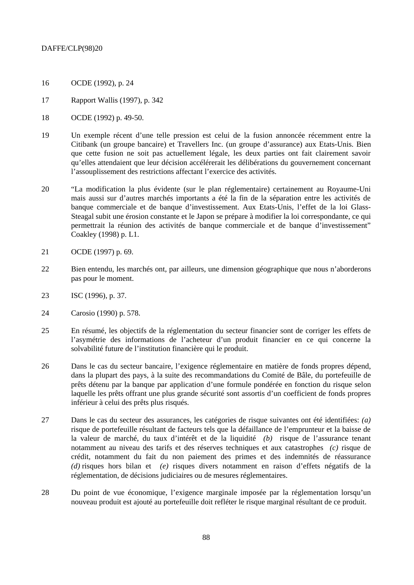- 16 OCDE (1992), p. 24
- 17 Rapport Wallis (1997), p. 342
- 18 OCDE (1992) p. 49-50.
- 19 Un exemple récent d'une telle pression est celui de la fusion annoncée récemment entre la Citibank (un groupe bancaire) et Travellers Inc. (un groupe d'assurance) aux Etats-Unis. Bien que cette fusion ne soit pas actuellement légale, les deux parties ont fait clairement savoir qu'elles attendaient que leur décision accélérerait les délibérations du gouvernement concernant l'assouplissement des restrictions affectant l'exercice des activités.
- 20 "La modification la plus évidente (sur le plan réglementaire) certainement au Royaume-Uni mais aussi sur d'autres marchés importants a été la fin de la séparation entre les activités de banque commerciale et de banque d'investissement. Aux Etats-Unis, l'effet de la loi Glass-Steagal subit une érosion constante et le Japon se prépare à modifier la loi correspondante, ce qui permettrait la réunion des activités de banque commerciale et de banque d'investissement" Coakley (1998) p. L1.
- 21 OCDE (1997) p. 69.
- 22 Bien entendu, les marchés ont, par ailleurs, une dimension géographique que nous n'aborderons pas pour le moment.
- 23 ISC (1996), p. 37.
- 24 Carosio (1990) p. 578.
- 25 En résumé, les objectifs de la réglementation du secteur financier sont de corriger les effets de l'asymétrie des informations de l'acheteur d'un produit financier en ce qui concerne la solvabilité future de l'institution financière qui le produit.
- 26 Dans le cas du secteur bancaire, l'exigence réglementaire en matière de fonds propres dépend, dans la plupart des pays, à la suite des recommandations du Comité de Bâle, du portefeuille de prêts détenu par la banque par application d'une formule pondérée en fonction du risque selon laquelle les prêts offrant une plus grande sécurité sont assortis d'un coefficient de fonds propres inférieur à celui des prêts plus risqués.
- 27 Dans le cas du secteur des assurances, les catégories de risque suivantes ont été identifiées: *(a)* risque de portefeuille résultant de facteurs tels que la défaillance de l'emprunteur et la baisse de la valeur de marché, du taux d'intérêt et de la liquidité *(b)* risque de l'assurance tenant notamment au niveau des tarifs et des réserves techniques et aux catastrophes *(c)* risque de crédit, notamment du fait du non paiement des primes et des indemnités de réassurance *(d)* risques hors bilan et *(e)* risques divers notamment en raison d'effets négatifs de la réglementation, de décisions judiciaires ou de mesures réglementaires.
- 28 Du point de vue économique, l'exigence marginale imposée par la réglementation lorsqu'un nouveau produit est ajouté au portefeuille doit refléter le risque marginal résultant de ce produit.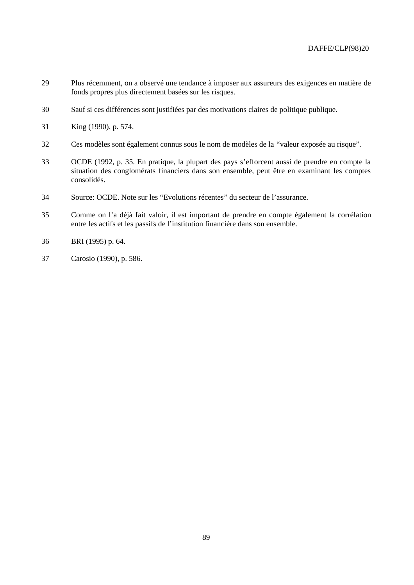- 29 Plus récemment, on a observé une tendance à imposer aux assureurs des exigences en matière de fonds propres plus directement basées sur les risques.
- 30 Sauf si ces différences sont justifiées par des motivations claires de politique publique.
- 31 King (1990), p. 574.
- 32 Ces modèles sont également connus sous le nom de modèles de la "valeur exposée au risque".
- 33 OCDE (1992, p. 35. En pratique, la plupart des pays s'efforcent aussi de prendre en compte la situation des conglomérats financiers dans son ensemble, peut être en examinant les comptes consolidés.
- 34 Source: OCDE. Note sur les "Evolutions récentes" du secteur de l'assurance.
- 35 Comme on l'a déjà fait valoir, il est important de prendre en compte également la corrélation entre les actifs et les passifs de l'institution financière dans son ensemble.
- 36 BRI (1995) p. 64.
- 37 Carosio (1990), p. 586.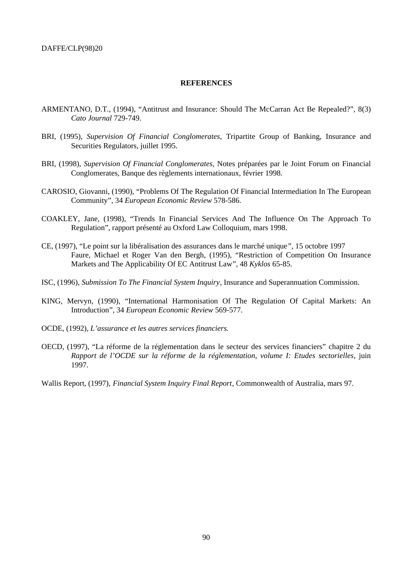### **REFERENCES**

- ARMENTANO, D.T., (1994), "Antitrust and Insurance: Should The McCarran Act Be Repealed?", 8(3) *Cato Journal* 729-749.
- BRI, (1995), *Supervision Of Financial Conglomerates*, Tripartite Group of Banking, Insurance and Securities Regulators, juillet 1995.
- BRI, (1998), *Supervision Of Financial Conglomerates*, Notes préparées par le Joint Forum on Financial Conglomerates, Banque des règlements internationaux, février 1998.
- CAROSIO, Giovanni, (1990), "Problems Of The Regulation Of Financial Intermediation In The European Community", 34 *European Economic Review* 578-586.
- COAKLEY, Jane, (1998), "Trends In Financial Services And The Influence On The Approach To Regulation", rapport présenté au Oxford Law Colloquium, mars 1998.
- CE, (1997), "Le point sur la libéralisation des assurances dans le marché unique", 15 octobre 1997 Faure, Michael et Roger Van den Bergh, (1995), "Restriction of Competition On Insurance Markets and The Applicability Of EC Antitrust Law", 48 *Kyklos* 65-85.
- ISC, (1996), *Submission To The Financial System Inquiry*, Insurance and Superannuation Commission.
- KING, Mervyn, (1990), "International Harmonisation Of The Regulation Of Capital Markets: An Introduction", 34 *European Economic Review* 569-577.
- OCDE, (1992), *L'assurance et les autres services financiers.*
- OECD, (1997), "La réforme de la réglementation dans le secteur des services financiers" chapitre 2 du *Rapport de l'OCDE sur la réforme de la réglementation, volume I: Etudes sectorielles*, juin 1997.

Wallis Report, (1997), *Financial System Inquiry Final Report*, Commonwealth of Australia, mars 97.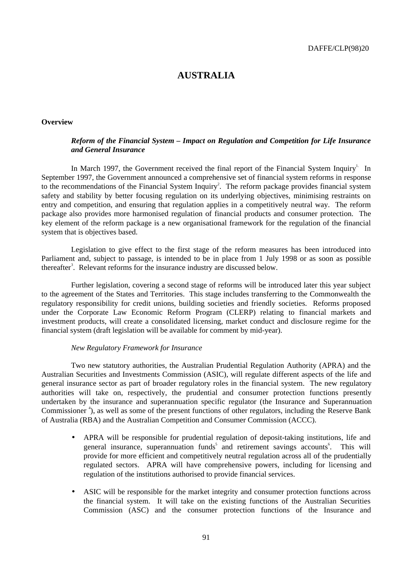# **AUSTRALIA**

# **Overview**

# *Reform of the Financial System – Impact on Regulation and Competition for Life Insurance and General Insurance*

In March 1997, the Government received the final report of the Financial System Inquiry<sup>1.</sup> In September 1997, the Government announced a comprehensive set of financial system reforms in response to the recommendations of the Financial System Inquiry<sup>2</sup>. The reform package provides financial system safety and stability by better focusing regulation on its underlying objectives, minimising restraints on entry and competition, and ensuring that regulation applies in a competitively neutral way. The reform package also provides more harmonised regulation of financial products and consumer protection. The key element of the reform package is a new organisational framework for the regulation of the financial system that is objectives based.

Legislation to give effect to the first stage of the reform measures has been introduced into Parliament and, subject to passage, is intended to be in place from 1 July 1998 or as soon as possible thereafter<sup>3</sup>. Relevant reforms for the insurance industry are discussed below.

Further legislation, covering a second stage of reforms will be introduced later this year subject to the agreement of the States and Territories. This stage includes transferring to the Commonwealth the regulatory responsibility for credit unions, building societies and friendly societies. Reforms proposed under the Corporate Law Economic Reform Program (CLERP) relating to financial markets and investment products, will create a consolidated licensing, market conduct and disclosure regime for the financial system (draft legislation will be available for comment by mid-year).

### *New Regulatory Framework for Insurance*

Two new statutory authorities, the Australian Prudential Regulation Authority (APRA) and the Australian Securities and Investments Commission (ASIC), will regulate different aspects of the life and general insurance sector as part of broader regulatory roles in the financial system. The new regulatory authorities will take on, respectively, the prudential and consumer protection functions presently undertaken by the insurance and superannuation specific regulator (the Insurance and Superannuation Commissioner<sup>4</sup>), as well as some of the present functions of other regulators, including the Reserve Bank of Australia (RBA) and the Australian Competition and Consumer Commission (ACCC).

- APRA will be responsible for prudential regulation of deposit-taking institutions, life and general insurance, superannuation funds<sup>5</sup> and retirement savings accounts<sup>6</sup>. This will provide for more efficient and competitively neutral regulation across all of the prudentially regulated sectors. APRA will have comprehensive powers, including for licensing and regulation of the institutions authorised to provide financial services.
- ASIC will be responsible for the market integrity and consumer protection functions across the financial system. It will take on the existing functions of the Australian Securities Commission (ASC) and the consumer protection functions of the Insurance and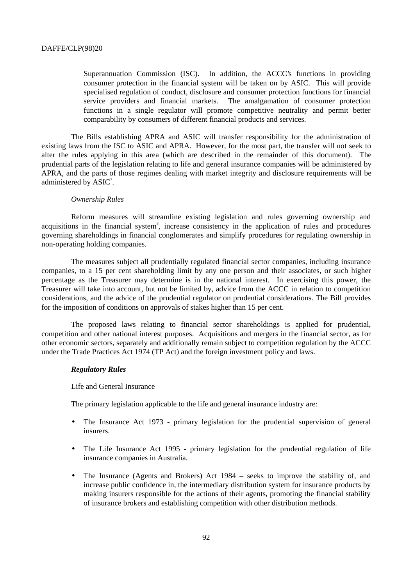Superannuation Commission (ISC). In addition, the ACCC's functions in providing consumer protection in the financial system will be taken on by ASIC. This will provide specialised regulation of conduct, disclosure and consumer protection functions for financial service providers and financial markets. The amalgamation of consumer protection functions in a single regulator will promote competitive neutrality and permit better comparability by consumers of different financial products and services.

The Bills establishing APRA and ASIC will transfer responsibility for the administration of existing laws from the ISC to ASIC and APRA. However, for the most part, the transfer will not seek to alter the rules applying in this area (which are described in the remainder of this document). The prudential parts of the legislation relating to life and general insurance companies will be administered by APRA, and the parts of those regimes dealing with market integrity and disclosure requirements will be administered by  $\text{ASIC}^7$ .

### *Ownership Rules*

Reform measures will streamline existing legislation and rules governing ownership and acquisitions in the financial system<sup>8</sup>, increase consistency in the application of rules and procedures governing shareholdings in financial conglomerates and simplify procedures for regulating ownership in non-operating holding companies.

The measures subject all prudentially regulated financial sector companies, including insurance companies, to a 15 per cent shareholding limit by any one person and their associates, or such higher percentage as the Treasurer may determine is in the national interest. In exercising this power, the Treasurer will take into account, but not be limited by, advice from the ACCC in relation to competition considerations, and the advice of the prudential regulator on prudential considerations. The Bill provides for the imposition of conditions on approvals of stakes higher than 15 per cent.

The proposed laws relating to financial sector shareholdings is applied for prudential, competition and other national interest purposes. Acquisitions and mergers in the financial sector, as for other economic sectors, separately and additionally remain subject to competition regulation by the ACCC under the Trade Practices Act 1974 (TP Act) and the foreign investment policy and laws.

#### *Regulatory Rules*

### Life and General Insurance

The primary legislation applicable to the life and general insurance industry are:

- The Insurance Act 1973 primary legislation for the prudential supervision of general insurers.
- The Life Insurance Act 1995 primary legislation for the prudential regulation of life insurance companies in Australia.
- The Insurance (Agents and Brokers) Act 1984 seeks to improve the stability of, and increase public confidence in, the intermediary distribution system for insurance products by making insurers responsible for the actions of their agents, promoting the financial stability of insurance brokers and establishing competition with other distribution methods.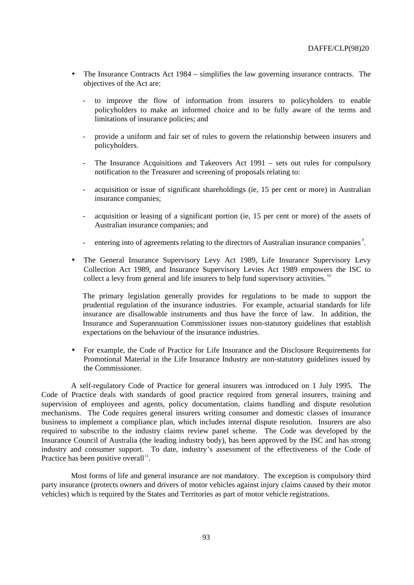- The Insurance Contracts Act 1984 simplifies the law governing insurance contracts. The objectives of the Act are:
	- to improve the flow of information from insurers to policyholders to enable policyholders to make an informed choice and to be fully aware of the terms and limitations of insurance policies; and
	- provide a uniform and fair set of rules to govern the relationship between insurers and policyholders.
	- The Insurance Acquisitions and Takeovers Act 1991 sets out rules for compulsory notification to the Treasurer and screening of proposals relating to:
	- acquisition or issue of significant shareholdings (ie, 15 per cent or more) in Australian insurance companies;
	- acquisition or leasing of a significant portion (ie, 15 per cent or more) of the assets of Australian insurance companies; and
	- entering into of agreements relating to the directors of Australian insurance companies<sup>9</sup>.
- The General Insurance Supervisory Levy Act 1989, Life Insurance Supervisory Levy Collection Act 1989, and Insurance Supervisory Levies Act 1989 empowers the ISC to collect a levy from general and life insurers to help fund supervisory activities.<sup>10</sup>

The primary legislation generally provides for regulations to be made to support the prudential regulation of the insurance industries. For example, actuarial standards for life insurance are disallowable instruments and thus have the force of law. In addition, the Insurance and Superannuation Commissioner issues non-statutory guidelines that establish expectations on the behaviour of the insurance industries.

• For example, the Code of Practice for Life Insurance and the Disclosure Requirements for Promotional Material in the Life Insurance Industry are non-statutory guidelines issued by the Commissioner.

A self-regulatory Code of Practice for general insurers was introduced on 1 July 1995. The Code of Practice deals with standards of good practice required from general insurers, training and supervision of employees and agents, policy documentation, claims handling and dispute resolution mechanisms. The Code requires general insurers writing consumer and domestic classes of insurance business to implement a compliance plan, which includes internal dispute resolution. Insurers are also required to subscribe to the industry claims review panel scheme. The Code was developed by the Insurance Council of Australia (the leading industry body), has been approved by the ISC and has strong industry and consumer support. To date, industry's assessment of the effectiveness of the Code of Practice has been positive overall $11$ .

Most forms of life and general insurance are not mandatory. The exception is compulsory third party insurance (protects owners and drivers of motor vehicles against injury claims caused by their motor vehicles) which is required by the States and Territories as part of motor vehicle registrations.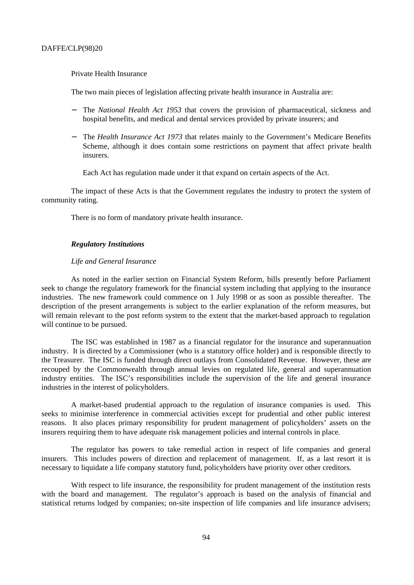Private Health Insurance

The two main pieces of legislation affecting private health insurance in Australia are:

- The *National Health Act 1953* that covers the provision of pharmaceutical, sickness and hospital benefits, and medical and dental services provided by private insurers; and
- The *Health Insurance Act 1973* that relates mainly to the Government's Medicare Benefits Scheme, although it does contain some restrictions on payment that affect private health insurers.

Each Act has regulation made under it that expand on certain aspects of the Act.

The impact of these Acts is that the Government regulates the industry to protect the system of community rating.

There is no form of mandatory private health insurance.

## *Regulatory Institutions*

# *Life and General Insurance*

As noted in the earlier section on Financial System Reform, bills presently before Parliament seek to change the regulatory framework for the financial system including that applying to the insurance industries. The new framework could commence on 1 July 1998 or as soon as possible thereafter. The description of the present arrangements is subject to the earlier explanation of the reform measures, but will remain relevant to the post reform system to the extent that the market-based approach to regulation will continue to be pursued.

The ISC was established in 1987 as a financial regulator for the insurance and superannuation industry. It is directed by a Commissioner (who is a statutory office holder) and is responsible directly to the Treasurer. The ISC is funded through direct outlays from Consolidated Revenue. However, these are recouped by the Commonwealth through annual levies on regulated life, general and superannuation industry entities. The ISC's responsibilities include the supervision of the life and general insurance industries in the interest of policyholders.

A market-based prudential approach to the regulation of insurance companies is used. This seeks to minimise interference in commercial activities except for prudential and other public interest reasons. It also places primary responsibility for prudent management of policyholders' assets on the insurers requiring them to have adequate risk management policies and internal controls in place.

The regulator has powers to take remedial action in respect of life companies and general insurers. This includes powers of direction and replacement of management. If, as a last resort it is necessary to liquidate a life company statutory fund, policyholders have priority over other creditors.

With respect to life insurance, the responsibility for prudent management of the institution rests with the board and management. The regulator's approach is based on the analysis of financial and statistical returns lodged by companies; on-site inspection of life companies and life insurance advisers;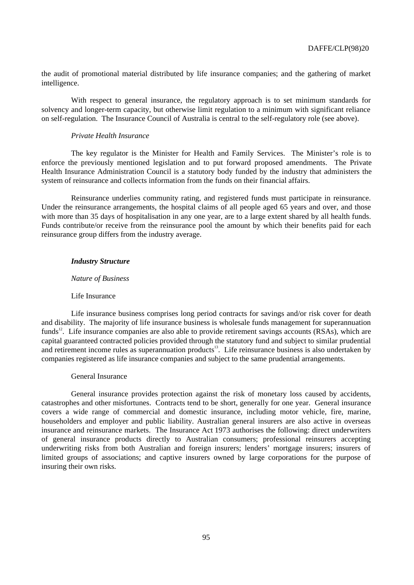the audit of promotional material distributed by life insurance companies; and the gathering of market intelligence.

With respect to general insurance, the regulatory approach is to set minimum standards for solvency and longer-term capacity, but otherwise limit regulation to a minimum with significant reliance on self-regulation. The Insurance Council of Australia is central to the self-regulatory role (see above).

### *Private Health Insurance*

The key regulator is the Minister for Health and Family Services. The Minister's role is to enforce the previously mentioned legislation and to put forward proposed amendments. The Private Health Insurance Administration Council is a statutory body funded by the industry that administers the system of reinsurance and collects information from the funds on their financial affairs.

Reinsurance underlies community rating, and registered funds must participate in reinsurance. Under the reinsurance arrangements, the hospital claims of all people aged 65 years and over, and those with more than 35 days of hospitalisation in any one year, are to a large extent shared by all health funds. Funds contribute/or receive from the reinsurance pool the amount by which their benefits paid for each reinsurance group differs from the industry average.

### *Industry Structure*

### *Nature of Business*

#### Life Insurance

Life insurance business comprises long period contracts for savings and/or risk cover for death and disability. The majority of life insurance business is wholesale funds management for superannuation funds<sup>12</sup>. Life insurance companies are also able to provide retirement savings accounts (RSAs), which are capital guaranteed contracted policies provided through the statutory fund and subject to similar prudential and retirement income rules as superannuation products<sup>13</sup>. Life reinsurance business is also undertaken by companies registered as life insurance companies and subject to the same prudential arrangements.

# General Insurance

General insurance provides protection against the risk of monetary loss caused by accidents, catastrophes and other misfortunes. Contracts tend to be short, generally for one year. General insurance covers a wide range of commercial and domestic insurance, including motor vehicle, fire, marine, householders and employer and public liability. Australian general insurers are also active in overseas insurance and reinsurance markets. The Insurance Act 1973 authorises the following: direct underwriters of general insurance products directly to Australian consumers; professional reinsurers accepting underwriting risks from both Australian and foreign insurers; lenders' mortgage insurers; insurers of limited groups of associations; and captive insurers owned by large corporations for the purpose of insuring their own risks.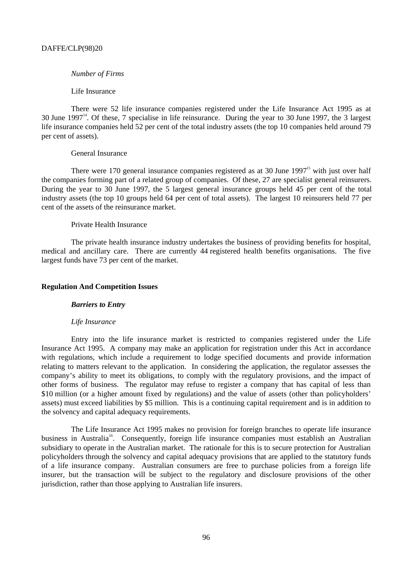# *Number of Firms*

# Life Insurance

There were 52 life insurance companies registered under the Life Insurance Act 1995 as at  $30$  June  $1997<sup>14</sup>$ . Of these, 7 specialise in life reinsurance. During the year to 30 June 1997, the 3 largest life insurance companies held 52 per cent of the total industry assets (the top 10 companies held around 79 per cent of assets).

# General Insurance

There were 170 general insurance companies registered as at 30 June  $1997<sup>15</sup>$  with just over half the companies forming part of a related group of companies. Of these, 27 are specialist general reinsurers. During the year to 30 June 1997, the 5 largest general insurance groups held 45 per cent of the total industry assets (the top 10 groups held 64 per cent of total assets). The largest 10 reinsurers held 77 per cent of the assets of the reinsurance market.

# Private Health Insurance

The private health insurance industry undertakes the business of providing benefits for hospital, medical and ancillary care. There are currently 44 registered health benefits organisations. The five largest funds have 73 per cent of the market.

### **Regulation And Competition Issues**

#### *Barriers to Entry*

#### *Life Insurance*

Entry into the life insurance market is restricted to companies registered under the Life Insurance Act 1995. A company may make an application for registration under this Act in accordance with regulations, which include a requirement to lodge specified documents and provide information relating to matters relevant to the application. In considering the application, the regulator assesses the company's ability to meet its obligations, to comply with the regulatory provisions, and the impact of other forms of business. The regulator may refuse to register a company that has capital of less than \$10 million (or a higher amount fixed by regulations) and the value of assets (other than policyholders' assets) must exceed liabilities by \$5 million. This is a continuing capital requirement and is in addition to the solvency and capital adequacy requirements.

The Life Insurance Act 1995 makes no provision for foreign branches to operate life insurance business in Australia<sup>16</sup>. Consequently, foreign life insurance companies must establish an Australian subsidiary to operate in the Australian market. The rationale for this is to secure protection for Australian policyholders through the solvency and capital adequacy provisions that are applied to the statutory funds of a life insurance company. Australian consumers are free to purchase policies from a foreign life insurer, but the transaction will be subject to the regulatory and disclosure provisions of the other jurisdiction, rather than those applying to Australian life insurers.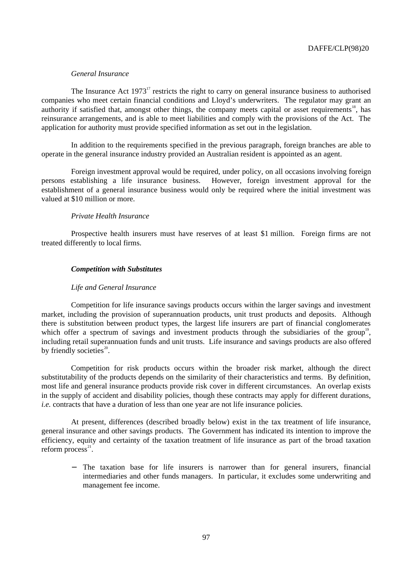# *General Insurance*

The Insurance Act  $1973<sup>17</sup>$  restricts the right to carry on general insurance business to authorised companies who meet certain financial conditions and Lloyd's underwriters. The regulator may grant an authority if satisfied that, amongst other things, the company meets capital or asset requirements<sup>18</sup>, has reinsurance arrangements, and is able to meet liabilities and comply with the provisions of the Act. The application for authority must provide specified information as set out in the legislation.

In addition to the requirements specified in the previous paragraph, foreign branches are able to operate in the general insurance industry provided an Australian resident is appointed as an agent.

Foreign investment approval would be required, under policy, on all occasions involving foreign persons establishing a life insurance business. However, foreign investment approval for the establishment of a general insurance business would only be required where the initial investment was valued at \$10 million or more.

#### *Private Health Insurance*

Prospective health insurers must have reserves of at least \$1 million. Foreign firms are not treated differently to local firms.

# *Competition with Substitutes*

### *Life and General Insurance*

Competition for life insurance savings products occurs within the larger savings and investment market, including the provision of superannuation products, unit trust products and deposits. Although there is substitution between product types, the largest life insurers are part of financial conglomerates which offer a spectrum of savings and investment products through the subsidiaries of the group<sup>19</sup>, including retail superannuation funds and unit trusts. Life insurance and savings products are also offered by friendly societies $^{20}$ .

Competition for risk products occurs within the broader risk market, although the direct substitutability of the products depends on the similarity of their characteristics and terms. By definition, most life and general insurance products provide risk cover in different circumstances. An overlap exists in the supply of accident and disability policies, though these contracts may apply for different durations, *i.e.* contracts that have a duration of less than one year are not life insurance policies.

At present, differences (described broadly below) exist in the tax treatment of life insurance, general insurance and other savings products. The Government has indicated its intention to improve the efficiency, equity and certainty of the taxation treatment of life insurance as part of the broad taxation reform process $^{21}$ .

The taxation base for life insurers is narrower than for general insurers, financial intermediaries and other funds managers. In particular, it excludes some underwriting and management fee income.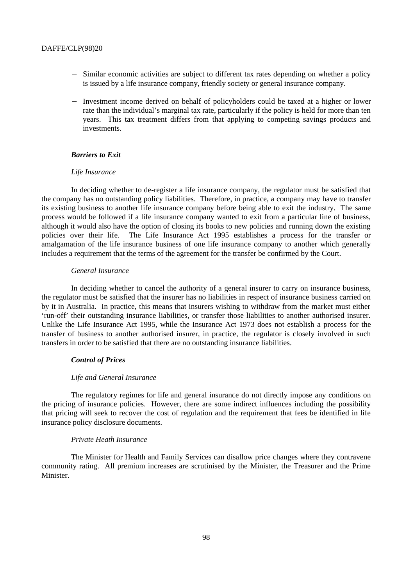- − Similar economic activities are subject to different tax rates depending on whether a policy is issued by a life insurance company, friendly society or general insurance company.
- − Investment income derived on behalf of policyholders could be taxed at a higher or lower rate than the individual's marginal tax rate, particularly if the policy is held for more than ten years. This tax treatment differs from that applying to competing savings products and investments.

## *Barriers to Exit*

## *Life Insurance*

In deciding whether to de-register a life insurance company, the regulator must be satisfied that the company has no outstanding policy liabilities. Therefore, in practice, a company may have to transfer its existing business to another life insurance company before being able to exit the industry. The same process would be followed if a life insurance company wanted to exit from a particular line of business, although it would also have the option of closing its books to new policies and running down the existing policies over their life. The Life Insurance Act 1995 establishes a process for the transfer or amalgamation of the life insurance business of one life insurance company to another which generally includes a requirement that the terms of the agreement for the transfer be confirmed by the Court.

# *General Insurance*

In deciding whether to cancel the authority of a general insurer to carry on insurance business, the regulator must be satisfied that the insurer has no liabilities in respect of insurance business carried on by it in Australia. In practice, this means that insurers wishing to withdraw from the market must either 'run-off' their outstanding insurance liabilities, or transfer those liabilities to another authorised insurer. Unlike the Life Insurance Act 1995, while the Insurance Act 1973 does not establish a process for the transfer of business to another authorised insurer, in practice, the regulator is closely involved in such transfers in order to be satisfied that there are no outstanding insurance liabilities.

### *Control of Prices*

### *Life and General Insurance*

The regulatory regimes for life and general insurance do not directly impose any conditions on the pricing of insurance policies. However, there are some indirect influences including the possibility that pricing will seek to recover the cost of regulation and the requirement that fees be identified in life insurance policy disclosure documents.

# *Private Heath Insurance*

The Minister for Health and Family Services can disallow price changes where they contravene community rating. All premium increases are scrutinised by the Minister, the Treasurer and the Prime Minister.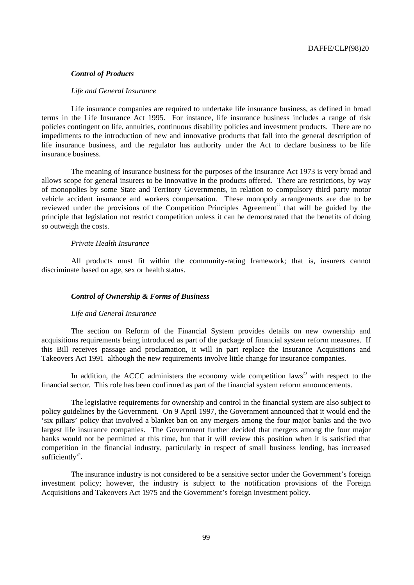# *Control of Products*

#### *Life and General Insurance*

Life insurance companies are required to undertake life insurance business, as defined in broad terms in the Life Insurance Act 1995. For instance, life insurance business includes a range of risk policies contingent on life, annuities, continuous disability policies and investment products. There are no impediments to the introduction of new and innovative products that fall into the general description of life insurance business, and the regulator has authority under the Act to declare business to be life insurance business.

The meaning of insurance business for the purposes of the Insurance Act 1973 is very broad and allows scope for general insurers to be innovative in the products offered. There are restrictions, by way of monopolies by some State and Territory Governments, in relation to compulsory third party motor vehicle accident insurance and workers compensation. These monopoly arrangements are due to be reviewed under the provisions of the Competition Principles Agreement<sup>22</sup> that will be guided by the principle that legislation not restrict competition unless it can be demonstrated that the benefits of doing so outweigh the costs.

### *Private Health Insurance*

All products must fit within the community-rating framework; that is, insurers cannot discriminate based on age, sex or health status.

### *Control of Ownership & Forms of Business*

#### *Life and General Insurance*

The section on Reform of the Financial System provides details on new ownership and acquisitions requirements being introduced as part of the package of financial system reform measures. If this Bill receives passage and proclamation, it will in part replace the Insurance Acquisitions and Takeovers Act 1991 although the new requirements involve little change for insurance companies.

In addition, the ACCC administers the economy wide competition laws<sup>23</sup> with respect to the financial sector. This role has been confirmed as part of the financial system reform announcements.

The legislative requirements for ownership and control in the financial system are also subject to policy guidelines by the Government. On 9 April 1997, the Government announced that it would end the 'six pillars' policy that involved a blanket ban on any mergers among the four major banks and the two largest life insurance companies. The Government further decided that mergers among the four major banks would not be permitted at this time, but that it will review this position when it is satisfied that competition in the financial industry, particularly in respect of small business lending, has increased sufficiently $^{24}$ .

The insurance industry is not considered to be a sensitive sector under the Government's foreign investment policy; however, the industry is subject to the notification provisions of the Foreign Acquisitions and Takeovers Act 1975 and the Government's foreign investment policy.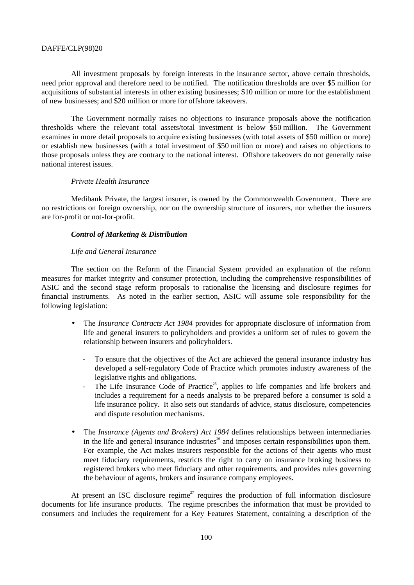All investment proposals by foreign interests in the insurance sector, above certain thresholds, need prior approval and therefore need to be notified. The notification thresholds are over \$5 million for acquisitions of substantial interests in other existing businesses; \$10 million or more for the establishment of new businesses; and \$20 million or more for offshore takeovers.

The Government normally raises no objections to insurance proposals above the notification thresholds where the relevant total assets/total investment is below \$50 million. The Government examines in more detail proposals to acquire existing businesses (with total assets of \$50 million or more) or establish new businesses (with a total investment of \$50 million or more) and raises no objections to those proposals unless they are contrary to the national interest. Offshore takeovers do not generally raise national interest issues.

## *Private Health Insurance*

Medibank Private, the largest insurer, is owned by the Commonwealth Government. There are no restrictions on foreign ownership, nor on the ownership structure of insurers, nor whether the insurers are for-profit or not-for-profit.

# *Control of Marketing & Distribution*

# *Life and General Insurance*

The section on the Reform of the Financial System provided an explanation of the reform measures for market integrity and consumer protection, including the comprehensive responsibilities of ASIC and the second stage reform proposals to rationalise the licensing and disclosure regimes for financial instruments. As noted in the earlier section, ASIC will assume sole responsibility for the following legislation:

- The *Insurance Contracts Act 1984* provides for appropriate disclosure of information from life and general insurers to policyholders and provides a uniform set of rules to govern the relationship between insurers and policyholders.
	- To ensure that the objectives of the Act are achieved the general insurance industry has developed a self-regulatory Code of Practice which promotes industry awareness of the legislative rights and obligations.
	- The Life Insurance Code of Practice<sup>25</sup>, applies to life companies and life brokers and includes a requirement for a needs analysis to be prepared before a consumer is sold a life insurance policy. It also sets out standards of advice, status disclosure, competencies and dispute resolution mechanisms.
- The *Insurance (Agents and Brokers) Act 1984* defines relationships between intermediaries in the life and general insurance industries<sup>26</sup> and imposes certain responsibilities upon them. For example, the Act makes insurers responsible for the actions of their agents who must meet fiduciary requirements, restricts the right to carry on insurance broking business to registered brokers who meet fiduciary and other requirements, and provides rules governing the behaviour of agents, brokers and insurance company employees.

At present an ISC disclosure regime<sup>27</sup> requires the production of full information disclosure documents for life insurance products. The regime prescribes the information that must be provided to consumers and includes the requirement for a Key Features Statement, containing a description of the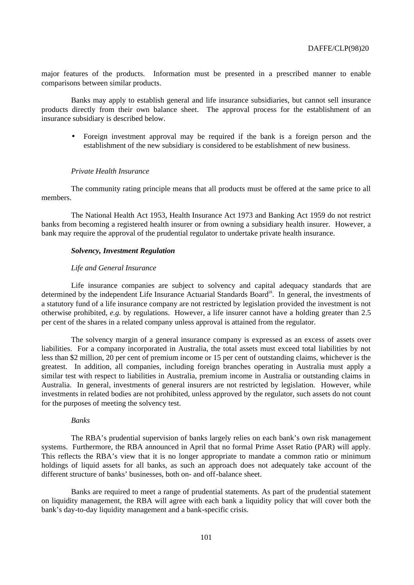major features of the products. Information must be presented in a prescribed manner to enable comparisons between similar products.

Banks may apply to establish general and life insurance subsidiaries, but cannot sell insurance products directly from their own balance sheet. The approval process for the establishment of an insurance subsidiary is described below.

• Foreign investment approval may be required if the bank is a foreign person and the establishment of the new subsidiary is considered to be establishment of new business.

# *Private Health Insurance*

The community rating principle means that all products must be offered at the same price to all members.

The National Health Act 1953, Health Insurance Act 1973 and Banking Act 1959 do not restrict banks from becoming a registered health insurer or from owning a subsidiary health insurer. However, a bank may require the approval of the prudential regulator to undertake private health insurance.

### *Solvency, Investment Regulation*

#### *Life and General Insurance*

Life insurance companies are subject to solvency and capital adequacy standards that are determined by the independent Life Insurance Actuarial Standards Board<sup>28</sup>. In general, the investments of a statutory fund of a life insurance company are not restricted by legislation provided the investment is not otherwise prohibited, *e.g.* by regulations. However, a life insurer cannot have a holding greater than 2.5 per cent of the shares in a related company unless approval is attained from the regulator.

The solvency margin of a general insurance company is expressed as an excess of assets over liabilities. For a company incorporated in Australia, the total assets must exceed total liabilities by not less than \$2 million, 20 per cent of premium income or 15 per cent of outstanding claims, whichever is the greatest. In addition, all companies, including foreign branches operating in Australia must apply a similar test with respect to liabilities in Australia, premium income in Australia or outstanding claims in Australia. In general, investments of general insurers are not restricted by legislation. However, while investments in related bodies are not prohibited, unless approved by the regulator, such assets do not count for the purposes of meeting the solvency test.

#### *Banks*

The RBA's prudential supervision of banks largely relies on each bank's own risk management systems. Furthermore, the RBA announced in April that no formal Prime Asset Ratio (PAR) will apply. This reflects the RBA's view that it is no longer appropriate to mandate a common ratio or minimum holdings of liquid assets for all banks, as such an approach does not adequately take account of the different structure of banks' businesses, both on- and off-balance sheet.

Banks are required to meet a range of prudential statements. As part of the prudential statement on liquidity management, the RBA will agree with each bank a liquidity policy that will cover both the bank's day-to-day liquidity management and a bank-specific crisis.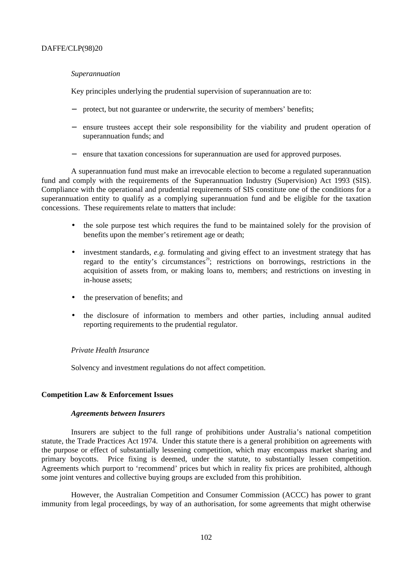# *Superannuation*

Key principles underlying the prudential supervision of superannuation are to:

- protect, but not guarantee or underwrite, the security of members' benefits;
- − ensure trustees accept their sole responsibility for the viability and prudent operation of superannuation funds; and
- − ensure that taxation concessions for superannuation are used for approved purposes.

A superannuation fund must make an irrevocable election to become a regulated superannuation fund and comply with the requirements of the Superannuation Industry (Supervision) Act 1993 (SIS). Compliance with the operational and prudential requirements of SIS constitute one of the conditions for a superannuation entity to qualify as a complying superannuation fund and be eligible for the taxation concessions. These requirements relate to matters that include:

- the sole purpose test which requires the fund to be maintained solely for the provision of benefits upon the member's retirement age or death;
- investment standards, *e.g.* formulating and giving effect to an investment strategy that has regard to the entity's circumstances<sup>29</sup>; restrictions on borrowings, restrictions in the acquisition of assets from, or making loans to, members; and restrictions on investing in in-house assets;
- the preservation of benefits; and
- the disclosure of information to members and other parties, including annual audited reporting requirements to the prudential regulator.

# *Private Health Insurance*

Solvency and investment regulations do not affect competition.

# **Competition Law & Enforcement Issues**

# *Agreements between Insurers*

Insurers are subject to the full range of prohibitions under Australia's national competition statute, the Trade Practices Act 1974. Under this statute there is a general prohibition on agreements with the purpose or effect of substantially lessening competition, which may encompass market sharing and primary boycotts. Price fixing is deemed, under the statute, to substantially lessen competition. Agreements which purport to 'recommend' prices but which in reality fix prices are prohibited, although some joint ventures and collective buying groups are excluded from this prohibition.

However, the Australian Competition and Consumer Commission (ACCC) has power to grant immunity from legal proceedings, by way of an authorisation, for some agreements that might otherwise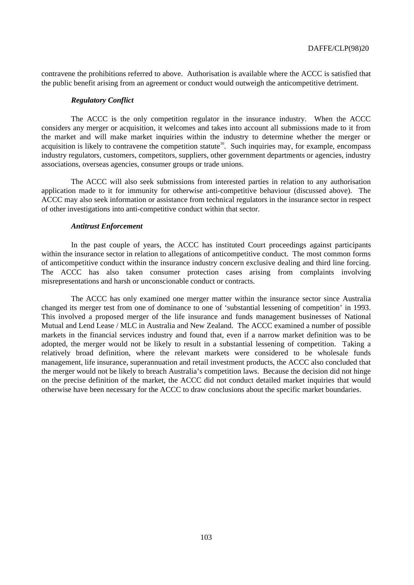contravene the prohibitions referred to above. Authorisation is available where the ACCC is satisfied that the public benefit arising from an agreement or conduct would outweigh the anticompetitive detriment.

### *Regulatory Conflict*

The ACCC is the only competition regulator in the insurance industry. When the ACCC considers any merger or acquisition, it welcomes and takes into account all submissions made to it from the market and will make market inquiries within the industry to determine whether the merger or acquisition is likely to contravene the competition statute<sup>30</sup>. Such inquiries may, for example, encompass industry regulators, customers, competitors, suppliers, other government departments or agencies, industry associations, overseas agencies, consumer groups or trade unions.

The ACCC will also seek submissions from interested parties in relation to any authorisation application made to it for immunity for otherwise anti-competitive behaviour (discussed above). The ACCC may also seek information or assistance from technical regulators in the insurance sector in respect of other investigations into anti-competitive conduct within that sector.

### *Antitrust Enforcement*

In the past couple of years, the ACCC has instituted Court proceedings against participants within the insurance sector in relation to allegations of anticompetitive conduct. The most common forms of anticompetitive conduct within the insurance industry concern exclusive dealing and third line forcing. The ACCC has also taken consumer protection cases arising from complaints involving misrepresentations and harsh or unconscionable conduct or contracts.

The ACCC has only examined one merger matter within the insurance sector since Australia changed its merger test from one of dominance to one of 'substantial lessening of competition' in 1993. This involved a proposed merger of the life insurance and funds management businesses of National Mutual and Lend Lease / MLC in Australia and New Zealand. The ACCC examined a number of possible markets in the financial services industry and found that, even if a narrow market definition was to be adopted, the merger would not be likely to result in a substantial lessening of competition. Taking a relatively broad definition, where the relevant markets were considered to be wholesale funds management, life insurance, superannuation and retail investment products, the ACCC also concluded that the merger would not be likely to breach Australia's competition laws. Because the decision did not hinge on the precise definition of the market, the ACCC did not conduct detailed market inquiries that would otherwise have been necessary for the ACCC to draw conclusions about the specific market boundaries.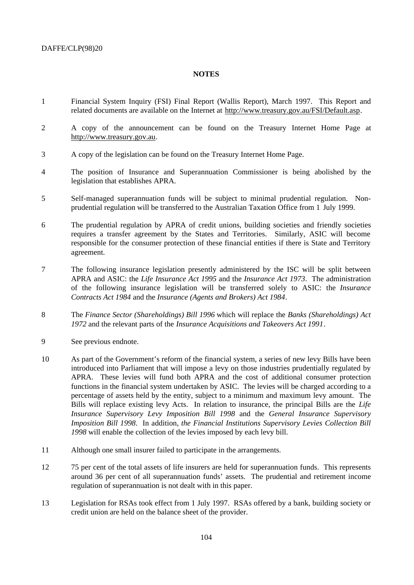# **NOTES**

- 1 Financial System Inquiry (FSI) Final Report (Wallis Report), March 1997. This Report and related documents are available on the Internet at http://www.treasury.gov.au/FSI/Default.asp.
- 2 A copy of the announcement can be found on the Treasury Internet Home Page at http://www.treasury.gov.au.
- 3 A copy of the legislation can be found on the Treasury Internet Home Page.
- 4 The position of Insurance and Superannuation Commissioner is being abolished by the legislation that establishes APRA.
- 5 Self-managed superannuation funds will be subject to minimal prudential regulation. Nonprudential regulation will be transferred to the Australian Taxation Office from 1 July 1999.
- 6 The prudential regulation by APRA of credit unions, building societies and friendly societies requires a transfer agreement by the States and Territories. Similarly, ASIC will become responsible for the consumer protection of these financial entities if there is State and Territory agreement.
- 7 The following insurance legislation presently administered by the ISC will be split between APRA and ASIC: the *Life Insurance Act 1995* and the *Insurance Act 1973*. The administration of the following insurance legislation will be transferred solely to ASIC: the *Insurance Contracts Act 1984* and the *Insurance (Agents and Brokers) Act 1984*.
- 8 The *Finance Sector (Shareholdings) Bill 1996* which will replace the *Banks (Shareholdings) Act 1972* and the relevant parts of the *Insurance Acquisitions and Takeovers Act 1991*.
- 9 See previous endnote.
- 10 As part of the Government's reform of the financial system, a series of new levy Bills have been introduced into Parliament that will impose a levy on those industries prudentially regulated by APRA. These levies will fund both APRA and the cost of additional consumer protection functions in the financial system undertaken by ASIC. The levies will be charged according to a percentage of assets held by the entity, subject to a minimum and maximum levy amount. The Bills will replace existing levy Acts. In relation to insurance, the principal Bills are the *Life Insurance Supervisory Levy Imposition Bill 1998* and the *General Insurance Supervisory Imposition Bill 1998*. In addition, *the Financial Institutions Supervisory Levies Collection Bill 1998* will enable the collection of the levies imposed by each levy bill.
- 11 Although one small insurer failed to participate in the arrangements.
- 12 75 per cent of the total assets of life insurers are held for superannuation funds. This represents around 36 per cent of all superannuation funds' assets. The prudential and retirement income regulation of superannuation is not dealt with in this paper.
- 13 Legislation for RSAs took effect from 1 July 1997. RSAs offered by a bank, building society or credit union are held on the balance sheet of the provider.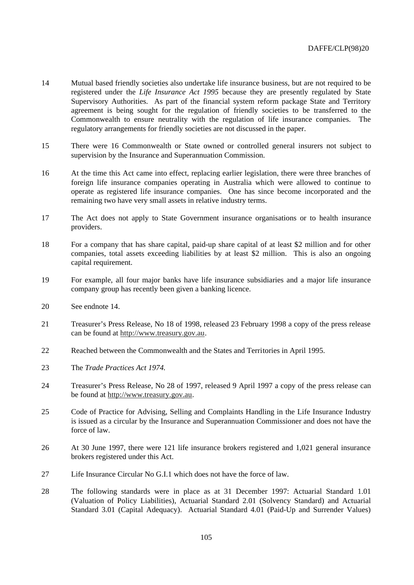- 14 Mutual based friendly societies also undertake life insurance business, but are not required to be registered under the *Life Insurance Act 1995* because they are presently regulated by State Supervisory Authorities. As part of the financial system reform package State and Territory agreement is being sought for the regulation of friendly societies to be transferred to the Commonwealth to ensure neutrality with the regulation of life insurance companies. The regulatory arrangements for friendly societies are not discussed in the paper.
- 15 There were 16 Commonwealth or State owned or controlled general insurers not subject to supervision by the Insurance and Superannuation Commission.
- 16 At the time this Act came into effect, replacing earlier legislation, there were three branches of foreign life insurance companies operating in Australia which were allowed to continue to operate as registered life insurance companies. One has since become incorporated and the remaining two have very small assets in relative industry terms.
- 17 The Act does not apply to State Government insurance organisations or to health insurance providers.
- 18 For a company that has share capital, paid-up share capital of at least \$2 million and for other companies, total assets exceeding liabilities by at least \$2 million. This is also an ongoing capital requirement.
- 19 For example, all four major banks have life insurance subsidiaries and a major life insurance company group has recently been given a banking licence.
- 20 See endnote 14.
- 21 Treasurer's Press Release, No 18 of 1998, released 23 February 1998 a copy of the press release can be found at http://www.treasury.gov.au.
- 22 Reached between the Commonwealth and the States and Territories in April 1995.
- 23 The *Trade Practices Act 1974.*
- 24 Treasurer's Press Release, No 28 of 1997, released 9 April 1997 a copy of the press release can be found at http://www.treasury.gov.au.
- 25 Code of Practice for Advising, Selling and Complaints Handling in the Life Insurance Industry is issued as a circular by the Insurance and Superannuation Commissioner and does not have the force of law.
- 26 At 30 June 1997, there were 121 life insurance brokers registered and 1,021 general insurance brokers registered under this Act.
- 27 Life Insurance Circular No G.I.1 which does not have the force of law.
- 28 The following standards were in place as at 31 December 1997: Actuarial Standard 1.01 (Valuation of Policy Liabilities), Actuarial Standard 2.01 (Solvency Standard) and Actuarial Standard 3.01 (Capital Adequacy). Actuarial Standard 4.01 (Paid-Up and Surrender Values)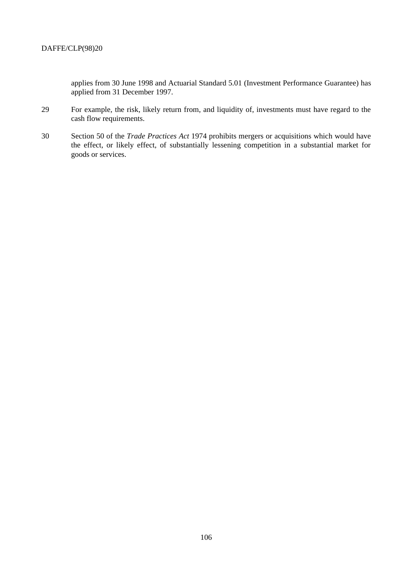applies from 30 June 1998 and Actuarial Standard 5.01 (Investment Performance Guarantee) has applied from 31 December 1997.

- 29 For example, the risk, likely return from, and liquidity of, investments must have regard to the cash flow requirements.
- 30 Section 50 of the *Trade Practices Act* 1974 prohibits mergers or acquisitions which would have the effect, or likely effect, of substantially lessening competition in a substantial market for goods or services.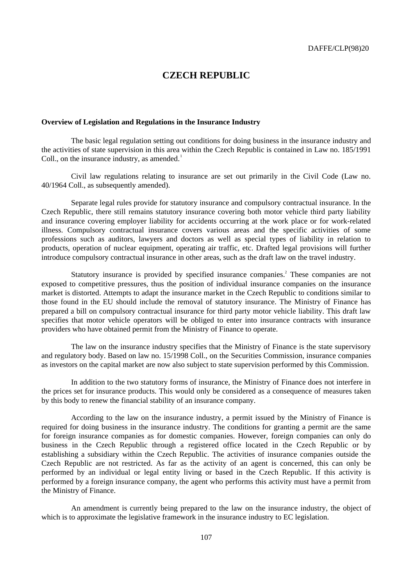# **CZECH REPUBLIC**

# **Overview of Legislation and Regulations in the Insurance Industry**

The basic legal regulation setting out conditions for doing business in the insurance industry and the activities of state supervision in this area within the Czech Republic is contained in Law no. 185/1991 Coll., on the insurance industry, as amended. $1$ 

Civil law regulations relating to insurance are set out primarily in the Civil Code (Law no. 40/1964 Coll., as subsequently amended).

Separate legal rules provide for statutory insurance and compulsory contractual insurance. In the Czech Republic, there still remains statutory insurance covering both motor vehicle third party liability and insurance covering employer liability for accidents occurring at the work place or for work-related illness. Compulsory contractual insurance covers various areas and the specific activities of some professions such as auditors, lawyers and doctors as well as special types of liability in relation to products, operation of nuclear equipment, operating air traffic, etc. Drafted legal provisions will further introduce compulsory contractual insurance in other areas, such as the draft law on the travel industry.

Statutory insurance is provided by specified insurance companies.<sup>2</sup> These companies are not exposed to competitive pressures, thus the position of individual insurance companies on the insurance market is distorted. Attempts to adapt the insurance market in the Czech Republic to conditions similar to those found in the EU should include the removal of statutory insurance. The Ministry of Finance has prepared a bill on compulsory contractual insurance for third party motor vehicle liability. This draft law specifies that motor vehicle operators will be obliged to enter into insurance contracts with insurance providers who have obtained permit from the Ministry of Finance to operate.

The law on the insurance industry specifies that the Ministry of Finance is the state supervisory and regulatory body. Based on law no. 15/1998 Coll., on the Securities Commission, insurance companies as investors on the capital market are now also subject to state supervision performed by this Commission.

In addition to the two statutory forms of insurance, the Ministry of Finance does not interfere in the prices set for insurance products. This would only be considered as a consequence of measures taken by this body to renew the financial stability of an insurance company.

According to the law on the insurance industry, a permit issued by the Ministry of Finance is required for doing business in the insurance industry. The conditions for granting a permit are the same for foreign insurance companies as for domestic companies. However, foreign companies can only do business in the Czech Republic through a registered office located in the Czech Republic or by establishing a subsidiary within the Czech Republic. The activities of insurance companies outside the Czech Republic are not restricted. As far as the activity of an agent is concerned, this can only be performed by an individual or legal entity living or based in the Czech Republic. If this activity is performed by a foreign insurance company, the agent who performs this activity must have a permit from the Ministry of Finance.

An amendment is currently being prepared to the law on the insurance industry, the object of which is to approximate the legislative framework in the insurance industry to EC legislation.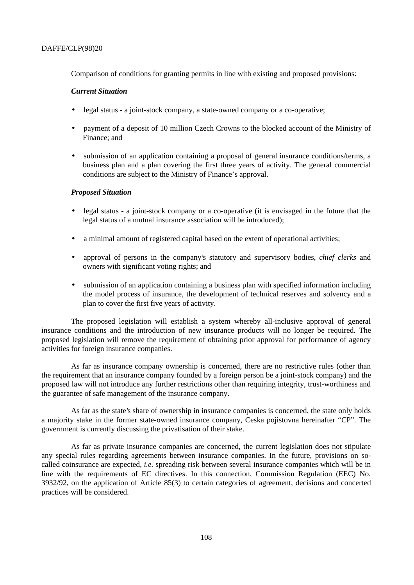Comparison of conditions for granting permits in line with existing and proposed provisions:

## *Current Situation*

- legal status a joint-stock company, a state-owned company or a co-operative;
- payment of a deposit of 10 million Czech Crowns to the blocked account of the Ministry of Finance; and
- submission of an application containing a proposal of general insurance conditions/terms, a business plan and a plan covering the first three years of activity. The general commercial conditions are subject to the Ministry of Finance's approval.

# *Proposed Situation*

- legal status a joint-stock company or a co-operative (it is envisaged in the future that the legal status of a mutual insurance association will be introduced);
- a minimal amount of registered capital based on the extent of operational activities;
- approval of persons in the company's statutory and supervisory bodies, *chief clerks* and owners with significant voting rights; and
- submission of an application containing a business plan with specified information including the model process of insurance, the development of technical reserves and solvency and a plan to cover the first five years of activity.

The proposed legislation will establish a system whereby all-inclusive approval of general insurance conditions and the introduction of new insurance products will no longer be required. The proposed legislation will remove the requirement of obtaining prior approval for performance of agency activities for foreign insurance companies.

As far as insurance company ownership is concerned, there are no restrictive rules (other than the requirement that an insurance company founded by a foreign person be a joint-stock company) and the proposed law will not introduce any further restrictions other than requiring integrity, trust-worthiness and the guarantee of safe management of the insurance company.

As far as the state's share of ownership in insurance companies is concerned, the state only holds a majority stake in the former state-owned insurance company, Ceska pojistovna hereinafter "CP". The government is currently discussing the privatisation of their stake.

As far as private insurance companies are concerned, the current legislation does not stipulate any special rules regarding agreements between insurance companies. In the future, provisions on socalled coinsurance are expected, *i.e.* spreading risk between several insurance companies which will be in line with the requirements of EC directives. In this connection, Commission Regulation (EEC) No. 3932/92, on the application of Article 85(3) to certain categories of agreement, decisions and concerted practices will be considered.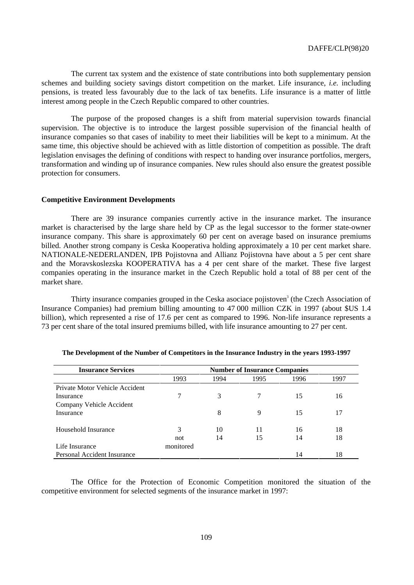The current tax system and the existence of state contributions into both supplementary pension schemes and building society savings distort competition on the market. Life insurance, *i.e.* including pensions, is treated less favourably due to the lack of tax benefits. Life insurance is a matter of little interest among people in the Czech Republic compared to other countries.

The purpose of the proposed changes is a shift from material supervision towards financial supervision. The objective is to introduce the largest possible supervision of the financial health of insurance companies so that cases of inability to meet their liabilities will be kept to a minimum. At the same time, this objective should be achieved with as little distortion of competition as possible. The draft legislation envisages the defining of conditions with respect to handing over insurance portfolios, mergers, transformation and winding up of insurance companies. New rules should also ensure the greatest possible protection for consumers.

#### **Competitive Environment Developments**

There are 39 insurance companies currently active in the insurance market. The insurance market is characterised by the large share held by CP as the legal successor to the former state-owner insurance company. This share is approximately 60 per cent on average based on insurance premiums billed. Another strong company is Ceska Kooperativa holding approximately a 10 per cent market share. NATIONALE-NEDERLANDEN, IPB Pojistovna and Allianz Pojistovna have about a 5 per cent share and the Moravskoslezska KOOPERATIVA has a 4 per cent share of the market. These five largest companies operating in the insurance market in the Czech Republic hold a total of 88 per cent of the market share.

Thirty insurance companies grouped in the Ceska asociace pojistoven<sup>3</sup> (the Czech Association of Insurance Companies) had premium billing amounting to 47 000 million CZK in 1997 (about \$US 1.4 billion), which represented a rise of 17.6 per cent as compared to 1996. Non-life insurance represents a 73 per cent share of the total insured premiums billed, with life insurance amounting to 27 per cent.

| <b>Insurance Services</b>      | <b>Number of Insurance Companies</b> |      |      |      |      |
|--------------------------------|--------------------------------------|------|------|------|------|
|                                | 1993                                 | 1994 | 1995 | 1996 | 1997 |
| Private Motor Vehicle Accident |                                      |      |      |      |      |
| Insurance                      |                                      | 3    |      | 15   | 16   |
| Company Vehicle Accident       |                                      |      |      |      |      |
| Insurance                      |                                      | 8    | 9    | 15   | 17   |
| Household Insurance            | 3                                    | 10   | 11   | 16   | 18   |
|                                | not                                  | 14   | 15   | 14   | 18   |
| Life Insurance                 | monitored                            |      |      |      |      |
| Personal Accident Insurance    |                                      |      |      | 14   | 18   |

| The Development of the Number of Competitors in the Insurance Industry in the years 1993-1997 |  |  |
|-----------------------------------------------------------------------------------------------|--|--|
|                                                                                               |  |  |

The Office for the Protection of Economic Competition monitored the situation of the competitive environment for selected segments of the insurance market in 1997: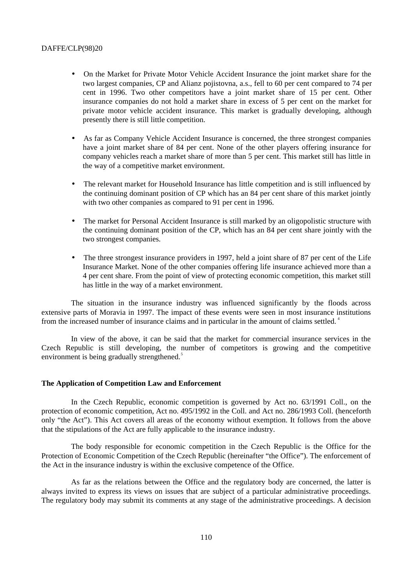- On the Market for Private Motor Vehicle Accident Insurance the joint market share for the two largest companies, CP and Alianz pojistovna, a.s., fell to 60 per cent compared to 74 per cent in 1996. Two other competitors have a joint market share of 15 per cent. Other insurance companies do not hold a market share in excess of 5 per cent on the market for private motor vehicle accident insurance. This market is gradually developing, although presently there is still little competition.
- As far as Company Vehicle Accident Insurance is concerned, the three strongest companies have a joint market share of 84 per cent. None of the other players offering insurance for company vehicles reach a market share of more than 5 per cent. This market still has little in the way of a competitive market environment.
- The relevant market for Household Insurance has little competition and is still influenced by the continuing dominant position of CP which has an 84 per cent share of this market jointly with two other companies as compared to 91 per cent in 1996.
- The market for Personal Accident Insurance is still marked by an oligopolistic structure with the continuing dominant position of the CP, which has an 84 per cent share jointly with the two strongest companies.
- The three strongest insurance providers in 1997, held a joint share of 87 per cent of the Life Insurance Market. None of the other companies offering life insurance achieved more than a 4 per cent share. From the point of view of protecting economic competition, this market still has little in the way of a market environment.

The situation in the insurance industry was influenced significantly by the floods across extensive parts of Moravia in 1997. The impact of these events were seen in most insurance institutions from the increased number of insurance claims and in particular in the amount of claims settled.<sup>4</sup>

In view of the above, it can be said that the market for commercial insurance services in the Czech Republic is still developing, the number of competitors is growing and the competitive environment is being gradually strengthened.<sup>5</sup>

# **The Application of Competition Law and Enforcement**

In the Czech Republic, economic competition is governed by Act no. 63/1991 Coll., on the protection of economic competition, Act no. 495/1992 in the Coll. and Act no. 286/1993 Coll. (henceforth only "the Act"). This Act covers all areas of the economy without exemption. It follows from the above that the stipulations of the Act are fully applicable to the insurance industry.

The body responsible for economic competition in the Czech Republic is the Office for the Protection of Economic Competition of the Czech Republic (hereinafter "the Office"). The enforcement of the Act in the insurance industry is within the exclusive competence of the Office.

As far as the relations between the Office and the regulatory body are concerned, the latter is always invited to express its views on issues that are subject of a particular administrative proceedings. The regulatory body may submit its comments at any stage of the administrative proceedings. A decision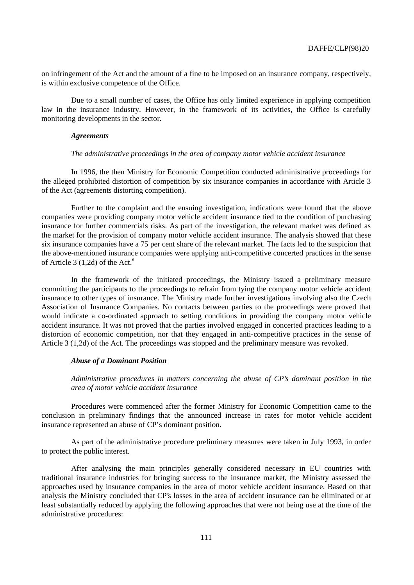on infringement of the Act and the amount of a fine to be imposed on an insurance company, respectively, is within exclusive competence of the Office.

Due to a small number of cases, the Office has only limited experience in applying competition law in the insurance industry. However, in the framework of its activities, the Office is carefully monitoring developments in the sector.

## *Agreements*

### *The administrative proceedings in the area of company motor vehicle accident insurance*

In 1996, the then Ministry for Economic Competition conducted administrative proceedings for the alleged prohibited distortion of competition by six insurance companies in accordance with Article 3 of the Act (agreements distorting competition).

Further to the complaint and the ensuing investigation, indications were found that the above companies were providing company motor vehicle accident insurance tied to the condition of purchasing insurance for further commercials risks. As part of the investigation, the relevant market was defined as the market for the provision of company motor vehicle accident insurance. The analysis showed that these six insurance companies have a 75 per cent share of the relevant market. The facts led to the suspicion that the above-mentioned insurance companies were applying anti-competitive concerted practices in the sense of Article  $3(1.2d)$  of the Act.<sup>6</sup>

In the framework of the initiated proceedings, the Ministry issued a preliminary measure committing the participants to the proceedings to refrain from tying the company motor vehicle accident insurance to other types of insurance. The Ministry made further investigations involving also the Czech Association of Insurance Companies. No contacts between parties to the proceedings were proved that would indicate a co-ordinated approach to setting conditions in providing the company motor vehicle accident insurance. It was not proved that the parties involved engaged in concerted practices leading to a distortion of economic competition, nor that they engaged in anti-competitive practices in the sense of Article 3 (1,2d) of the Act. The proceedings was stopped and the preliminary measure was revoked.

## *Abuse of a Dominant Position*

*Administrative procedures in matters concerning the abuse of CP's dominant position in the area of motor vehicle accident insurance*

Procedures were commenced after the former Ministry for Economic Competition came to the conclusion in preliminary findings that the announced increase in rates for motor vehicle accident insurance represented an abuse of CP's dominant position.

As part of the administrative procedure preliminary measures were taken in July 1993, in order to protect the public interest.

After analysing the main principles generally considered necessary in EU countries with traditional insurance industries for bringing success to the insurance market, the Ministry assessed the approaches used by insurance companies in the area of motor vehicle accident insurance. Based on that analysis the Ministry concluded that CP's losses in the area of accident insurance can be eliminated or at least substantially reduced by applying the following approaches that were not being use at the time of the administrative procedures: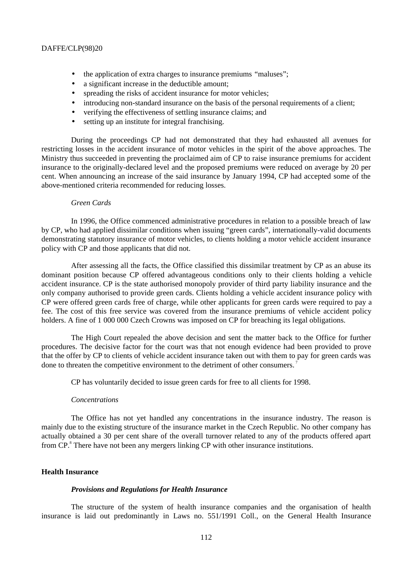- the application of extra charges to insurance premiums "maluses":
- a significant increase in the deductible amount;
- spreading the risks of accident insurance for motor vehicles;
- introducing non-standard insurance on the basis of the personal requirements of a client;
- verifying the effectiveness of settling insurance claims; and
- setting up an institute for integral franchising.

During the proceedings CP had not demonstrated that they had exhausted all avenues for restricting losses in the accident insurance of motor vehicles in the spirit of the above approaches. The Ministry thus succeeded in preventing the proclaimed aim of CP to raise insurance premiums for accident insurance to the originally-declared level and the proposed premiums were reduced on average by 20 per cent. When announcing an increase of the said insurance by January 1994, CP had accepted some of the above-mentioned criteria recommended for reducing losses.

#### *Green Cards*

In 1996, the Office commenced administrative procedures in relation to a possible breach of law by CP, who had applied dissimilar conditions when issuing "green cards", internationally-valid documents demonstrating statutory insurance of motor vehicles, to clients holding a motor vehicle accident insurance policy with CP and those applicants that did not.

After assessing all the facts, the Office classified this dissimilar treatment by CP as an abuse its dominant position because CP offered advantageous conditions only to their clients holding a vehicle accident insurance. CP is the state authorised monopoly provider of third party liability insurance and the only company authorised to provide green cards. Clients holding a vehicle accident insurance policy with CP were offered green cards free of charge, while other applicants for green cards were required to pay a fee. The cost of this free service was covered from the insurance premiums of vehicle accident policy holders. A fine of 1 000 000 Czech Crowns was imposed on CP for breaching its legal obligations.

The High Court repealed the above decision and sent the matter back to the Office for further procedures. The decisive factor for the court was that not enough evidence had been provided to prove that the offer by CP to clients of vehicle accident insurance taken out with them to pay for green cards was done to threaten the competitive environment to the detriment of other consumers.

CP has voluntarily decided to issue green cards for free to all clients for 1998.

## *Concentrations*

The Office has not yet handled any concentrations in the insurance industry. The reason is mainly due to the existing structure of the insurance market in the Czech Republic. No other company has actually obtained a 30 per cent share of the overall turnover related to any of the products offered apart from CP.<sup>8</sup> There have not been any mergers linking CP with other insurance institutions.

## **Health Insurance**

### *Provisions and Regulations for Health Insurance*

The structure of the system of health insurance companies and the organisation of health insurance is laid out predominantly in Laws no. 551/1991 Coll., on the General Health Insurance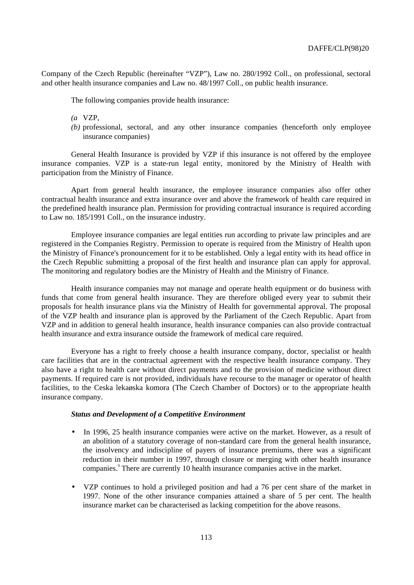Company of the Czech Republic (hereinafter "VZP"), Law no. 280/1992 Coll., on professional, sectoral and other health insurance companies and Law no. 48/1997 Coll., on public health insurance.

The following companies provide health insurance:

- *(a* VZP,
- *(b)* professional, sectoral, and any other insurance companies (henceforth only employee insurance companies)

General Health Insurance is provided by VZP if this insurance is not offered by the employee insurance companies. VZP is a state-run legal entity, monitored by the Ministry of Health with participation from the Ministry of Finance.

Apart from general health insurance, the employee insurance companies also offer other contractual health insurance and extra insurance over and above the framework of health care required in the predefined health insurance plan. Permission for providing contractual insurance is required according to Law no. 185/1991 Coll., on the insurance industry.

Employee insurance companies are legal entities run according to private law principles and are registered in the Companies Registry. Permission to operate is required from the Ministry of Health upon the Ministry of Finance's pronouncement for it to be established. Only a legal entity with its head office in the Czech Republic submitting a proposal of the first health and insurance plan can apply for approval. The monitoring and regulatory bodies are the Ministry of Health and the Ministry of Finance.

Health insurance companies may not manage and operate health equipment or do business with funds that come from general health insurance. They are therefore obliged every year to submit their proposals for health insurance plans via the Ministry of Health for governmental approval. The proposal of the VZP health and insurance plan is approved by the Parliament of the Czech Republic. Apart from VZP and in addition to general health insurance, health insurance companies can also provide contractual health insurance and extra insurance outside the framework of medical care required.

Everyone has a right to freely choose a health insurance company, doctor, specialist or health care facilities that are in the contractual agreement with the respective health insurance company. They also have a right to health care without direct payments and to the provision of medicine without direct payments. If required care is not provided, individuals have recourse to the manager or operator of health facilities, to the Ceska lekaøska komora (The Czech Chamber of Doctors) or to the appropriate health insurance company.

# *Status and Development of a Competitive Environment*

- In 1996, 25 health insurance companies were active on the market. However, as a result of an abolition of a statutory coverage of non-standard care from the general health insurance, the insolvency and indiscipline of payers of insurance premiums, there was a significant reduction in their number in 1997, through closure or merging with other health insurance companies.<sup>9</sup> There are currently 10 health insurance companies active in the market.
- VZP continues to hold a privileged position and had a 76 per cent share of the market in 1997. None of the other insurance companies attained a share of 5 per cent. The health insurance market can be characterised as lacking competition for the above reasons.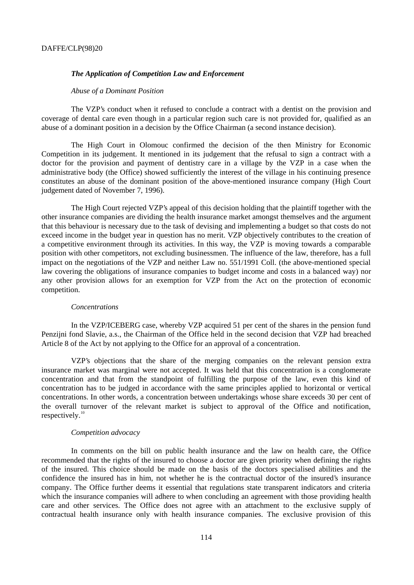### *The Application of Competition Law and Enforcement*

#### *Abuse of a Dominant Position*

The VZP's conduct when it refused to conclude a contract with a dentist on the provision and coverage of dental care even though in a particular region such care is not provided for, qualified as an abuse of a dominant position in a decision by the Office Chairman (a second instance decision).

The High Court in Olomouc confirmed the decision of the then Ministry for Economic Competition in its judgement. It mentioned in its judgement that the refusal to sign a contract with a doctor for the provision and payment of dentistry care in a village by the VZP in a case when the administrative body (the Office) showed sufficiently the interest of the village in his continuing presence constitutes an abuse of the dominant position of the above-mentioned insurance company (High Court judgement dated of November 7, 1996).

The High Court rejected VZP's appeal of this decision holding that the plaintiff together with the other insurance companies are dividing the health insurance market amongst themselves and the argument that this behaviour is necessary due to the task of devising and implementing a budget so that costs do not exceed income in the budget year in question has no merit. VZP objectively contributes to the creation of a competitive environment through its activities. In this way, the VZP is moving towards a comparable position with other competitors, not excluding businessmen. The influence of the law, therefore, has a full impact on the negotiations of the VZP and neither Law no. 551/1991 Coll. (the above-mentioned special law covering the obligations of insurance companies to budget income and costs in a balanced way) nor any other provision allows for an exemption for VZP from the Act on the protection of economic competition.

#### *Concentrations*

In the VZP/ICEBERG case, whereby VZP acquired 51 per cent of the shares in the pension fund Penzijni fond Slavie, a.s., the Chairman of the Office held in the second decision that VZP had breached Article 8 of the Act by not applying to the Office for an approval of a concentration.

VZP's objections that the share of the merging companies on the relevant pension extra insurance market was marginal were not accepted. It was held that this concentration is a conglomerate concentration and that from the standpoint of fulfilling the purpose of the law, even this kind of concentration has to be judged in accordance with the same principles applied to horizontal or vertical concentrations. In other words, a concentration between undertakings whose share exceeds 30 per cent of the overall turnover of the relevant market is subject to approval of the Office and notification, respectively.<sup>10</sup>

#### *Competition advocacy*

In comments on the bill on public health insurance and the law on health care, the Office recommended that the rights of the insured to choose a doctor are given priority when defining the rights of the insured. This choice should be made on the basis of the doctors specialised abilities and the confidence the insured has in him, not whether he is the contractual doctor of the insured's insurance company. The Office further deems it essential that regulations state transparent indicators and criteria which the insurance companies will adhere to when concluding an agreement with those providing health care and other services. The Office does not agree with an attachment to the exclusive supply of contractual health insurance only with health insurance companies. The exclusive provision of this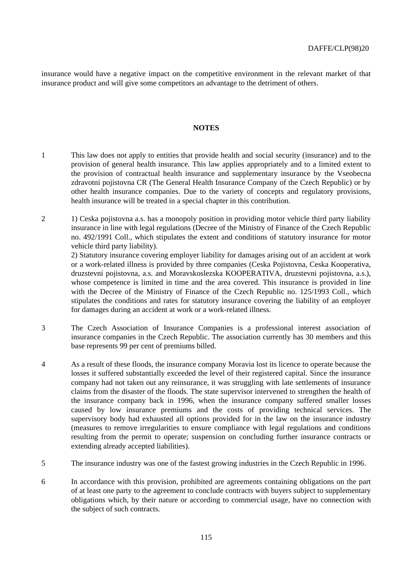insurance would have a negative impact on the competitive environment in the relevant market of that insurance product and will give some competitors an advantage to the detriment of others.

# **NOTES**

- 1 This law does not apply to entities that provide health and social security (insurance) and to the provision of general health insurance. This law applies appropriately and to a limited extent to the provision of contractual health insurance and supplementary insurance by the Vseobecna zdravotni pojistovna CR (The General Health Insurance Company of the Czech Republic) or by other health insurance companies. Due to the variety of concepts and regulatory provisions, health insurance will be treated in a special chapter in this contribution.
- 2 1) Ceska pojistovna a.s. has a monopoly position in providing motor vehicle third party liability insurance in line with legal regulations (Decree of the Ministry of Finance of the Czech Republic no. 492/1991 Coll., which stipulates the extent and conditions of statutory insurance for motor vehicle third party liability).

2) Statutory insurance covering employer liability for damages arising out of an accident at work or a work-related illness is provided by three companies (Ceska Pojistovna, Ceska Kooperativa, druzstevni pojistovna, a.s. and Moravskoslezska KOOPERATIVA, druzstevni pojistovna, a.s.), whose competence is limited in time and the area covered. This insurance is provided in line with the Decree of the Ministry of Finance of the Czech Republic no. 125/1993 Coll., which stipulates the conditions and rates for statutory insurance covering the liability of an employer for damages during an accident at work or a work-related illness.

- 3 The Czech Association of Insurance Companies is a professional interest association of insurance companies in the Czech Republic. The association currently has 30 members and this base represents 99 per cent of premiums billed.
- 4 As a result of these floods, the insurance company Moravia lost its licence to operate because the losses it suffered substantially exceeded the level of their registered capital. Since the insurance company had not taken out any reinsurance, it was struggling with late settlements of insurance claims from the disaster of the floods. The state supervisor intervened to strengthen the health of the insurance company back in 1996, when the insurance company suffered smaller losses caused by low insurance premiums and the costs of providing technical services. The supervisory body had exhausted all options provided for in the law on the insurance industry (measures to remove irregularities to ensure compliance with legal regulations and conditions resulting from the permit to operate; suspension on concluding further insurance contracts or extending already accepted liabilities).
- 5 The insurance industry was one of the fastest growing industries in the Czech Republic in 1996.
- 6 In accordance with this provision, prohibited are agreements containing obligations on the part of at least one party to the agreement to conclude contracts with buyers subject to supplementary obligations which, by their nature or according to commercial usage, have no connection with the subject of such contracts.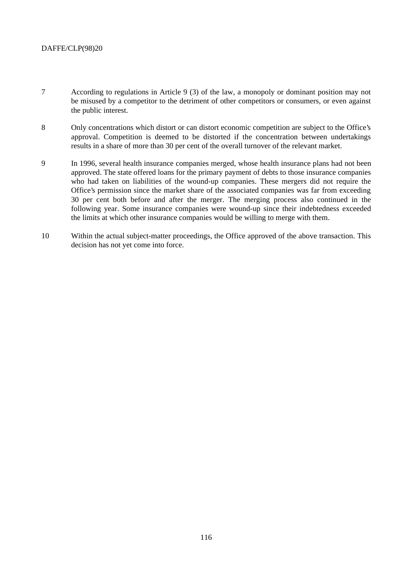- 7 According to regulations in Article 9 (3) of the law, a monopoly or dominant position may not be misused by a competitor to the detriment of other competitors or consumers, or even against the public interest.
- 8 Only concentrations which distort or can distort economic competition are subject to the Office's approval. Competition is deemed to be distorted if the concentration between undertakings results in a share of more than 30 per cent of the overall turnover of the relevant market.
- 9 In 1996, several health insurance companies merged, whose health insurance plans had not been approved. The state offered loans for the primary payment of debts to those insurance companies who had taken on liabilities of the wound-up companies. These mergers did not require the Office's permission since the market share of the associated companies was far from exceeding 30 per cent both before and after the merger. The merging process also continued in the following year. Some insurance companies were wound-up since their indebtedness exceeded the limits at which other insurance companies would be willing to merge with them.
- 10 Within the actual subject-matter proceedings, the Office approved of the above transaction. This decision has not yet come into force.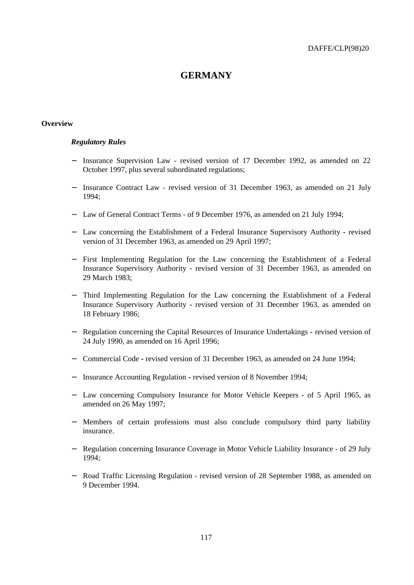# **GERMANY**

# **Overview**

## *Regulatory Rules*

- Insurance Supervision Law revised version of 17 December 1992, as amended on 22 October 1997, plus several subordinated regulations;
- − Insurance Contract Law revised version of 31 December 1963, as amended on 21 July 1994;
- − Law of General Contract Terms of 9 December 1976, as amended on 21 July 1994;
- − Law concerning the Establishment of a Federal Insurance Supervisory Authority **-** revised version of 31 December 1963, as amended on 29 April 1997;
- − First Implementing Regulation for the Law concerning the Establishment of a Federal Insurance Supervisory Authority - revised version of 31 December 1963, as amended on 29 March 1983;
- Third Implementing Regulation for the Law concerning the Establishment of a Federal Insurance Supervisory Authority **-** revised version of 31 December 1963, as amended on 18 February 1986;
- − Regulation concerning the Capital Resources of Insurance Undertakings **-** revised version of 24 July 1990, as amended on 16 April 1996;
- − Commercial Code **-** revised version of 31 December 1963, as amended on 24 June 1994;
- − Insurance Accounting Regulation **-** revised version of 8 November 1994;
- − Law concerning Compulsory Insurance for Motor Vehicle Keepers of 5 April 1965, as amended on 26 May 1997;
- − Members of certain professions must also conclude compulsory third party liability insurance.
- − Regulation concerning Insurance Coverage in Motor Vehicle Liability Insurance of 29 July 1994;
- − Road Traffic Licensing Regulation revised version of 28 September 1988, as amended on 9 December 1994.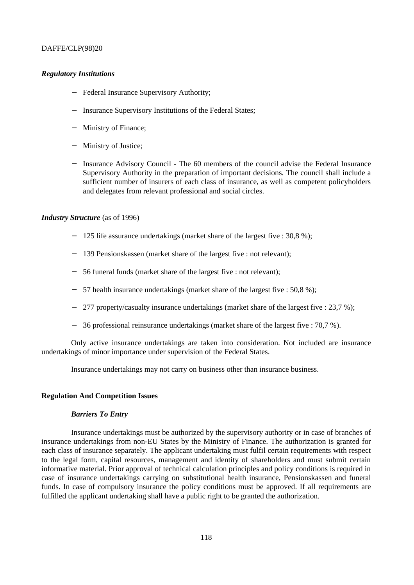# *Regulatory Institutions*

- − Federal Insurance Supervisory Authority;
- − Insurance Supervisory Institutions of the Federal States;
- Ministry of Finance;
- Ministry of Justice;
- − Insurance Advisory Council The 60 members of the council advise the Federal Insurance Supervisory Authority in the preparation of important decisions. The council shall include a sufficient number of insurers of each class of insurance, as well as competent policyholders and delegates from relevant professional and social circles.

## *Industry Structure* (as of 1996)

- − 125 life assurance undertakings (market share of the largest five : 30,8 %);
- − 139 Pensionskassen (market share of the largest five : not relevant);
- − 56 funeral funds (market share of the largest five : not relevant);
- − 57 health insurance undertakings (market share of the largest five : 50,8 %);
- − 277 property/casualty insurance undertakings (market share of the largest five : 23,7 %);
- − 36 professional reinsurance undertakings (market share of the largest five : 70,7 %).

Only active insurance undertakings are taken into consideration. Not included are insurance undertakings of minor importance under supervision of the Federal States.

Insurance undertakings may not carry on business other than insurance business.

## **Regulation And Competition Issues**

# *Barriers To Entry*

Insurance undertakings must be authorized by the supervisory authority or in case of branches of insurance undertakings from non-EU States by the Ministry of Finance. The authorization is granted for each class of insurance separately. The applicant undertaking must fulfil certain requirements with respect to the legal form, capital resources, management and identity of shareholders and must submit certain informative material. Prior approval of technical calculation principles and policy conditions is required in case of insurance undertakings carrying on substitutional health insurance, Pensionskassen and funeral funds. In case of compulsory insurance the policy conditions must be approved. If all requirements are fulfilled the applicant undertaking shall have a public right to be granted the authorization.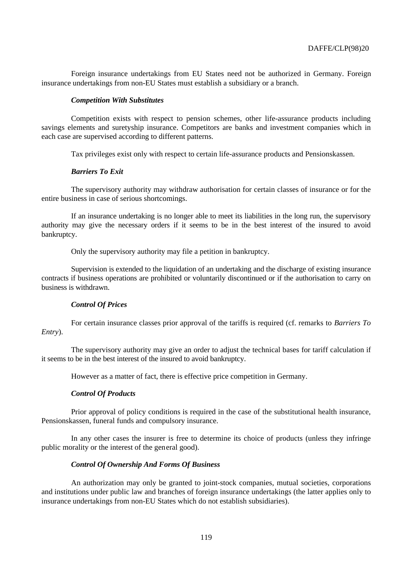Foreign insurance undertakings from EU States need not be authorized in Germany. Foreign insurance undertakings from non-EU States must establish a subsidiary or a branch.

#### *Competition With Substitutes*

Competition exists with respect to pension schemes, other life-assurance products including savings elements and suretyship insurance. Competitors are banks and investment companies which in each case are supervised according to different patterns.

Tax privileges exist only with respect to certain life-assurance products and Pensionskassen.

## *Barriers To Exit*

The supervisory authority may withdraw authorisation for certain classes of insurance or for the entire business in case of serious shortcomings.

If an insurance undertaking is no longer able to meet its liabilities in the long run, the supervisory authority may give the necessary orders if it seems to be in the best interest of the insured to avoid bankruptcy.

Only the supervisory authority may file a petition in bankruptcy.

Supervision is extended to the liquidation of an undertaking and the discharge of existing insurance contracts if business operations are prohibited or voluntarily discontinued or if the authorisation to carry on business is withdrawn.

#### *Control Of Prices*

For certain insurance classes prior approval of the tariffs is required (cf. remarks to *Barriers To Entry*).

The supervisory authority may give an order to adjust the technical bases for tariff calculation if it seems to be in the best interest of the insured to avoid bankruptcy.

However as a matter of fact, there is effective price competition in Germany.

#### *Control Of Products*

Prior approval of policy conditions is required in the case of the substitutional health insurance, Pensionskassen, funeral funds and compulsory insurance.

In any other cases the insurer is free to determine its choice of products (unless they infringe public morality or the interest of the general good).

## *Control Of Ownership And Forms Of Business*

An authorization may only be granted to joint-stock companies, mutual societies, corporations and institutions under public law and branches of foreign insurance undertakings (the latter applies only to insurance undertakings from non-EU States which do not establish subsidiaries).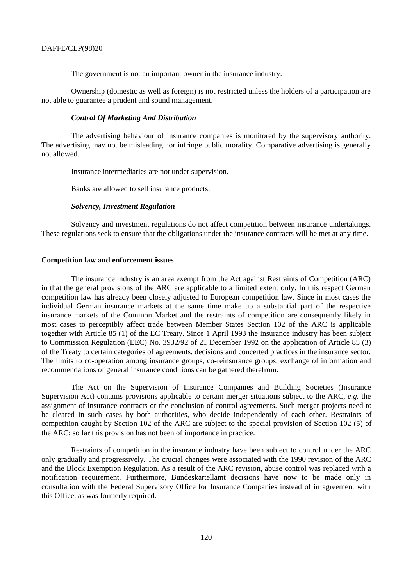The government is not an important owner in the insurance industry.

Ownership (domestic as well as foreign) is not restricted unless the holders of a participation are not able to guarantee a prudent and sound management.

# *Control Of Marketing And Distribution*

The advertising behaviour of insurance companies is monitored by the supervisory authority. The advertising may not be misleading nor infringe public morality. Comparative advertising is generally not allowed.

Insurance intermediaries are not under supervision.

Banks are allowed to sell insurance products.

## *Solvency, Investment Regulation*

Solvency and investment regulations do not affect competition between insurance undertakings. These regulations seek to ensure that the obligations under the insurance contracts will be met at any time.

## **Competition law and enforcement issues**

The insurance industry is an area exempt from the Act against Restraints of Competition (ARC) in that the general provisions of the ARC are applicable to a limited extent only. In this respect German competition law has already been closely adjusted to European competition law. Since in most cases the individual German insurance markets at the same time make up a substantial part of the respective insurance markets of the Common Market and the restraints of competition are consequently likely in most cases to perceptibly affect trade between Member States Section 102 of the ARC is applicable together with Article 85 (1) of the EC Treaty. Since 1 April 1993 the insurance industry has been subject to Commission Regulation (EEC) No. 3932/92 of 21 December 1992 on the application of Article 85 (3) of the Treaty to certain categories of agreements, decisions and concerted practices in the insurance sector. The limits to co-operation among insurance groups, co-reinsurance groups, exchange of information and recommendations of general insurance conditions can be gathered therefrom.

The Act on the Supervision of Insurance Companies and Building Societies (Insurance Supervision Act) contains provisions applicable to certain merger situations subject to the ARC, *e.g.* the assignment of insurance contracts or the conclusion of control agreements. Such merger projects need to be cleared in such cases by both authorities, who decide independently of each other. Restraints of competition caught by Section 102 of the ARC are subject to the special provision of Section 102 (5) of the ARC; so far this provision has not been of importance in practice.

Restraints of competition in the insurance industry have been subject to control under the ARC only gradually and progressively. The crucial changes were associated with the 1990 revision of the ARC and the Block Exemption Regulation. As a result of the ARC revision, abuse control was replaced with a notification requirement. Furthermore, Bundeskartellamt decisions have now to be made only in consultation with the Federal Supervisory Office for Insurance Companies instead of in agreement with this Office, as was formerly required.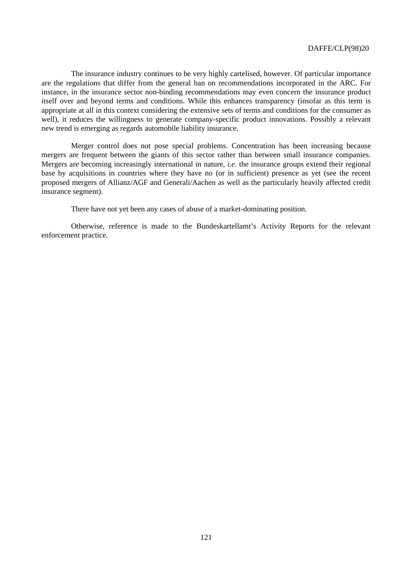The insurance industry continues to be very highly cartelised, however. Of particular importance are the regulations that differ from the general ban on recommendations incorporated in the ARC. For instance, in the insurance sector non-binding recommendations may even concern the insurance product itself over and beyond terms and conditions. While this enhances transparency (insofar as this term is appropriate at all in this context considering the extensive sets of terms and conditions for the consumer as well), it reduces the willingness to generate company-specific product innovations. Possibly a relevant new trend is emerging as regards automobile liability insurance.

Merger control does not pose special problems. Concentration has been increasing because mergers are frequent between the giants of this sector rather than between small insurance companies. Mergers are becoming increasingly international in nature, *i.e.* the insurance groups extend their regional base by acquisitions in countries where they have no (or in sufficient) presence as yet (see the recent proposed mergers of Allianz/AGF and Generali/Aachen as well as the particularly heavily affected credit insurance segment).

There have not yet been any cases of abuse of a market-dominating position.

Otherwise, reference is made to the Bundeskartellamt's Activity Reports for the relevant enforcement practice.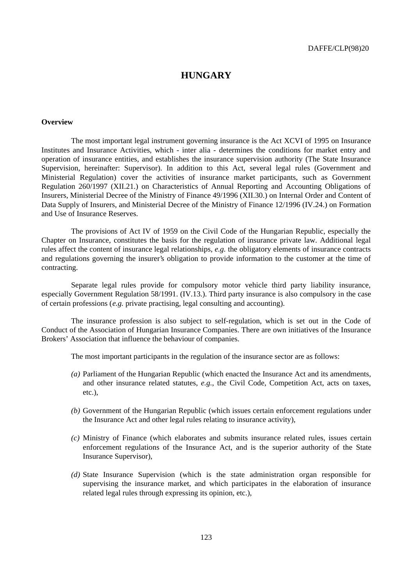# **HUNGARY**

# **Overview**

The most important legal instrument governing insurance is the Act XCVI of 1995 on Insurance Institutes and Insurance Activities, which - inter alia - determines the conditions for market entry and operation of insurance entities, and establishes the insurance supervision authority (The State Insurance Supervision, hereinafter: Supervisor). In addition to this Act, several legal rules (Government and Ministerial Regulation) cover the activities of insurance market participants, such as Government Regulation 260/1997 (XII.21.) on Characteristics of Annual Reporting and Accounting Obligations of Insurers, Ministerial Decree of the Ministry of Finance 49/1996 (XII.30.) on Internal Order and Content of Data Supply of Insurers, and Ministerial Decree of the Ministry of Finance 12/1996 (IV.24.) on Formation and Use of Insurance Reserves.

The provisions of Act IV of 1959 on the Civil Code of the Hungarian Republic, especially the Chapter on Insurance, constitutes the basis for the regulation of insurance private law. Additional legal rules affect the content of insurance legal relationships, *e.g.* the obligatory elements of insurance contracts and regulations governing the insurer's obligation to provide information to the customer at the time of contracting.

Separate legal rules provide for compulsory motor vehicle third party liability insurance, especially Government Regulation 58/1991. (IV.13.). Third party insurance is also compulsory in the case of certain professions (*e.g.* private practising, legal consulting and accounting).

The insurance profession is also subject to self-regulation, which is set out in the Code of Conduct of the Association of Hungarian Insurance Companies. There are own initiatives of the Insurance Brokers' Association that influence the behaviour of companies.

The most important participants in the regulation of the insurance sector are as follows:

- *(a)* Parliament of the Hungarian Republic (which enacted the Insurance Act and its amendments, and other insurance related statutes, *e.g.*, the Civil Code, Competition Act, acts on taxes, etc.),
- *(b)* Government of the Hungarian Republic (which issues certain enforcement regulations under the Insurance Act and other legal rules relating to insurance activity),
- *(c)* Ministry of Finance (which elaborates and submits insurance related rules, issues certain enforcement regulations of the Insurance Act, and is the superior authority of the State Insurance Supervisor),
- *(d)* State Insurance Supervision (which is the state administration organ responsible for supervising the insurance market, and which participates in the elaboration of insurance related legal rules through expressing its opinion, etc.),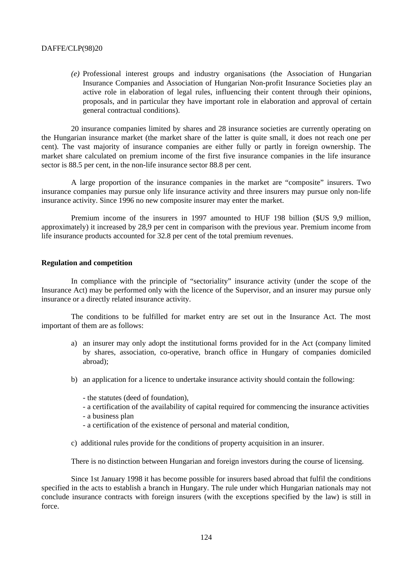*(e)* Professional interest groups and industry organisations (the Association of Hungarian Insurance Companies and Association of Hungarian Non-profit Insurance Societies play an active role in elaboration of legal rules, influencing their content through their opinions, proposals, and in particular they have important role in elaboration and approval of certain general contractual conditions).

20 insurance companies limited by shares and 28 insurance societies are currently operating on the Hungarian insurance market (the market share of the latter is quite small, it does not reach one per cent). The vast majority of insurance companies are either fully or partly in foreign ownership. The market share calculated on premium income of the first five insurance companies in the life insurance sector is 88.5 per cent, in the non-life insurance sector 88.8 per cent.

A large proportion of the insurance companies in the market are "composite" insurers. Two insurance companies may pursue only life insurance activity and three insurers may pursue only non-life insurance activity. Since 1996 no new composite insurer may enter the market.

Premium income of the insurers in 1997 amounted to HUF 198 billion (\$US 9,9 million, approximately) it increased by 28,9 per cent in comparison with the previous year. Premium income from life insurance products accounted for 32.8 per cent of the total premium revenues.

# **Regulation and competition**

In compliance with the principle of "sectoriality" insurance activity (under the scope of the Insurance Act) may be performed only with the licence of the Supervisor, and an insurer may pursue only insurance or a directly related insurance activity.

The conditions to be fulfilled for market entry are set out in the Insurance Act. The most important of them are as follows:

- a) an insurer may only adopt the institutional forms provided for in the Act (company limited by shares, association, co-operative, branch office in Hungary of companies domiciled abroad);
- b) an application for a licence to undertake insurance activity should contain the following:
	- the statutes (deed of foundation),
	- a certification of the availability of capital required for commencing the insurance activities
	- a business plan
	- a certification of the existence of personal and material condition,
- c) additional rules provide for the conditions of property acquisition in an insurer.

There is no distinction between Hungarian and foreign investors during the course of licensing.

Since 1st January 1998 it has become possible for insurers based abroad that fulfil the conditions specified in the acts to establish a branch in Hungary. The rule under which Hungarian nationals may not conclude insurance contracts with foreign insurers (with the exceptions specified by the law) is still in force.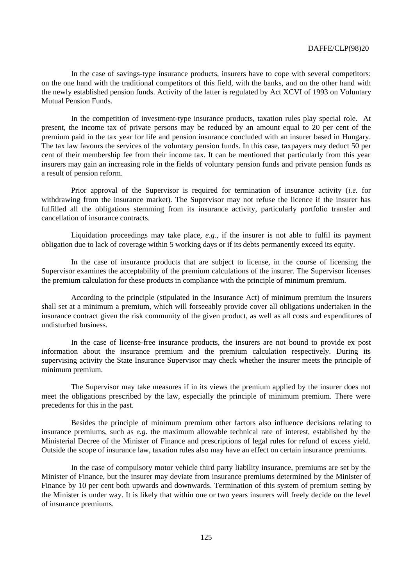In the case of savings-type insurance products, insurers have to cope with several competitors: on the one hand with the traditional competitors of this field, with the banks, and on the other hand with the newly established pension funds. Activity of the latter is regulated by Act XCVI of 1993 on Voluntary Mutual Pension Funds.

In the competition of investment-type insurance products, taxation rules play special role. At present, the income tax of private persons may be reduced by an amount equal to 20 per cent of the premium paid in the tax year for life and pension insurance concluded with an insurer based in Hungary. The tax law favours the services of the voluntary pension funds. In this case, taxpayers may deduct 50 per cent of their membership fee from their income tax. It can be mentioned that particularly from this year insurers may gain an increasing role in the fields of voluntary pension funds and private pension funds as a result of pension reform.

Prior approval of the Supervisor is required for termination of insurance activity (*i.e.* for withdrawing from the insurance market). The Supervisor may not refuse the licence if the insurer has fulfilled all the obligations stemming from its insurance activity, particularly portfolio transfer and cancellation of insurance contracts.

Liquidation proceedings may take place,  $e.g.,$  if the insurer is not able to fulfil its payment obligation due to lack of coverage within 5 working days or if its debts permanently exceed its equity.

In the case of insurance products that are subject to license, in the course of licensing the Supervisor examines the acceptability of the premium calculations of the insurer. The Supervisor licenses the premium calculation for these products in compliance with the principle of minimum premium.

According to the principle (stipulated in the Insurance Act) of minimum premium the insurers shall set at a minimum a premium, which will forseeably provide cover all obligations undertaken in the insurance contract given the risk community of the given product, as well as all costs and expenditures of undisturbed business.

In the case of license-free insurance products, the insurers are not bound to provide ex post information about the insurance premium and the premium calculation respectively. During its supervising activity the State Insurance Supervisor may check whether the insurer meets the principle of minimum premium.

The Supervisor may take measures if in its views the premium applied by the insurer does not meet the obligations prescribed by the law, especially the principle of minimum premium. There were precedents for this in the past.

Besides the principle of minimum premium other factors also influence decisions relating to insurance premiums, such as *e.g.* the maximum allowable technical rate of interest, established by the Ministerial Decree of the Minister of Finance and prescriptions of legal rules for refund of excess yield. Outside the scope of insurance law, taxation rules also may have an effect on certain insurance premiums.

In the case of compulsory motor vehicle third party liability insurance, premiums are set by the Minister of Finance, but the insurer may deviate from insurance premiums determined by the Minister of Finance by 10 per cent both upwards and downwards. Termination of this system of premium setting by the Minister is under way. It is likely that within one or two years insurers will freely decide on the level of insurance premiums.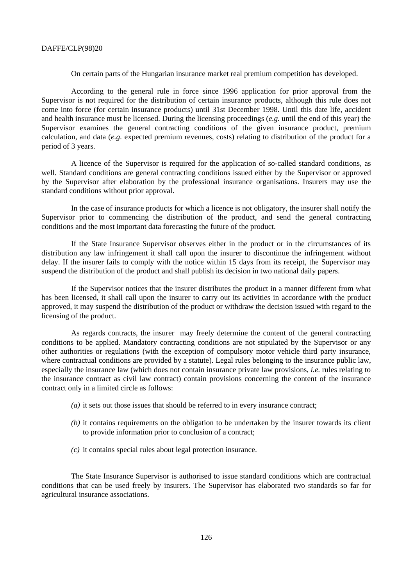On certain parts of the Hungarian insurance market real premium competition has developed.

According to the general rule in force since 1996 application for prior approval from the Supervisor is not required for the distribution of certain insurance products, although this rule does not come into force (for certain insurance products) until 31st December 1998. Until this date life, accident and health insurance must be licensed. During the licensing proceedings (*e.g.* until the end of this year) the Supervisor examines the general contracting conditions of the given insurance product, premium calculation, and data (*e.g.* expected premium revenues, costs) relating to distribution of the product for a period of 3 years.

A licence of the Supervisor is required for the application of so-called standard conditions, as well. Standard conditions are general contracting conditions issued either by the Supervisor or approved by the Supervisor after elaboration by the professional insurance organisations. Insurers may use the standard conditions without prior approval.

In the case of insurance products for which a licence is not obligatory, the insurer shall notify the Supervisor prior to commencing the distribution of the product, and send the general contracting conditions and the most important data forecasting the future of the product.

If the State Insurance Supervisor observes either in the product or in the circumstances of its distribution any law infringement it shall call upon the insurer to discontinue the infringement without delay. If the insurer fails to comply with the notice within 15 days from its receipt, the Supervisor may suspend the distribution of the product and shall publish its decision in two national daily papers.

If the Supervisor notices that the insurer distributes the product in a manner different from what has been licensed, it shall call upon the insurer to carry out its activities in accordance with the product approved, it may suspend the distribution of the product or withdraw the decision issued with regard to the licensing of the product.

As regards contracts, the insurer may freely determine the content of the general contracting conditions to be applied. Mandatory contracting conditions are not stipulated by the Supervisor or any other authorities or regulations (with the exception of compulsory motor vehicle third party insurance, where contractual conditions are provided by a statute). Legal rules belonging to the insurance public law, especially the insurance law (which does not contain insurance private law provisions, *i.e.* rules relating to the insurance contract as civil law contract) contain provisions concerning the content of the insurance contract only in a limited circle as follows:

- *(a)* it sets out those issues that should be referred to in every insurance contract;
- *(b)* it contains requirements on the obligation to be undertaken by the insurer towards its client to provide information prior to conclusion of a contract;
- *(c)* it contains special rules about legal protection insurance.

The State Insurance Supervisor is authorised to issue standard conditions which are contractual conditions that can be used freely by insurers. The Supervisor has elaborated two standards so far for agricultural insurance associations.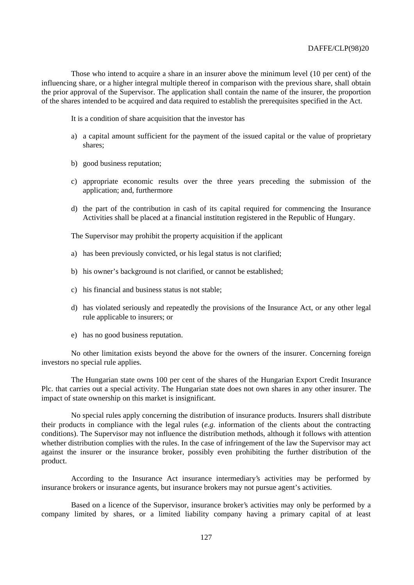Those who intend to acquire a share in an insurer above the minimum level (10 per cent) of the influencing share, or a higher integral multiple thereof in comparison with the previous share, shall obtain the prior approval of the Supervisor. The application shall contain the name of the insurer, the proportion of the shares intended to be acquired and data required to establish the prerequisites specified in the Act.

It is a condition of share acquisition that the investor has

- a) a capital amount sufficient for the payment of the issued capital or the value of proprietary shares;
- b) good business reputation;
- c) appropriate economic results over the three years preceding the submission of the application; and, furthermore
- d) the part of the contribution in cash of its capital required for commencing the Insurance Activities shall be placed at a financial institution registered in the Republic of Hungary.

The Supervisor may prohibit the property acquisition if the applicant

- a) has been previously convicted, or his legal status is not clarified;
- b) his owner's background is not clarified, or cannot be established;
- c) his financial and business status is not stable;
- d) has violated seriously and repeatedly the provisions of the Insurance Act, or any other legal rule applicable to insurers; or
- e) has no good business reputation.

No other limitation exists beyond the above for the owners of the insurer. Concerning foreign investors no special rule applies.

The Hungarian state owns 100 per cent of the shares of the Hungarian Export Credit Insurance Plc. that carries out a special activity. The Hungarian state does not own shares in any other insurer. The impact of state ownership on this market is insignificant.

No special rules apply concerning the distribution of insurance products. Insurers shall distribute their products in compliance with the legal rules (*e.g.* information of the clients about the contracting conditions). The Supervisor may not influence the distribution methods, although it follows with attention whether distribution complies with the rules. In the case of infringement of the law the Supervisor may act against the insurer or the insurance broker, possibly even prohibiting the further distribution of the product.

According to the Insurance Act insurance intermediary's activities may be performed by insurance brokers or insurance agents, but insurance brokers may not pursue agent's activities.

Based on a licence of the Supervisor, insurance broker's activities may only be performed by a company limited by shares, or a limited liability company having a primary capital of at least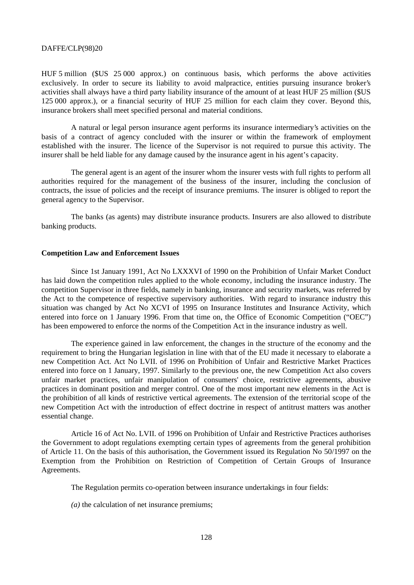HUF 5 million (\$US 25 000 approx.) on continuous basis, which performs the above activities exclusively. In order to secure its liability to avoid malpractice, entities pursuing insurance broker's activities shall always have a third party liability insurance of the amount of at least HUF 25 million (\$US 125 000 approx.), or a financial security of HUF 25 million for each claim they cover. Beyond this, insurance brokers shall meet specified personal and material conditions.

A natural or legal person insurance agent performs its insurance intermediary's activities on the basis of a contract of agency concluded with the insurer or within the framework of employment established with the insurer. The licence of the Supervisor is not required to pursue this activity. The insurer shall be held liable for any damage caused by the insurance agent in his agent's capacity.

The general agent is an agent of the insurer whom the insurer vests with full rights to perform all authorities required for the management of the business of the insurer, including the conclusion of contracts, the issue of policies and the receipt of insurance premiums. The insurer is obliged to report the general agency to the Supervisor.

The banks (as agents) may distribute insurance products. Insurers are also allowed to distribute banking products.

### **Competition Law and Enforcement Issues**

Since 1st January 1991, Act No LXXXVI of 1990 on the Prohibition of Unfair Market Conduct has laid down the competition rules applied to the whole economy, including the insurance industry. The competition Supervisor in three fields, namely in banking, insurance and security markets, was referred by the Act to the competence of respective supervisory authorities. With regard to insurance industry this situation was changed by Act No XCVI of 1995 on Insurance Institutes and Insurance Activity, which entered into force on 1 January 1996. From that time on, the Office of Economic Competition ("OEC") has been empowered to enforce the norms of the Competition Act in the insurance industry as well.

The experience gained in law enforcement, the changes in the structure of the economy and the requirement to bring the Hungarian legislation in line with that of the EU made it necessary to elaborate a new Competition Act. Act No LVII. of 1996 on Prohibition of Unfair and Restrictive Market Practices entered into force on 1 January, 1997. Similarly to the previous one, the new Competition Act also covers unfair market practices, unfair manipulation of consumers' choice, restrictive agreements, abusive practices in dominant position and merger control. One of the most important new elements in the Act is the prohibition of all kinds of restrictive vertical agreements. The extension of the territorial scope of the new Competition Act with the introduction of effect doctrine in respect of antitrust matters was another essential change.

Article 16 of Act No. LVII. of 1996 on Prohibition of Unfair and Restrictive Practices authorises the Government to adopt regulations exempting certain types of agreements from the general prohibition of Article 11. On the basis of this authorisation, the Government issued its Regulation No 50/1997 on the Exemption from the Prohibition on Restriction of Competition of Certain Groups of Insurance Agreements.

The Regulation permits co-operation between insurance undertakings in four fields:

*(a)* the calculation of net insurance premiums;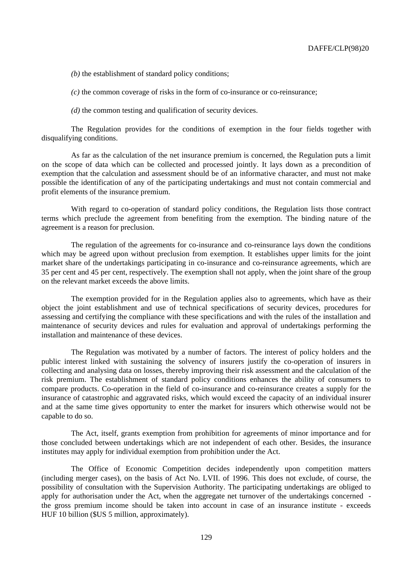*(b)* the establishment of standard policy conditions;

*(c)* the common coverage of risks in the form of co-insurance or co-reinsurance;

*(d)* the common testing and qualification of security devices.

The Regulation provides for the conditions of exemption in the four fields together with disqualifying conditions.

As far as the calculation of the net insurance premium is concerned, the Regulation puts a limit on the scope of data which can be collected and processed jointly. It lays down as a precondition of exemption that the calculation and assessment should be of an informative character, and must not make possible the identification of any of the participating undertakings and must not contain commercial and profit elements of the insurance premium.

With regard to co-operation of standard policy conditions, the Regulation lists those contract terms which preclude the agreement from benefiting from the exemption. The binding nature of the agreement is a reason for preclusion.

The regulation of the agreements for co-insurance and co-reinsurance lays down the conditions which may be agreed upon without preclusion from exemption. It establishes upper limits for the joint market share of the undertakings participating in co-insurance and co-reinsurance agreements, which are 35 per cent and 45 per cent, respectively. The exemption shall not apply, when the joint share of the group on the relevant market exceeds the above limits.

The exemption provided for in the Regulation applies also to agreements, which have as their object the joint establishment and use of technical specifications of security devices, procedures for assessing and certifying the compliance with these specifications and with the rules of the installation and maintenance of security devices and rules for evaluation and approval of undertakings performing the installation and maintenance of these devices.

The Regulation was motivated by a number of factors. The interest of policy holders and the public interest linked with sustaining the solvency of insurers justify the co-operation of insurers in collecting and analysing data on losses, thereby improving their risk assessment and the calculation of the risk premium. The establishment of standard policy conditions enhances the ability of consumers to compare products. Co-operation in the field of co-insurance and co-reinsurance creates a supply for the insurance of catastrophic and aggravated risks, which would exceed the capacity of an individual insurer and at the same time gives opportunity to enter the market for insurers which otherwise would not be capable to do so.

The Act, itself, grants exemption from prohibition for agreements of minor importance and for those concluded between undertakings which are not independent of each other. Besides, the insurance institutes may apply for individual exemption from prohibition under the Act.

The Office of Economic Competition decides independently upon competition matters (including merger cases), on the basis of Act No. LVII. of 1996. This does not exclude, of course, the possibility of consultation with the Supervision Authority. The participating undertakings are obliged to apply for authorisation under the Act, when the aggregate net turnover of the undertakings concerned the gross premium income should be taken into account in case of an insurance institute - exceeds HUF 10 billion (\$US 5 million, approximately).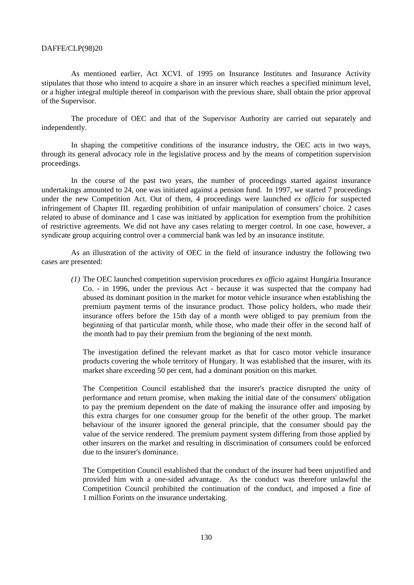As mentioned earlier, Act XCVI. of 1995 on Insurance Institutes and Insurance Activity stipulates that those who intend to acquire a share in an insurer which reaches a specified minimum level, or a higher integral multiple thereof in comparison with the previous share, shall obtain the prior approval of the Supervisor.

The procedure of OEC and that of the Supervisor Authority are carried out separately and independently.

In shaping the competitive conditions of the insurance industry, the OEC acts in two ways, through its general advocacy role in the legislative process and by the means of competition supervision proceedings.

In the course of the past two years, the number of proceedings started against insurance undertakings amounted to 24, one was initiated against a pension fund. In 1997, we started 7 proceedings under the new Competition Act. Out of them, 4 proceedings were launched *ex officio* for suspected infringement of Chapter III. regarding prohibition of unfair manipulation of consumers' choice. 2 cases related to abuse of dominance and 1 case was initiated by application for exemption from the prohibition of restrictive agreements. We did not have any cases relating to merger control. In one case, however, a syndicate group acquiring control over a commercial bank was led by an insurance institute.

As an illustration of the activity of OEC in the field of insurance industry the following two cases are presented:

*(1)* The OEC launched competition supervision procedures *ex officio* against Hungária Insurance Co. - in 1996, under the previous Act - because it was suspected that the company had abused its dominant position in the market for motor vehicle insurance when establishing the premium payment terms of the insurance product. Those policy holders, who made their insurance offers before the 15th day of a month were obliged to pay premium from the beginning of that particular month, while those, who made their offer in the second half of the month had to pay their premium from the beginning of the next month.

The investigation defined the relevant market as that for casco motor vehicle insurance products covering the whole territory of Hungary. It was established that the insurer, with its market share exceeding 50 per cent, had a dominant position on this market.

The Competition Council established that the insurer's practice disrupted the unity of performance and return promise, when making the initial date of the consumers' obligation to pay the premium dependent on the date of making the insurance offer and imposing by this extra charges for one consumer group for the benefit of the other group. The market behaviour of the insurer ignored the general principle, that the consumer should pay the value of the service rendered. The premium payment system differing from those applied by other insurers on the market and resulting in discrimination of consumers could be enforced due to the insurer's dominance.

The Competition Council established that the conduct of the insurer had been unjustified and provided him with a one-sided advantage. As the conduct was therefore unlawful the Competition Council prohibited the continuation of the conduct, and imposed a fine of 1 million Forints on the insurance undertaking.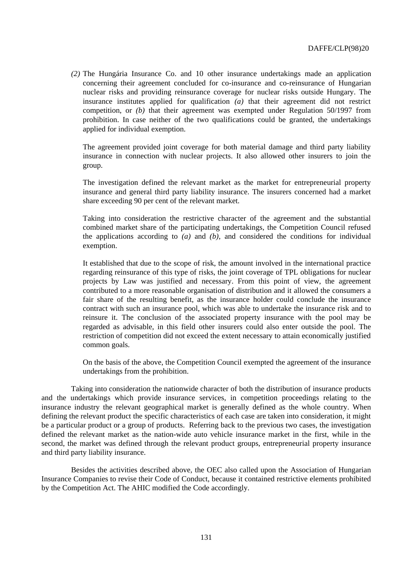*(2)* The Hungária Insurance Co. and 10 other insurance undertakings made an application concerning their agreement concluded for co-insurance and co-reinsurance of Hungarian nuclear risks and providing reinsurance coverage for nuclear risks outside Hungary. The insurance institutes applied for qualification *(a)* that their agreement did not restrict competition, or *(b)* that their agreement was exempted under Regulation 50/1997 from prohibition. In case neither of the two qualifications could be granted, the undertakings applied for individual exemption.

The agreement provided joint coverage for both material damage and third party liability insurance in connection with nuclear projects. It also allowed other insurers to join the group.

The investigation defined the relevant market as the market for entrepreneurial property insurance and general third party liability insurance. The insurers concerned had a market share exceeding 90 per cent of the relevant market.

Taking into consideration the restrictive character of the agreement and the substantial combined market share of the participating undertakings, the Competition Council refused the applications according to  $(a)$  and  $(b)$ , and considered the conditions for individual exemption.

It established that due to the scope of risk, the amount involved in the international practice regarding reinsurance of this type of risks, the joint coverage of TPL obligations for nuclear projects by Law was justified and necessary. From this point of view, the agreement contributed to a more reasonable organisation of distribution and it allowed the consumers a fair share of the resulting benefit, as the insurance holder could conclude the insurance contract with such an insurance pool, which was able to undertake the insurance risk and to reinsure it. The conclusion of the associated property insurance with the pool may be regarded as advisable, in this field other insurers could also enter outside the pool. The restriction of competition did not exceed the extent necessary to attain economically justified common goals.

On the basis of the above, the Competition Council exempted the agreement of the insurance undertakings from the prohibition.

Taking into consideration the nationwide character of both the distribution of insurance products and the undertakings which provide insurance services, in competition proceedings relating to the insurance industry the relevant geographical market is generally defined as the whole country. When defining the relevant product the specific characteristics of each case are taken into consideration, it might be a particular product or a group of products. Referring back to the previous two cases, the investigation defined the relevant market as the nation-wide auto vehicle insurance market in the first, while in the second, the market was defined through the relevant product groups, entrepreneurial property insurance and third party liability insurance.

Besides the activities described above, the OEC also called upon the Association of Hungarian Insurance Companies to revise their Code of Conduct, because it contained restrictive elements prohibited by the Competition Act. The AHIC modified the Code accordingly.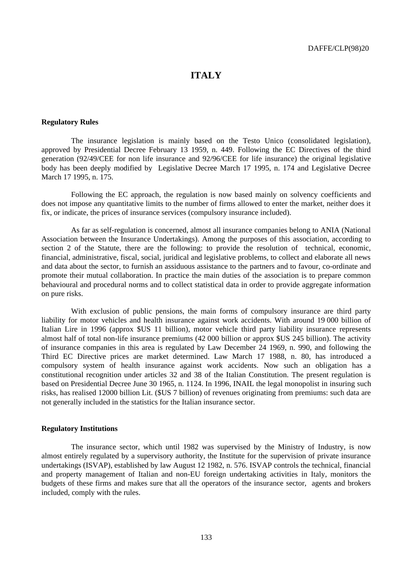# **ITALY**

### **Regulatory Rules**

The insurance legislation is mainly based on the Testo Unico (consolidated legislation), approved by Presidential Decree February 13 1959, n. 449. Following the EC Directives of the third generation (92/49/CEE for non life insurance and 92/96/CEE for life insurance) the original legislative body has been deeply modified by Legislative Decree March 17 1995, n. 174 and Legislative Decree March 17 1995, n. 175.

Following the EC approach, the regulation is now based mainly on solvency coefficients and does not impose any quantitative limits to the number of firms allowed to enter the market, neither does it fix, or indicate, the prices of insurance services (compulsory insurance included).

As far as self-regulation is concerned, almost all insurance companies belong to ANIA (National Association between the Insurance Undertakings). Among the purposes of this association, according to section 2 of the Statute, there are the following: to provide the resolution of technical, economic, financial, administrative, fiscal, social, juridical and legislative problems, to collect and elaborate all news and data about the sector, to furnish an assiduous assistance to the partners and to favour, co-ordinate and promote their mutual collaboration. In practice the main duties of the association is to prepare common behavioural and procedural norms and to collect statistical data in order to provide aggregate information on pure risks.

With exclusion of public pensions, the main forms of compulsory insurance are third party liability for motor vehicles and health insurance against work accidents. With around 19 000 billion of Italian Lire in 1996 (approx \$US 11 billion), motor vehicle third party liability insurance represents almost half of total non-life insurance premiums (42 000 billion or approx \$US 245 billion). The activity of insurance companies in this area is regulated by Law December 24 1969, n. 990, and following the Third EC Directive prices are market determined. Law March 17 1988, n. 80, has introduced a compulsory system of health insurance against work accidents. Now such an obligation has a constitutional recognition under articles 32 and 38 of the Italian Constitution. The present regulation is based on Presidential Decree June 30 1965, n. 1124. In 1996, INAIL the legal monopolist in insuring such risks, has realised 12000 billion Lit. (\$US 7 billion) of revenues originating from premiums: such data are not generally included in the statistics for the Italian insurance sector.

#### **Regulatory Institutions**

The insurance sector, which until 1982 was supervised by the Ministry of Industry, is now almost entirely regulated by a supervisory authority, the Institute for the supervision of private insurance undertakings (ISVAP), established by law August 12 1982, n. 576. ISVAP controls the technical, financial and property management of Italian and non-EU foreign undertaking activities in Italy, monitors the budgets of these firms and makes sure that all the operators of the insurance sector, agents and brokers included, comply with the rules.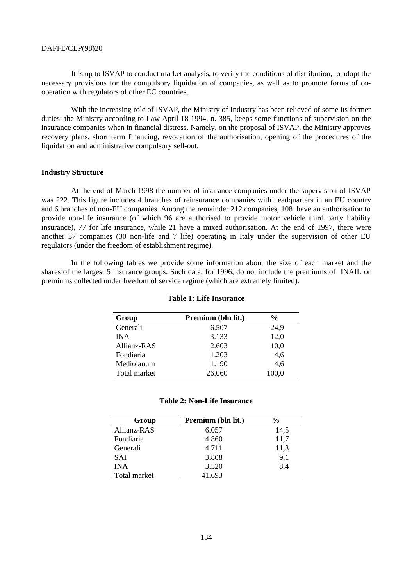It is up to ISVAP to conduct market analysis, to verify the conditions of distribution, to adopt the necessary provisions for the compulsory liquidation of companies, as well as to promote forms of cooperation with regulators of other EC countries.

With the increasing role of ISVAP, the Ministry of Industry has been relieved of some its former duties: the Ministry according to Law April 18 1994, n. 385, keeps some functions of supervision on the insurance companies when in financial distress. Namely, on the proposal of ISVAP, the Ministry approves recovery plans, short term financing, revocation of the authorisation, opening of the procedures of the liquidation and administrative compulsory sell-out.

# **Industry Structure**

At the end of March 1998 the number of insurance companies under the supervision of ISVAP was 222. This figure includes 4 branches of reinsurance companies with headquarters in an EU country and 6 branches of non-EU companies. Among the remainder 212 companies, 108 have an authorisation to provide non-life insurance (of which 96 are authorised to provide motor vehicle third party liability insurance), 77 for life insurance, while 21 have a mixed authorisation. At the end of 1997, there were another 37 companies (30 non-life and 7 life) operating in Italy under the supervision of other EU regulators (under the freedom of establishment regime).

In the following tables we provide some information about the size of each market and the shares of the largest 5 insurance groups. Such data, for 1996, do not include the premiums of INAIL or premiums collected under freedom of service regime (which are extremely limited).

| Group        | Premium (bln lit.) | $\frac{6}{9}$ |
|--------------|--------------------|---------------|
| Generali     | 6.507              | 24,9          |
| <b>INA</b>   | 3.133              | 12,0          |
| Allianz-RAS  | 2.603              | 10,0          |
| Fondiaria    | 1.203              | 4,6           |
| Mediolanum   | 1.190              | 4,6           |
| Total market | 26.060             | 100.0         |

#### **Table 1: Life Insurance**

## **Table 2: Non-Life Insurance**

| Group        | Premium (bln lit.) | $\frac{6}{9}$ |
|--------------|--------------------|---------------|
| Allianz-RAS  | 6.057              | 14,5          |
| Fondiaria    | 4.860              | 11,7          |
| Generali     | 4.711              | 11,3          |
| <b>SAI</b>   | 3.808              | 9,1           |
| <b>INA</b>   | 3.520              | 8,4           |
| Total market | 41.693             |               |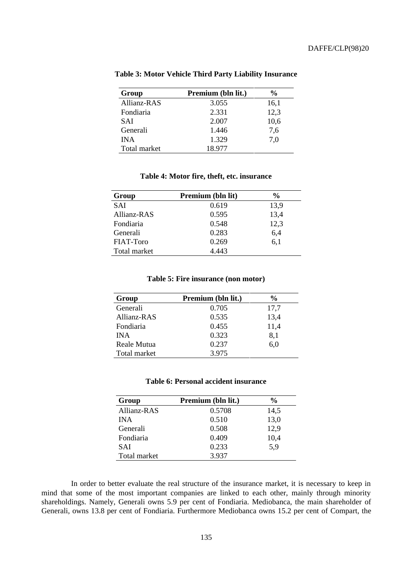| Group        | Premium (bln lit.) | $\frac{6}{9}$ |
|--------------|--------------------|---------------|
| Allianz-RAS  | 3.055              | 16,1          |
| Fondiaria    | 2.331              | 12,3          |
| SAI          | 2.007              | 10,6          |
| Generali     | 1.446              | 7,6           |
| <b>INA</b>   | 1.329              | 7,0           |
| Total market | 18.977             |               |

**Table 3: Motor Vehicle Third Party Liability Insurance**

# **Table 4: Motor fire, theft, etc. insurance**

| Group        | Premium (bln lit) | $\frac{6}{9}$ |
|--------------|-------------------|---------------|
| <b>SAI</b>   | 0.619             | 13,9          |
| Allianz-RAS  | 0.595             | 13,4          |
| Fondiaria    | 0.548             | 12,3          |
| Generali     | 0.283             | 6,4           |
| FIAT-Toro    | 0.269             | 6,1           |
| Total market | 4.443             |               |

# **Table 5: Fire insurance (non motor)**

| Group        | Premium (bln lit.) | $\frac{0}{0}$ |
|--------------|--------------------|---------------|
| Generali     | 0.705              | 17,7          |
| Allianz-RAS  | 0.535              | 13,4          |
| Fondiaria    | 0.455              | 11,4          |
| <b>INA</b>   | 0.323              | 8,1           |
| Reale Mutua  | 0.237              | 6,0           |
| Total market | 3.975              |               |

# **Table 6: Personal accident insurance**

| Group        | Premium (bln lit.) | $\frac{6}{9}$ |
|--------------|--------------------|---------------|
| Allianz-RAS  | 0.5708             | 14,5          |
| <b>INA</b>   | 0.510              | 13,0          |
| Generali     | 0.508              | 12,9          |
| Fondiaria    | 0.409              | 10,4          |
| SAI          | 0.233              | 5,9           |
| Total market | 3.937              |               |

In order to better evaluate the real structure of the insurance market, it is necessary to keep in mind that some of the most important companies are linked to each other, mainly through minority shareholdings. Namely, Generali owns 5.9 per cent of Fondiaria. Mediobanca, the main shareholder of Generali, owns 13.8 per cent of Fondiaria. Furthermore Mediobanca owns 15.2 per cent of Compart, the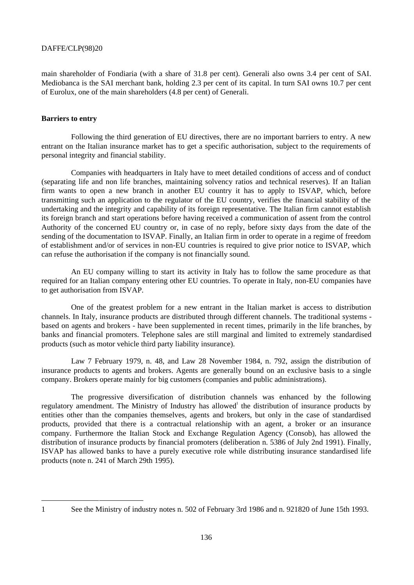main shareholder of Fondiaria (with a share of 31.8 per cent). Generali also owns 3.4 per cent of SAI. Mediobanca is the SAI merchant bank, holding 2.3 per cent of its capital. In turn SAI owns 10.7 per cent of Eurolux, one of the main shareholders (4.8 per cent) of Generali.

# **Barriers to entry**

Following the third generation of EU directives, there are no important barriers to entry. A new entrant on the Italian insurance market has to get a specific authorisation, subject to the requirements of personal integrity and financial stability.

Companies with headquarters in Italy have to meet detailed conditions of access and of conduct (separating life and non life branches, maintaining solvency ratios and technical reserves). If an Italian firm wants to open a new branch in another EU country it has to apply to ISVAP, which, before transmitting such an application to the regulator of the EU country, verifies the financial stability of the undertaking and the integrity and capability of its foreign representative. The Italian firm cannot establish its foreign branch and start operations before having received a communication of assent from the control Authority of the concerned EU country or, in case of no reply, before sixty days from the date of the sending of the documentation to ISVAP. Finally, an Italian firm in order to operate in a regime of freedom of establishment and/or of services in non-EU countries is required to give prior notice to ISVAP, which can refuse the authorisation if the company is not financially sound.

An EU company willing to start its activity in Italy has to follow the same procedure as that required for an Italian company entering other EU countries. To operate in Italy, non-EU companies have to get authorisation from ISVAP.

One of the greatest problem for a new entrant in the Italian market is access to distribution channels. In Italy, insurance products are distributed through different channels. The traditional systems based on agents and brokers - have been supplemented in recent times, primarily in the life branches, by banks and financial promoters. Telephone sales are still marginal and limited to extremely standardised products (such as motor vehicle third party liability insurance).

Law 7 February 1979, n. 48, and Law 28 November 1984, n. 792, assign the distribution of insurance products to agents and brokers. Agents are generally bound on an exclusive basis to a single company. Brokers operate mainly for big customers (companies and public administrations).

The progressive diversification of distribution channels was enhanced by the following regulatory amendment. The Ministry of Industry has allowed<sup>1</sup> the distribution of insurance products by entities other than the companies themselves, agents and brokers, but only in the case of standardised products, provided that there is a contractual relationship with an agent, a broker or an insurance company. Furthermore the Italian Stock and Exchange Regulation Agency (Consob), has allowed the distribution of insurance products by financial promoters (deliberation n. 5386 of July 2nd 1991). Finally, ISVAP has allowed banks to have a purely executive role while distributing insurance standardised life products (note n. 241 of March 29th 1995).

<sup>-</sup>

<sup>1</sup> See the Ministry of industry notes n. 502 of February 3rd 1986 and n. 921820 of June 15th 1993.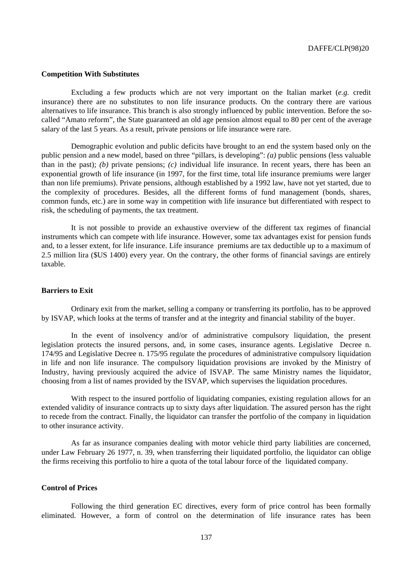#### **Competition With Substitutes**

Excluding a few products which are not very important on the Italian market (*e.g.* credit insurance) there are no substitutes to non life insurance products. On the contrary there are various alternatives to life insurance. This branch is also strongly influenced by public intervention. Before the socalled "Amato reform", the State guaranteed an old age pension almost equal to 80 per cent of the average salary of the last 5 years. As a result, private pensions or life insurance were rare.

Demographic evolution and public deficits have brought to an end the system based only on the public pension and a new model, based on three "pillars, is developing": *(a)* public pensions (less valuable than in the past); *(b)* private pensions; *(c)* individual life insurance. In recent years, there has been an exponential growth of life insurance (in 1997, for the first time, total life insurance premiums were larger than non life premiums). Private pensions, although established by a 1992 law, have not yet started, due to the complexity of procedures. Besides, all the different forms of fund management (bonds, shares, common funds, etc.) are in some way in competition with life insurance but differentiated with respect to risk, the scheduling of payments, the tax treatment.

It is not possible to provide an exhaustive overview of the different tax regimes of financial instruments which can compete with life insurance. However, some tax advantages exist for pension funds and, to a lesser extent, for life insurance. Life insurance premiums are tax deductible up to a maximum of 2.5 million lira (\$US 1400) every year. On the contrary, the other forms of financial savings are entirely taxable.

#### **Barriers to Exit**

Ordinary exit from the market, selling a company or transferring its portfolio, has to be approved by ISVAP, which looks at the terms of transfer and at the integrity and financial stability of the buyer.

In the event of insolvency and/or of administrative compulsory liquidation, the present legislation protects the insured persons, and, in some cases, insurance agents. Legislative Decree n. 174/95 and Legislative Decree n. 175/95 regulate the procedures of administrative compulsory liquidation in life and non life insurance. The compulsory liquidation provisions are invoked by the Ministry of Industry, having previously acquired the advice of ISVAP. The same Ministry names the liquidator, choosing from a list of names provided by the ISVAP, which supervises the liquidation procedures.

With respect to the insured portfolio of liquidating companies, existing regulation allows for an extended validity of insurance contracts up to sixty days after liquidation. The assured person has the right to recede from the contract. Finally, the liquidator can transfer the portfolio of the company in liquidation to other insurance activity.

As far as insurance companies dealing with motor vehicle third party liabilities are concerned, under Law February 26 1977, n. 39, when transferring their liquidated portfolio, the liquidator can oblige the firms receiving this portfolio to hire a quota of the total labour force of the liquidated company.

## **Control of Prices**

Following the third generation EC directives, every form of price control has been formally eliminated. However, a form of control on the determination of life insurance rates has been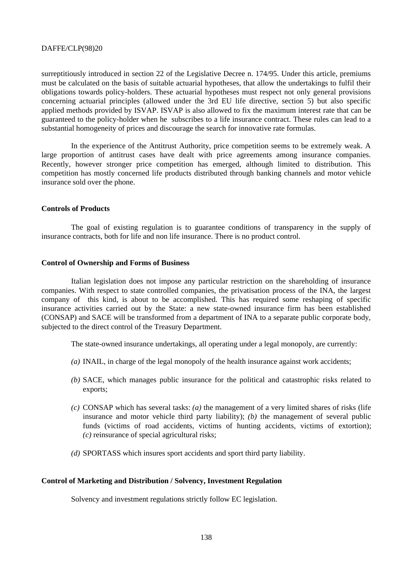surreptitiously introduced in section 22 of the Legislative Decree n. 174/95. Under this article, premiums must be calculated on the basis of suitable actuarial hypotheses, that allow the undertakings to fulfil their obligations towards policy-holders. These actuarial hypotheses must respect not only general provisions concerning actuarial principles (allowed under the 3rd EU life directive, section 5) but also specific applied methods provided by ISVAP. ISVAP is also allowed to fix the maximum interest rate that can be guaranteed to the policy-holder when he subscribes to a life insurance contract. These rules can lead to a substantial homogeneity of prices and discourage the search for innovative rate formulas.

In the experience of the Antitrust Authority, price competition seems to be extremely weak. A large proportion of antitrust cases have dealt with price agreements among insurance companies. Recently, however stronger price competition has emerged, although limited to distribution. This competition has mostly concerned life products distributed through banking channels and motor vehicle insurance sold over the phone.

# **Controls of Products**

The goal of existing regulation is to guarantee conditions of transparency in the supply of insurance contracts, both for life and non life insurance. There is no product control.

### **Control of Ownership and Forms of Business**

Italian legislation does not impose any particular restriction on the shareholding of insurance companies. With respect to state controlled companies, the privatisation process of the INA, the largest company of this kind, is about to be accomplished. This has required some reshaping of specific insurance activities carried out by the State: a new state-owned insurance firm has been established (CONSAP) and SACE will be transformed from a department of INA to a separate public corporate body, subjected to the direct control of the Treasury Department.

The state-owned insurance undertakings, all operating under a legal monopoly, are currently:

- *(a)* INAIL, in charge of the legal monopoly of the health insurance against work accidents;
- *(b)* SACE, which manages public insurance for the political and catastrophic risks related to exports;
- *(c)* CONSAP which has several tasks: *(a)* the management of a very limited shares of risks (life insurance and motor vehicle third party liability); *(b)* the management of several public funds (victims of road accidents, victims of hunting accidents, victims of extortion); *(c)* reinsurance of special agricultural risks;
- *(d)* SPORTASS which insures sport accidents and sport third party liability.

# **Control of Marketing and Distribution / Solvency, Investment Regulation**

Solvency and investment regulations strictly follow EC legislation.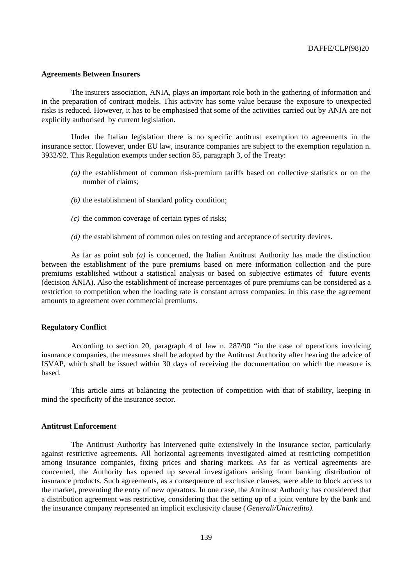## **Agreements Between Insurers**

The insurers association, ANIA, plays an important role both in the gathering of information and in the preparation of contract models. This activity has some value because the exposure to unexpected risks is reduced. However, it has to be emphasised that some of the activities carried out by ANIA are not explicitly authorised by current legislation.

Under the Italian legislation there is no specific antitrust exemption to agreements in the insurance sector. However, under EU law, insurance companies are subject to the exemption regulation n. 3932/92. This Regulation exempts under section 85, paragraph 3, of the Treaty:

- *(a)* the establishment of common risk-premium tariffs based on collective statistics or on the number of claims;
- *(b)* the establishment of standard policy condition;
- *(c)* the common coverage of certain types of risks;
- *(d)* the establishment of common rules on testing and acceptance of security devices.

As far as point sub *(a)* is concerned, the Italian Antitrust Authority has made the distinction between the establishment of the pure premiums based on mere information collection and the pure premiums established without a statistical analysis or based on subjective estimates of future events (decision ANIA). Also the establishment of increase percentages of pure premiums can be considered as a restriction to competition when the loading rate is constant across companies: in this case the agreement amounts to agreement over commercial premiums.

#### **Regulatory Conflict**

According to section 20, paragraph 4 of law n. 287/90 "in the case of operations involving insurance companies, the measures shall be adopted by the Antitrust Authority after hearing the advice of ISVAP, which shall be issued within 30 days of receiving the documentation on which the measure is based.

This article aims at balancing the protection of competition with that of stability, keeping in mind the specificity of the insurance sector.

# **Antitrust Enforcement**

The Antitrust Authority has intervened quite extensively in the insurance sector, particularly against restrictive agreements. All horizontal agreements investigated aimed at restricting competition among insurance companies, fixing prices and sharing markets. As far as vertical agreements are concerned, the Authority has opened up several investigations arising from banking distribution of insurance products. Such agreements, as a consequence of exclusive clauses, were able to block access to the market, preventing the entry of new operators. In one case, the Antitrust Authority has considered that a distribution agreement was restrictive, considering that the setting up of a joint venture by the bank and the insurance company represented an implicit exclusivity clause (*Generali/Unicredito).*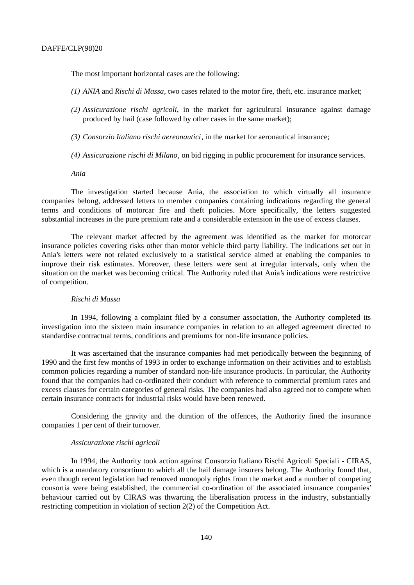The most important horizontal cases are the following:

- *(1) ANIA* and *Rischi di Massa*, two cases related to the motor fire, theft, etc. insurance market;
- *(2) Assicurazione rischi agricoli*, in the market for agricultural insurance against damage produced by hail (case followed by other cases in the same market);
- *(3) Consorzio Italiano rischi aereonautici*, in the market for aeronautical insurance;
- *(4) Assicurazione rischi di Milano*, on bid rigging in public procurement for insurance services.

*Ania*

The investigation started because Ania, the association to which virtually all insurance companies belong, addressed letters to member companies containing indications regarding the general terms and conditions of motorcar fire and theft policies. More specifically, the letters suggested substantial increases in the pure premium rate and a considerable extension in the use of excess clauses.

The relevant market affected by the agreement was identified as the market for motorcar insurance policies covering risks other than motor vehicle third party liability. The indications set out in Ania's letters were not related exclusively to a statistical service aimed at enabling the companies to improve their risk estimates. Moreover, these letters were sent at irregular intervals, only when the situation on the market was becoming critical. The Authority ruled that Ania's indications were restrictive of competition.

#### *Rischi di Massa*

In 1994, following a complaint filed by a consumer association, the Authority completed its investigation into the sixteen main insurance companies in relation to an alleged agreement directed to standardise contractual terms, conditions and premiums for non-life insurance policies.

It was ascertained that the insurance companies had met periodically between the beginning of 1990 and the first few months of 1993 in order to exchange information on their activities and to establish common policies regarding a number of standard non-life insurance products. In particular, the Authority found that the companies had co-ordinated their conduct with reference to commercial premium rates and excess clauses for certain categories of general risks. The companies had also agreed not to compete when certain insurance contracts for industrial risks would have been renewed.

Considering the gravity and the duration of the offences, the Authority fined the insurance companies 1 per cent of their turnover.

#### *Assicurazione rischi agricoli*

In 1994, the Authority took action against Consorzio Italiano Rischi Agricoli Speciali - CIRAS, which is a mandatory consortium to which all the hail damage insurers belong. The Authority found that, even though recent legislation had removed monopoly rights from the market and a number of competing consortia were being established, the commercial co-ordination of the associated insurance companies' behaviour carried out by CIRAS was thwarting the liberalisation process in the industry, substantially restricting competition in violation of section 2(2) of the Competition Act.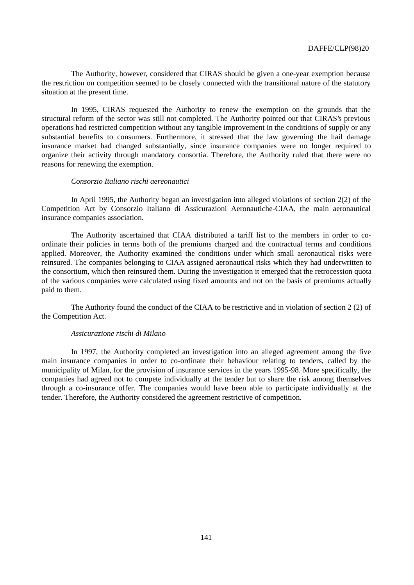The Authority, however, considered that CIRAS should be given a one-year exemption because the restriction on competition seemed to be closely connected with the transitional nature of the statutory situation at the present time.

In 1995, CIRAS requested the Authority to renew the exemption on the grounds that the structural reform of the sector was still not completed. The Authority pointed out that CIRAS's previous operations had restricted competition without any tangible improvement in the conditions of supply or any substantial benefits to consumers. Furthermore, it stressed that the law governing the hail damage insurance market had changed substantially, since insurance companies were no longer required to organize their activity through mandatory consortia. Therefore, the Authority ruled that there were no reasons for renewing the exemption.

#### *Consorzio Italiano rischi aereonautici*

In April 1995, the Authority began an investigation into alleged violations of section 2(2) of the Competition Act by Consorzio Italiano di Assicurazioni Aeronautiche-CIAA, the main aeronautical insurance companies association.

The Authority ascertained that CIAA distributed a tariff list to the members in order to coordinate their policies in terms both of the premiums charged and the contractual terms and conditions applied. Moreover, the Authority examined the conditions under which small aeronautical risks were reinsured. The companies belonging to CIAA assigned aeronautical risks which they had underwritten to the consortium, which then reinsured them. During the investigation it emerged that the retrocession quota of the various companies were calculated using fixed amounts and not on the basis of premiums actually paid to them.

The Authority found the conduct of the CIAA to be restrictive and in violation of section 2 (2) of the Competition Act.

#### *Assicurazione rischi di Milano*

In 1997, the Authority completed an investigation into an alleged agreement among the five main insurance companies in order to co-ordinate their behaviour relating to tenders, called by the municipality of Milan, for the provision of insurance services in the years 1995-98. More specifically, the companies had agreed not to compete individually at the tender but to share the risk among themselves through a co-insurance offer. The companies would have been able to participate individually at the tender. Therefore, the Authority considered the agreement restrictive of competition.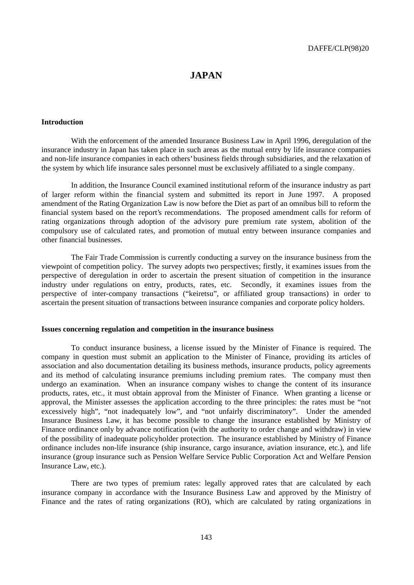# **JAPAN**

# **Introduction**

With the enforcement of the amended Insurance Business Law in April 1996, deregulation of the insurance industry in Japan has taken place in such areas as the mutual entry by life insurance companies and non-life insurance companies in each others' business fields through subsidiaries, and the relaxation of the system by which life insurance sales personnel must be exclusively affiliated to a single company.

In addition, the Insurance Council examined institutional reform of the insurance industry as part of larger reform within the financial system and submitted its report in June 1997. A proposed amendment of the Rating Organization Law is now before the Diet as part of an omnibus bill to reform the financial system based on the report's recommendations. The proposed amendment calls for reform of rating organizations through adoption of the advisory pure premium rate system, abolition of the compulsory use of calculated rates, and promotion of mutual entry between insurance companies and other financial businesses.

The Fair Trade Commission is currently conducting a survey on the insurance business from the viewpoint of competition policy. The survey adopts two perspectives; firstly, it examines issues from the perspective of deregulation in order to ascertain the present situation of competition in the insurance industry under regulations on entry, products, rates, etc. Secondly, it examines issues from the perspective of inter-company transactions ("keiretsu", or affiliated group transactions) in order to ascertain the present situation of transactions between insurance companies and corporate policy holders.

#### **Issues concerning regulation and competition in the insurance business**

To conduct insurance business, a license issued by the Minister of Finance is required. The company in question must submit an application to the Minister of Finance, providing its articles of association and also documentation detailing its business methods, insurance products, policy agreements and its method of calculating insurance premiums including premium rates. The company must then undergo an examination. When an insurance company wishes to change the content of its insurance products, rates, etc., it must obtain approval from the Minister of Finance. When granting a license or approval, the Minister assesses the application according to the three principles: the rates must be "not excessively high", "not inadequately low", and "not unfairly discriminatory". Under the amended Insurance Business Law, it has become possible to change the insurance established by Ministry of Finance ordinance only by advance notification (with the authority to order change and withdraw) in view of the possibility of inadequate policyholder protection. The insurance established by Ministry of Finance ordinance includes non-life insurance (ship insurance, cargo insurance, aviation insurance, etc.), and life insurance (group insurance such as Pension Welfare Service Public Corporation Act and Welfare Pension Insurance Law, etc.).

There are two types of premium rates: legally approved rates that are calculated by each insurance company in accordance with the Insurance Business Law and approved by the Ministry of Finance and the rates of rating organizations (RO), which are calculated by rating organizations in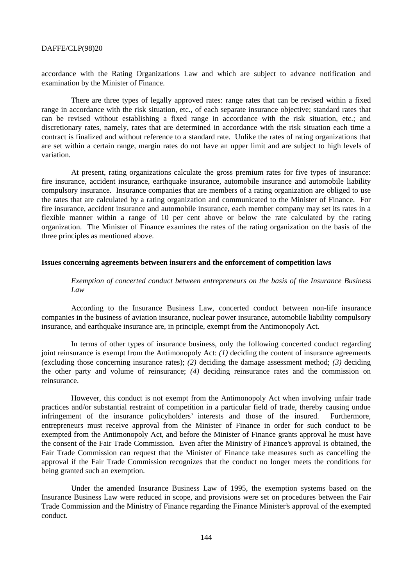accordance with the Rating Organizations Law and which are subject to advance notification and examination by the Minister of Finance.

There are three types of legally approved rates: range rates that can be revised within a fixed range in accordance with the risk situation, etc., of each separate insurance objective; standard rates that can be revised without establishing a fixed range in accordance with the risk situation, etc.; and discretionary rates, namely, rates that are determined in accordance with the risk situation each time a contract is finalized and without reference to a standard rate. Unlike the rates of rating organizations that are set within a certain range, margin rates do not have an upper limit and are subject to high levels of variation.

At present, rating organizations calculate the gross premium rates for five types of insurance: fire insurance, accident insurance, earthquake insurance, automobile insurance and automobile liability compulsory insurance. Insurance companies that are members of a rating organization are obliged to use the rates that are calculated by a rating organization and communicated to the Minister of Finance. For fire insurance, accident insurance and automobile insurance, each member company may set its rates in a flexible manner within a range of 10 per cent above or below the rate calculated by the rating organization. The Minister of Finance examines the rates of the rating organization on the basis of the three principles as mentioned above.

## **Issues concerning agreements between insurers and the enforcement of competition laws**

# *Exemption of concerted conduct between entrepreneurs on the basis of the Insurance Business Law*

According to the Insurance Business Law, concerted conduct between non-life insurance companies in the business of aviation insurance, nuclear power insurance, automobile liability compulsory insurance, and earthquake insurance are, in principle, exempt from the Antimonopoly Act.

In terms of other types of insurance business, only the following concerted conduct regarding joint reinsurance is exempt from the Antimonopoly Act: *(1)* deciding the content of insurance agreements (excluding those concerning insurance rates); *(2)* deciding the damage assessment method; *(3)* deciding the other party and volume of reinsurance; *(4)* deciding reinsurance rates and the commission on reinsurance.

However, this conduct is not exempt from the Antimonopoly Act when involving unfair trade practices and/or substantial restraint of competition in a particular field of trade, thereby causing undue infringement of the insurance policyholders' interests and those of the insured. Furthermore, entrepreneurs must receive approval from the Minister of Finance in order for such conduct to be exempted from the Antimonopoly Act, and before the Minister of Finance grants approval he must have the consent of the Fair Trade Commission. Even after the Ministry of Finance's approval is obtained, the Fair Trade Commission can request that the Minister of Finance take measures such as cancelling the approval if the Fair Trade Commission recognizes that the conduct no longer meets the conditions for being granted such an exemption.

Under the amended Insurance Business Law of 1995, the exemption systems based on the Insurance Business Law were reduced in scope, and provisions were set on procedures between the Fair Trade Commission and the Ministry of Finance regarding the Finance Minister's approval of the exempted conduct.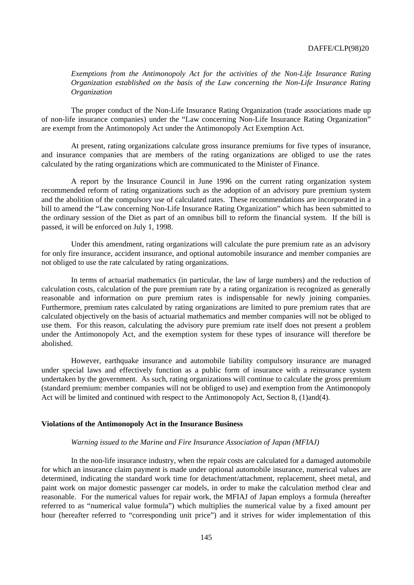*Exemptions from the Antimonopoly Act for the activities of the Non-Life Insurance Rating Organization established on the basis of the Law concerning the Non-Life Insurance Rating Organization*

The proper conduct of the Non-Life Insurance Rating Organization (trade associations made up of non-life insurance companies) under the "Law concerning Non-Life Insurance Rating Organization" are exempt from the Antimonopoly Act under the Antimonopoly Act Exemption Act.

At present, rating organizations calculate gross insurance premiums for five types of insurance, and insurance companies that are members of the rating organizations are obliged to use the rates calculated by the rating organizations which are communicated to the Minister of Finance.

A report by the Insurance Council in June 1996 on the current rating organization system recommended reform of rating organizations such as the adoption of an advisory pure premium system and the abolition of the compulsory use of calculated rates. These recommendations are incorporated in a bill to amend the "Law concerning Non-Life Insurance Rating Organization" which has been submitted to the ordinary session of the Diet as part of an omnibus bill to reform the financial system. If the bill is passed, it will be enforced on July 1, 1998.

Under this amendment, rating organizations will calculate the pure premium rate as an advisory for only fire insurance, accident insurance, and optional automobile insurance and member companies are not obliged to use the rate calculated by rating organizations.

In terms of actuarial mathematics (in particular, the law of large numbers) and the reduction of calculation costs, calculation of the pure premium rate by a rating organization is recognized as generally reasonable and information on pure premium rates is indispensable for newly joining companies. Furthermore, premium rates calculated by rating organizations are limited to pure premium rates that are calculated objectively on the basis of actuarial mathematics and member companies will not be obliged to use them. For this reason, calculating the advisory pure premium rate itself does not present a problem under the Antimonopoly Act, and the exemption system for these types of insurance will therefore be abolished.

However, earthquake insurance and automobile liability compulsory insurance are managed under special laws and effectively function as a public form of insurance with a reinsurance system undertaken by the government. As such, rating organizations will continue to calculate the gross premium (standard premium: member companies will not be obliged to use) and exemption from the Antimonopoly Act will be limited and continued with respect to the Antimonopoly Act, Section 8, (1)and(4).

# **Violations of the Antimonopoly Act in the Insurance Business**

#### *Warning issued to the Marine and Fire Insurance Association of Japan (MFIAJ)*

In the non-life insurance industry, when the repair costs are calculated for a damaged automobile for which an insurance claim payment is made under optional automobile insurance, numerical values are determined, indicating the standard work time for detachment/attachment, replacement, sheet metal, and paint work on major domestic passenger car models, in order to make the calculation method clear and reasonable. For the numerical values for repair work, the MFIAJ of Japan employs a formula (hereafter referred to as "numerical value formula") which multiplies the numerical value by a fixed amount per hour (hereafter referred to "corresponding unit price") and it strives for wider implementation of this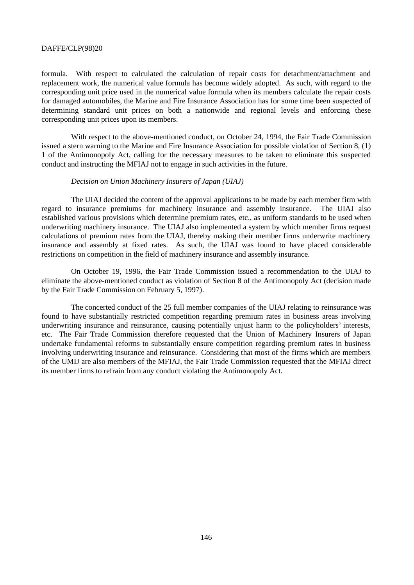formula. With respect to calculated the calculation of repair costs for detachment/attachment and replacement work, the numerical value formula has become widely adopted. As such, with regard to the corresponding unit price used in the numerical value formula when its members calculate the repair costs for damaged automobiles, the Marine and Fire Insurance Association has for some time been suspected of determining standard unit prices on both a nationwide and regional levels and enforcing these corresponding unit prices upon its members.

With respect to the above-mentioned conduct, on October 24, 1994, the Fair Trade Commission issued a stern warning to the Marine and Fire Insurance Association for possible violation of Section 8, (1) 1 of the Antimonopoly Act, calling for the necessary measures to be taken to eliminate this suspected conduct and instructing the MFIAJ not to engage in such activities in the future.

#### *Decision on Union Machinery Insurers of Japan (UIAJ)*

The UIAJ decided the content of the approval applications to be made by each member firm with regard to insurance premiums for machinery insurance and assembly insurance. The UIAJ also established various provisions which determine premium rates, etc., as uniform standards to be used when underwriting machinery insurance. The UIAJ also implemented a system by which member firms request calculations of premium rates from the UIAJ, thereby making their member firms underwrite machinery insurance and assembly at fixed rates. As such, the UIAJ was found to have placed considerable restrictions on competition in the field of machinery insurance and assembly insurance.

On October 19, 1996, the Fair Trade Commission issued a recommendation to the UIAJ to eliminate the above-mentioned conduct as violation of Section 8 of the Antimonopoly Act (decision made by the Fair Trade Commission on February 5, 1997).

The concerted conduct of the 25 full member companies of the UIAJ relating to reinsurance was found to have substantially restricted competition regarding premium rates in business areas involving underwriting insurance and reinsurance, causing potentially unjust harm to the policyholders' interests, etc. The Fair Trade Commission therefore requested that the Union of Machinery Insurers of Japan undertake fundamental reforms to substantially ensure competition regarding premium rates in business involving underwriting insurance and reinsurance. Considering that most of the firms which are members of the UMIJ are also members of the MFIAJ, the Fair Trade Commission requested that the MFIAJ direct its member firms to refrain from any conduct violating the Antimonopoly Act.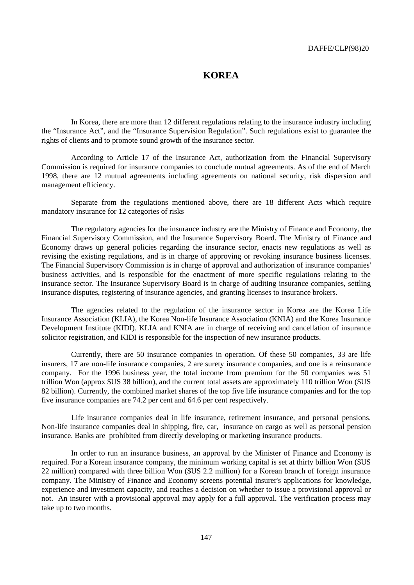# **KOREA**

In Korea, there are more than 12 different regulations relating to the insurance industry including the "Insurance Act", and the "Insurance Supervision Regulation". Such regulations exist to guarantee the rights of clients and to promote sound growth of the insurance sector.

According to Article 17 of the Insurance Act, authorization from the Financial Supervisory Commission is required for insurance companies to conclude mutual agreements. As of the end of March 1998, there are 12 mutual agreements including agreements on national security, risk dispersion and management efficiency.

Separate from the regulations mentioned above, there are 18 different Acts which require mandatory insurance for 12 categories of risks

The regulatory agencies for the insurance industry are the Ministry of Finance and Economy, the Financial Supervisory Commission, and the Insurance Supervisory Board. The Ministry of Finance and Economy draws up general policies regarding the insurance sector, enacts new regulations as well as revising the existing regulations, and is in charge of approving or revoking insurance business licenses. The Financial Supervisory Commission is in charge of approval and authorization of insurance companies' business activities, and is responsible for the enactment of more specific regulations relating to the insurance sector. The Insurance Supervisory Board is in charge of auditing insurance companies, settling insurance disputes, registering of insurance agencies, and granting licenses to insurance brokers.

The agencies related to the regulation of the insurance sector in Korea are the Korea Life Insurance Association (KLIA), the Korea Non-life Insurance Association (KNIA) and the Korea Insurance Development Institute (KIDI). KLIA and KNIA are in charge of receiving and cancellation of insurance solicitor registration, and KIDI is responsible for the inspection of new insurance products.

Currently, there are 50 insurance companies in operation. Of these 50 companies, 33 are life insurers, 17 are non-life insurance companies, 2 are surety insurance companies, and one is a reinsurance company. For the 1996 business year, the total income from premium for the 50 companies was 51 trillion Won (approx \$US 38 billion), and the current total assets are approximately 110 trillion Won (\$US 82 billion). Currently, the combined market shares of the top five life insurance companies and for the top five insurance companies are 74.2 per cent and 64.6 per cent respectively.

Life insurance companies deal in life insurance, retirement insurance, and personal pensions. Non-life insurance companies deal in shipping, fire, car, insurance on cargo as well as personal pension insurance. Banks are prohibited from directly developing or marketing insurance products.

In order to run an insurance business, an approval by the Minister of Finance and Economy is required. For a Korean insurance company, the minimum working capital is set at thirty billion Won (\$US 22 million) compared with three billion Won (\$US 2.2 million) for a Korean branch of foreign insurance company. The Ministry of Finance and Economy screens potential insurer's applications for knowledge, experience and investment capacity, and reaches a decision on whether to issue a provisional approval or not. An insurer with a provisional approval may apply for a full approval. The verification process may take up to two months.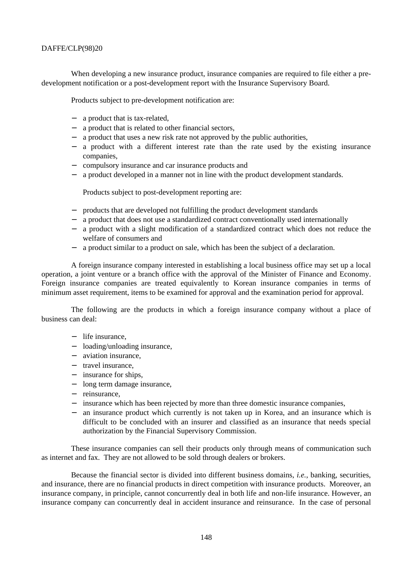When developing a new insurance product, insurance companies are required to file either a predevelopment notification or a post-development report with the Insurance Supervisory Board.

Products subject to pre-development notification are:

- − a product that is tax-related,
- − a product that is related to other financial sectors,
- − a product that uses a new risk rate not approved by the public authorities,
- − a product with a different interest rate than the rate used by the existing insurance companies,
- − compulsory insurance and car insurance products and
- − a product developed in a manner not in line with the product development standards.

Products subject to post-development reporting are:

- − products that are developed not fulfilling the product development standards
- − a product that does not use a standardized contract conventionally used internationally
- − a product with a slight modification of a standardized contract which does not reduce the welfare of consumers and
- a product similar to a product on sale, which has been the subject of a declaration.

A foreign insurance company interested in establishing a local business office may set up a local operation, a joint venture or a branch office with the approval of the Minister of Finance and Economy. Foreign insurance companies are treated equivalently to Korean insurance companies in terms of minimum asset requirement, items to be examined for approval and the examination period for approval.

The following are the products in which a foreign insurance company without a place of business can deal:

- − life insurance,
- − loading/unloading insurance,
- − aviation insurance,
- − travel insurance,
- − insurance for ships,
- − long term damage insurance,
- − reinsurance,
- − insurance which has been rejected by more than three domestic insurance companies,
- − an insurance product which currently is not taken up in Korea, and an insurance which is difficult to be concluded with an insurer and classified as an insurance that needs special authorization by the Financial Supervisory Commission.

These insurance companies can sell their products only through means of communication such as internet and fax. They are not allowed to be sold through dealers or brokers.

Because the financial sector is divided into different business domains, *i.e.*, banking, securities, and insurance, there are no financial products in direct competition with insurance products. Moreover, an insurance company, in principle, cannot concurrently deal in both life and non-life insurance. However, an insurance company can concurrently deal in accident insurance and reinsurance. In the case of personal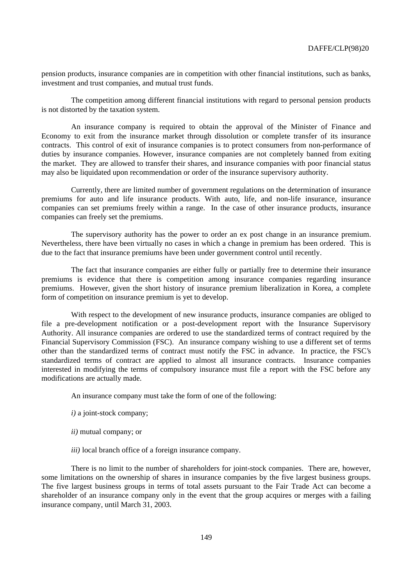pension products, insurance companies are in competition with other financial institutions, such as banks, investment and trust companies, and mutual trust funds.

The competition among different financial institutions with regard to personal pension products is not distorted by the taxation system.

An insurance company is required to obtain the approval of the Minister of Finance and Economy to exit from the insurance market through dissolution or complete transfer of its insurance contracts. This control of exit of insurance companies is to protect consumers from non-performance of duties by insurance companies. However, insurance companies are not completely banned from exiting the market. They are allowed to transfer their shares, and insurance companies with poor financial status may also be liquidated upon recommendation or order of the insurance supervisory authority.

Currently, there are limited number of government regulations on the determination of insurance premiums for auto and life insurance products. With auto, life, and non-life insurance, insurance companies can set premiums freely within a range. In the case of other insurance products, insurance companies can freely set the premiums.

The supervisory authority has the power to order an ex post change in an insurance premium. Nevertheless, there have been virtually no cases in which a change in premium has been ordered. This is due to the fact that insurance premiums have been under government control until recently.

The fact that insurance companies are either fully or partially free to determine their insurance premiums is evidence that there is competition among insurance companies regarding insurance premiums. However, given the short history of insurance premium liberalization in Korea, a complete form of competition on insurance premium is yet to develop.

With respect to the development of new insurance products, insurance companies are obliged to file a pre-development notification or a post-development report with the Insurance Supervisory Authority. All insurance companies are ordered to use the standardized terms of contract required by the Financial Supervisory Commission (FSC). An insurance company wishing to use a different set of terms other than the standardized terms of contract must notify the FSC in advance. In practice, the FSC's standardized terms of contract are applied to almost all insurance contracts. Insurance companies interested in modifying the terms of compulsory insurance must file a report with the FSC before any modifications are actually made.

An insurance company must take the form of one of the following:

- *i)* a joint-stock company;
- *ii)* mutual company; or
- *iii)* local branch office of a foreign insurance company.

There is no limit to the number of shareholders for joint-stock companies. There are, however, some limitations on the ownership of shares in insurance companies by the five largest business groups. The five largest business groups in terms of total assets pursuant to the Fair Trade Act can become a shareholder of an insurance company only in the event that the group acquires or merges with a failing insurance company, until March 31, 2003.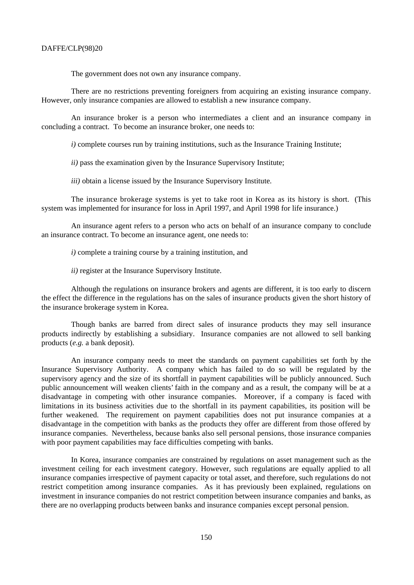The government does not own any insurance company.

There are no restrictions preventing foreigners from acquiring an existing insurance company. However, only insurance companies are allowed to establish a new insurance company.

An insurance broker is a person who intermediates a client and an insurance company in concluding a contract. To become an insurance broker, one needs to:

*i*) complete courses run by training institutions, such as the Insurance Training Institute;

*ii)* pass the examination given by the Insurance Supervisory Institute;

*iii)* obtain a license issued by the Insurance Supervisory Institute.

The insurance brokerage systems is yet to take root in Korea as its history is short. (This system was implemented for insurance for loss in April 1997, and April 1998 for life insurance.)

An insurance agent refers to a person who acts on behalf of an insurance company to conclude an insurance contract. To become an insurance agent, one needs to:

*i)* complete a training course by a training institution, and

*ii)* register at the Insurance Supervisory Institute.

Although the regulations on insurance brokers and agents are different, it is too early to discern the effect the difference in the regulations has on the sales of insurance products given the short history of the insurance brokerage system in Korea.

Though banks are barred from direct sales of insurance products they may sell insurance products indirectly by establishing a subsidiary. Insurance companies are not allowed to sell banking products (*e.g.* a bank deposit).

An insurance company needs to meet the standards on payment capabilities set forth by the Insurance Supervisory Authority. A company which has failed to do so will be regulated by the supervisory agency and the size of its shortfall in payment capabilities will be publicly announced. Such public announcement will weaken clients' faith in the company and as a result, the company will be at a disadvantage in competing with other insurance companies. Moreover, if a company is faced with limitations in its business activities due to the shortfall in its payment capabilities, its position will be further weakened. The requirement on payment capabilities does not put insurance companies at a disadvantage in the competition with banks as the products they offer are different from those offered by insurance companies. Nevertheless, because banks also sell personal pensions, those insurance companies with poor payment capabilities may face difficulties competing with banks.

In Korea, insurance companies are constrained by regulations on asset management such as the investment ceiling for each investment category. However, such regulations are equally applied to all insurance companies irrespective of payment capacity or total asset, and therefore, such regulations do not restrict competition among insurance companies. As it has previously been explained, regulations on investment in insurance companies do not restrict competition between insurance companies and banks, as there are no overlapping products between banks and insurance companies except personal pension.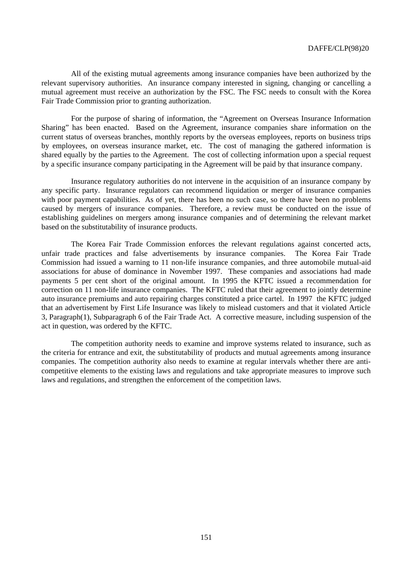All of the existing mutual agreements among insurance companies have been authorized by the relevant supervisory authorities. An insurance company interested in signing, changing or cancelling a mutual agreement must receive an authorization by the FSC. The FSC needs to consult with the Korea Fair Trade Commission prior to granting authorization.

For the purpose of sharing of information, the "Agreement on Overseas Insurance Information Sharing" has been enacted. Based on the Agreement, insurance companies share information on the current status of overseas branches, monthly reports by the overseas employees, reports on business trips by employees, on overseas insurance market, etc. The cost of managing the gathered information is shared equally by the parties to the Agreement. The cost of collecting information upon a special request by a specific insurance company participating in the Agreement will be paid by that insurance company.

Insurance regulatory authorities do not intervene in the acquisition of an insurance company by any specific party. Insurance regulators can recommend liquidation or merger of insurance companies with poor payment capabilities. As of yet, there has been no such case, so there have been no problems caused by mergers of insurance companies. Therefore, a review must be conducted on the issue of establishing guidelines on mergers among insurance companies and of determining the relevant market based on the substitutability of insurance products.

The Korea Fair Trade Commission enforces the relevant regulations against concerted acts, unfair trade practices and false advertisements by insurance companies. The Korea Fair Trade Commission had issued a warning to 11 non-life insurance companies, and three automobile mutual-aid associations for abuse of dominance in November 1997. These companies and associations had made payments 5 per cent short of the original amount. In 1995 the KFTC issued a recommendation for correction on 11 non-life insurance companies. The KFTC ruled that their agreement to jointly determine auto insurance premiums and auto repairing charges constituted a price cartel. In 1997 the KFTC judged that an advertisement by First Life Insurance was likely to mislead customers and that it violated Article 3, Paragraph(1), Subparagraph 6 of the Fair Trade Act. A corrective measure, including suspension of the act in question, was ordered by the KFTC.

The competition authority needs to examine and improve systems related to insurance, such as the criteria for entrance and exit, the substitutability of products and mutual agreements among insurance companies. The competition authority also needs to examine at regular intervals whether there are anticompetitive elements to the existing laws and regulations and take appropriate measures to improve such laws and regulations, and strengthen the enforcement of the competition laws.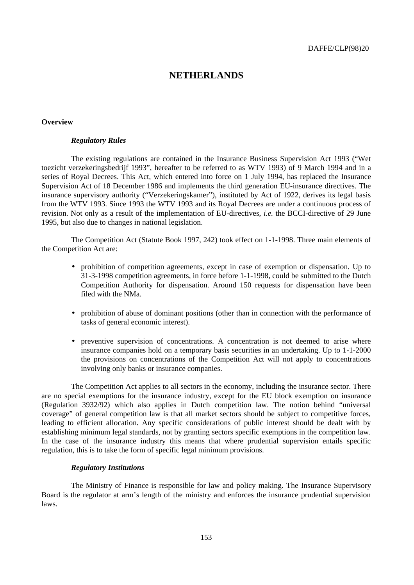# **NETHERLANDS**

# **Overview**

## *Regulatory Rules*

The existing regulations are contained in the Insurance Business Supervision Act 1993 ("Wet toezicht verzekeringsbedrijf 1993", hereafter to be referred to as WTV 1993) of 9 March 1994 and in a series of Royal Decrees. This Act, which entered into force on 1 July 1994, has replaced the Insurance Supervision Act of 18 December 1986 and implements the third generation EU-insurance directives. The insurance supervisory authority ("Verzekeringskamer"), instituted by Act of 1922, derives its legal basis from the WTV 1993. Since 1993 the WTV 1993 and its Royal Decrees are under a continuous process of revision. Not only as a result of the implementation of EU-directives, *i.e.* the BCCI-directive of 29 June 1995, but also due to changes in national legislation.

The Competition Act (Statute Book 1997, 242) took effect on 1-1-1998. Three main elements of the Competition Act are:

- prohibition of competition agreements, except in case of exemption or dispensation. Up to 31-3-1998 competition agreements, in force before 1-1-1998, could be submitted to the Dutch Competition Authority for dispensation. Around 150 requests for dispensation have been filed with the NMa.
- prohibition of abuse of dominant positions (other than in connection with the performance of tasks of general economic interest).
- preventive supervision of concentrations. A concentration is not deemed to arise where insurance companies hold on a temporary basis securities in an undertaking. Up to 1-1-2000 the provisions on concentrations of the Competition Act will not apply to concentrations involving only banks or insurance companies.

The Competition Act applies to all sectors in the economy, including the insurance sector. There are no special exemptions for the insurance industry, except for the EU block exemption on insurance (Regulation 3932/92) which also applies in Dutch competition law. The notion behind "universal coverage" of general competition law is that all market sectors should be subject to competitive forces, leading to efficient allocation. Any specific considerations of public interest should be dealt with by establishing minimum legal standards, not by granting sectors specific exemptions in the competition law. In the case of the insurance industry this means that where prudential supervision entails specific regulation, this is to take the form of specific legal minimum provisions.

## *Regulatory Institutions*

The Ministry of Finance is responsible for law and policy making. The Insurance Supervisory Board is the regulator at arm's length of the ministry and enforces the insurance prudential supervision laws.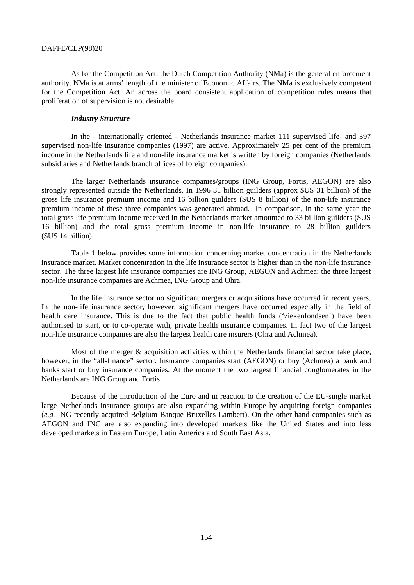As for the Competition Act, the Dutch Competition Authority (NMa) is the general enforcement authority. NMa is at arms' length of the minister of Economic Affairs. The NMa is exclusively competent for the Competition Act. An across the board consistent application of competition rules means that proliferation of supervision is not desirable.

#### *Industry Structure*

In the - internationally oriented - Netherlands insurance market 111 supervised life- and 397 supervised non-life insurance companies (1997) are active. Approximately 25 per cent of the premium income in the Netherlands life and non-life insurance market is written by foreign companies (Netherlands subsidiaries and Netherlands branch offices of foreign companies).

The larger Netherlands insurance companies/groups (ING Group, Fortis, AEGON) are also strongly represented outside the Netherlands. In 1996 31 billion guilders (approx \$US 31 billion) of the gross life insurance premium income and 16 billion guilders (\$US 8 billion) of the non-life insurance premium income of these three companies was generated abroad. In comparison, in the same year the total gross life premium income received in the Netherlands market amounted to 33 billion guilders (\$US 16 billion) and the total gross premium income in non-life insurance to 28 billion guilders (\$US 14 billion).

Table 1 below provides some information concerning market concentration in the Netherlands insurance market. Market concentration in the life insurance sector is higher than in the non-life insurance sector. The three largest life insurance companies are ING Group, AEGON and Achmea; the three largest non-life insurance companies are Achmea, ING Group and Ohra.

In the life insurance sector no significant mergers or acquisitions have occurred in recent years. In the non-life insurance sector, however, significant mergers have occurred especially in the field of health care insurance. This is due to the fact that public health funds ('ziekenfondsen') have been authorised to start, or to co-operate with, private health insurance companies. In fact two of the largest non-life insurance companies are also the largest health care insurers (Ohra and Achmea).

Most of the merger  $\&$  acquisition activities within the Netherlands financial sector take place, however, in the "all-finance" sector. Insurance companies start (AEGON) or buy (Achmea) a bank and banks start or buy insurance companies. At the moment the two largest financial conglomerates in the Netherlands are ING Group and Fortis.

Because of the introduction of the Euro and in reaction to the creation of the EU-single market large Netherlands insurance groups are also expanding within Europe by acquiring foreign companies (*e.g.* ING recently acquired Belgium Banque Bruxelles Lambert). On the other hand companies such as AEGON and ING are also expanding into developed markets like the United States and into less developed markets in Eastern Europe, Latin America and South East Asia.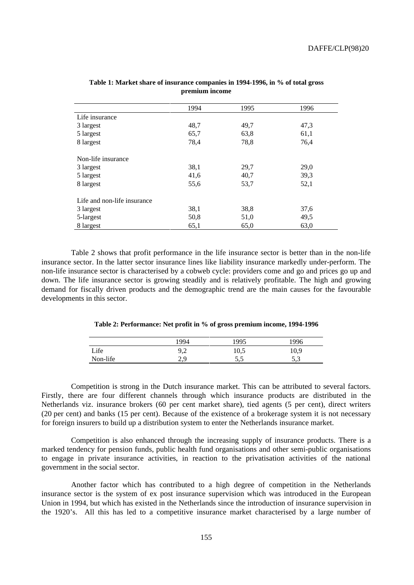|                             | 1994 | 1995 | 1996 |
|-----------------------------|------|------|------|
| Life insurance              |      |      |      |
| 3 largest                   | 48,7 | 49,7 | 47,3 |
| 5 largest                   | 65,7 | 63,8 | 61,1 |
| 8 largest                   | 78,4 | 78,8 | 76,4 |
| Non-life insurance          |      |      |      |
| 3 largest                   | 38,1 | 29,7 | 29,0 |
| 5 largest                   | 41,6 | 40,7 | 39,3 |
| 8 largest                   | 55,6 | 53,7 | 52,1 |
| Life and non-life insurance |      |      |      |
| 3 largest                   | 38,1 | 38,8 | 37,6 |
| 5-largest                   | 50,8 | 51,0 | 49,5 |
| 8 largest                   | 65,1 | 65,0 | 63,0 |

| Table 1: Market share of insurance companies in 1994-1996, in % of total gross |  |  |
|--------------------------------------------------------------------------------|--|--|
| premium income                                                                 |  |  |

Table 2 shows that profit performance in the life insurance sector is better than in the non-life insurance sector. In the latter sector insurance lines like liability insurance markedly under-perform. The non-life insurance sector is characterised by a cobweb cycle: providers come and go and prices go up and down. The life insurance sector is growing steadily and is relatively profitable. The high and growing demand for fiscally driven products and the demographic trend are the main causes for the favourable developments in this sector.

**Table 2: Performance: Net profit in % of gross premium income, 1994-1996**

|          | 994             | .995 | 996         |
|----------|-----------------|------|-------------|
| Life     | $\Omega$<br>7,4 | 10,5 | 10,9        |
| Non-life | ترويك           | ر. ر | ר -<br>ر در |

Competition is strong in the Dutch insurance market. This can be attributed to several factors. Firstly, there are four different channels through which insurance products are distributed in the Netherlands viz. insurance brokers (60 per cent market share), tied agents (5 per cent), direct writers (20 per cent) and banks (15 per cent). Because of the existence of a brokerage system it is not necessary for foreign insurers to build up a distribution system to enter the Netherlands insurance market.

Competition is also enhanced through the increasing supply of insurance products. There is a marked tendency for pension funds, public health fund organisations and other semi-public organisations to engage in private insurance activities, in reaction to the privatisation activities of the national government in the social sector.

Another factor which has contributed to a high degree of competition in the Netherlands insurance sector is the system of ex post insurance supervision which was introduced in the European Union in 1994, but which has existed in the Netherlands since the introduction of insurance supervision in the 1920's. All this has led to a competitive insurance market characterised by a large number of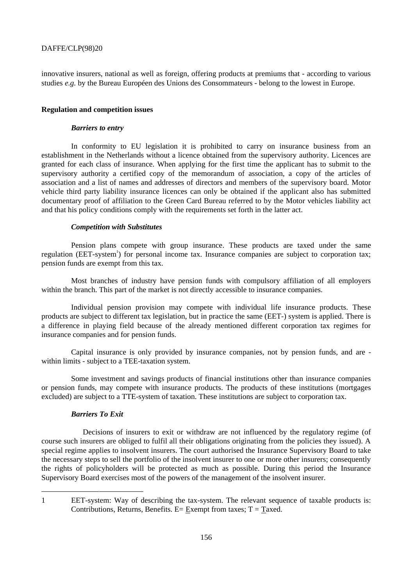innovative insurers, national as well as foreign, offering products at premiums that - according to various studies *e.g.* by the Bureau Européen des Unions des Consommateurs - belong to the lowest in Europe.

#### **Regulation and competition issues**

#### *Barriers to entry*

In conformity to EU legislation it is prohibited to carry on insurance business from an establishment in the Netherlands without a licence obtained from the supervisory authority. Licences are granted for each class of insurance. When applying for the first time the applicant has to submit to the supervisory authority a certified copy of the memorandum of association, a copy of the articles of association and a list of names and addresses of directors and members of the supervisory board. Motor vehicle third party liability insurance licences can only be obtained if the applicant also has submitted documentary proof of affiliation to the Green Card Bureau referred to by the Motor vehicles liability act and that his policy conditions comply with the requirements set forth in the latter act.

#### *Competition with Substitutes*

Pension plans compete with group insurance. These products are taxed under the same regulation (EET-system<sup>1</sup>) for personal income tax. Insurance companies are subject to corporation tax; pension funds are exempt from this tax.

Most branches of industry have pension funds with compulsory affiliation of all employers within the branch. This part of the market is not directly accessible to insurance companies.

Individual pension provision may compete with individual life insurance products. These products are subject to different tax legislation, but in practice the same (EET-) system is applied. There is a difference in playing field because of the already mentioned different corporation tax regimes for insurance companies and for pension funds.

Capital insurance is only provided by insurance companies, not by pension funds, and are within limits - subject to a TEE-taxation system.

Some investment and savings products of financial institutions other than insurance companies or pension funds, may compete with insurance products. The products of these institutions (mortgages excluded) are subject to a TTE-system of taxation. These institutions are subject to corporation tax.

# *Barriers To Exit*

-

Decisions of insurers to exit or withdraw are not influenced by the regulatory regime (of course such insurers are obliged to fulfil all their obligations originating from the policies they issued). A special regime applies to insolvent insurers. The court authorised the Insurance Supervisory Board to take the necessary steps to sell the portfolio of the insolvent insurer to one or more other insurers; consequently the rights of policyholders will be protected as much as possible. During this period the Insurance Supervisory Board exercises most of the powers of the management of the insolvent insurer.

<sup>1</sup> EET-system: Way of describing the tax-system. The relevant sequence of taxable products is: Contributions, Returns, Benefits. E= Exempt from taxes;  $T = Taxed$ .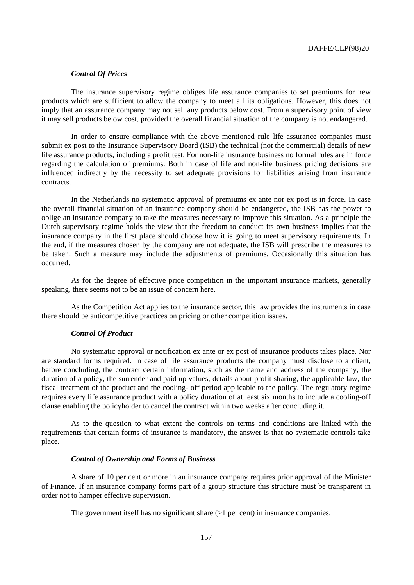## *Control Of Prices*

The insurance supervisory regime obliges life assurance companies to set premiums for new products which are sufficient to allow the company to meet all its obligations. However, this does not imply that an assurance company may not sell any products below cost. From a supervisory point of view it may sell products below cost, provided the overall financial situation of the company is not endangered.

In order to ensure compliance with the above mentioned rule life assurance companies must submit ex post to the Insurance Supervisory Board (ISB) the technical (not the commercial) details of new life assurance products, including a profit test. For non-life insurance business no formal rules are in force regarding the calculation of premiums. Both in case of life and non-life business pricing decisions are influenced indirectly by the necessity to set adequate provisions for liabilities arising from insurance contracts.

In the Netherlands no systematic approval of premiums ex ante nor ex post is in force. In case the overall financial situation of an insurance company should be endangered, the ISB has the power to oblige an insurance company to take the measures necessary to improve this situation. As a principle the Dutch supervisory regime holds the view that the freedom to conduct its own business implies that the insurance company in the first place should choose how it is going to meet supervisory requirements. In the end, if the measures chosen by the company are not adequate, the ISB will prescribe the measures to be taken. Such a measure may include the adjustments of premiums. Occasionally this situation has occurred.

As for the degree of effective price competition in the important insurance markets, generally speaking, there seems not to be an issue of concern here.

As the Competition Act applies to the insurance sector, this law provides the instruments in case there should be anticompetitive practices on pricing or other competition issues.

#### *Control Of Product*

No systematic approval or notification ex ante or ex post of insurance products takes place. Nor are standard forms required. In case of life assurance products the company must disclose to a client, before concluding, the contract certain information, such as the name and address of the company, the duration of a policy, the surrender and paid up values, details about profit sharing, the applicable law, the fiscal treatment of the product and the cooling- off period applicable to the policy. The regulatory regime requires every life assurance product with a policy duration of at least six months to include a cooling-off clause enabling the policyholder to cancel the contract within two weeks after concluding it.

As to the question to what extent the controls on terms and conditions are linked with the requirements that certain forms of insurance is mandatory, the answer is that no systematic controls take place.

#### *Control of Ownership and Forms of Business*

A share of 10 per cent or more in an insurance company requires prior approval of the Minister of Finance. If an insurance company forms part of a group structure this structure must be transparent in order not to hamper effective supervision.

The government itself has no significant share (>1 per cent) in insurance companies.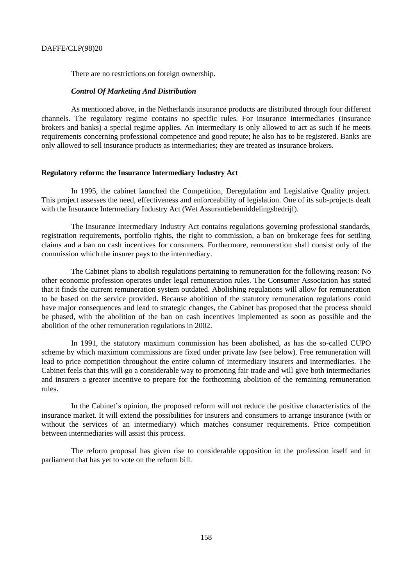There are no restrictions on foreign ownership.

#### *Control Of Marketing And Distribution*

As mentioned above, in the Netherlands insurance products are distributed through four different channels. The regulatory regime contains no specific rules. For insurance intermediaries (insurance brokers and banks) a special regime applies. An intermediary is only allowed to act as such if he meets requirements concerning professional competence and good repute; he also has to be registered. Banks are only allowed to sell insurance products as intermediaries; they are treated as insurance brokers.

# **Regulatory reform: the Insurance Intermediary Industry Act**

In 1995, the cabinet launched the Competition, Deregulation and Legislative Quality project. This project assesses the need, effectiveness and enforceability of legislation. One of its sub-projects dealt with the Insurance Intermediary Industry Act (Wet Assurantiebemiddelingsbedrijf).

The Insurance Intermediary Industry Act contains regulations governing professional standards, registration requirements, portfolio rights, the right to commission, a ban on brokerage fees for settling claims and a ban on cash incentives for consumers. Furthermore, remuneration shall consist only of the commission which the insurer pays to the intermediary.

The Cabinet plans to abolish regulations pertaining to remuneration for the following reason: No other economic profession operates under legal remuneration rules. The Consumer Association has stated that it finds the current remuneration system outdated. Abolishing regulations will allow for remuneration to be based on the service provided. Because abolition of the statutory remuneration regulations could have major consequences and lead to strategic changes, the Cabinet has proposed that the process should be phased, with the abolition of the ban on cash incentives implemented as soon as possible and the abolition of the other remuneration regulations in 2002.

In 1991, the statutory maximum commission has been abolished, as has the so-called CUPO scheme by which maximum commissions are fixed under private law (see below). Free remuneration will lead to price competition throughout the entire column of intermediary insurers and intermediaries. The Cabinet feels that this will go a considerable way to promoting fair trade and will give both intermediaries and insurers a greater incentive to prepare for the forthcoming abolition of the remaining remuneration rules.

In the Cabinet's opinion, the proposed reform will not reduce the positive characteristics of the insurance market. It will extend the possibilities for insurers and consumers to arrange insurance (with or without the services of an intermediary) which matches consumer requirements. Price competition between intermediaries will assist this process.

The reform proposal has given rise to considerable opposition in the profession itself and in parliament that has yet to vote on the reform bill.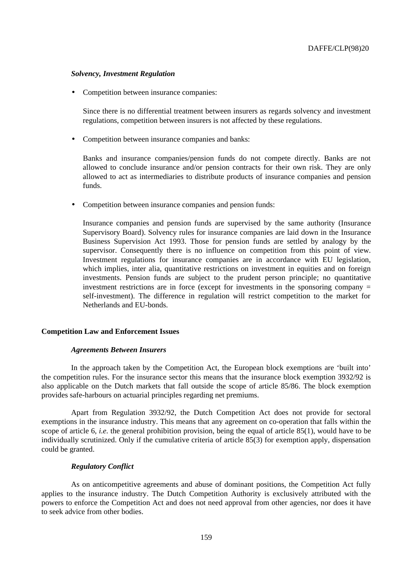#### *Solvency, Investment Regulation*

• Competition between insurance companies:

Since there is no differential treatment between insurers as regards solvency and investment regulations, competition between insurers is not affected by these regulations.

• Competition between insurance companies and banks:

Banks and insurance companies/pension funds do not compete directly. Banks are not allowed to conclude insurance and/or pension contracts for their own risk. They are only allowed to act as intermediaries to distribute products of insurance companies and pension funds.

• Competition between insurance companies and pension funds:

Insurance companies and pension funds are supervised by the same authority (Insurance Supervisory Board). Solvency rules for insurance companies are laid down in the Insurance Business Supervision Act 1993. Those for pension funds are settled by analogy by the supervisor. Consequently there is no influence on competition from this point of view. Investment regulations for insurance companies are in accordance with EU legislation, which implies, inter alia, quantitative restrictions on investment in equities and on foreign investments. Pension funds are subject to the prudent person principle; no quantitative investment restrictions are in force (except for investments in the sponsoring company = self-investment). The difference in regulation will restrict competition to the market for Netherlands and EU-bonds.

#### **Competition Law and Enforcement Issues**

#### *Agreements Between Insurers*

In the approach taken by the Competition Act, the European block exemptions are 'built into' the competition rules. For the insurance sector this means that the insurance block exemption 3932/92 is also applicable on the Dutch markets that fall outside the scope of article 85/86. The block exemption provides safe-harbours on actuarial principles regarding net premiums.

Apart from Regulation 3932/92, the Dutch Competition Act does not provide for sectoral exemptions in the insurance industry. This means that any agreement on co-operation that falls within the scope of article 6, *i.e.* the general prohibition provision, being the equal of article 85(1), would have to be individually scrutinized. Only if the cumulative criteria of article 85(3) for exemption apply, dispensation could be granted.

## *Regulatory Conflict*

As on anticompetitive agreements and abuse of dominant positions, the Competition Act fully applies to the insurance industry. The Dutch Competition Authority is exclusively attributed with the powers to enforce the Competition Act and does not need approval from other agencies, nor does it have to seek advice from other bodies.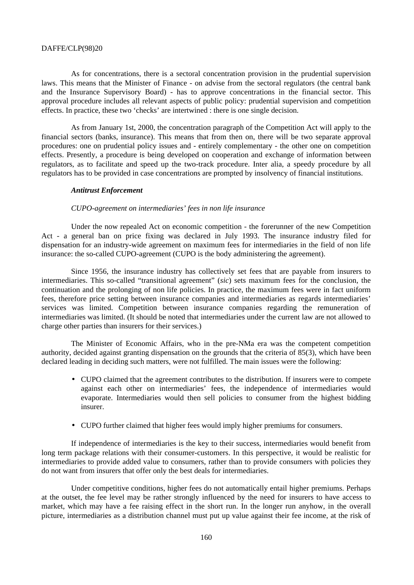As for concentrations, there is a sectoral concentration provision in the prudential supervision laws. This means that the Minister of Finance - on advise from the sectoral regulators (the central bank and the Insurance Supervisory Board) - has to approve concentrations in the financial sector. This approval procedure includes all relevant aspects of public policy: prudential supervision and competition effects. In practice, these two 'checks' are intertwined : there is one single decision.

As from January 1st, 2000, the concentration paragraph of the Competition Act will apply to the financial sectors (banks, insurance). This means that from then on, there will be two separate approval procedures: one on prudential policy issues and - entirely complementary - the other one on competition effects. Presently, a procedure is being developed on cooperation and exchange of information between regulators, as to facilitate and speed up the two-track procedure. Inter alia, a speedy procedure by all regulators has to be provided in case concentrations are prompted by insolvency of financial institutions.

#### *Antitrust Enforcement*

#### *CUPO-agreement on intermediaries' fees in non life insurance*

Under the now repealed Act on economic competition - the forerunner of the new Competition Act - a general ban on price fixing was declared in July 1993. The insurance industry filed for dispensation for an industry-wide agreement on maximum fees for intermediaries in the field of non life insurance: the so-called CUPO-agreement (CUPO is the body administering the agreement).

Since 1956, the insurance industry has collectively set fees that are payable from insurers to intermediaries. This so-called "transitional agreement" (*sic*) sets maximum fees for the conclusion, the continuation and the prolonging of non life policies. In practice, the maximum fees were in fact uniform fees, therefore price setting between insurance companies and intermediaries as regards intermediaries' services was limited. Competition between insurance companies regarding the remuneration of intermediaries was limited. (It should be noted that intermediaries under the current law are not allowed to charge other parties than insurers for their services.)

The Minister of Economic Affairs, who in the pre-NMa era was the competent competition authority, decided against granting dispensation on the grounds that the criteria of 85(3), which have been declared leading in deciding such matters, were not fulfilled. The main issues were the following:

- CUPO claimed that the agreement contributes to the distribution. If insurers were to compete against each other on intermediaries' fees, the independence of intermediaries would evaporate. Intermediaries would then sell policies to consumer from the highest bidding insurer.
- CUPO further claimed that higher fees would imply higher premiums for consumers.

If independence of intermediaries is the key to their success, intermediaries would benefit from long term package relations with their consumer-customers. In this perspective, it would be realistic for intermediaries to provide added value to consumers, rather than to provide consumers with policies they do not want from insurers that offer only the best deals for intermediaries.

Under competitive conditions, higher fees do not automatically entail higher premiums. Perhaps at the outset, the fee level may be rather strongly influenced by the need for insurers to have access to market, which may have a fee raising effect in the short run. In the longer run anyhow, in the overall picture, intermediaries as a distribution channel must put up value against their fee income, at the risk of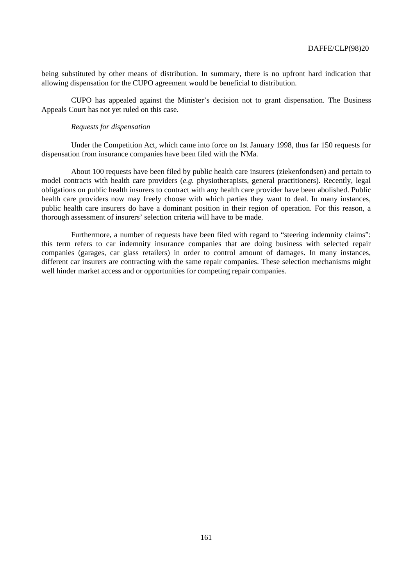being substituted by other means of distribution. In summary, there is no upfront hard indication that allowing dispensation for the CUPO agreement would be beneficial to distribution.

CUPO has appealed against the Minister's decision not to grant dispensation. The Business Appeals Court has not yet ruled on this case.

## *Requests for dispensation*

Under the Competition Act, which came into force on 1st January 1998, thus far 150 requests for dispensation from insurance companies have been filed with the NMa.

About 100 requests have been filed by public health care insurers (ziekenfondsen) and pertain to model contracts with health care providers (*e.g.* physiotherapists, general practitioners). Recently, legal obligations on public health insurers to contract with any health care provider have been abolished. Public health care providers now may freely choose with which parties they want to deal. In many instances, public health care insurers do have a dominant position in their region of operation. For this reason, a thorough assessment of insurers' selection criteria will have to be made.

Furthermore, a number of requests have been filed with regard to "steering indemnity claims": this term refers to car indemnity insurance companies that are doing business with selected repair companies (garages, car glass retailers) in order to control amount of damages. In many instances, different car insurers are contracting with the same repair companies. These selection mechanisms might well hinder market access and or opportunities for competing repair companies.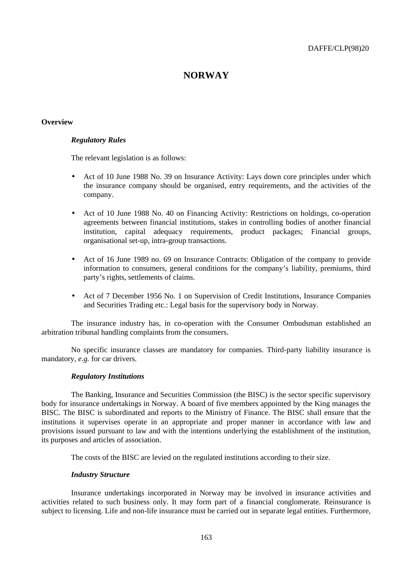# **NORWAY**

# **Overview**

## *Regulatory Rules*

The relevant legislation is as follows:

- Act of 10 June 1988 No. 39 on Insurance Activity: Lays down core principles under which the insurance company should be organised, entry requirements, and the activities of the company.
- Act of 10 June 1988 No. 40 on Financing Activity: Restrictions on holdings, co-operation agreements between financial institutions, stakes in controlling bodies of another financial institution, capital adequacy requirements, product packages; Financial groups, organisational set-up, intra-group transactions.
- Act of 16 June 1989 no. 69 on Insurance Contracts: Obligation of the company to provide information to consumers, general conditions for the company's liability, premiums, third party's rights, settlements of claims.
- Act of 7 December 1956 No. 1 on Supervision of Credit Institutions, Insurance Companies and Securities Trading etc.: Legal basis for the supervisory body in Norway.

The insurance industry has, in co-operation with the Consumer Ombudsman established an arbitration tribunal handling complaints from the consumers.

No specific insurance classes are mandatory for companies. Third-party liability insurance is mandatory, *e.g.* for car drivers.

## *Regulatory Institutions*

The Banking, Insurance and Securities Commission (the BISC) is the sector specific supervisory body for insurance undertakings in Norway. A board of five members appointed by the King manages the BISC. The BISC is subordinated and reports to the Ministry of Finance. The BISC shall ensure that the institutions it supervises operate in an appropriate and proper manner in accordance with law and provisions issued pursuant to law and with the intentions underlying the establishment of the institution, its purposes and articles of association.

The costs of the BISC are levied on the regulated institutions according to their size.

# *Industry Structure*

Insurance undertakings incorporated in Norway may be involved in insurance activities and activities related to such business only. It may form part of a financial conglomerate. Reinsurance is subject to licensing. Life and non-life insurance must be carried out in separate legal entities. Furthermore,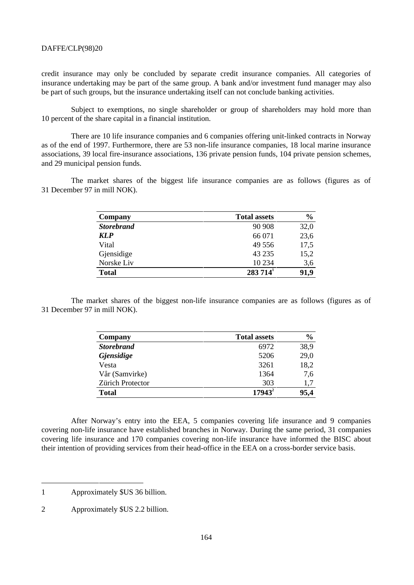credit insurance may only be concluded by separate credit insurance companies. All categories of insurance undertaking may be part of the same group. A bank and/or investment fund manager may also be part of such groups, but the insurance undertaking itself can not conclude banking activities.

Subject to exemptions, no single shareholder or group of shareholders may hold more than 10 percent of the share capital in a financial institution.

There are 10 life insurance companies and 6 companies offering unit-linked contracts in Norway as of the end of 1997. Furthermore, there are 53 non-life insurance companies, 18 local marine insurance associations, 39 local fire-insurance associations, 136 private pension funds, 104 private pension schemes, and 29 municipal pension funds.

The market shares of the biggest life insurance companies are as follows (figures as of 31 December 97 in mill NOK).

| Company           | <b>Total assets</b> | $\frac{0}{0}$ |
|-------------------|---------------------|---------------|
| <b>Storebrand</b> | 90 90 8             | 32,0          |
| <b>KLP</b>        | 66 071              | 23,6          |
| Vital             | 49 556              | 17,5          |
| Gjensidige        | 43 2 35             | 15,2          |
| Norske Liv        | 10 234              | 3,6           |
| <b>Total</b>      | $283714^1$          | 91,9          |

The market shares of the biggest non-life insurance companies are as follows (figures as of 31 December 97 in mill NOK).

| Company           | <b>Total assets</b> | $\frac{0}{0}$ |
|-------------------|---------------------|---------------|
| <b>Storebrand</b> | 6972                | 38,9          |
| Gjensidige        | 5206                | 29,0          |
| Vesta             | 3261                | 18,2          |
| Vår (Samvirke)    | 1364                | 7,6           |
| Zürich Protector  | 303                 | 1,7           |
| <b>Total</b>      | $17943^2$           | 95,4          |

After Norway's entry into the EEA, 5 companies covering life insurance and 9 companies covering non-life insurance have established branches in Norway. During the same period, 31 companies covering life insurance and 170 companies covering non-life insurance have informed the BISC about their intention of providing services from their head-office in the EEA on a cross-border service basis.

-

<sup>1</sup> Approximately \$US 36 billion.

<sup>2</sup> Approximately \$US 2.2 billion.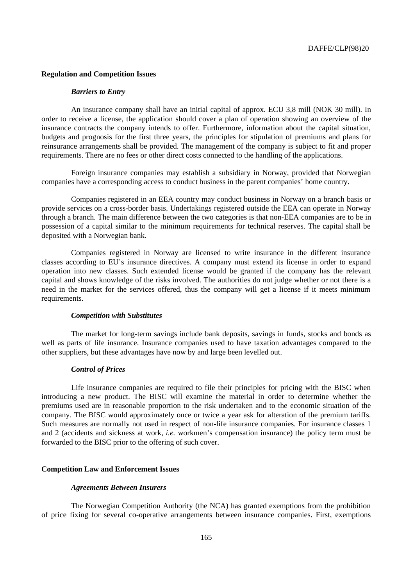#### **Regulation and Competition Issues**

#### *Barriers to Entry*

An insurance company shall have an initial capital of approx. ECU 3,8 mill (NOK 30 mill). In order to receive a license, the application should cover a plan of operation showing an overview of the insurance contracts the company intends to offer. Furthermore, information about the capital situation, budgets and prognosis for the first three years, the principles for stipulation of premiums and plans for reinsurance arrangements shall be provided. The management of the company is subject to fit and proper requirements. There are no fees or other direct costs connected to the handling of the applications.

Foreign insurance companies may establish a subsidiary in Norway, provided that Norwegian companies have a corresponding access to conduct business in the parent companies' home country.

Companies registered in an EEA country may conduct business in Norway on a branch basis or provide services on a cross-border basis. Undertakings registered outside the EEA can operate in Norway through a branch. The main difference between the two categories is that non-EEA companies are to be in possession of a capital similar to the minimum requirements for technical reserves. The capital shall be deposited with a Norwegian bank.

Companies registered in Norway are licensed to write insurance in the different insurance classes according to EU's insurance directives. A company must extend its license in order to expand operation into new classes. Such extended license would be granted if the company has the relevant capital and shows knowledge of the risks involved. The authorities do not judge whether or not there is a need in the market for the services offered, thus the company will get a license if it meets minimum requirements.

#### *Competition with Substitutes*

The market for long-term savings include bank deposits, savings in funds, stocks and bonds as well as parts of life insurance. Insurance companies used to have taxation advantages compared to the other suppliers, but these advantages have now by and large been levelled out.

## *Control of Prices*

Life insurance companies are required to file their principles for pricing with the BISC when introducing a new product. The BISC will examine the material in order to determine whether the premiums used are in reasonable proportion to the risk undertaken and to the economic situation of the company. The BISC would approximately once or twice a year ask for alteration of the premium tariffs. Such measures are normally not used in respect of non-life insurance companies. For insurance classes 1 and 2 (accidents and sickness at work, *i.e.* workmen's compensation insurance) the policy term must be forwarded to the BISC prior to the offering of such cover.

#### **Competition Law and Enforcement Issues**

#### *Agreements Between Insurers*

The Norwegian Competition Authority (the NCA) has granted exemptions from the prohibition of price fixing for several co-operative arrangements between insurance companies. First, exemptions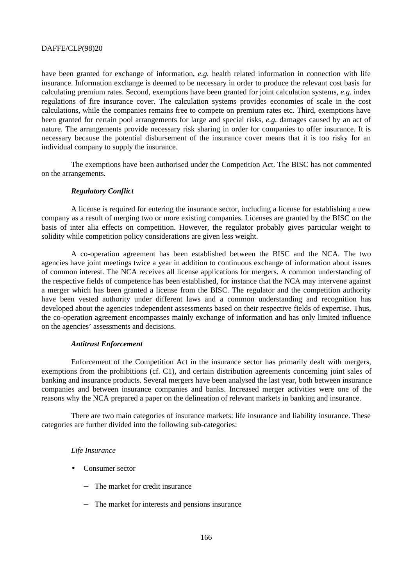have been granted for exchange of information, *e.g.* health related information in connection with life insurance. Information exchange is deemed to be necessary in order to produce the relevant cost basis for calculating premium rates. Second, exemptions have been granted for joint calculation systems, *e.g.* index regulations of fire insurance cover. The calculation systems provides economies of scale in the cost calculations, while the companies remains free to compete on premium rates etc. Third, exemptions have been granted for certain pool arrangements for large and special risks, *e.g.* damages caused by an act of nature. The arrangements provide necessary risk sharing in order for companies to offer insurance. It is necessary because the potential disbursement of the insurance cover means that it is too risky for an individual company to supply the insurance.

The exemptions have been authorised under the Competition Act. The BISC has not commented on the arrangements.

## *Regulatory Conflict*

A license is required for entering the insurance sector, including a license for establishing a new company as a result of merging two or more existing companies. Licenses are granted by the BISC on the basis of inter alia effects on competition. However, the regulator probably gives particular weight to solidity while competition policy considerations are given less weight.

A co-operation agreement has been established between the BISC and the NCA. The two agencies have joint meetings twice a year in addition to continuous exchange of information about issues of common interest. The NCA receives all license applications for mergers. A common understanding of the respective fields of competence has been established, for instance that the NCA may intervene against a merger which has been granted a license from the BISC. The regulator and the competition authority have been vested authority under different laws and a common understanding and recognition has developed about the agencies independent assessments based on their respective fields of expertise. Thus, the co-operation agreement encompasses mainly exchange of information and has only limited influence on the agencies' assessments and decisions.

## *Antitrust Enforcement*

Enforcement of the Competition Act in the insurance sector has primarily dealt with mergers, exemptions from the prohibitions (cf. C1), and certain distribution agreements concerning joint sales of banking and insurance products. Several mergers have been analysed the last year, both between insurance companies and between insurance companies and banks. Increased merger activities were one of the reasons why the NCA prepared a paper on the delineation of relevant markets in banking and insurance.

There are two main categories of insurance markets: life insurance and liability insurance. These categories are further divided into the following sub-categories:

#### *Life Insurance*

- Consumer sector
	- − The market for credit insurance
	- − The market for interests and pensions insurance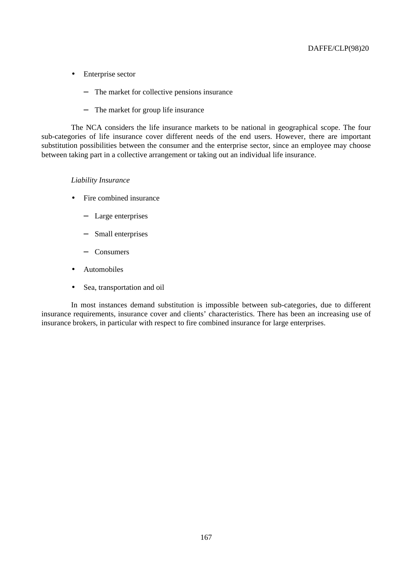- Enterprise sector
	- − The market for collective pensions insurance
	- − The market for group life insurance

The NCA considers the life insurance markets to be national in geographical scope. The four sub-categories of life insurance cover different needs of the end users. However, there are important substitution possibilities between the consumer and the enterprise sector, since an employee may choose between taking part in a collective arrangement or taking out an individual life insurance.

# *Liability Insurance*

- Fire combined insurance
	- − Large enterprises
	- − Small enterprises
	- − Consumers
- Automobiles
- Sea, transportation and oil

In most instances demand substitution is impossible between sub-categories, due to different insurance requirements, insurance cover and clients' characteristics. There has been an increasing use of insurance brokers, in particular with respect to fire combined insurance for large enterprises.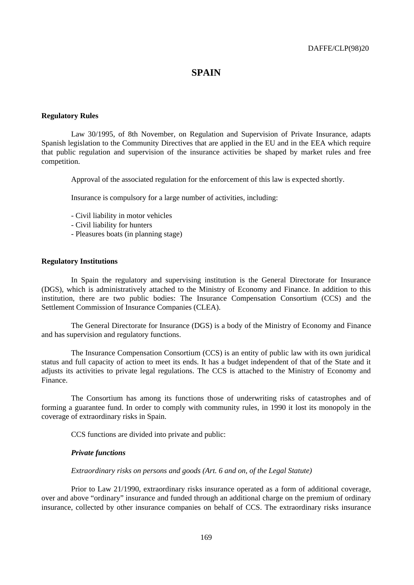# **SPAIN**

### **Regulatory Rules**

Law 30/1995, of 8th November, on Regulation and Supervision of Private Insurance, adapts Spanish legislation to the Community Directives that are applied in the EU and in the EEA which require that public regulation and supervision of the insurance activities be shaped by market rules and free competition.

Approval of the associated regulation for the enforcement of this law is expected shortly.

Insurance is compulsory for a large number of activities, including:

- Civil liability in motor vehicles
- Civil liability for hunters
- Pleasures boats (in planning stage)

# **Regulatory Institutions**

In Spain the regulatory and supervising institution is the General Directorate for Insurance (DGS), which is administratively attached to the Ministry of Economy and Finance. In addition to this institution, there are two public bodies: The Insurance Compensation Consortium (CCS) and the Settlement Commission of Insurance Companies (CLEA).

The General Directorate for Insurance (DGS) is a body of the Ministry of Economy and Finance and has supervision and regulatory functions.

The Insurance Compensation Consortium (CCS) is an entity of public law with its own juridical status and full capacity of action to meet its ends. It has a budget independent of that of the State and it adjusts its activities to private legal regulations. The CCS is attached to the Ministry of Economy and Finance.

The Consortium has among its functions those of underwriting risks of catastrophes and of forming a guarantee fund. In order to comply with community rules, in 1990 it lost its monopoly in the coverage of extraordinary risks in Spain.

CCS functions are divided into private and public:

# *Private functions*

#### *Extraordinary risks on persons and goods (Art. 6 and on, of the Legal Statute)*

Prior to Law 21/1990, extraordinary risks insurance operated as a form of additional coverage, over and above "ordinary" insurance and funded through an additional charge on the premium of ordinary insurance, collected by other insurance companies on behalf of CCS. The extraordinary risks insurance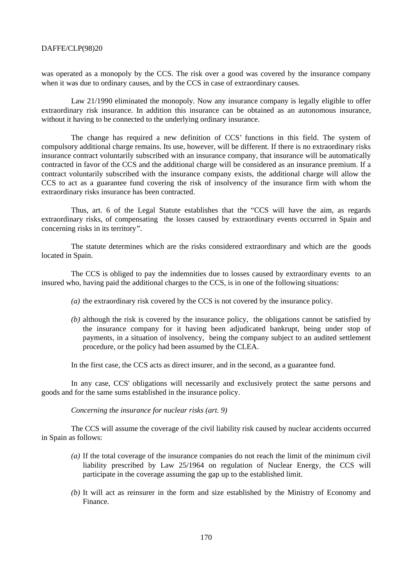was operated as a monopoly by the CCS. The risk over a good was covered by the insurance company when it was due to ordinary causes, and by the CCS in case of extraordinary causes.

Law 21/1990 eliminated the monopoly. Now any insurance company is legally eligible to offer extraordinary risk insurance. In addition this insurance can be obtained as an autonomous insurance, without it having to be connected to the underlying ordinary insurance.

The change has required a new definition of CCS' functions in this field. The system of compulsory additional charge remains. Its use, however, will be different. If there is no extraordinary risks insurance contract voluntarily subscribed with an insurance company, that insurance will be automatically contracted in favor of the CCS and the additional charge will be considered as an insurance premium. If a contract voluntarily subscribed with the insurance company exists, the additional charge will allow the CCS to act as a guarantee fund covering the risk of insolvency of the insurance firm with whom the extraordinary risks insurance has been contracted.

Thus, art. 6 of the Legal Statute establishes that the "CCS will have the aim, as regards extraordinary risks, of compensating the losses caused by extraordinary events occurred in Spain and concerning risks in its territory".

The statute determines which are the risks considered extraordinary and which are the goods located in Spain.

The CCS is obliged to pay the indemnities due to losses caused by extraordinary events to an insured who, having paid the additional charges to the CCS, is in one of the following situations:

- *(a)* the extraordinary risk covered by the CCS is not covered by the insurance policy.
- *(b)* although the risk is covered by the insurance policy, the obligations cannot be satisfied by the insurance company for it having been adjudicated bankrupt, being under stop of payments, in a situation of insolvency, being the company subject to an audited settlement procedure, or the policy had been assumed by the CLEA.

In the first case, the CCS acts as direct insurer, and in the second, as a guarantee fund.

In any case, CCS' obligations will necessarily and exclusively protect the same persons and goods and for the same sums established in the insurance policy.

*Concerning the insurance for nuclear risks (art. 9)*

The CCS will assume the coverage of the civil liability risk caused by nuclear accidents occurred in Spain as follows:

- *(a)* If the total coverage of the insurance companies do not reach the limit of the minimum civil liability prescribed by Law 25/1964 on regulation of Nuclear Energy, the CCS will participate in the coverage assuming the gap up to the established limit.
- *(b)* It will act as reinsurer in the form and size established by the Ministry of Economy and Finance.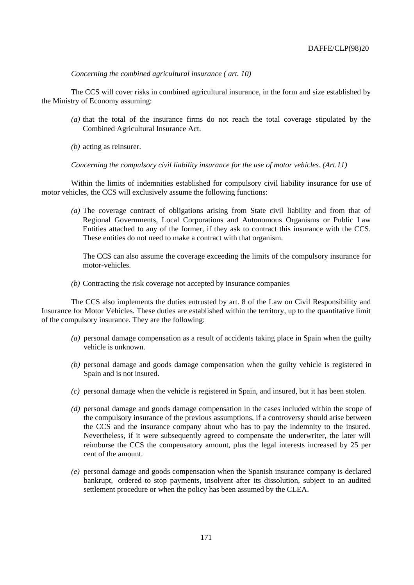#### *Concerning the combined agricultural insurance ( art. 10)*

The CCS will cover risks in combined agricultural insurance, in the form and size established by the Ministry of Economy assuming:

- *(a)* that the total of the insurance firms do not reach the total coverage stipulated by the Combined Agricultural Insurance Act.
- *(b)* acting as reinsurer.

*Concerning the compulsory civil liability insurance for the use of motor vehicles. (Art.11)*

Within the limits of indemnities established for compulsory civil liability insurance for use of motor vehicles, the CCS will exclusively assume the following functions:

*(a)* The coverage contract of obligations arising from State civil liability and from that of Regional Governments, Local Corporations and Autonomous Organisms or Public Law Entities attached to any of the former, if they ask to contract this insurance with the CCS. These entities do not need to make a contract with that organism.

The CCS can also assume the coverage exceeding the limits of the compulsory insurance for motor-vehicles.

*(b)* Contracting the risk coverage not accepted by insurance companies

The CCS also implements the duties entrusted by art. 8 of the Law on Civil Responsibility and Insurance for Motor Vehicles. These duties are established within the territory, up to the quantitative limit of the compulsory insurance. They are the following:

- *(a)* personal damage compensation as a result of accidents taking place in Spain when the guilty vehicle is unknown.
- *(b)* personal damage and goods damage compensation when the guilty vehicle is registered in Spain and is not insured.
- *(c)* personal damage when the vehicle is registered in Spain, and insured, but it has been stolen.
- *(d)* personal damage and goods damage compensation in the cases included within the scope of the compulsory insurance of the previous assumptions, if a controversy should arise between the CCS and the insurance company about who has to pay the indemnity to the insured. Nevertheless, if it were subsequently agreed to compensate the underwriter, the later will reimburse the CCS the compensatory amount, plus the legal interests increased by 25 per cent of the amount.
- *(e)* personal damage and goods compensation when the Spanish insurance company is declared bankrupt, ordered to stop payments, insolvent after its dissolution, subject to an audited settlement procedure or when the policy has been assumed by the CLEA.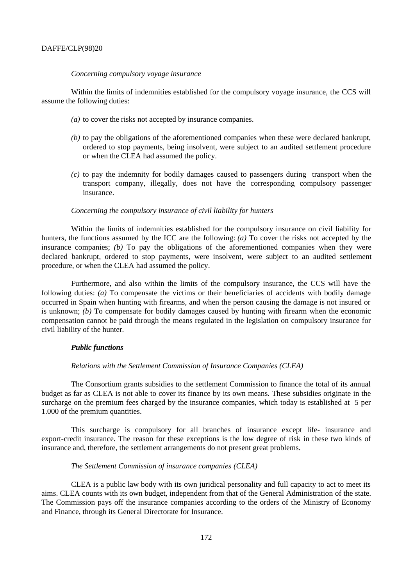### *Concerning compulsory voyage insurance*

Within the limits of indemnities established for the compulsory voyage insurance, the CCS will assume the following duties:

- *(a)* to cover the risks not accepted by insurance companies.
- *(b)* to pay the obligations of the aforementioned companies when these were declared bankrupt, ordered to stop payments, being insolvent, were subject to an audited settlement procedure or when the CLEA had assumed the policy.
- *(c)* to pay the indemnity for bodily damages caused to passengers during transport when the transport company, illegally, does not have the corresponding compulsory passenger insurance.

#### *Concerning the compulsory insurance of civil liability for hunters*

Within the limits of indemnities established for the compulsory insurance on civil liability for hunters, the functions assumed by the ICC are the following: *(a)* To cover the risks not accepted by the insurance companies; *(b)* To pay the obligations of the aforementioned companies when they were declared bankrupt, ordered to stop payments, were insolvent, were subject to an audited settlement procedure, or when the CLEA had assumed the policy.

Furthermore, and also within the limits of the compulsory insurance, the CCS will have the following duties: *(a)* To compensate the victims or their beneficiaries of accidents with bodily damage occurred in Spain when hunting with firearms, and when the person causing the damage is not insured or is unknown; *(b)* To compensate for bodily damages caused by hunting with firearm when the economic compensation cannot be paid through the means regulated in the legislation on compulsory insurance for civil liability of the hunter.

#### *Public functions*

#### *Relations with the Settlement Commission of Insurance Companies (CLEA)*

The Consortium grants subsidies to the settlement Commission to finance the total of its annual budget as far as CLEA is not able to cover its finance by its own means. These subsidies originate in the surcharge on the premium fees charged by the insurance companies, which today is established at 5 per 1.000 of the premium quantities.

This surcharge is compulsory for all branches of insurance except life- insurance and export-credit insurance. The reason for these exceptions is the low degree of risk in these two kinds of insurance and, therefore, the settlement arrangements do not present great problems.

#### *The Settlement Commission of insurance companies (CLEA)*

CLEA is a public law body with its own juridical personality and full capacity to act to meet its aims. CLEA counts with its own budget, independent from that of the General Administration of the state. The Commission pays off the insurance companies according to the orders of the Ministry of Economy and Finance, through its General Directorate for Insurance.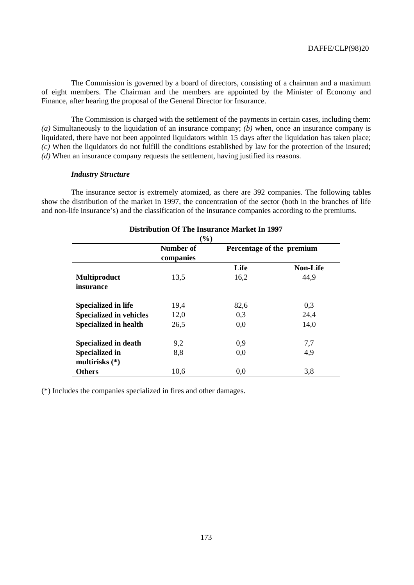The Commission is governed by a board of directors, consisting of a chairman and a maximum of eight members. The Chairman and the members are appointed by the Minister of Economy and Finance, after hearing the proposal of the General Director for Insurance.

The Commission is charged with the settlement of the payments in certain cases, including them: *(a)* Simultaneously to the liquidation of an insurance company; *(b)* when, once an insurance company is liquidated, there have not been appointed liquidators within 15 days after the liquidation has taken place; *(c)* When the liquidators do not fulfill the conditions established by law for the protection of the insured; *(d)* When an insurance company requests the settlement, having justified its reasons.

## *Industry Structure*

The insurance sector is extremely atomized, as there are 392 companies. The following tables show the distribution of the market in 1997, the concentration of the sector (both in the branches of life and non-life insurance's) and the classification of the insurance companies according to the premiums.

|                                | $(\%)$                        |      |                           |
|--------------------------------|-------------------------------|------|---------------------------|
|                                | <b>Number of</b><br>companies |      | Percentage of the premium |
|                                |                               | Life | <b>Non-Life</b>           |
| <b>Multiproduct</b>            | 13,5                          | 16,2 | 44,9                      |
| <i>insurance</i>               |                               |      |                           |
| <b>Specialized in life</b>     | 19,4                          | 82,6 | 0,3                       |
| <b>Specialized in vehicles</b> | 12,0                          | 0.3  | 24,4                      |
| <b>Specialized in health</b>   | 26,5                          | 0,0  | 14,0                      |
| Specialized in death           | 9,2                           | 0,9  | 7,7                       |
| <b>Specialized in</b>          | 8,8                           | 0,0  | 4,9                       |
| multirisks $(*)$               |                               |      |                           |
| <b>Others</b>                  | 10,6                          | 0,0  | 3,8                       |

# **Distribution Of The Insurance Market In 1997**

(\*) Includes the companies specialized in fires and other damages.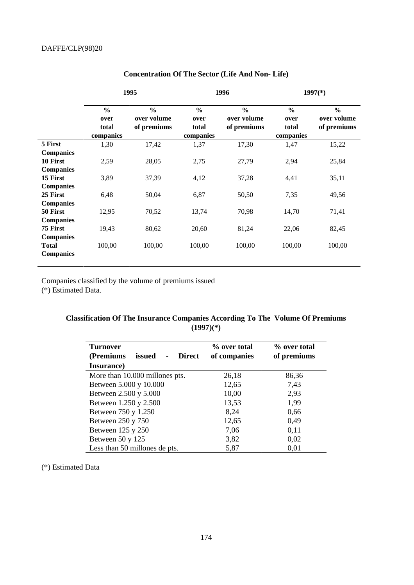|                                                                                                                                                              |                                             | 1995                                        |                                             | 1996                                        |                                             | $1997(*)$                                   |
|--------------------------------------------------------------------------------------------------------------------------------------------------------------|---------------------------------------------|---------------------------------------------|---------------------------------------------|---------------------------------------------|---------------------------------------------|---------------------------------------------|
|                                                                                                                                                              | $\frac{6}{6}$<br>over<br>total<br>companies | $\frac{0}{0}$<br>over volume<br>of premiums | $\frac{6}{6}$<br>over<br>total<br>companies | $\frac{0}{0}$<br>over volume<br>of premiums | $\frac{6}{6}$<br>over<br>total<br>companies | $\frac{6}{6}$<br>over volume<br>of premiums |
| 5 First                                                                                                                                                      | 1,30                                        | 17,42                                       | 1,37                                        | 17,30                                       | 1,47                                        | 15,22                                       |
| <b>Companies</b><br>10 First<br><b>Companies</b><br>15 First<br><b>Companies</b><br>25 First<br><b>Companies</b><br>50 First<br><b>Companies</b><br>75 First | 2,59<br>3,89<br>6,48<br>12,95<br>19,43      | 28,05<br>37,39<br>50,04<br>70,52<br>80,62   | 2,75<br>4,12<br>6,87<br>13,74<br>20,60      | 27,79<br>37,28<br>50,50<br>70,98<br>81,24   | 2,94<br>4,41<br>7,35<br>14,70<br>22,06      | 25,84<br>35,11<br>49,56<br>71,41<br>82,45   |
| <b>Companies</b><br><b>Total</b><br><b>Companies</b>                                                                                                         | 100,00                                      | 100,00                                      | 100,00                                      | 100,00                                      | 100,00                                      | 100,00                                      |

# **Concentration Of The Sector (Life And Non- Life)**

Companies classified by the volume of premiums issued

(\*) Estimated Data.

# **Classification Of The Insurance Companies According To The Volume Of Premiums (1997)(\*)**

| <b>Turnover</b>                                         | % over total | % over total |
|---------------------------------------------------------|--------------|--------------|
| <b>Direct</b><br>(Premiums)<br>issued<br>$\blacksquare$ | of companies | of premiums  |
| Insurance)                                              |              |              |
| More than 10.000 millones pts.                          | 26,18        | 86,36        |
| Between 5.000 y 10.000                                  | 12,65        | 7,43         |
| Between 2.500 y 5.000                                   | 10,00        | 2,93         |
| Between 1.250 y 2.500                                   | 13,53        | 1,99         |
| Between 750 y 1.250                                     | 8,24         | 0,66         |
| Between 250 y 750                                       | 12,65        | 0,49         |
| Between 125 y 250                                       | 7,06         | 0,11         |
| Between 50 y 125                                        | 3,82         | 0,02         |
| Less than 50 millones de pts.                           | 5,87         | 0.01         |

(\*) Estimated Data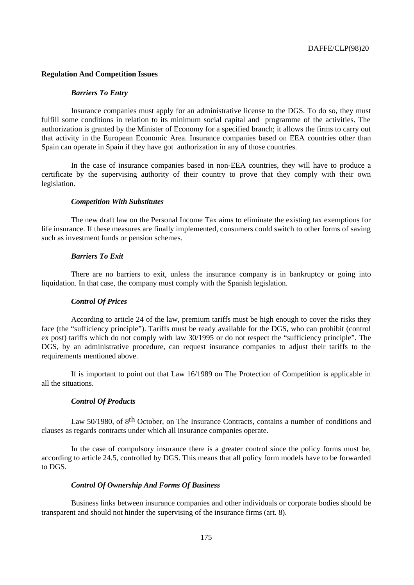#### **Regulation And Competition Issues**

#### *Barriers To Entry*

Insurance companies must apply for an administrative license to the DGS. To do so, they must fulfill some conditions in relation to its minimum social capital and programme of the activities. The authorization is granted by the Minister of Economy for a specified branch; it allows the firms to carry out that activity in the European Economic Area. Insurance companies based on EEA countries other than Spain can operate in Spain if they have got authorization in any of those countries.

In the case of insurance companies based in non-EEA countries, they will have to produce a certificate by the supervising authority of their country to prove that they comply with their own legislation.

## *Competition With Substitutes*

The new draft law on the Personal Income Tax aims to eliminate the existing tax exemptions for life insurance. If these measures are finally implemented, consumers could switch to other forms of saving such as investment funds or pension schemes.

## *Barriers To Exit*

There are no barriers to exit, unless the insurance company is in bankruptcy or going into liquidation. In that case, the company must comply with the Spanish legislation.

## *Control Of Prices*

According to article 24 of the law, premium tariffs must be high enough to cover the risks they face (the "sufficiency principle"). Tariffs must be ready available for the DGS, who can prohibit (control ex post) tariffs which do not comply with law 30/1995 or do not respect the "sufficiency principle". The DGS, by an administrative procedure, can request insurance companies to adjust their tariffs to the requirements mentioned above.

If is important to point out that Law 16/1989 on The Protection of Competition is applicable in all the situations.

# *Control Of Products*

Law 50/1980, of 8<sup>th</sup> October, on The Insurance Contracts, contains a number of conditions and clauses as regards contracts under which all insurance companies operate.

In the case of compulsory insurance there is a greater control since the policy forms must be, according to article 24.5, controlled by DGS. This means that all policy form models have to be forwarded to DGS.

# *Control Of Ownership And Forms Of Business*

Business links between insurance companies and other individuals or corporate bodies should be transparent and should not hinder the supervising of the insurance firms (art. 8).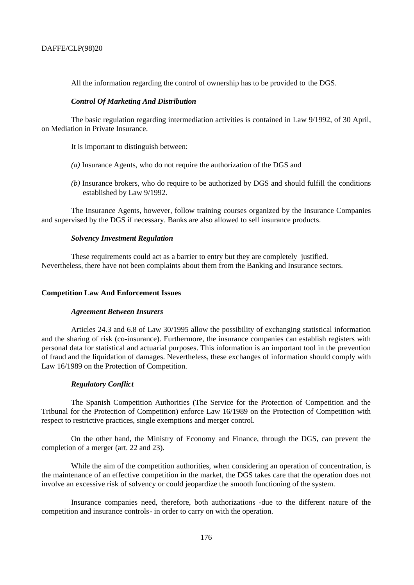All the information regarding the control of ownership has to be provided to the DGS.

# *Control Of Marketing And Distribution*

The basic regulation regarding intermediation activities is contained in Law 9/1992, of 30 April, on Mediation in Private Insurance.

It is important to distinguish between:

- *(a)* Insurance Agents, who do not require the authorization of the DGS and
- *(b)* Insurance brokers, who do require to be authorized by DGS and should fulfill the conditions established by Law 9/1992.

The Insurance Agents, however, follow training courses organized by the Insurance Companies and supervised by the DGS if necessary. Banks are also allowed to sell insurance products.

#### *Solvency Investment Regulation*

These requirements could act as a barrier to entry but they are completely justified. Nevertheless, there have not been complaints about them from the Banking and Insurance sectors.

# **Competition Law And Enforcement Issues**

#### *Agreement Between Insurers*

Articles 24.3 and 6.8 of Law 30/1995 allow the possibility of exchanging statistical information and the sharing of risk (co-insurance). Furthermore, the insurance companies can establish registers with personal data for statistical and actuarial purposes. This information is an important tool in the prevention of fraud and the liquidation of damages. Nevertheless, these exchanges of information should comply with Law 16/1989 on the Protection of Competition.

#### *Regulatory Conflict*

The Spanish Competition Authorities (The Service for the Protection of Competition and the Tribunal for the Protection of Competition) enforce Law 16/1989 on the Protection of Competition with respect to restrictive practices, single exemptions and merger control.

On the other hand, the Ministry of Economy and Finance, through the DGS, can prevent the completion of a merger (art. 22 and 23).

While the aim of the competition authorities, when considering an operation of concentration, is the maintenance of an effective competition in the market, the DGS takes care that the operation does not involve an excessive risk of solvency or could jeopardize the smooth functioning of the system.

Insurance companies need, therefore, both authorizations -due to the different nature of the competition and insurance controls- in order to carry on with the operation.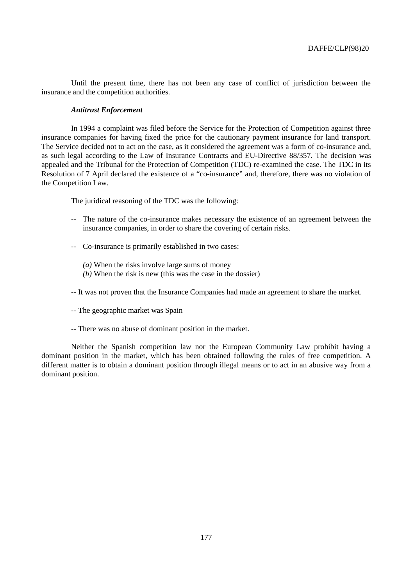Until the present time, there has not been any case of conflict of jurisdiction between the insurance and the competition authorities.

# *Antitrust Enforcement*

In 1994 a complaint was filed before the Service for the Protection of Competition against three insurance companies for having fixed the price for the cautionary payment insurance for land transport. The Service decided not to act on the case, as it considered the agreement was a form of co-insurance and, as such legal according to the Law of Insurance Contracts and EU-Directive 88/357. The decision was appealed and the Tribunal for the Protection of Competition (TDC) re-examined the case. The TDC in its Resolution of 7 April declared the existence of a "co-insurance" and, therefore, there was no violation of the Competition Law.

The juridical reasoning of the TDC was the following:

- -- The nature of the co-insurance makes necessary the existence of an agreement between the insurance companies, in order to share the covering of certain risks.
- -- Co-insurance is primarily established in two cases:
	- *(a)* When the risks involve large sums of money
	- *(b)* When the risk is new (this was the case in the dossier)
- -- It was not proven that the Insurance Companies had made an agreement to share the market.
- -- The geographic market was Spain
- -- There was no abuse of dominant position in the market.

Neither the Spanish competition law nor the European Community Law prohibit having a dominant position in the market, which has been obtained following the rules of free competition. A different matter is to obtain a dominant position through illegal means or to act in an abusive way from a dominant position.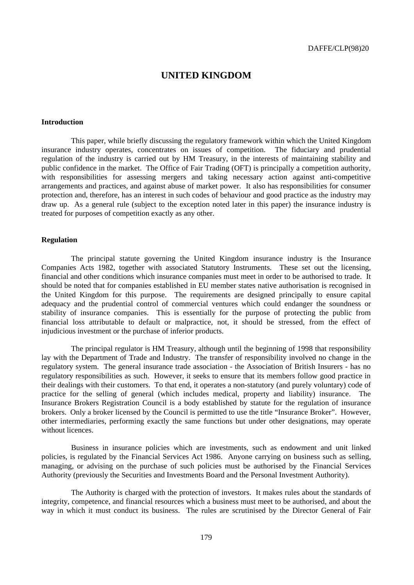# **UNITED KINGDOM**

# **Introduction**

This paper, while briefly discussing the regulatory framework within which the United Kingdom insurance industry operates, concentrates on issues of competition. The fiduciary and prudential regulation of the industry is carried out by HM Treasury, in the interests of maintaining stability and public confidence in the market. The Office of Fair Trading (OFT) is principally a competition authority, with responsibilities for assessing mergers and taking necessary action against anti-competitive arrangements and practices, and against abuse of market power. It also has responsibilities for consumer protection and, therefore, has an interest in such codes of behaviour and good practice as the industry may draw up. As a general rule (subject to the exception noted later in this paper) the insurance industry is treated for purposes of competition exactly as any other.

## **Regulation**

The principal statute governing the United Kingdom insurance industry is the Insurance Companies Acts 1982, together with associated Statutory Instruments. These set out the licensing, financial and other conditions which insurance companies must meet in order to be authorised to trade. It should be noted that for companies established in EU member states native authorisation is recognised in the United Kingdom for this purpose. The requirements are designed principally to ensure capital adequacy and the prudential control of commercial ventures which could endanger the soundness or stability of insurance companies. This is essentially for the purpose of protecting the public from financial loss attributable to default or malpractice, not, it should be stressed, from the effect of injudicious investment or the purchase of inferior products.

The principal regulator is HM Treasury, although until the beginning of 1998 that responsibility lay with the Department of Trade and Industry. The transfer of responsibility involved no change in the regulatory system. The general insurance trade association - the Association of British Insurers - has no regulatory responsibilities as such. However, it seeks to ensure that its members follow good practice in their dealings with their customers. To that end, it operates a non-statutory (and purely voluntary) code of practice for the selling of general (which includes medical, property and liability) insurance. The Insurance Brokers Registration Council is a body established by statute for the regulation of insurance brokers. Only a broker licensed by the Council is permitted to use the title "Insurance Broker". However, other intermediaries, performing exactly the same functions but under other designations, may operate without licences.

Business in insurance policies which are investments, such as endowment and unit linked policies, is regulated by the Financial Services Act 1986. Anyone carrying on business such as selling, managing, or advising on the purchase of such policies must be authorised by the Financial Services Authority (previously the Securities and Investments Board and the Personal Investment Authority).

The Authority is charged with the protection of investors. It makes rules about the standards of integrity, competence, and financial resources which a business must meet to be authorised, and about the way in which it must conduct its business. The rules are scrutinised by the Director General of Fair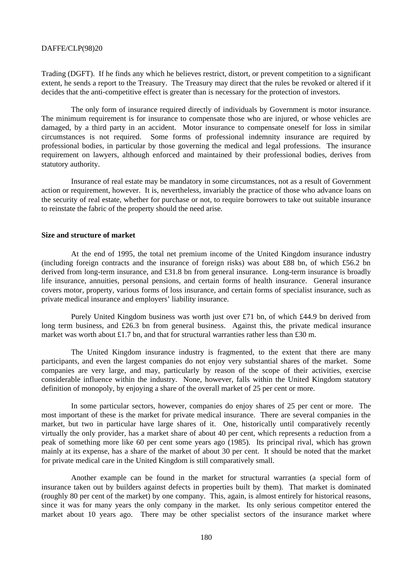Trading (DGFT). If he finds any which he believes restrict, distort, or prevent competition to a significant extent, he sends a report to the Treasury. The Treasury may direct that the rules be revoked or altered if it decides that the anti-competitive effect is greater than is necessary for the protection of investors.

The only form of insurance required directly of individuals by Government is motor insurance. The minimum requirement is for insurance to compensate those who are injured, or whose vehicles are damaged, by a third party in an accident. Motor insurance to compensate oneself for loss in similar circumstances is not required. Some forms of professional indemnity insurance are required by professional bodies, in particular by those governing the medical and legal professions. The insurance requirement on lawyers, although enforced and maintained by their professional bodies, derives from statutory authority.

Insurance of real estate may be mandatory in some circumstances, not as a result of Government action or requirement, however. It is, nevertheless, invariably the practice of those who advance loans on the security of real estate, whether for purchase or not, to require borrowers to take out suitable insurance to reinstate the fabric of the property should the need arise.

### **Size and structure of market**

At the end of 1995, the total net premium income of the United Kingdom insurance industry (including foreign contracts and the insurance of foreign risks) was about £88 bn, of which £56.2 bn derived from long-term insurance, and £31.8 bn from general insurance. Long-term insurance is broadly life insurance, annuities, personal pensions, and certain forms of health insurance. General insurance covers motor, property, various forms of loss insurance, and certain forms of specialist insurance, such as private medical insurance and employers' liability insurance.

Purely United Kingdom business was worth just over £71 bn, of which £44.9 bn derived from long term business, and  $£26.3$  bn from general business. Against this, the private medical insurance market was worth about £1.7 bn, and that for structural warranties rather less than £30 m.

The United Kingdom insurance industry is fragmented, to the extent that there are many participants, and even the largest companies do not enjoy very substantial shares of the market. Some companies are very large, and may, particularly by reason of the scope of their activities, exercise considerable influence within the industry. None, however, falls within the United Kingdom statutory definition of monopoly, by enjoying a share of the overall market of 25 per cent or more.

In some particular sectors, however, companies do enjoy shares of 25 per cent or more. The most important of these is the market for private medical insurance. There are several companies in the market, but two in particular have large shares of it. One, historically until comparatively recently virtually the only provider, has a market share of about 40 per cent, which represents a reduction from a peak of something more like 60 per cent some years ago (1985). Its principal rival, which has grown mainly at its expense, has a share of the market of about 30 per cent. It should be noted that the market for private medical care in the United Kingdom is still comparatively small.

Another example can be found in the market for structural warranties (a special form of insurance taken out by builders against defects in properties built by them). That market is dominated (roughly 80 per cent of the market) by one company. This, again, is almost entirely for historical reasons, since it was for many years the only company in the market. Its only serious competitor entered the market about 10 years ago. There may be other specialist sectors of the insurance market where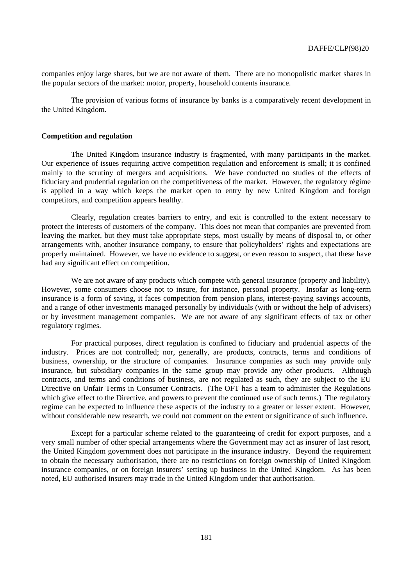companies enjoy large shares, but we are not aware of them. There are no monopolistic market shares in the popular sectors of the market: motor, property, household contents insurance.

The provision of various forms of insurance by banks is a comparatively recent development in the United Kingdom.

### **Competition and regulation**

The United Kingdom insurance industry is fragmented, with many participants in the market. Our experience of issues requiring active competition regulation and enforcement is small; it is confined mainly to the scrutiny of mergers and acquisitions. We have conducted no studies of the effects of fiduciary and prudential regulation on the competitiveness of the market. However, the regulatory régime is applied in a way which keeps the market open to entry by new United Kingdom and foreign competitors, and competition appears healthy.

Clearly, regulation creates barriers to entry, and exit is controlled to the extent necessary to protect the interests of customers of the company. This does not mean that companies are prevented from leaving the market, but they must take appropriate steps, most usually by means of disposal to, or other arrangements with, another insurance company, to ensure that policyholders' rights and expectations are properly maintained. However, we have no evidence to suggest, or even reason to suspect, that these have had any significant effect on competition.

We are not aware of any products which compete with general insurance (property and liability). However, some consumers choose not to insure, for instance, personal property. Insofar as long-term insurance is a form of saving, it faces competition from pension plans, interest-paying savings accounts, and a range of other investments managed personally by individuals (with or without the help of advisers) or by investment management companies. We are not aware of any significant effects of tax or other regulatory regimes.

For practical purposes, direct regulation is confined to fiduciary and prudential aspects of the industry. Prices are not controlled; nor, generally, are products, contracts, terms and conditions of business, ownership, or the structure of companies. Insurance companies as such may provide only insurance, but subsidiary companies in the same group may provide any other products. Although contracts, and terms and conditions of business, are not regulated as such, they are subject to the EU Directive on Unfair Terms in Consumer Contracts. (The OFT has a team to administer the Regulations which give effect to the Directive, and powers to prevent the continued use of such terms.) The regulatory regime can be expected to influence these aspects of the industry to a greater or lesser extent. However, without considerable new research, we could not comment on the extent or significance of such influence.

Except for a particular scheme related to the guaranteeing of credit for export purposes, and a very small number of other special arrangements where the Government may act as insurer of last resort, the United Kingdom government does not participate in the insurance industry. Beyond the requirement to obtain the necessary authorisation, there are no restrictions on foreign ownership of United Kingdom insurance companies, or on foreign insurers' setting up business in the United Kingdom. As has been noted, EU authorised insurers may trade in the United Kingdom under that authorisation.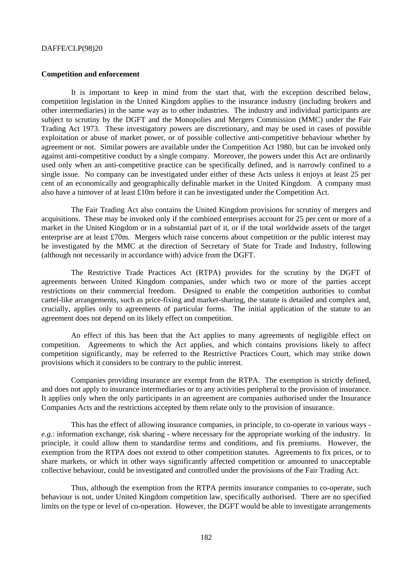### **Competition and enforcement**

It is important to keep in mind from the start that, with the exception described below, competition legislation in the United Kingdom applies to the insurance industry (including brokers and other intermediaries) in the same way as to other industries. The industry and individual participants are subject to scrutiny by the DGFT and the Monopolies and Mergers Commission (MMC) under the Fair Trading Act 1973. These investigatory powers are discretionary, and may be used in cases of possible exploitation or abuse of market power, or of possible collective anti-competitive behaviour whether by agreement or not. Similar powers are available under the Competition Act 1980, but can be invoked only against anti-competitive conduct by a single company. Moreover, the powers under this Act are ordinarily used only when an anti-competitive practice can be specifically defined, and is narrowly confined to a single issue. No company can be investigated under either of these Acts unless it enjoys at least 25 per cent of an economically and geographically definable market in the United Kingdom. A company must also have a turnover of at least £10m before it can be investigated under the Competition Act.

The Fair Trading Act also contains the United Kingdom provisions for scrutiny of mergers and acquisitions. These may be invoked only if the combined enterprises account for 25 per cent or more of a market in the United Kingdom or in a substantial part of it, or if the total worldwide assets of the target enterprise are at least £70m. Mergers which raise concerns about competition or the public interest may be investigated by the MMC at the direction of Secretary of State for Trade and Industry, following (although not necessarily in accordance with) advice from the DGFT.

The Restrictive Trade Practices Act (RTPA) provides for the scrutiny by the DGFT of agreements between United Kingdom companies, under which two or more of the parties accept restrictions on their commercial freedom. Designed to enable the competition authorities to combat cartel-like arrangements, such as price-fixing and market-sharing, the statute is detailed and complex and, crucially, applies only to agreements of particular forms. The initial application of the statute to an agreement does not depend on its likely effect on competition.

An effect of this has been that the Act applies to many agreements of negligible effect on competition. Agreements to which the Act applies, and which contains provisions likely to affect competition significantly, may be referred to the Restrictive Practices Court, which may strike down provisions which it considers to be contrary to the public interest.

Companies providing insurance are exempt from the RTPA. The exemption is strictly defined, and does not apply to insurance intermediaries or to any activities peripheral to the provision of insurance. It applies only when the only participants in an agreement are companies authorised under the Insurance Companies Acts and the restrictions accepted by them relate only to the provision of insurance.

This has the effect of allowing insurance companies, in principle, to co-operate in various ways *e.g.*: information exchange, risk sharing - where necessary for the appropriate working of the industry. In principle, it could allow them to standardise terms and conditions, and fix premiums. However, the exemption from the RTPA does not extend to other competition statutes. Agreements to fix prices, or to share markets, or which in other ways significantly affected competition or amounted to unacceptable collective behaviour, could be investigated and controlled under the provisions of the Fair Trading Act.

Thus, although the exemption from the RTPA permits insurance companies to co-operate, such behaviour is not, under United Kingdom competition law, specifically authorised. There are no specified limits on the type or level of co-operation. However, the DGFT would be able to investigate arrangements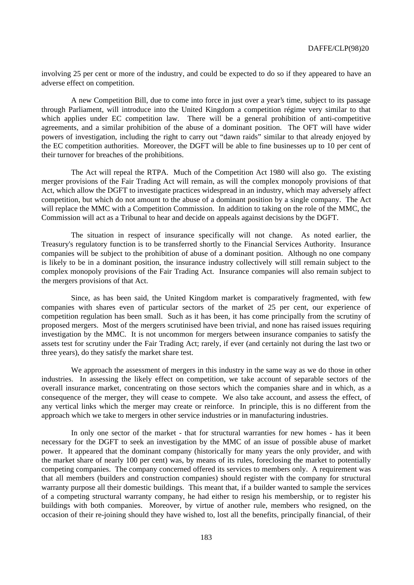involving 25 per cent or more of the industry, and could be expected to do so if they appeared to have an adverse effect on competition.

A new Competition Bill, due to come into force in just over a year's time, subject to its passage through Parliament, will introduce into the United Kingdom a competition régime very similar to that which applies under EC competition law. There will be a general prohibition of anti-competitive agreements, and a similar prohibition of the abuse of a dominant position. The OFT will have wider powers of investigation, including the right to carry out "dawn raids" similar to that already enjoyed by the EC competition authorities. Moreover, the DGFT will be able to fine businesses up to 10 per cent of their turnover for breaches of the prohibitions.

The Act will repeal the RTPA. Much of the Competition Act 1980 will also go. The existing merger provisions of the Fair Trading Act will remain, as will the complex monopoly provisions of that Act, which allow the DGFT to investigate practices widespread in an industry, which may adversely affect competition, but which do not amount to the abuse of a dominant position by a single company. The Act will replace the MMC with a Competition Commission. In addition to taking on the role of the MMC, the Commission will act as a Tribunal to hear and decide on appeals against decisions by the DGFT.

The situation in respect of insurance specifically will not change. As noted earlier, the Treasury's regulatory function is to be transferred shortly to the Financial Services Authority. Insurance companies will be subject to the prohibition of abuse of a dominant position. Although no one company is likely to be in a dominant position, the insurance industry collectively will still remain subject to the complex monopoly provisions of the Fair Trading Act. Insurance companies will also remain subject to the mergers provisions of that Act.

Since, as has been said, the United Kingdom market is comparatively fragmented, with few companies with shares even of particular sectors of the market of 25 per cent, our experience of competition regulation has been small. Such as it has been, it has come principally from the scrutiny of proposed mergers. Most of the mergers scrutinised have been trivial, and none has raised issues requiring investigation by the MMC. It is not uncommon for mergers between insurance companies to satisfy the assets test for scrutiny under the Fair Trading Act; rarely, if ever (and certainly not during the last two or three years), do they satisfy the market share test.

We approach the assessment of mergers in this industry in the same way as we do those in other industries. In assessing the likely effect on competition, we take account of separable sectors of the overall insurance market, concentrating on those sectors which the companies share and in which, as a consequence of the merger, they will cease to compete. We also take account, and assess the effect, of any vertical links which the merger may create or reinforce. In principle, this is no different from the approach which we take to mergers in other service industries or in manufacturing industries.

In only one sector of the market - that for structural warranties for new homes - has it been necessary for the DGFT to seek an investigation by the MMC of an issue of possible abuse of market power. It appeared that the dominant company (historically for many years the only provider, and with the market share of nearly 100 per cent) was, by means of its rules, foreclosing the market to potentially competing companies. The company concerned offered its services to members only. A requirement was that all members (builders and construction companies) should register with the company for structural warranty purpose all their domestic buildings. This meant that, if a builder wanted to sample the services of a competing structural warranty company, he had either to resign his membership, or to register his buildings with both companies. Moreover, by virtue of another rule, members who resigned, on the occasion of their re-joining should they have wished to, lost all the benefits, principally financial, of their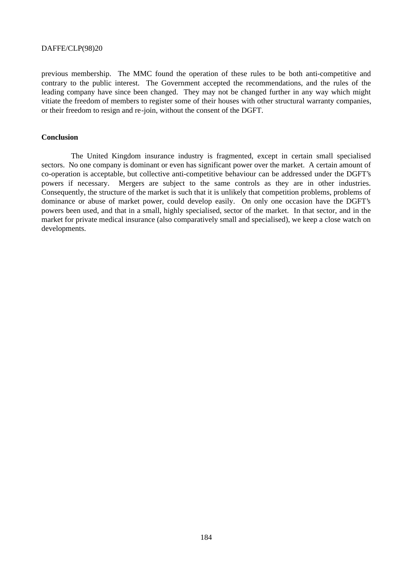previous membership. The MMC found the operation of these rules to be both anti-competitive and contrary to the public interest. The Government accepted the recommendations, and the rules of the leading company have since been changed. They may not be changed further in any way which might vitiate the freedom of members to register some of their houses with other structural warranty companies, or their freedom to resign and re-join, without the consent of the DGFT.

### **Conclusion**

The United Kingdom insurance industry is fragmented, except in certain small specialised sectors. No one company is dominant or even has significant power over the market. A certain amount of co-operation is acceptable, but collective anti-competitive behaviour can be addressed under the DGFT's powers if necessary. Mergers are subject to the same controls as they are in other industries. Consequently, the structure of the market is such that it is unlikely that competition problems, problems of dominance or abuse of market power, could develop easily. On only one occasion have the DGFT's powers been used, and that in a small, highly specialised, sector of the market. In that sector, and in the market for private medical insurance (also comparatively small and specialised), we keep a close watch on developments.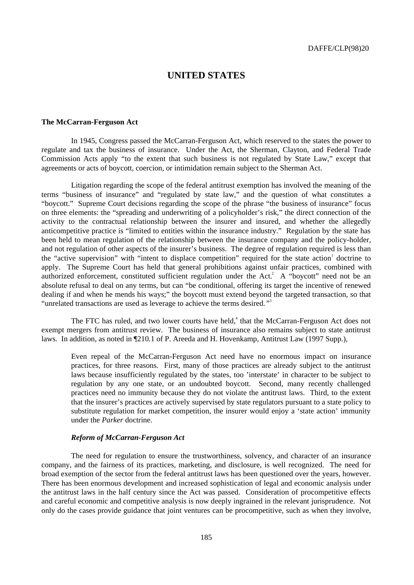## **UNITED STATES**

### **The McCarran-Ferguson Act**

In 1945, Congress passed the McCarran-Ferguson Act, which reserved to the states the power to regulate and tax the business of insurance. Under the Act, the Sherman, Clayton, and Federal Trade Commission Acts apply "to the extent that such business is not regulated by State Law," except that agreements or acts of boycott, coercion, or intimidation remain subject to the Sherman Act.

Litigation regarding the scope of the federal antitrust exemption has involved the meaning of the terms "business of insurance" and "regulated by state law," and the question of what constitutes a "boycott." Supreme Court decisions regarding the scope of the phrase "the business of insurance" focus on three elements: the "spreading and underwriting of a policyholder's risk," the direct connection of the activity to the contractual relationship between the insurer and insured, and whether the allegedly anticompetitive practice is "limited to entities within the insurance industry." Regulation by the state has been held to mean regulation of the relationship between the insurance company and the policy-holder, and not regulation of other aspects of the insurer's business. The degree of regulation required is less than the "active supervision" with "intent to displace competition" required for the state action doctrine to apply. The Supreme Court has held that general prohibitions against unfair practices, combined with authorized enforcement, constituted sufficient regulation under the Act.<sup>2</sup> A "boycott" need not be an absolute refusal to deal on any terms, but can "be conditional, offering its target the incentive of renewed dealing if and when he mends his ways;" the boycott must extend beyond the targeted transaction, so that "unrelated transactions are used as leverage to achieve the terms desired. "<sup>3</sup>

The FTC has ruled, and two lower courts have held,<sup>4</sup> that the McCarran-Ferguson Act does not exempt mergers from antitrust review. The business of insurance also remains subject to state antitrust laws. In addition, as noted in ¶210.1 of P. Areeda and H. Hovenkamp, Antitrust Law (1997 Supp.),

Even repeal of the McCarran-Ferguson Act need have no enormous impact on insurance practices, for three reasons. First, many of those practices are already subject to the antitrust laws because insufficiently regulated by the states, too 'interstate' in character to be subject to regulation by any one state, or an undoubted boycott. Second, many recently challenged practices need no immunity because they do not violate the antitrust laws. Third, to the extent that the insurer's practices are actively supervised by state regulators pursuant to a state policy to substitute regulation for market competition, the insurer would enjoy a 'state action' immunity under the *Parker* doctrine.

## *Reform of McCarran-Ferguson Act*

The need for regulation to ensure the trustworthiness, solvency, and character of an insurance company, and the fairness of its practices, marketing, and disclosure, is well recognized. The need for broad exemption of the sector from the federal antitrust laws has been questioned over the years, however. There has been enormous development and increased sophistication of legal and economic analysis under the antitrust laws in the half century since the Act was passed. Consideration of procompetitive effects and careful economic and competitive analysis is now deeply ingrained in the relevant jurisprudence. Not only do the cases provide guidance that joint ventures can be procompetitive, such as when they involve,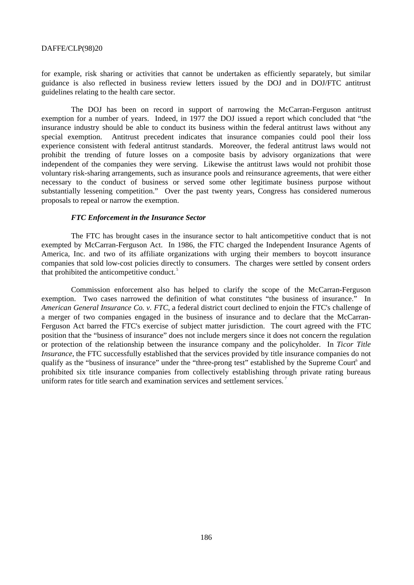for example, risk sharing or activities that cannot be undertaken as efficiently separately, but similar guidance is also reflected in business review letters issued by the DOJ and in DOJ/FTC antitrust guidelines relating to the health care sector.

The DOJ has been on record in support of narrowing the McCarran-Ferguson antitrust exemption for a number of years. Indeed, in 1977 the DOJ issued a report which concluded that "the insurance industry should be able to conduct its business within the federal antitrust laws without any special exemption. Antitrust precedent indicates that insurance companies could pool their loss experience consistent with federal antitrust standards. Moreover, the federal antitrust laws would not prohibit the trending of future losses on a composite basis by advisory organizations that were independent of the companies they were serving. Likewise the antitrust laws would not prohibit those voluntary risk-sharing arrangements, such as insurance pools and reinsurance agreements, that were either necessary to the conduct of business or served some other legitimate business purpose without substantially lessening competition." Over the past twenty years, Congress has considered numerous proposals to repeal or narrow the exemption.

## *FTC Enforcement in the Insurance Sector*

The FTC has brought cases in the insurance sector to halt anticompetitive conduct that is not exempted by McCarran-Ferguson Act. In 1986, the FTC charged the Independent Insurance Agents of America, Inc. and two of its affiliate organizations with urging their members to boycott insurance companies that sold low-cost policies directly to consumers. The charges were settled by consent orders that prohibited the anticompetitive conduct. <sup>5</sup>

Commission enforcement also has helped to clarify the scope of the McCarran-Ferguson exemption. Two cases narrowed the definition of what constitutes "the business of insurance." In *American General Insurance Co. v. FTC*, a federal district court declined to enjoin the FTC's challenge of a merger of two companies engaged in the business of insurance and to declare that the McCarran-Ferguson Act barred the FTC's exercise of subject matter jurisdiction. The court agreed with the FTC position that the "business of insurance" does not include mergers since it does not concern the regulation or protection of the relationship between the insurance company and the policyholder. In *Ticor Title Insurance*, the FTC successfully established that the services provided by title insurance companies do not qualify as the "business of insurance" under the "three-prong test" established by the Supreme Court<sup>6</sup> and prohibited six title insurance companies from collectively establishing through private rating bureaus uniform rates for title search and examination services and settlement services.<sup>7</sup>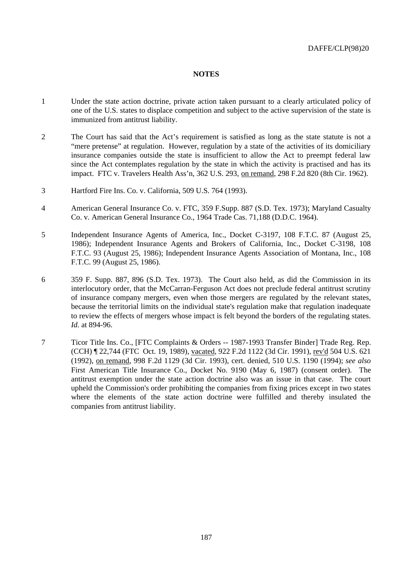## **NOTES**

- 1 Under the state action doctrine, private action taken pursuant to a clearly articulated policy of one of the U.S. states to displace competition and subject to the active supervision of the state is immunized from antitrust liability.
- 2 The Court has said that the Act's requirement is satisfied as long as the state statute is not a "mere pretense" at regulation. However, regulation by a state of the activities of its domiciliary insurance companies outside the state is insufficient to allow the Act to preempt federal law since the Act contemplates regulation by the state in which the activity is practised and has its impact. FTC v. Travelers Health Ass'n, 362 U.S. 293, on remand, 298 F.2d 820 (8th Cir. 1962).
- 3 Hartford Fire Ins. Co. v. California, 509 U.S. 764 (1993).
- 4 American General Insurance Co. v. FTC, 359 F.Supp. 887 (S.D. Tex. 1973); Maryland Casualty Co. v. American General Insurance Co., 1964 Trade Cas. 71,188 (D.D.C. 1964).
- 5 Independent Insurance Agents of America, Inc., Docket C-3197, 108 F.T.C. 87 (August 25, 1986); Independent Insurance Agents and Brokers of California, Inc., Docket C-3198, 108 F.T.C. 93 (August 25, 1986); Independent Insurance Agents Association of Montana, Inc., 108 F.T.C. 99 (August 25, 1986).
- 6 359 F. Supp. 887, 896 (S.D. Tex. 1973). The Court also held, as did the Commission in its interlocutory order, that the McCarran-Ferguson Act does not preclude federal antitrust scrutiny of insurance company mergers, even when those mergers are regulated by the relevant states, because the territorial limits on the individual state's regulation make that regulation inadequate to review the effects of mergers whose impact is felt beyond the borders of the regulating states. *Id.* at 894-96.
- 7 Ticor Title Ins. Co., [FTC Complaints & Orders -- 1987-1993 Transfer Binder] Trade Reg. Rep. (CCH) ¶ 22,744 (FTC Oct. 19, 1989), vacated, 922 F.2d 1122 (3d Cir. 1991), rev'd 504 U.S. 621 (1992), on remand, 998 F.2d 1129 (3d Cir. 1993), cert. denied, 510 U.S. 1190 (1994); *see also* First American Title Insurance Co., Docket No. 9190 (May 6, 1987) (consent order). The antitrust exemption under the state action doctrine also was an issue in that case. The court upheld the Commission's order prohibiting the companies from fixing prices except in two states where the elements of the state action doctrine were fulfilled and thereby insulated the companies from antitrust liability.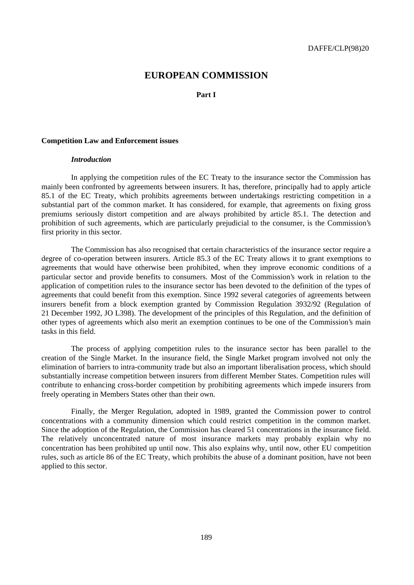## **EUROPEAN COMMISSION**

## **Part I**

## **Competition Law and Enforcement issues**

### *Introduction*

In applying the competition rules of the EC Treaty to the insurance sector the Commission has mainly been confronted by agreements between insurers. It has, therefore, principally had to apply article 85.1 of the EC Treaty, which prohibits agreements between undertakings restricting competition in a substantial part of the common market. It has considered, for example, that agreements on fixing gross premiums seriously distort competition and are always prohibited by article 85.1. The detection and prohibition of such agreements, which are particularly prejudicial to the consumer, is the Commission's first priority in this sector.

The Commission has also recognised that certain characteristics of the insurance sector require a degree of co-operation between insurers. Article 85.3 of the EC Treaty allows it to grant exemptions to agreements that would have otherwise been prohibited, when they improve economic conditions of a particular sector and provide benefits to consumers. Most of the Commission's work in relation to the application of competition rules to the insurance sector has been devoted to the definition of the types of agreements that could benefit from this exemption. Since 1992 several categories of agreements between insurers benefit from a block exemption granted by Commission Regulation 3932/92 (Regulation of 21 December 1992, JO L398). The development of the principles of this Regulation, and the definition of other types of agreements which also merit an exemption continues to be one of the Commission's main tasks in this field.

The process of applying competition rules to the insurance sector has been parallel to the creation of the Single Market. In the insurance field, the Single Market program involved not only the elimination of barriers to intra-community trade but also an important liberalisation process, which should substantially increase competition between insurers from different Member States. Competition rules will contribute to enhancing cross-border competition by prohibiting agreements which impede insurers from freely operating in Members States other than their own.

Finally, the Merger Regulation, adopted in 1989, granted the Commission power to control concentrations with a community dimension which could restrict competition in the common market. Since the adoption of the Regulation, the Commission has cleared 51 concentrations in the insurance field. The relatively unconcentrated nature of most insurance markets may probably explain why no concentration has been prohibited up until now. This also explains why, until now, other EU competition rules, such as article 86 of the EC Treaty, which prohibits the abuse of a dominant position, have not been applied to this sector.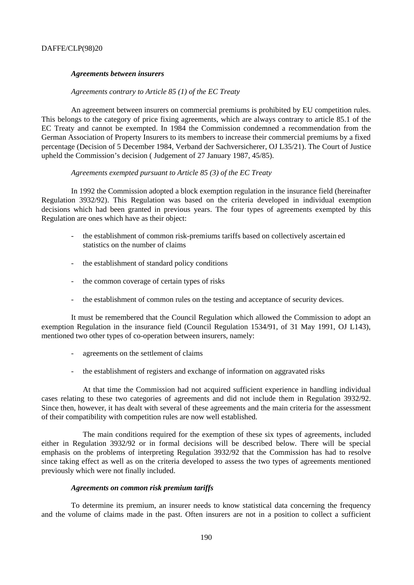### *Agreements between insurers*

### *Agreements contrary to Article 85 (1) of the EC Treaty*

An agreement between insurers on commercial premiums is prohibited by EU competition rules. This belongs to the category of price fixing agreements, which are always contrary to article 85.1 of the EC Treaty and cannot be exempted. In 1984 the Commission condemned a recommendation from the German Association of Property Insurers to its members to increase their commercial premiums by a fixed percentage (Decision of 5 December 1984, Verband der Sachversicherer, OJ L35/21). The Court of Justice upheld the Commission's decision ( Judgement of 27 January 1987, 45/85).

### *Agreements exempted pursuant to Article 85 (3) of the EC Treaty*

In 1992 the Commission adopted a block exemption regulation in the insurance field (hereinafter Regulation 3932/92). This Regulation was based on the criteria developed in individual exemption decisions which had been granted in previous years. The four types of agreements exempted by this Regulation are ones which have as their object:

- the establishment of common risk-premiums tariffs based on collectively ascertain ed statistics on the number of claims
- the establishment of standard policy conditions
- the common coverage of certain types of risks
- the establishment of common rules on the testing and acceptance of security devices.

It must be remembered that the Council Regulation which allowed the Commission to adopt an exemption Regulation in the insurance field (Council Regulation 1534/91, of 31 May 1991, OJ L143), mentioned two other types of co-operation between insurers, namely:

- agreements on the settlement of claims
- the establishment of registers and exchange of information on aggravated risks

At that time the Commission had not acquired sufficient experience in handling individual cases relating to these two categories of agreements and did not include them in Regulation 3932/92. Since then, however, it has dealt with several of these agreements and the main criteria for the assessment of their compatibility with competition rules are now well established.

The main conditions required for the exemption of these six types of agreements, included either in Regulation 3932/92 or in formal decisions will be described below. There will be special emphasis on the problems of interpreting Regulation 3932/92 that the Commission has had to resolve since taking effect as well as on the criteria developed to assess the two types of agreements mentioned previously which were not finally included.

## *Agreements on common risk premium tariffs*

To determine its premium, an insurer needs to know statistical data concerning the frequency and the volume of claims made in the past. Often insurers are not in a position to collect a sufficient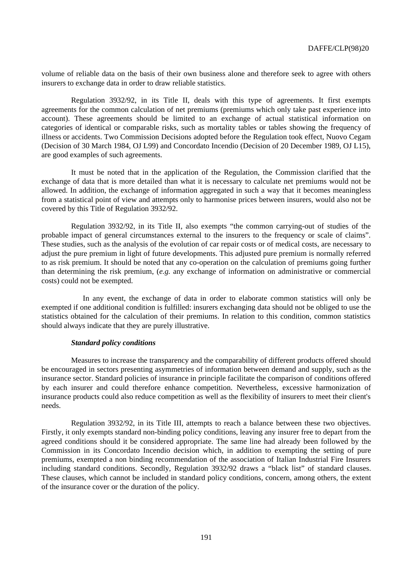volume of reliable data on the basis of their own business alone and therefore seek to agree with others insurers to exchange data in order to draw reliable statistics.

Regulation 3932/92, in its Title II, deals with this type of agreements. It first exempts agreements for the common calculation of net premiums (premiums which only take past experience into account). These agreements should be limited to an exchange of actual statistical information on categories of identical or comparable risks, such as mortality tables or tables showing the frequency of illness or accidents. Two Commission Decisions adopted before the Regulation took effect, Nuovo Cegam (Decision of 30 March 1984, OJ L99) and Concordato Incendio (Decision of 20 December 1989, OJ L15), are good examples of such agreements.

It must be noted that in the application of the Regulation, the Commission clarified that the exchange of data that is more detailed than what it is necessary to calculate net premiums would not be allowed. In addition, the exchange of information aggregated in such a way that it becomes meaningless from a statistical point of view and attempts only to harmonise prices between insurers, would also not be covered by this Title of Regulation 3932/92.

Regulation 3932/92, in its Title II, also exempts "the common carrying-out of studies of the probable impact of general circumstances external to the insurers to the frequency or scale of claims". These studies, such as the analysis of the evolution of car repair costs or of medical costs, are necessary to adjust the pure premium in light of future developments. This adjusted pure premium is normally referred to as risk premium. It should be noted that any co-operation on the calculation of premiums going further than determining the risk premium, (*e.g.* any exchange of information on administrative or commercial costs) could not be exempted.

In any event, the exchange of data in order to elaborate common statistics will only be exempted if one additional condition is fulfilled: insurers exchanging data should not be obliged to use the statistics obtained for the calculation of their premiums. In relation to this condition, common statistics should always indicate that they are purely illustrative.

### *Standard policy conditions*

Measures to increase the transparency and the comparability of different products offered should be encouraged in sectors presenting asymmetries of information between demand and supply, such as the insurance sector. Standard policies of insurance in principle facilitate the comparison of conditions offered by each insurer and could therefore enhance competition. Nevertheless, excessive harmonization of insurance products could also reduce competition as well as the flexibility of insurers to meet their client's needs.

Regulation 3932/92, in its Title III, attempts to reach a balance between these two objectives. Firstly, it only exempts standard non-binding policy conditions, leaving any insurer free to depart from the agreed conditions should it be considered appropriate. The same line had already been followed by the Commission in its Concordato Incendio decision which, in addition to exempting the setting of pure premiums, exempted a non binding recommendation of the association of Italian Industrial Fire Insurers including standard conditions. Secondly, Regulation 3932/92 draws a "black list" of standard clauses. These clauses, which cannot be included in standard policy conditions, concern, among others, the extent of the insurance cover or the duration of the policy.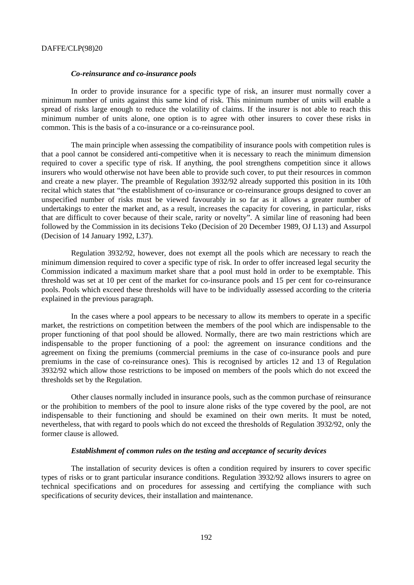### *Co-reinsurance and co-insurance pools*

In order to provide insurance for a specific type of risk, an insurer must normally cover a minimum number of units against this same kind of risk. This minimum number of units will enable a spread of risks large enough to reduce the volatility of claims. If the insurer is not able to reach this minimum number of units alone, one option is to agree with other insurers to cover these risks in common. This is the basis of a co-insurance or a co-reinsurance pool.

The main principle when assessing the compatibility of insurance pools with competition rules is that a pool cannot be considered anti-competitive when it is necessary to reach the minimum dimension required to cover a specific type of risk. If anything, the pool strengthens competition since it allows insurers who would otherwise not have been able to provide such cover, to put their resources in common and create a new player. The preamble of Regulation 3932/92 already supported this position in its 10th recital which states that "the establishment of co-insurance or co-reinsurance groups designed to cover an unspecified number of risks must be viewed favourably in so far as it allows a greater number of undertakings to enter the market and, as a result, increases the capacity for covering, in particular, risks that are difficult to cover because of their scale, rarity or novelty". A similar line of reasoning had been followed by the Commission in its decisions Teko (Decision of 20 December 1989, OJ L13) and Assurpol (Decision of 14 January 1992, L37).

Regulation 3932/92, however, does not exempt all the pools which are necessary to reach the minimum dimension required to cover a specific type of risk. In order to offer increased legal security the Commission indicated a maximum market share that a pool must hold in order to be exemptable. This threshold was set at 10 per cent of the market for co-insurance pools and 15 per cent for co-reinsurance pools. Pools which exceed these thresholds will have to be individually assessed according to the criteria explained in the previous paragraph.

In the cases where a pool appears to be necessary to allow its members to operate in a specific market, the restrictions on competition between the members of the pool which are indispensable to the proper functioning of that pool should be allowed. Normally, there are two main restrictions which are indispensable to the proper functioning of a pool: the agreement on insurance conditions and the agreement on fixing the premiums (commercial premiums in the case of co-insurance pools and pure premiums in the case of co-reinsurance ones). This is recognised by articles 12 and 13 of Regulation 3932/92 which allow those restrictions to be imposed on members of the pools which do not exceed the thresholds set by the Regulation.

Other clauses normally included in insurance pools, such as the common purchase of reinsurance or the prohibition to members of the pool to insure alone risks of the type covered by the pool, are not indispensable to their functioning and should be examined on their own merits. It must be noted, nevertheless, that with regard to pools which do not exceed the thresholds of Regulation 3932/92, only the former clause is allowed.

### *Establishment of common rules on the testing and acceptance of security devices*

The installation of security devices is often a condition required by insurers to cover specific types of risks or to grant particular insurance conditions. Regulation 3932/92 allows insurers to agree on technical specifications and on procedures for assessing and certifying the compliance with such specifications of security devices, their installation and maintenance.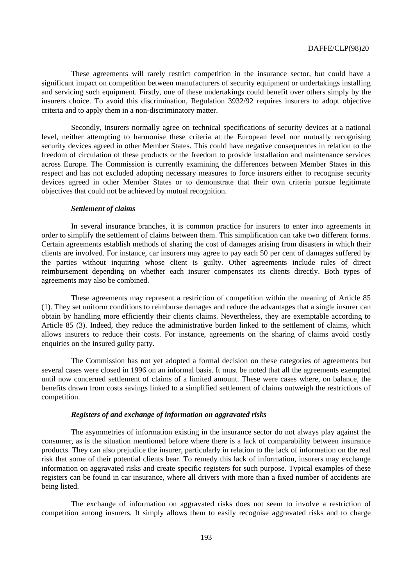These agreements will rarely restrict competition in the insurance sector, but could have a significant impact on competition between manufacturers of security equipment or undertakings installing and servicing such equipment. Firstly, one of these undertakings could benefit over others simply by the insurers choice. To avoid this discrimination, Regulation 3932/92 requires insurers to adopt objective criteria and to apply them in a non-discriminatory matter.

Secondly, insurers normally agree on technical specifications of security devices at a national level, neither attempting to harmonise these criteria at the European level nor mutually recognising security devices agreed in other Member States. This could have negative consequences in relation to the freedom of circulation of these products or the freedom to provide installation and maintenance services across Europe. The Commission is currently examining the differences between Member States in this respect and has not excluded adopting necessary measures to force insurers either to recognise security devices agreed in other Member States or to demonstrate that their own criteria pursue legitimate objectives that could not be achieved by mutual recognition.

### *Settlement of claims*

In several insurance branches, it is common practice for insurers to enter into agreements in order to simplify the settlement of claims between them. This simplification can take two different forms. Certain agreements establish methods of sharing the cost of damages arising from disasters in which their clients are involved. For instance, car insurers may agree to pay each 50 per cent of damages suffered by the parties without inquiring whose client is guilty. Other agreements include rules of direct reimbursement depending on whether each insurer compensates its clients directly. Both types of agreements may also be combined.

These agreements may represent a restriction of competition within the meaning of Article 85 (1). They set uniform conditions to reimburse damages and reduce the advantages that a single insurer can obtain by handling more efficiently their clients claims. Nevertheless, they are exemptable according to Article 85 (3). Indeed, they reduce the administrative burden linked to the settlement of claims, which allows insurers to reduce their costs. For instance, agreements on the sharing of claims avoid costly enquiries on the insured guilty party.

The Commission has not yet adopted a formal decision on these categories of agreements but several cases were closed in 1996 on an informal basis. It must be noted that all the agreements exempted until now concerned settlement of claims of a limited amount. These were cases where, on balance, the benefits drawn from costs savings linked to a simplified settlement of claims outweigh the restrictions of competition.

## *Registers of and exchange of information on aggravated risks*

The asymmetries of information existing in the insurance sector do not always play against the consumer, as is the situation mentioned before where there is a lack of comparability between insurance products. They can also prejudice the insurer, particularly in relation to the lack of information on the real risk that some of their potential clients bear. To remedy this lack of information, insurers may exchange information on aggravated risks and create specific registers for such purpose. Typical examples of these registers can be found in car insurance, where all drivers with more than a fixed number of accidents are being listed.

The exchange of information on aggravated risks does not seem to involve a restriction of competition among insurers. It simply allows them to easily recognise aggravated risks and to charge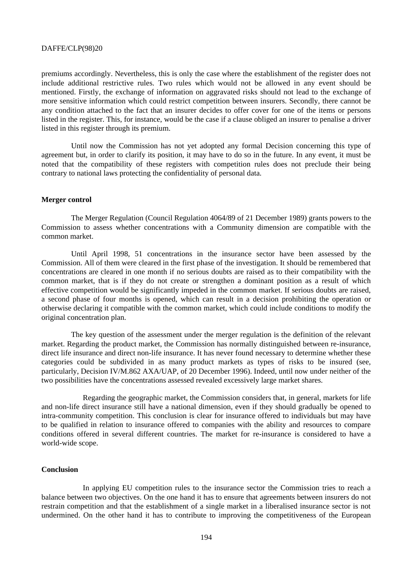premiums accordingly. Nevertheless, this is only the case where the establishment of the register does not include additional restrictive rules. Two rules which would not be allowed in any event should be mentioned. Firstly, the exchange of information on aggravated risks should not lead to the exchange of more sensitive information which could restrict competition between insurers. Secondly, there cannot be any condition attached to the fact that an insurer decides to offer cover for one of the items or persons listed in the register. This, for instance, would be the case if a clause obliged an insurer to penalise a driver listed in this register through its premium.

Until now the Commission has not yet adopted any formal Decision concerning this type of agreement but, in order to clarify its position, it may have to do so in the future. In any event, it must be noted that the compatibility of these registers with competition rules does not preclude their being contrary to national laws protecting the confidentiality of personal data.

### **Merger control**

The Merger Regulation (Council Regulation 4064/89 of 21 December 1989) grants powers to the Commission to assess whether concentrations with a Community dimension are compatible with the common market.

Until April 1998, 51 concentrations in the insurance sector have been assessed by the Commission. All of them were cleared in the first phase of the investigation. It should be remembered that concentrations are cleared in one month if no serious doubts are raised as to their compatibility with the common market, that is if they do not create or strengthen a dominant position as a result of which effective competition would be significantly impeded in the common market. If serious doubts are raised, a second phase of four months is opened, which can result in a decision prohibiting the operation or otherwise declaring it compatible with the common market, which could include conditions to modify the original concentration plan.

The key question of the assessment under the merger regulation is the definition of the relevant market. Regarding the product market, the Commission has normally distinguished between re-insurance, direct life insurance and direct non-life insurance. It has never found necessary to determine whether these categories could be subdivided in as many product markets as types of risks to be insured (see, particularly, Decision IV/M.862 AXA/UAP, of 20 December 1996). Indeed, until now under neither of the two possibilities have the concentrations assessed revealed excessively large market shares.

Regarding the geographic market, the Commission considers that, in general, markets for life and non-life direct insurance still have a national dimension, even if they should gradually be opened to intra-community competition. This conclusion is clear for insurance offered to individuals but may have to be qualified in relation to insurance offered to companies with the ability and resources to compare conditions offered in several different countries. The market for re-insurance is considered to have a world-wide scope.

## **Conclusion**

In applying EU competition rules to the insurance sector the Commission tries to reach a balance between two objectives. On the one hand it has to ensure that agreements between insurers do not restrain competition and that the establishment of a single market in a liberalised insurance sector is not undermined. On the other hand it has to contribute to improving the competitiveness of the European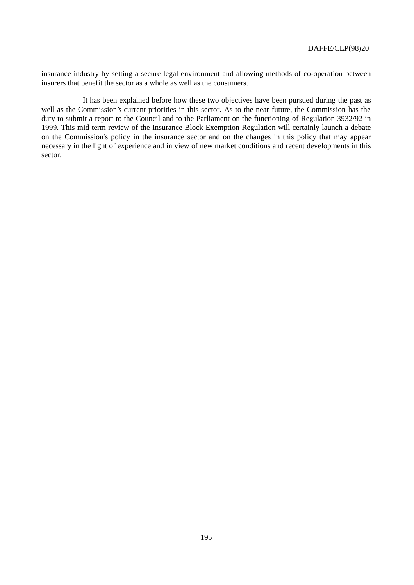insurance industry by setting a secure legal environment and allowing methods of co-operation between insurers that benefit the sector as a whole as well as the consumers.

It has been explained before how these two objectives have been pursued during the past as well as the Commission's current priorities in this sector. As to the near future, the Commission has the duty to submit a report to the Council and to the Parliament on the functioning of Regulation 3932/92 in 1999. This mid term review of the Insurance Block Exemption Regulation will certainly launch a debate on the Commission's policy in the insurance sector and on the changes in this policy that may appear necessary in the light of experience and in view of new market conditions and recent developments in this sector.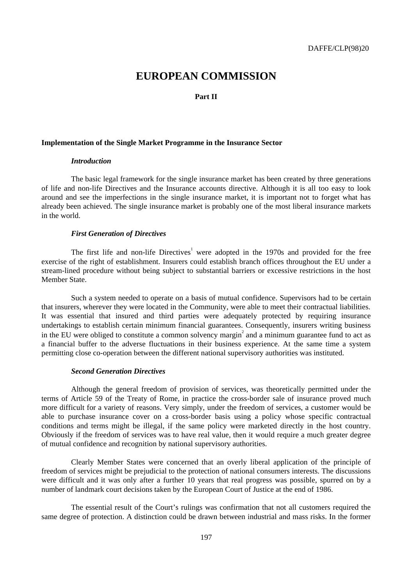# **EUROPEAN COMMISSION**

## **Part II**

## **Implementation of the Single Market Programme in the Insurance Sector**

## *Introduction*

The basic legal framework for the single insurance market has been created by three generations of life and non-life Directives and the Insurance accounts directive. Although it is all too easy to look around and see the imperfections in the single insurance market, it is important not to forget what has already been achieved. The single insurance market is probably one of the most liberal insurance markets in the world.

### *First Generation of Directives*

The first life and non-life Directives<sup>1</sup> were adopted in the 1970s and provided for the free exercise of the right of establishment. Insurers could establish branch offices throughout the EU under a stream-lined procedure without being subject to substantial barriers or excessive restrictions in the host Member State.

Such a system needed to operate on a basis of mutual confidence. Supervisors had to be certain that insurers, wherever they were located in the Community, were able to meet their contractual liabilities. It was essential that insured and third parties were adequately protected by requiring insurance undertakings to establish certain minimum financial guarantees. Consequently, insurers writing business in the EU were obliged to constitute a common solvency margin<sup>2</sup> and a minimum guarantee fund to act as a financial buffer to the adverse fluctuations in their business experience. At the same time a system permitting close co-operation between the different national supervisory authorities was instituted.

### *Second Generation Directives*

Although the general freedom of provision of services, was theoretically permitted under the terms of Article 59 of the Treaty of Rome, in practice the cross-border sale of insurance proved much more difficult for a variety of reasons. Very simply, under the freedom of services, a customer would be able to purchase insurance cover on a cross-border basis using a policy whose specific contractual conditions and terms might be illegal, if the same policy were marketed directly in the host country. Obviously if the freedom of services was to have real value, then it would require a much greater degree of mutual confidence and recognition by national supervisory authorities.

Clearly Member States were concerned that an overly liberal application of the principle of freedom of services might be prejudicial to the protection of national consumers interests. The discussions were difficult and it was only after a further 10 years that real progress was possible, spurred on by a number of landmark court decisions taken by the European Court of Justice at the end of 1986.

The essential result of the Court's rulings was confirmation that not all customers required the same degree of protection. A distinction could be drawn between industrial and mass risks. In the former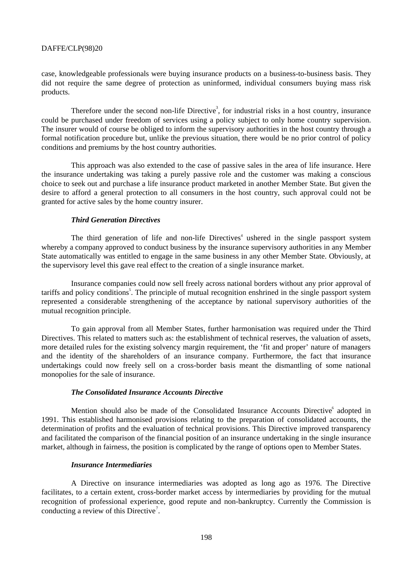case, knowledgeable professionals were buying insurance products on a business-to-business basis. They did not require the same degree of protection as uninformed, individual consumers buying mass risk products.

Therefore under the second non-life Directive<sup>3</sup>, for industrial risks in a host country, insurance could be purchased under freedom of services using a policy subject to only home country supervision. The insurer would of course be obliged to inform the supervisory authorities in the host country through a formal notification procedure but, unlike the previous situation, there would be no prior control of policy conditions and premiums by the host country authorities.

This approach was also extended to the case of passive sales in the area of life insurance. Here the insurance undertaking was taking a purely passive role and the customer was making a conscious choice to seek out and purchase a life insurance product marketed in another Member State. But given the desire to afford a general protection to all consumers in the host country, such approval could not be granted for active sales by the home country insurer.

## *Third Generation Directives*

The third generation of life and non-life Directives<sup>4</sup> ushered in the single passport system whereby a company approved to conduct business by the insurance supervisory authorities in any Member State automatically was entitled to engage in the same business in any other Member State. Obviously, at the supervisory level this gave real effect to the creation of a single insurance market.

Insurance companies could now sell freely across national borders without any prior approval of tariffs and policy conditions<sup>5</sup>. The principle of mutual recognition enshrined in the single passport system represented a considerable strengthening of the acceptance by national supervisory authorities of the mutual recognition principle.

To gain approval from all Member States, further harmonisation was required under the Third Directives. This related to matters such as: the establishment of technical reserves, the valuation of assets, more detailed rules for the existing solvency margin requirement, the 'fit and proper' nature of managers and the identity of the shareholders of an insurance company. Furthermore, the fact that insurance undertakings could now freely sell on a cross-border basis meant the dismantling of some national monopolies for the sale of insurance.

## *The Consolidated Insurance Accounts Directive*

Mention should also be made of the Consolidated Insurance Accounts Directive adopted in 1991. This established harmonised provisions relating to the preparation of consolidated accounts, the determination of profits and the evaluation of technical provisions. This Directive improved transparency and facilitated the comparison of the financial position of an insurance undertaking in the single insurance market, although in fairness, the position is complicated by the range of options open to Member States.

### *Insurance Intermediaries*

A Directive on insurance intermediaries was adopted as long ago as 1976. The Directive facilitates, to a certain extent, cross-border market access by intermediaries by providing for the mutual recognition of professional experience, good repute and non-bankruptcy. Currently the Commission is conducting a review of this Directive<sup>7</sup>.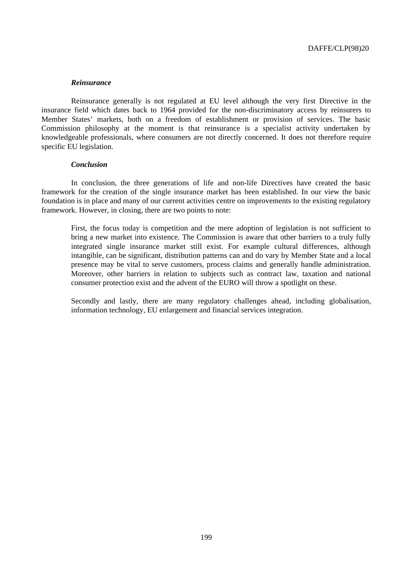### *Reinsurance*

Reinsurance generally is not regulated at EU level although the very first Directive in the insurance field which dates back to 1964 provided for the non-discriminatory access by reinsurers to Member States' markets, both on a freedom of establishment or provision of services. The basic Commission philosophy at the moment is that reinsurance is a specialist activity undertaken by knowledgeable professionals, where consumers are not directly concerned. It does not therefore require specific EU legislation.

### *Conclusion*

In conclusion, the three generations of life and non-life Directives have created the basic framework for the creation of the single insurance market has been established. In our view the basic foundation is in place and many of our current activities centre on improvements to the existing regulatory framework. However, in closing, there are two points to note:

First, the focus today is competition and the mere adoption of legislation is not sufficient to bring a new market into existence. The Commission is aware that other barriers to a truly fully integrated single insurance market still exist. For example cultural differences, although intangible, can be significant, distribution patterns can and do vary by Member State and a local presence may be vital to serve customers, process claims and generally handle administration. Moreover, other barriers in relation to subjects such as contract law, taxation and national consumer protection exist and the advent of the EURO will throw a spotlight on these.

Secondly and lastly, there are many regulatory challenges ahead, including globalisation, information technology, EU enlargement and financial services integration.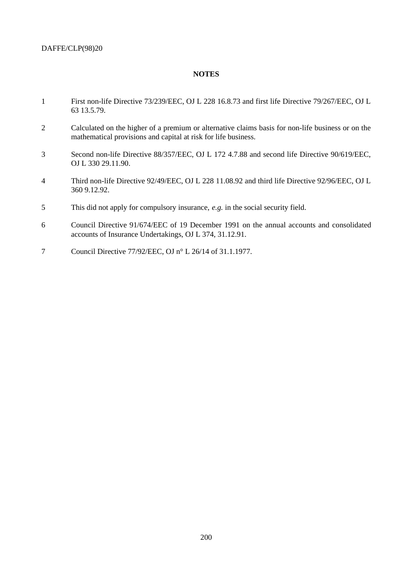## **NOTES**

- 1 First non-life Directive 73/239/EEC, OJ L 228 16.8.73 and first life Directive 79/267/EEC, OJ L 63 13.5.79.
- 2 Calculated on the higher of a premium or alternative claims basis for non-life business or on the mathematical provisions and capital at risk for life business.
- 3 Second non-life Directive 88/357/EEC, OJ L 172 4.7.88 and second life Directive 90/619/EEC, OJ L 330 29.11.90.
- 4 Third non-life Directive 92/49/EEC, OJ L 228 11.08.92 and third life Directive 92/96/EEC, OJ L 360 9.12.92.
- 5 This did not apply for compulsory insurance, *e.g.* in the social security field.
- 6 Council Directive 91/674/EEC of 19 December 1991 on the annual accounts and consolidated accounts of Insurance Undertakings, OJ L 374, 31.12.91.
- 7 Council Directive 77/92/EEC, OJ n° L 26/14 of 31.1.1977.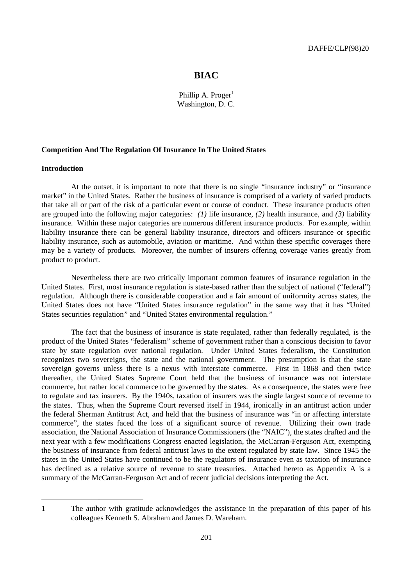## **BIAC**

Phillip A.  $Proger<sup>1</sup>$ Washington, D. C.

## **Competition And The Regulation Of Insurance In The United States**

## **Introduction**

At the outset, it is important to note that there is no single "insurance industry" or "insurance market" in the United States. Rather the business of insurance is comprised of a variety of varied products that take all or part of the risk of a particular event or course of conduct. These insurance products often are grouped into the following major categories: *(1)* life insurance, *(2)* health insurance, and *(3)* liability insurance. Within these major categories are numerous different insurance products. For example, within liability insurance there can be general liability insurance, directors and officers insurance or specific liability insurance, such as automobile, aviation or maritime. And within these specific coverages there may be a variety of products. Moreover, the number of insurers offering coverage varies greatly from product to product.

Nevertheless there are two critically important common features of insurance regulation in the United States. First, most insurance regulation is state-based rather than the subject of national ("federal") regulation. Although there is considerable cooperation and a fair amount of uniformity across states, the United States does not have "United States insurance regulation" in the same way that it has "United States securities regulation" and "United States environmental regulation."

The fact that the business of insurance is state regulated, rather than federally regulated, is the product of the United States "federalism" scheme of government rather than a conscious decision to favor state by state regulation over national regulation. Under United States federalism, the Constitution recognizes two sovereigns, the state and the national government. The presumption is that the state sovereign governs unless there is a nexus with interstate commerce. First in 1868 and then twice thereafter, the United States Supreme Court held that the business of insurance was not interstate commerce, but rather local commerce to be governed by the states. As a consequence, the states were free to regulate and tax insurers. By the 1940s, taxation of insurers was the single largest source of revenue to the states. Thus, when the Supreme Court reversed itself in 1944, ironically in an antitrust action under the federal Sherman Antitrust Act, and held that the business of insurance was "in or affecting interstate commerce", the states faced the loss of a significant source of revenue. Utilizing their own trade association, the National Association of Insurance Commissioners (the "NAIC"), the states drafted and the next year with a few modifications Congress enacted legislation, the McCarran-Ferguson Act, exempting the business of insurance from federal antitrust laws to the extent regulated by state law. Since 1945 the states in the United States have continued to be the regulators of insurance even as taxation of insurance has declined as a relative source of revenue to state treasuries. Attached hereto as Appendix A is a summary of the McCarran-Ferguson Act and of recent judicial decisions interpreting the Act.

-

<sup>1</sup> The author with gratitude acknowledges the assistance in the preparation of this paper of his colleagues Kenneth S. Abraham and James D. Wareham.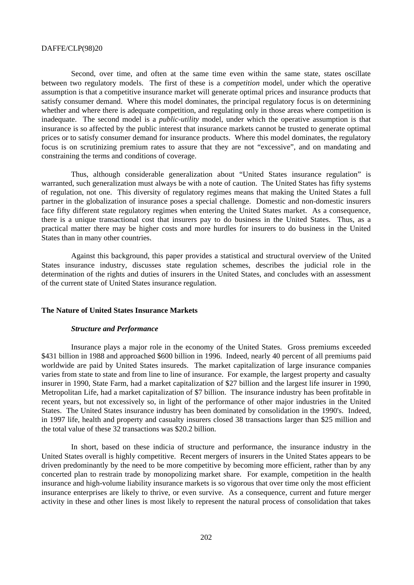Second, over time, and often at the same time even within the same state, states oscillate between two regulatory models. The first of these is a *competition* model, under which the operative assumption is that a competitive insurance market will generate optimal prices and insurance products that satisfy consumer demand. Where this model dominates, the principal regulatory focus is on determining whether and where there is adequate competition, and regulating only in those areas where competition is inadequate. The second model is a *public-utility* model, under which the operative assumption is that insurance is so affected by the public interest that insurance markets cannot be trusted to generate optimal prices or to satisfy consumer demand for insurance products. Where this model dominates, the regulatory focus is on scrutinizing premium rates to assure that they are not "excessive", and on mandating and constraining the terms and conditions of coverage.

Thus, although considerable generalization about "United States insurance regulation" is warranted, such generalization must always be with a note of caution. The United States has fifty systems of regulation, not one. This diversity of regulatory regimes means that making the United States a full partner in the globalization of insurance poses a special challenge. Domestic and non-domestic insurers face fifty different state regulatory regimes when entering the United States market. As a consequence, there is a unique transactional cost that insurers pay to do business in the United States. Thus, as a practical matter there may be higher costs and more hurdles for insurers to do business in the United States than in many other countries.

Against this background, this paper provides a statistical and structural overview of the United States insurance industry, discusses state regulation schemes, describes the judicial role in the determination of the rights and duties of insurers in the United States, and concludes with an assessment of the current state of United States insurance regulation.

### **The Nature of United States Insurance Markets**

### *Structure and Performance*

Insurance plays a major role in the economy of the United States. Gross premiums exceeded \$431 billion in 1988 and approached \$600 billion in 1996. Indeed, nearly 40 percent of all premiums paid worldwide are paid by United States insureds. The market capitalization of large insurance companies varies from state to state and from line to line of insurance. For example, the largest property and casualty insurer in 1990, State Farm, had a market capitalization of \$27 billion and the largest life insurer in 1990, Metropolitan Life, had a market capitalization of \$7 billion. The insurance industry has been profitable in recent years, but not excessively so, in light of the performance of other major industries in the United States. The United States insurance industry has been dominated by consolidation in the 1990's. Indeed, in 1997 life, health and property and casualty insurers closed 38 transactions larger than \$25 million and the total value of these 32 transactions was \$20.2 billion.

In short, based on these indicia of structure and performance, the insurance industry in the United States overall is highly competitive. Recent mergers of insurers in the United States appears to be driven predominantly by the need to be more competitive by becoming more efficient, rather than by any concerted plan to restrain trade by monopolizing market share. For example, competition in the health insurance and high-volume liability insurance markets is so vigorous that over time only the most efficient insurance enterprises are likely to thrive, or even survive. As a consequence, current and future merger activity in these and other lines is most likely to represent the natural process of consolidation that takes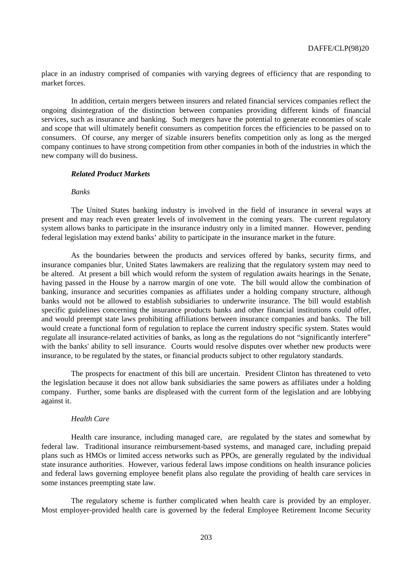place in an industry comprised of companies with varying degrees of efficiency that are responding to market forces.

In addition, certain mergers between insurers and related financial services companies reflect the ongoing disintegration of the distinction between companies providing different kinds of financial services, such as insurance and banking. Such mergers have the potential to generate economies of scale and scope that will ultimately benefit consumers as competition forces the efficiencies to be passed on to consumers. Of course, any merger of sizable insurers benefits competition only as long as the merged company continues to have strong competition from other companies in both of the industries in which the new company will do business.

### *Related Product Markets*

### *Banks*

The United States banking industry is involved in the field of insurance in several ways at present and may reach even greater levels of involvement in the coming years. The current regulatory system allows banks to participate in the insurance industry only in a limited manner. However, pending federal legislation may extend banks' ability to participate in the insurance market in the future.

As the boundaries between the products and services offered by banks, security firms, and insurance companies blur, United States lawmakers are realizing that the regulatory system may need to be altered. At present a bill which would reform the system of regulation awaits hearings in the Senate, having passed in the House by a narrow margin of one vote. The bill would allow the combination of banking, insurance and securities companies as affiliates under a holding company structure, although banks would not be allowed to establish subsidiaries to underwrite insurance. The bill would establish specific guidelines concerning the insurance products banks and other financial institutions could offer, and would preempt state laws prohibiting affiliations between insurance companies and banks. The bill would create a functional form of regulation to replace the current industry specific system. States would regulate all insurance-related activities of banks, as long as the regulations do not "significantly interfere" with the banks' ability to sell insurance. Courts would resolve disputes over whether new products were insurance, to be regulated by the states, or financial products subject to other regulatory standards.

The prospects for enactment of this bill are uncertain. President Clinton has threatened to veto the legislation because it does not allow bank subsidiaries the same powers as affiliates under a holding company. Further, some banks are displeased with the current form of the legislation and are lobbying against it.

### *Health Care*

Health care insurance, including managed care, are regulated by the states and somewhat by federal law. Traditional insurance reimbursement-based systems, and managed care, including prepaid plans such as HMOs or limited access networks such as PPOs, are generally regulated by the individual state insurance authorities. However, various federal laws impose conditions on health insurance policies and federal laws governing employee benefit plans also regulate the providing of health care services in some instances preempting state law.

The regulatory scheme is further complicated when health care is provided by an employer. Most employer-provided health care is governed by the federal Employee Retirement Income Security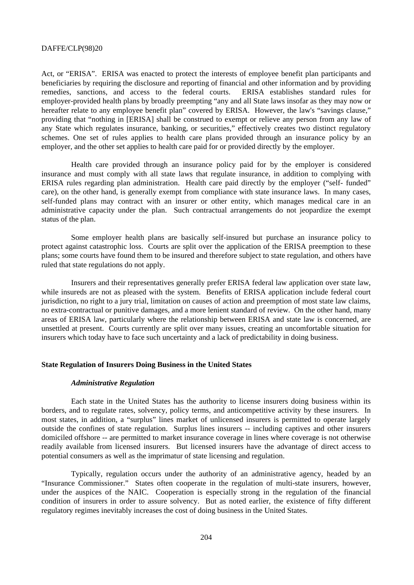Act, or "ERISA". ERISA was enacted to protect the interests of employee benefit plan participants and beneficiaries by requiring the disclosure and reporting of financial and other information and by providing remedies, sanctions, and access to the federal courts. ERISA establishes standard rules for employer-provided health plans by broadly preempting "any and all State laws insofar as they may now or hereafter relate to any employee benefit plan" covered by ERISA. However, the law's "savings clause," providing that "nothing in [ERISA] shall be construed to exempt or relieve any person from any law of any State which regulates insurance, banking, or securities," effectively creates two distinct regulatory schemes. One set of rules applies to health care plans provided through an insurance policy by an employer, and the other set applies to health care paid for or provided directly by the employer.

Health care provided through an insurance policy paid for by the employer is considered insurance and must comply with all state laws that regulate insurance, in addition to complying with ERISA rules regarding plan administration. Health care paid directly by the employer ("self- funded" care), on the other hand, is generally exempt from compliance with state insurance laws. In many cases, self-funded plans may contract with an insurer or other entity, which manages medical care in an administrative capacity under the plan. Such contractual arrangements do not jeopardize the exempt status of the plan.

Some employer health plans are basically self-insured but purchase an insurance policy to protect against catastrophic loss. Courts are split over the application of the ERISA preemption to these plans; some courts have found them to be insured and therefore subject to state regulation, and others have ruled that state regulations do not apply.

Insurers and their representatives generally prefer ERISA federal law application over state law, while insureds are not as pleased with the system. Benefits of ERISA application include federal court jurisdiction, no right to a jury trial, limitation on causes of action and preemption of most state law claims, no extra-contractual or punitive damages, and a more lenient standard of review. On the other hand, many areas of ERISA law, particularly where the relationship between ERISA and state law is concerned, are unsettled at present. Courts currently are split over many issues, creating an uncomfortable situation for insurers which today have to face such uncertainty and a lack of predictability in doing business.

### **State Regulation of Insurers Doing Business in the United States**

### *Administrative Regulation*

Each state in the United States has the authority to license insurers doing business within its borders, and to regulate rates, solvency, policy terms, and anticompetitive activity by these insurers. In most states, in addition, a "surplus" lines market of unlicensed insurers is permitted to operate largely outside the confines of state regulation. Surplus lines insurers -- including captives and other insurers domiciled offshore -- are permitted to market insurance coverage in lines where coverage is not otherwise readily available from licensed insurers. But licensed insurers have the advantage of direct access to potential consumers as well as the imprimatur of state licensing and regulation.

Typically, regulation occurs under the authority of an administrative agency, headed by an "Insurance Commissioner." States often cooperate in the regulation of multi-state insurers, however, under the auspices of the NAIC. Cooperation is especially strong in the regulation of the financial condition of insurers in order to assure solvency. But as noted earlier, the existence of fifty different regulatory regimes inevitably increases the cost of doing business in the United States.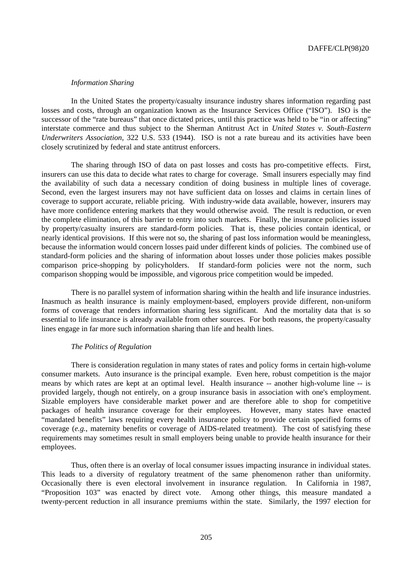### *Information Sharing*

In the United States the property/casualty insurance industry shares information regarding past losses and costs, through an organization known as the Insurance Services Office ("ISO"). ISO is the successor of the "rate bureaus" that once dictated prices, until this practice was held to be "in or affecting" interstate commerce and thus subject to the Sherman Antitrust Act in *United States v. South-Eastern Underwriters Association*, 322 U.S. 533 (1944). ISO is not a rate bureau and its activities have been closely scrutinized by federal and state antitrust enforcers.

The sharing through ISO of data on past losses and costs has pro-competitive effects. First, insurers can use this data to decide what rates to charge for coverage. Small insurers especially may find the availability of such data a necessary condition of doing business in multiple lines of coverage. Second, even the largest insurers may not have sufficient data on losses and claims in certain lines of coverage to support accurate, reliable pricing. With industry-wide data available, however, insurers may have more confidence entering markets that they would otherwise avoid. The result is reduction, or even the complete elimination, of this barrier to entry into such markets. Finally, the insurance policies issued by property/casualty insurers are standard-form policies. That is, these policies contain identical, or nearly identical provisions. If this were not so, the sharing of past loss information would be meaningless, because the information would concern losses paid under different kinds of policies. The combined use of standard-form policies and the sharing of information about losses under those policies makes possible comparison price-shopping by policyholders. If standard-form policies were not the norm, such comparison shopping would be impossible, and vigorous price competition would be impeded.

There is no parallel system of information sharing within the health and life insurance industries. Inasmuch as health insurance is mainly employment-based, employers provide different, non-uniform forms of coverage that renders information sharing less significant. And the mortality data that is so essential to life insurance is already available from other sources. For both reasons, the property/casualty lines engage in far more such information sharing than life and health lines.

#### *The Politics of Regulation*

There is consideration regulation in many states of rates and policy forms in certain high-volume consumer markets. Auto insurance is the principal example. Even here, robust competition is the major means by which rates are kept at an optimal level. Health insurance -- another high-volume line -- is provided largely, though not entirely, on a group insurance basis in association with one's employment. Sizable employers have considerable market power and are therefore able to shop for competitive packages of health insurance coverage for their employees. However, many states have enacted "mandated benefits" laws requiring every health insurance policy to provide certain specified forms of coverage (*e.g.*, maternity benefits or coverage of AIDS-related treatment). The cost of satisfying these requirements may sometimes result in small employers being unable to provide health insurance for their employees.

Thus, often there is an overlay of local consumer issues impacting insurance in individual states. This leads to a diversity of regulatory treatment of the same phenomenon rather than uniformity. Occasionally there is even electoral involvement in insurance regulation. In California in 1987, "Proposition 103" was enacted by direct vote. Among other things, this measure mandated a twenty-percent reduction in all insurance premiums within the state. Similarly, the 1997 election for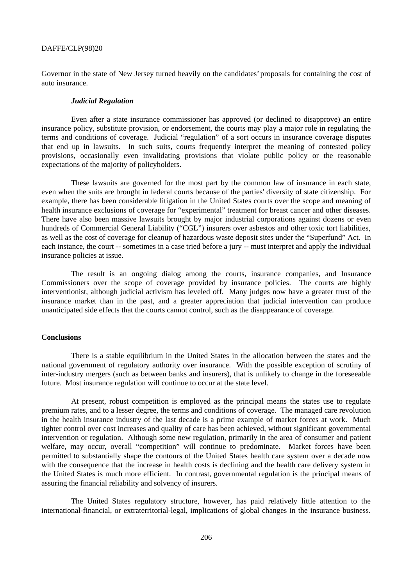Governor in the state of New Jersey turned heavily on the candidates' proposals for containing the cost of auto insurance.

#### *Judicial Regulation*

Even after a state insurance commissioner has approved (or declined to disapprove) an entire insurance policy, substitute provision, or endorsement, the courts may play a major role in regulating the terms and conditions of coverage. Judicial "regulation" of a sort occurs in insurance coverage disputes that end up in lawsuits. In such suits, courts frequently interpret the meaning of contested policy provisions, occasionally even invalidating provisions that violate public policy or the reasonable expectations of the majority of policyholders.

These lawsuits are governed for the most part by the common law of insurance in each state, even when the suits are brought in federal courts because of the parties' diversity of state citizenship. For example, there has been considerable litigation in the United States courts over the scope and meaning of health insurance exclusions of coverage for "experimental" treatment for breast cancer and other diseases. There have also been massive lawsuits brought by major industrial corporations against dozens or even hundreds of Commercial General Liability ("CGL") insurers over asbestos and other toxic tort liabilities, as well as the cost of coverage for cleanup of hazardous waste deposit sites under the "Superfund" Act. In each instance, the court -- sometimes in a case tried before a jury -- must interpret and apply the individual insurance policies at issue.

The result is an ongoing dialog among the courts, insurance companies, and Insurance Commissioners over the scope of coverage provided by insurance policies. The courts are highly interventionist, although judicial activism has leveled off. Many judges now have a greater trust of the insurance market than in the past, and a greater appreciation that judicial intervention can produce unanticipated side effects that the courts cannot control, such as the disappearance of coverage.

## **Conclusions**

There is a stable equilibrium in the United States in the allocation between the states and the national government of regulatory authority over insurance. With the possible exception of scrutiny of inter-industry mergers (such as between banks and insurers), that is unlikely to change in the foreseeable future. Most insurance regulation will continue to occur at the state level.

At present, robust competition is employed as the principal means the states use to regulate premium rates, and to a lesser degree, the terms and conditions of coverage. The managed care revolution in the health insurance industry of the last decade is a prime example of market forces at work. Much tighter control over cost increases and quality of care has been achieved, without significant governmental intervention or regulation. Although some new regulation, primarily in the area of consumer and patient welfare, may occur, overall "competition" will continue to predominate. Market forces have been permitted to substantially shape the contours of the United States health care system over a decade now with the consequence that the increase in health costs is declining and the health care delivery system in the United States is much more efficient. In contrast, governmental regulation is the principal means of assuring the financial reliability and solvency of insurers.

The United States regulatory structure, however, has paid relatively little attention to the international-financial, or extraterritorial-legal, implications of global changes in the insurance business.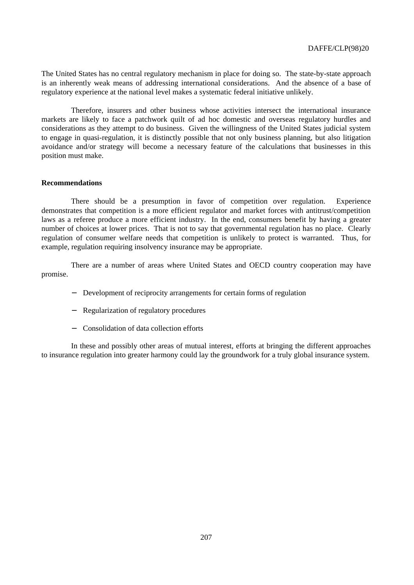The United States has no central regulatory mechanism in place for doing so. The state-by-state approach is an inherently weak means of addressing international considerations. And the absence of a base of regulatory experience at the national level makes a systematic federal initiative unlikely.

Therefore, insurers and other business whose activities intersect the international insurance markets are likely to face a patchwork quilt of ad hoc domestic and overseas regulatory hurdles and considerations as they attempt to do business. Given the willingness of the United States judicial system to engage in quasi-regulation, it is distinctly possible that not only business planning, but also litigation avoidance and/or strategy will become a necessary feature of the calculations that businesses in this position must make.

### **Recommendations**

There should be a presumption in favor of competition over regulation. Experience demonstrates that competition is a more efficient regulator and market forces with antitrust/competition laws as a referee produce a more efficient industry. In the end, consumers benefit by having a greater number of choices at lower prices. That is not to say that governmental regulation has no place. Clearly regulation of consumer welfare needs that competition is unlikely to protect is warranted. Thus, for example, regulation requiring insolvency insurance may be appropriate.

There are a number of areas where United States and OECD country cooperation may have promise.

- − Development of reciprocity arrangements for certain forms of regulation
- − Regularization of regulatory procedures
- − Consolidation of data collection efforts

In these and possibly other areas of mutual interest, efforts at bringing the different approaches to insurance regulation into greater harmony could lay the groundwork for a truly global insurance system.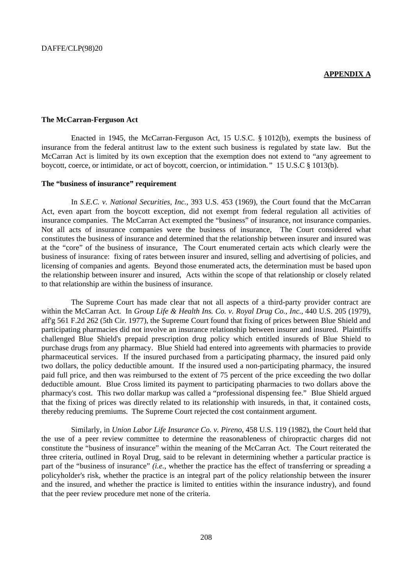### **APPENDIX A**

### **The McCarran-Ferguson Act**

Enacted in 1945, the McCarran-Ferguson Act, 15 U.S.C. § 1012(b), exempts the business of insurance from the federal antitrust law to the extent such business is regulated by state law. But the McCarran Act is limited by its own exception that the exemption does not extend to "any agreement to boycott, coerce, or intimidate, or act of boycott, coercion, or intimidation. " 15 U.S.C § 1013(b).

### **The "business of insurance" requirement**

In *S.E.C. v. National Securities, Inc.,* 393 U.S. 453 (1969), the Court found that the McCarran Act, even apart from the boycott exception, did not exempt from federal regulation all activities of insurance companies. The McCarran Act exempted the "business" of insurance, not insurance companies. Not all acts of insurance companies were the business of insurance, The Court considered what constitutes the business of insurance and determined that the relationship between insurer and insured was at the "core" of the business of insurance, The Court enumerated certain acts which clearly were the business of insurance: fixing of rates between insurer and insured, selling and advertising of policies, and licensing of companies and agents. Beyond those enumerated acts, the determination must be based upon the relationship between insurer and insured, Acts within the scope of that relationship or closely related to that relationship are within the business of insurance.

The Supreme Court has made clear that not all aspects of a third-party provider contract are within the McCarran Act. In *Group Life & Health Ins. Co. v. Royal Drug Co., Inc.,* 440 U.S. 205 (1979), aff'g 561 F.2d 262 (5th Cir. 1977), the Supreme Court found that fixing of prices between Blue Shield and participating pharmacies did not involve an insurance relationship between insurer and insured. Plaintiffs challenged Blue Shield's prepaid prescription drug policy which entitled insureds of Blue Shield to purchase drugs from any pharmacy. Blue Shield had entered into agreements with pharmacies to provide pharmaceutical services. If the insured purchased from a participating pharmacy, the insured paid only two dollars, the policy deductible amount. If the insured used a non-participating pharmacy, the insured paid full price, and then was reimbursed to the extent of 75 percent of the price exceeding the two dollar deductible amount. Blue Cross limited its payment to participating pharmacies to two dollars above the pharmacy's cost. This two dollar markup was called a "professional dispensing fee." Blue Shield argued that the fixing of prices was directly related to its relationship with insureds, in that, it contained costs, thereby reducing premiums. The Supreme Court rejected the cost containment argument.

Similarly, in *Union Labor Life Insurance Co. v. Pireno*, 458 U.S. 119 (1982), the Court held that the use of a peer review committee to determine the reasonableness of chiropractic charges did not constitute the "business of insurance" within the meaning of the McCarran Act. The Court reiterated the three criteria, outlined in Royal Drug, said to be relevant in determining whether a particular practice is part of the "business of insurance" *(i.e.*, whether the practice has the effect of transferring or spreading a policyholder's risk, whether the practice is an integral part of the policy relationship between the insurer and the insured, and whether the practice is limited to entities within the insurance industry), and found that the peer review procedure met none of the criteria.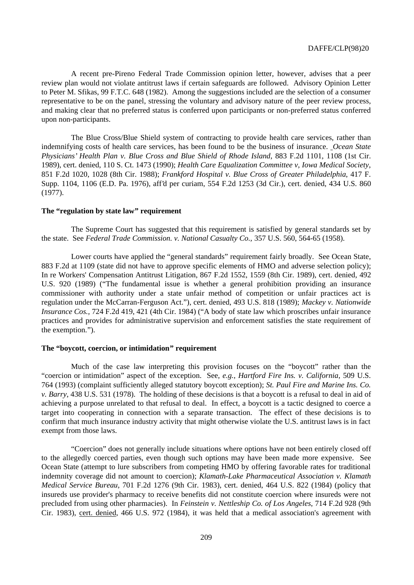A recent pre-Pireno Federal Trade Commission opinion letter, however, advises that a peer review plan would not violate antitrust laws if certain safeguards are followed. Advisory Opinion Letter to Peter M. Sfikas, 99 F.T.C. 648 (1982). Among the suggestions included are the selection of a consumer representative to be on the panel, stressing the voluntary and advisory nature of the peer review process, and making clear that no preferred status is conferred upon participants or non-preferred status conferred upon non-participants.

The Blue Cross/Blue Shield system of contracting to provide health care services, rather than indemnifying costs of health care services, has been found to be the business of insurance. *Ocean State Physicians' Health Plan v. Blue Cross and Blue Shield of Rhode Island*, 883 F.2d 1101, 1108 (1st Cir. 1989), cert. denied, 110 S. Ct. 1473 (1990); *Health Care Equalization Committee v, Iowa Medical Society*, 851 F.2d 1020, 1028 (8th Cir. 1988); *Frankford Hospital v. Blue Cross of Greater Philadelphia*, 417 F. Supp. 1104, 1106 (E.D. Pa. 1976), aff'd per curiam, 554 F.2d 1253 (3d Cir.), cert. denied, 434 U.S. 860 (1977).

## **The "regulation by state law" requirement**

The Supreme Court has suggested that this requirement is satisfied by general standards set by the state. See *Federal Trade Commission. v. National Casualty Co.,* 357 U.S. 560, 564-65 (1958).

Lower courts have applied the "general standards" requirement fairly broadly. See Ocean State, 883 F.2d at 1109 (state did not have to approve specific elements of HMO and adverse selection policy); In re Workers' Compensation Antitrust Litigation, 867 F.2d 1552, 1559 (8th Cir. 1989), cert. denied, 492 U.S. 920 (1989) ("The fundamental issue is whether a general prohibition providing an insurance commissioner with authority under a state unfair method of competition or unfair practices act is regulation under the McCarran-Ferguson Act."), cert. denied, 493 U.S. 818 (1989); *Mackey v. Nationwide Insurance Cos.,* 724 F.2d 419, 421 (4th Cir. 1984) ("A body of state law which proscribes unfair insurance practices and provides for administrative supervision and enforcement satisfies the state requirement of the exemption.").

## **The "boycott, coercion, or intimidation" requirement**

Much of the case law interpreting this provision focuses on the "boycott" rather than the "coercion or intimidation" aspect of the exception. See, *e.g.*, *Hartford Fire Ins. v. California*, 509 U.S. 764 (1993) (complaint sufficiently alleged statutory boycott exception); *St. Paul Fire and Marine Ins. Co. v. Barry*, 438 U.S. 531 (1978). The holding of these decisions is that a boycott is a refusal to deal in aid of achieving a purpose unrelated to that refusal to deal. In effect, a boycott is a tactic designed to coerce a target into cooperating in connection with a separate transaction. The effect of these decisions is to confirm that much insurance industry activity that might otherwise violate the U.S. antitrust laws is in fact exempt from those laws.

"Coercion" does not generally include situations where options have not been entirely closed off to the allegedly coerced parties, even though such options may have been made more expensive. See Ocean State (attempt to lure subscribers from competing HMO by offering favorable rates for traditional indemnity coverage did not amount to coercion); *Klamath-Lake Pharmaceutical Association v. Klamath Medical Service Bureau,* 701 F.2d 1276 (9th Cir. 1983), cert. denied, 464 U.S. 822 (1984) (policy that insureds use provider's pharmacy to receive benefits did not constitute coercion where insureds were not precluded from using other pharmacies). In *Feinstein v. Nettleship Co. of Los Angeles*, 714 F.2d 928 (9th Cir. 1983), cert. denied, 466 U.S. 972 (1984), it was held that a medical association's agreement with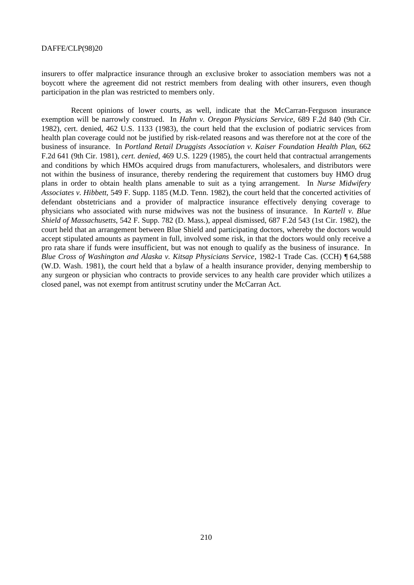insurers to offer malpractice insurance through an exclusive broker to association members was not a boycott where the agreement did not restrict members from dealing with other insurers, even though participation in the plan was restricted to members only.

Recent opinions of lower courts, as well, indicate that the McCarran-Ferguson insurance exemption will be narrowly construed. In *Hahn v. Oregon Physicians Service*, 689 F.2d 840 (9th Cir. 1982), cert. denied, 462 U.S. 1133 (1983), the court held that the exclusion of podiatric services from health plan coverage could not be justified by risk-related reasons and was therefore not at the core of the business of insurance. In *Portland Retail Druggists Association v. Kaiser Foundation Health Plan*, 662 F.2d 641 (9th Cir. 1981), *cert. denied*, 469 U.S. 1229 (1985), the court held that contractual arrangements and conditions by which HMOs acquired drugs from manufacturers, wholesalers, and distributors were not within the business of insurance, thereby rendering the requirement that customers buy HMO drug plans in order to obtain health plans amenable to suit as a tying arrangement. In *Nurse Midwifery Associates v. Hibbett*, 549 F. Supp. 1185 (M.D. Tenn. 1982), the court held that the concerted activities of defendant obstetricians and a provider of malpractice insurance effectively denying coverage to physicians who associated with nurse midwives was not the business of insurance. In *Kartell v. Blue Shield of Massachusetts*, 542 F. Supp. 782 (D. Mass.), appeal dismissed, 687 F.2d 543 (1st Cir. 1982), the court held that an arrangement between Blue Shield and participating doctors, whereby the doctors would accept stipulated amounts as payment in full, involved some risk, in that the doctors would only receive a pro rata share if funds were insufficient, but was not enough to qualify as the business of insurance. In *Blue Cross of Washington and Alaska v. Kitsap Physicians Service*, 1982-1 Trade Cas. (CCH) ¶ 64,588 (W.D. Wash. 1981), the court held that a bylaw of a health insurance provider, denying membership to any surgeon or physician who contracts to provide services to any health care provider which utilizes a closed panel, was not exempt from antitrust scrutiny under the McCarran Act.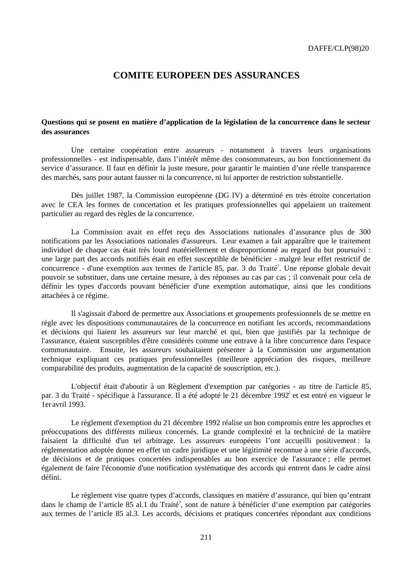## **COMITE EUROPEEN DES ASSURANCES**

## **Questions qui se posent en matière d'application de la législation de la concurrence dans le secteur des assurances**

Une certaine coopération entre assureurs - notamment à travers leurs organisations professionnelles - est indispensable, dans l'intérêt même des consommateurs, au bon fonctionnement du service d'assurance. Il faut en définir la juste mesure, pour garantir le maintien d'une réelle transparence des marchés, sans pour autant fausser ni la concurrence, ni lui apporter de restriction substantielle.

Dès juillet 1987, la Commission européenne (DG IV) a déterminé en très étroite concertation avec le CEA les formes de concertation et les pratiques professionnelles qui appelaient un traitement particulier au regard des règles de la concurrence.

La Commission avait en effet reçu des Associations nationales d'assurance plus de 300 notifications par les Associations nationales d'assureurs. Leur examen a fait apparaître que le traitement individuel de chaque cas était très lourd matériellement et disproportionné au regard du but poursuivi : une large part des accords notifiés était en effet susceptible de bénéficier - malgré leur effet restrictif de concurrence - d'une exemption aux termes de l'article 85, par. 3 du Traité<sup>1</sup>. Une réponse globale devait pouvoir se substituer, dans une certaine mesure, à des réponses au cas par cas ; il convenait pour cela de définir les types d'accords pouvant bénéficier d'une exemption automatique, ainsi que les conditions attachées à ce régime.

Il s'agissait d'abord de permettre aux Associations et groupements professionnels de se mettre en règle avec les dispositions communautaires de la concurrence en notifiant les accords, recommandations et décisions qui liaient les assureurs sur leur marché et qui, bien que justifiés par la technique de l'assurance, étaient susceptibles d'être considérés comme une entrave à la libre concurrence dans l'espace communautaire. Ensuite, les assureurs souhaitaient présenter à la Commission une argumentation technique expliquant ces pratiques professionnelles (meilleure appréciation des risques, meilleure comparabilité des produits, augmentation de la capacité de souscription, etc.).

L'objectif était d'aboutir à un Règlement d'exemption par catégories - au titre de l'article 85, par. 3 du Traité - spécifique à l'assurance. Il a été adopté le 21 décembre 1992<sup>2</sup> et est entré en vigueur le 1er avril 1993.

Le règlement d'exemption du 21 décembre 1992 réalise un bon compromis entre les approches et préoccupations des différents milieux concernés. La grande complexité et la technicité de la matière faisaient la difficulté d'un tel arbitrage. Les assureurs européens l'ont accueilli positivement : la réglementation adoptée donne en effet un cadre juridique et une légitimité reconnue à une série d'accords, de décisions et de pratiques concertées indispensables au bon exercice de l'assurance ; elle permet également de faire l'économie d'une notification systématique des accords qui entrent dans le cadre ainsi défini.

Le règlement vise quatre types d'accords, classiques en matière d'assurance, qui bien qu'entrant dans le champ de l'article 85 al.1 du Traité<sup>3</sup>, sont de nature à bénéficier d'une exemption par catégories aux termes de l'article 85 al.3. Les accords, décisions et pratiques concertées répondant aux conditions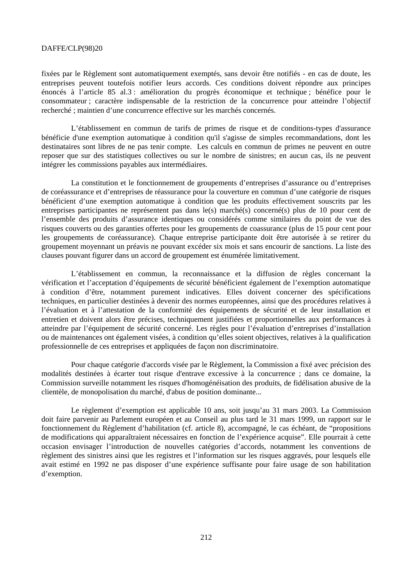fixées par le Règlement sont automatiquement exemptés, sans devoir être notifiés - en cas de doute, les entreprises peuvent toutefois notifier leurs accords. Ces conditions doivent répondre aux principes énoncés à l'article 85 al.3 : amélioration du progrès économique et technique ; bénéfice pour le consommateur ; caractère indispensable de la restriction de la concurrence pour atteindre l'objectif recherché ; maintien d'une concurrence effective sur les marchés concernés.

L'établissement en commun de tarifs de primes de risque et de conditions-types d'assurance bénéficie d'une exemption automatique à condition qu'il s'agisse de simples recommandations, dont les destinataires sont libres de ne pas tenir compte. Les calculs en commun de primes ne peuvent en outre reposer que sur des statistiques collectives ou sur le nombre de sinistres; en aucun cas, ils ne peuvent intégrer les commissions payables aux intermédiaires.

La constitution et le fonctionnement de groupements d'entreprises d'assurance ou d'entreprises de coréassurance et d'entreprises de réassurance pour la couverture en commun d'une catégorie de risques bénéficient d'une exemption automatique à condition que les produits effectivement souscrits par les entreprises participantes ne représentent pas dans le(s) marché(s) concerné(s) plus de 10 pour cent de l'ensemble des produits d'assurance identiques ou considérés comme similaires du point de vue des risques couverts ou des garanties offertes pour les groupements de coassurance (plus de 15 pour cent pour les groupements de coréassurance). Chaque entreprise participante doit être autorisée à se retirer du groupement moyennant un préavis ne pouvant excéder six mois et sans encourir de sanctions. La liste des clauses pouvant figurer dans un accord de groupement est énumérée limitativement.

L'établissement en commun, la reconnaissance et la diffusion de règles concernant la vérification et l'acceptation d'équipements de sécurité bénéficient également de l'exemption automatique à condition d'être, notamment purement indicatives. Elles doivent concerner des spécifications techniques, en particulier destinées à devenir des normes européennes, ainsi que des procédures relatives à l'évaluation et à l'attestation de la conformité des équipements de sécurité et de leur installation et entretien et doivent alors être précises, techniquement justifiées et proportionnelles aux performances à atteindre par l'équipement de sécurité concerné. Les règles pour l'évaluation d'entreprises d'installation ou de maintenances ont également visées, à condition qu'elles soient objectives, relatives à la qualification professionnelle de ces entreprises et appliquées de façon non discriminatoire.

Pour chaque catégorie d'accords visée par le Règlement, la Commission a fixé avec précision des modalités destinées à écarter tout risque d'entrave excessive à la concurrence ; dans ce domaine, la Commission surveille notamment les risques d'homogénéisation des produits, de fidélisation abusive de la clientèle, de monopolisation du marché, d'abus de position dominante...

Le règlement d'exemption est applicable 10 ans, soit jusqu'au 31 mars 2003. La Commission doit faire parvenir au Parlement européen et au Conseil au plus tard le 31 mars 1999, un rapport sur le fonctionnement du Règlement d'habilitation (cf. article 8), accompagné, le cas échéant, de "propositions de modifications qui apparaîtraient nécessaires en fonction de l'expérience acquise". Elle pourrait à cette occasion envisager l'introduction de nouvelles catégories d'accords, notamment les conventions de règlement des sinistres ainsi que les registres et l'information sur les risques aggravés, pour lesquels elle avait estimé en 1992 ne pas disposer d'une expérience suffisante pour faire usage de son habilitation d'exemption.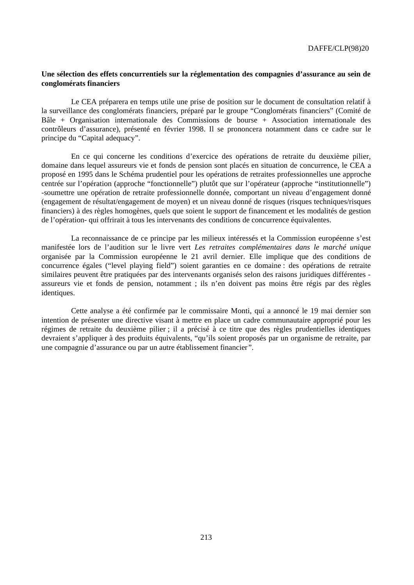## **Une sélection des effets concurrentiels sur la réglementation des compagnies d'assurance au sein de conglomérats financiers**

Le CEA préparera en temps utile une prise de position sur le document de consultation relatif à la surveillance des conglomérats financiers, préparé par le groupe "Conglomérats financiers" (Comité de Bâle + Organisation internationale des Commissions de bourse + Association internationale des contrôleurs d'assurance), présenté en février 1998. Il se prononcera notamment dans ce cadre sur le principe du "Capital adequacy".

En ce qui concerne les conditions d'exercice des opérations de retraite du deuxième pilier, domaine dans lequel assureurs vie et fonds de pension sont placés en situation de concurrence, le CEA a proposé en 1995 dans le Schéma prudentiel pour les opérations de retraites professionnelles une approche centrée sur l'opération (approche "fonctionnelle") plutôt que sur l'opérateur (approche "institutionnelle") -soumettre une opération de retraite professionnelle donnée, comportant un niveau d'engagement donné (engagement de résultat/engagement de moyen) et un niveau donné de risques (risques techniques/risques financiers) à des règles homogènes, quels que soient le support de financement et les modalités de gestion de l'opération- qui offrirait à tous les intervenants des conditions de concurrence équivalentes.

La reconnaissance de ce principe par les milieux intéressés et la Commission européenne s'est manifestée lors de l'audition sur le livre vert *Les retraites complémentaires dans le marché unique* organisée par la Commission européenne le 21 avril dernier. Elle implique que des conditions de concurrence égales ("level playing field") soient garanties en ce domaine : des opérations de retraite similaires peuvent être pratiquées par des intervenants organisés selon des raisons juridiques différentes assureurs vie et fonds de pension, notamment ; ils n'en doivent pas moins être régis par des règles identiques.

Cette analyse a été confirmée par le commissaire Monti, qui a annoncé le 19 mai dernier son intention de présenter une directive visant à mettre en place un cadre communautaire approprié pour les régimes de retraite du deuxième pilier ; il a précisé à ce titre que des règles prudentielles identiques devraient s'appliquer à des produits équivalents, "qu'ils soient proposés par un organisme de retraite, par une compagnie d'assurance ou par un autre établissement financier".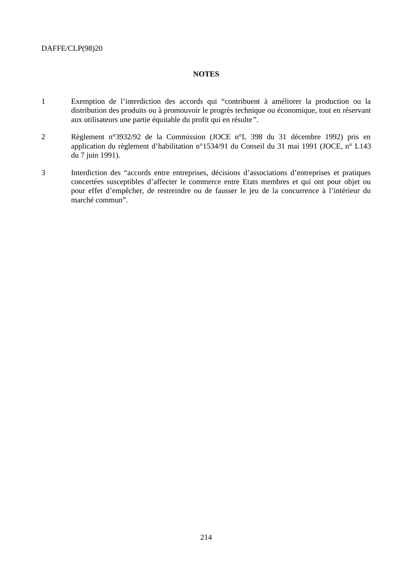### **NOTES**

- 1 Exemption de l'interdiction des accords qui "contribuent à améliorer la production ou la distribution des produits ou à promouvoir le progrès technique ou économique, tout en réservant aux utilisateurs une partie équitable du profit qui en résulte".
- 2 Règlement n°3932/92 de la Commission (JOCE n°L 398 du 31 décembre 1992) pris en application du règlement d'habilitation n°1534/91 du Conseil du 31 mai 1991 (JOCE, n° L143 du 7 juin 1991).
- 3 Interdiction des "accords entre entreprises, décisions d'associations d'entreprises et pratiques concertées susceptibles d'affecter le commerce entre Etats membres et qui ont pour objet ou pour effet d'empêcher, de restreindre ou de fausser le jeu de la concurrence à l'intérieur du marché commun".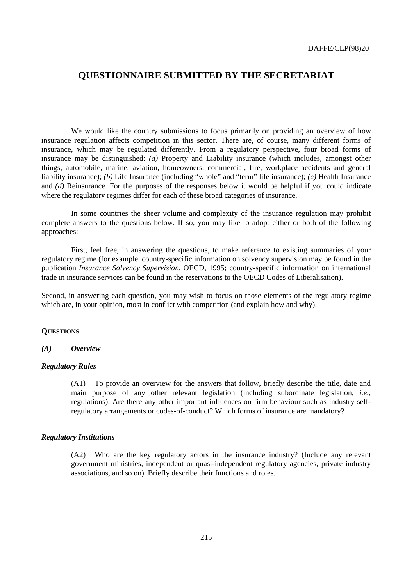## **QUESTIONNAIRE SUBMITTED BY THE SECRETARIAT**

We would like the country submissions to focus primarily on providing an overview of how insurance regulation affects competition in this sector. There are, of course, many different forms of insurance, which may be regulated differently. From a regulatory perspective, four broad forms of insurance may be distinguished: *(a)* Property and Liability insurance (which includes, amongst other things, automobile, marine, aviation, homeowners, commercial, fire, workplace accidents and general liability insurance); *(b)* Life Insurance (including "whole" and "term" life insurance); *(c)* Health Insurance and *(d)* Reinsurance. For the purposes of the responses below it would be helpful if you could indicate where the regulatory regimes differ for each of these broad categories of insurance.

In some countries the sheer volume and complexity of the insurance regulation may prohibit complete answers to the questions below. If so, you may like to adopt either or both of the following approaches:

First, feel free, in answering the questions, to make reference to existing summaries of your regulatory regime (for example, country-specific information on solvency supervision may be found in the publication *Insurance Solvency Supervision*, OECD, 1995; country-specific information on international trade in insurance services can be found in the reservations to the OECD Codes of Liberalisation).

Second, in answering each question, you may wish to focus on those elements of the regulatory regime which are, in your opinion, most in conflict with competition (and explain how and why).

### **QUESTIONS**

### *(A) Overview*

### *Regulatory Rules*

(A1) To provide an overview for the answers that follow, briefly describe the title, date and main purpose of any other relevant legislation (including subordinate legislation, *i.e.*, regulations). Are there any other important influences on firm behaviour such as industry selfregulatory arrangements or codes-of-conduct? Which forms of insurance are mandatory?

## *Regulatory Institutions*

(A2) Who are the key regulatory actors in the insurance industry? (Include any relevant government ministries, independent or quasi-independent regulatory agencies, private industry associations, and so on). Briefly describe their functions and roles.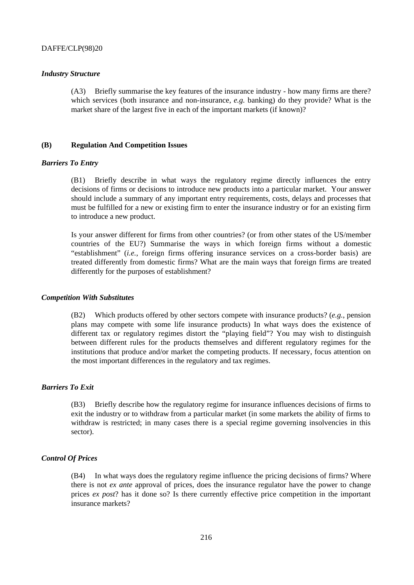## *Industry Structure*

(A3) Briefly summarise the key features of the insurance industry - how many firms are there? which services (both insurance and non-insurance, *e.g.* banking) do they provide? What is the market share of the largest five in each of the important markets (if known)?

# **(B) Regulation And Competition Issues**

## *Barriers To Entry*

(B1) Briefly describe in what ways the regulatory regime directly influences the entry decisions of firms or decisions to introduce new products into a particular market. Your answer should include a summary of any important entry requirements, costs, delays and processes that must be fulfilled for a new or existing firm to enter the insurance industry or for an existing firm to introduce a new product.

Is your answer different for firms from other countries? (or from other states of the US/member countries of the EU?) Summarise the ways in which foreign firms without a domestic "establishment" (*i.e.*, foreign firms offering insurance services on a cross-border basis) are treated differently from domestic firms? What are the main ways that foreign firms are treated differently for the purposes of establishment?

#### *Competition With Substitutes*

(B2) Which products offered by other sectors compete with insurance products? (*e.g.*, pension plans may compete with some life insurance products) In what ways does the existence of different tax or regulatory regimes distort the "playing field"? You may wish to distinguish between different rules for the products themselves and different regulatory regimes for the institutions that produce and/or market the competing products. If necessary, focus attention on the most important differences in the regulatory and tax regimes.

# *Barriers To Exit*

(B3) Briefly describe how the regulatory regime for insurance influences decisions of firms to exit the industry or to withdraw from a particular market (in some markets the ability of firms to withdraw is restricted; in many cases there is a special regime governing insolvencies in this sector).

## *Control Of Prices*

(B4) In what ways does the regulatory regime influence the pricing decisions of firms? Where there is not *ex ante* approval of prices, does the insurance regulator have the power to change prices *ex post*? has it done so? Is there currently effective price competition in the important insurance markets?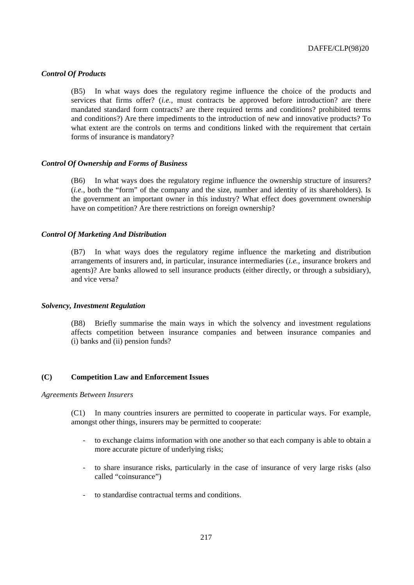# *Control Of Products*

(B5) In what ways does the regulatory regime influence the choice of the products and services that firms offer? (*i.e.*, must contracts be approved before introduction? are there mandated standard form contracts? are there required terms and conditions? prohibited terms and conditions?) Are there impediments to the introduction of new and innovative products? To what extent are the controls on terms and conditions linked with the requirement that certain forms of insurance is mandatory?

## *Control Of Ownership and Forms of Business*

(B6) In what ways does the regulatory regime influence the ownership structure of insurers? (*i.e.*, both the "form" of the company and the size, number and identity of its shareholders). Is the government an important owner in this industry? What effect does government ownership have on competition? Are there restrictions on foreign ownership?

# *Control Of Marketing And Distribution*

(B7) In what ways does the regulatory regime influence the marketing and distribution arrangements of insurers and, in particular, insurance intermediaries (*i.e.*, insurance brokers and agents)? Are banks allowed to sell insurance products (either directly, or through a subsidiary), and vice versa?

#### *Solvency, Investment Regulation*

(B8) Briefly summarise the main ways in which the solvency and investment regulations affects competition between insurance companies and between insurance companies and (i) banks and (ii) pension funds?

# **(C) Competition Law and Enforcement Issues**

#### *Agreements Between Insurers*

(C1) In many countries insurers are permitted to cooperate in particular ways. For example, amongst other things, insurers may be permitted to cooperate:

- to exchange claims information with one another so that each company is able to obtain a more accurate picture of underlying risks;
- to share insurance risks, particularly in the case of insurance of very large risks (also called "coinsurance")
- to standardise contractual terms and conditions.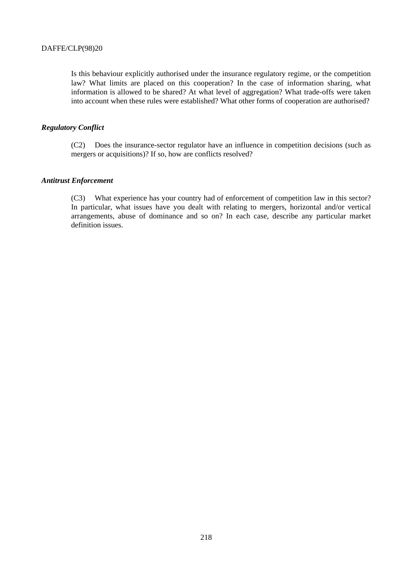Is this behaviour explicitly authorised under the insurance regulatory regime, or the competition law? What limits are placed on this cooperation? In the case of information sharing, what information is allowed to be shared? At what level of aggregation? What trade-offs were taken into account when these rules were established? What other forms of cooperation are authorised?

# *Regulatory Conflict*

(C2) Does the insurance-sector regulator have an influence in competition decisions (such as mergers or acquisitions)? If so, how are conflicts resolved?

# *Antitrust Enforcement*

(C3) What experience has your country had of enforcement of competition law in this sector? In particular, what issues have you dealt with relating to mergers, horizontal and/or vertical arrangements, abuse of dominance and so on? In each case, describe any particular market definition issues.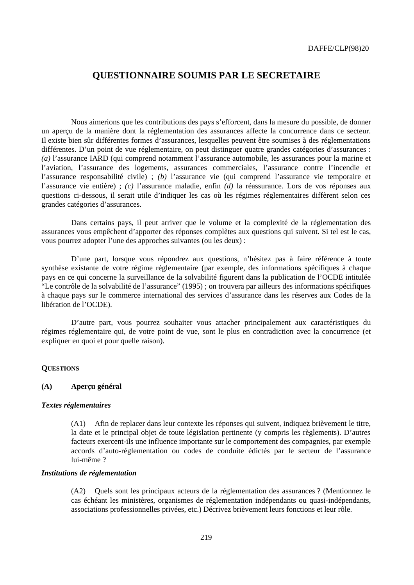# **QUESTIONNAIRE SOUMIS PAR LE SECRETAIRE**

Nous aimerions que les contributions des pays s'efforcent, dans la mesure du possible, de donner un aperçu de la manière dont la réglementation des assurances affecte la concurrence dans ce secteur. Il existe bien sûr différentes formes d'assurances, lesquelles peuvent être soumises à des réglementations différentes. D'un point de vue réglementaire, on peut distinguer quatre grandes catégories d'assurances : *(a)* l'assurance IARD (qui comprend notamment l'assurance automobile, les assurances pour la marine et l'aviation, l'assurance des logements, assurances commerciales, l'assurance contre l'incendie et l'assurance responsabilité civile) ; *(b)* l'assurance vie (qui comprend l'assurance vie temporaire et l'assurance vie entière) ; *(c)* l'assurance maladie, enfin *(d)* la réassurance. Lors de vos réponses aux questions ci-dessous, il serait utile d'indiquer les cas où les régimes réglementaires diffèrent selon ces grandes catégories d'assurances.

Dans certains pays, il peut arriver que le volume et la complexité de la réglementation des assurances vous empêchent d'apporter des réponses complètes aux questions qui suivent. Si tel est le cas, vous pourrez adopter l'une des approches suivantes (ou les deux) :

D'une part, lorsque vous répondrez aux questions, n'hésitez pas à faire référence à toute synthèse existante de votre régime réglementaire (par exemple, des informations spécifiques à chaque pays en ce qui concerne la surveillance de la solvabilité figurent dans la publication de l'OCDE intitulée "Le contrôle de la solvabilité de l'assurance" (1995) ; on trouvera par ailleurs des informations spécifiques à chaque pays sur le commerce international des services d'assurance dans les réserves aux Codes de la libération de l'OCDE).

D'autre part, vous pourrez souhaiter vous attacher principalement aux caractéristiques du régimes réglementaire qui, de votre point de vue, sont le plus en contradiction avec la concurrence (et expliquer en quoi et pour quelle raison).

#### **QUESTIONS**

## **(A) Aperçu général**

# *Textes réglementaires*

(A1) Afin de replacer dans leur contexte les réponses qui suivent, indiquez brièvement le titre, la date et le principal objet de toute législation pertinente (y compris les règlements). D'autres facteurs exercent-ils une influence importante sur le comportement des compagnies, par exemple accords d'auto-réglementation ou codes de conduite édictés par le secteur de l'assurance lui-même ?

# *Institutions de réglementation*

(A2) Quels sont les principaux acteurs de la réglementation des assurances ? (Mentionnez le cas échéant les ministères, organismes de réglementation indépendants ou quasi-indépendants, associations professionnelles privées, etc.) Décrivez brièvement leurs fonctions et leur rôle.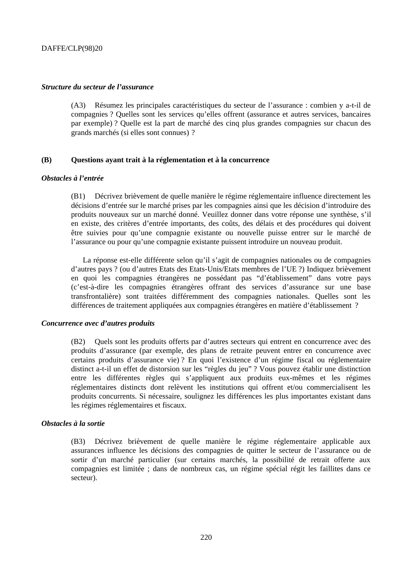## *Structure du secteur de l'assurance*

(A3) Résumez les principales caractéristiques du secteur de l'assurance : combien y a-t-il de compagnies ? Quelles sont les services qu'elles offrent (assurance et autres services, bancaires par exemple) ? Quelle est la part de marché des cinq plus grandes compagnies sur chacun des grands marchés (si elles sont connues) ?

# **(B) Questions ayant trait à la réglementation et à la concurrence**

# *Obstacles à l'entrée*

(B1) Décrivez brièvement de quelle manière le régime réglementaire influence directement les décisions d'entrée sur le marché prises par les compagnies ainsi que les décision d'introduire des produits nouveaux sur un marché donné. Veuillez donner dans votre réponse une synthèse, s'il en existe, des critères d'entrée importants, des coûts, des délais et des procédures qui doivent être suivies pour qu'une compagnie existante ou nouvelle puisse entrer sur le marché de l'assurance ou pour qu'une compagnie existante puissent introduire un nouveau produit.

La réponse est-elle différente selon qu'il s'agit de compagnies nationales ou de compagnies d'autres pays ? (ou d'autres Etats des Etats-Unis/Etats membres de l'UE ?) Indiquez brièvement en quoi les compagnies étrangères ne possédant pas "d'établissement" dans votre pays (c'est-à-dire les compagnies étrangères offrant des services d'assurance sur une base transfrontalière) sont traitées différemment des compagnies nationales. Quelles sont les différences de traitement appliquées aux compagnies étrangères en matière d'établissement ?

# *Concurrence avec d'autres produits*

(B2) Quels sont les produits offerts par d'autres secteurs qui entrent en concurrence avec des produits d'assurance (par exemple, des plans de retraite peuvent entrer en concurrence avec certains produits d'assurance vie) ? En quoi l'existence d'un régime fiscal ou réglementaire distinct a-t-il un effet de distorsion sur les "règles du jeu" ? Vous pouvez établir une distinction entre les différentes règles qui s'appliquent aux produits eux-mêmes et les régimes réglementaires distincts dont relèvent les institutions qui offrent et/ou commercialisent les produits concurrents. Si nécessaire, soulignez les différences les plus importantes existant dans les régimes réglementaires et fiscaux.

# *Obstacles à la sortie*

(B3) Décrivez brièvement de quelle manière le régime réglementaire applicable aux assurances influence les décisions des compagnies de quitter le secteur de l'assurance ou de sortir d'un marché particulier (sur certains marchés, la possibilité de retrait offerte aux compagnies est limitée ; dans de nombreux cas, un régime spécial régit les faillites dans ce secteur).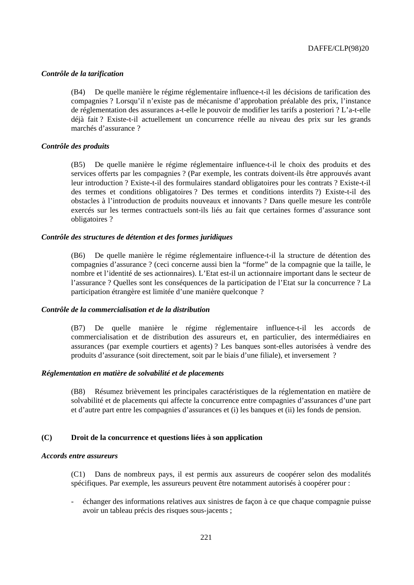## *Contrôle de la tarification*

(B4) De quelle manière le régime réglementaire influence-t-il les décisions de tarification des compagnies ? Lorsqu'il n'existe pas de mécanisme d'approbation préalable des prix, l'instance de réglementation des assurances a-t-elle le pouvoir de modifier les tarifs a posteriori ? L'a-t-elle déjà fait ? Existe-t-il actuellement un concurrence réelle au niveau des prix sur les grands marchés d'assurance ?

## *Contrôle des produits*

(B5) De quelle manière le régime réglementaire influence-t-il le choix des produits et des services offerts par les compagnies ? (Par exemple, les contrats doivent-ils être approuvés avant leur introduction ? Existe-t-il des formulaires standard obligatoires pour les contrats ? Existe-t-il des termes et conditions obligatoires ? Des termes et conditions interdits ?) Existe-t-il des obstacles à l'introduction de produits nouveaux et innovants ? Dans quelle mesure les contrôle exercés sur les termes contractuels sont-ils liés au fait que certaines formes d'assurance sont obligatoires ?

#### *Contrôle des structures de détention et des formes juridiques*

(B6) De quelle manière le régime réglementaire influence-t-il la structure de détention des compagnies d'assurance ? (ceci concerne aussi bien la "forme" de la compagnie que la taille, le nombre et l'identité de ses actionnaires). L'Etat est-il un actionnaire important dans le secteur de l'assurance ? Quelles sont les conséquences de la participation de l'Etat sur la concurrence ? La participation étrangère est limitée d'une manière quelconque ?

#### *Contrôle de la commercialisation et de la distribution*

(B7) De quelle manière le régime réglementaire influence-t-il les accords de commercialisation et de distribution des assureurs et, en particulier, des intermédiaires en assurances (par exemple courtiers et agents) ? Les banques sont-elles autorisées à vendre des produits d'assurance (soit directement, soit par le biais d'une filiale), et inversement ?

## *Réglementation en matière de solvabilité et de placements*

(B8) Résumez brièvement les principales caractéristiques de la réglementation en matière de solvabilité et de placements qui affecte la concurrence entre compagnies d'assurances d'une part et d'autre part entre les compagnies d'assurances et (i) les banques et (ii) les fonds de pension.

## **(C) Droit de la concurrence et questions liées à son application**

#### *Accords entre assureurs*

(C1) Dans de nombreux pays, il est permis aux assureurs de coopérer selon des modalités spécifiques. Par exemple, les assureurs peuvent être notamment autorisés à coopérer pour :

- échanger des informations relatives aux sinistres de façon à ce que chaque compagnie puisse avoir un tableau précis des risques sous-jacents ;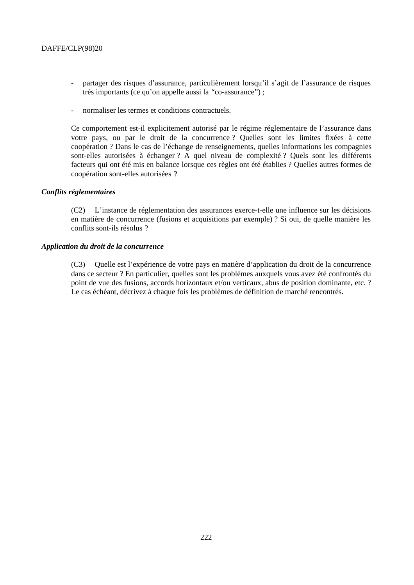- partager des risques d'assurance, particulièrement lorsqu'il s'agit de l'assurance de risques très importants (ce qu'on appelle aussi la "co-assurance") ;
- normaliser les termes et conditions contractuels.

Ce comportement est-il explicitement autorisé par le régime réglementaire de l'assurance dans votre pays, ou par le droit de la concurrence ? Quelles sont les limites fixées à cette coopération ? Dans le cas de l'échange de renseignements, quelles informations les compagnies sont-elles autorisées à échanger ? A quel niveau de complexité ? Quels sont les différents facteurs qui ont été mis en balance lorsque ces règles ont été établies ? Quelles autres formes de coopération sont-elles autorisées ?

# *Conflits réglementaires*

(C2) L'instance de réglementation des assurances exerce-t-elle une influence sur les décisions en matière de concurrence (fusions et acquisitions par exemple) ? Si oui, de quelle manière les conflits sont-ils résolus ?

# *Application du droit de la concurrence*

(C3) Quelle est l'expérience de votre pays en matière d'application du droit de la concurrence dans ce secteur ? En particulier, quelles sont les problèmes auxquels vous avez été confrontés du point de vue des fusions, accords horizontaux et/ou verticaux, abus de position dominante, etc. ? Le cas échéant, décrivez à chaque fois les problèmes de définition de marché rencontrés.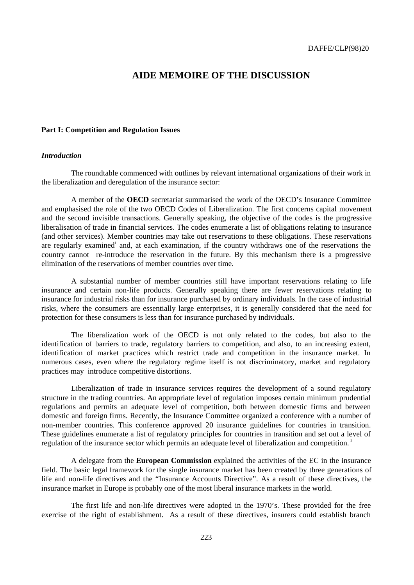# **AIDE MEMOIRE OF THE DISCUSSION**

# **Part I: Competition and Regulation Issues**

## *Introduction*

The roundtable commenced with outlines by relevant international organizations of their work in the liberalization and deregulation of the insurance sector:

A member of the **OECD** secretariat summarised the work of the OECD's Insurance Committee and emphasised the role of the two OECD Codes of Liberalization. The first concerns capital movement and the second invisible transactions. Generally speaking, the objective of the codes is the progressive liberalisation of trade in financial services. The codes enumerate a list of obligations relating to insurance (and other services). Member countries may take out reservations to these obligations. These reservations are regularly examined<sup>1</sup> and, at each examination, if the country withdraws one of the reservations the country cannot re-introduce the reservation in the future. By this mechanism there is a progressive elimination of the reservations of member countries over time.

A substantial number of member countries still have important reservations relating to life insurance and certain non-life products. Generally speaking there are fewer reservations relating to insurance for industrial risks than for insurance purchased by ordinary individuals. In the case of industrial risks, where the consumers are essentially large enterprises, it is generally considered that the need for protection for these consumers is less than for insurance purchased by individuals.

The liberalization work of the OECD is not only related to the codes, but also to the identification of barriers to trade, regulatory barriers to competition, and also, to an increasing extent, identification of market practices which restrict trade and competition in the insurance market. In numerous cases, even where the regulatory regime itself is not discriminatory, market and regulatory practices may introduce competitive distortions.

Liberalization of trade in insurance services requires the development of a sound regulatory structure in the trading countries. An appropriate level of regulation imposes certain minimum prudential regulations and permits an adequate level of competition, both between domestic firms and between domestic and foreign firms. Recently, the Insurance Committee organized a conference with a number of non-member countries. This conference approved 20 insurance guidelines for countries in transition. These guidelines enumerate a list of regulatory principles for countries in transition and set out a level of regulation of the insurance sector which permits an adequate level of liberalization and competition.<sup>2</sup>

A delegate from the **European Commission** explained the activities of the EC in the insurance field. The basic legal framework for the single insurance market has been created by three generations of life and non-life directives and the "Insurance Accounts Directive". As a result of these directives, the insurance market in Europe is probably one of the most liberal insurance markets in the world.

The first life and non-life directives were adopted in the 1970's. These provided for the free exercise of the right of establishment. As a result of these directives, insurers could establish branch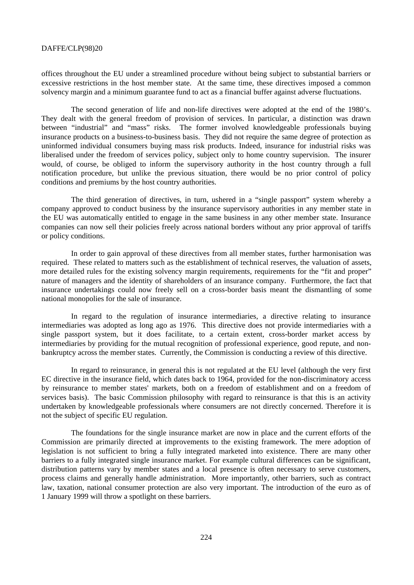offices throughout the EU under a streamlined procedure without being subject to substantial barriers or excessive restrictions in the host member state. At the same time, these directives imposed a common solvency margin and a minimum guarantee fund to act as a financial buffer against adverse fluctuations.

The second generation of life and non-life directives were adopted at the end of the 1980's. They dealt with the general freedom of provision of services. In particular, a distinction was drawn between "industrial" and "mass" risks. The former involved knowledgeable professionals buying insurance products on a business-to-business basis. They did not require the same degree of protection as uninformed individual consumers buying mass risk products. Indeed, insurance for industrial risks was liberalised under the freedom of services policy, subject only to home country supervision. The insurer would, of course, be obliged to inform the supervisory authority in the host country through a full notification procedure, but unlike the previous situation, there would be no prior control of policy conditions and premiums by the host country authorities.

The third generation of directives, in turn, ushered in a "single passport" system whereby a company approved to conduct business by the insurance supervisory authorities in any member state in the EU was automatically entitled to engage in the same business in any other member state. Insurance companies can now sell their policies freely across national borders without any prior approval of tariffs or policy conditions.

In order to gain approval of these directives from all member states, further harmonisation was required. These related to matters such as the establishment of technical reserves, the valuation of assets, more detailed rules for the existing solvency margin requirements, requirements for the "fit and proper" nature of managers and the identity of shareholders of an insurance company. Furthermore, the fact that insurance undertakings could now freely sell on a cross-border basis meant the dismantling of some national monopolies for the sale of insurance.

In regard to the regulation of insurance intermediaries, a directive relating to insurance intermediaries was adopted as long ago as 1976. This directive does not provide intermediaries with a single passport system, but it does facilitate, to a certain extent, cross-border market access by intermediaries by providing for the mutual recognition of professional experience, good repute, and nonbankruptcy across the member states. Currently, the Commission is conducting a review of this directive.

In regard to reinsurance, in general this is not regulated at the EU level (although the very first EC directive in the insurance field, which dates back to 1964, provided for the non-discriminatory access by reinsurance to member states' markets, both on a freedom of establishment and on a freedom of services basis). The basic Commission philosophy with regard to reinsurance is that this is an activity undertaken by knowledgeable professionals where consumers are not directly concerned. Therefore it is not the subject of specific EU regulation.

The foundations for the single insurance market are now in place and the current efforts of the Commission are primarily directed at improvements to the existing framework. The mere adoption of legislation is not sufficient to bring a fully integrated marketed into existence. There are many other barriers to a fully integrated single insurance market. For example cultural differences can be significant, distribution patterns vary by member states and a local presence is often necessary to serve customers, process claims and generally handle administration. More importantly, other barriers, such as contract law, taxation, national consumer protection are also very important. The introduction of the euro as of 1 January 1999 will throw a spotlight on these barriers.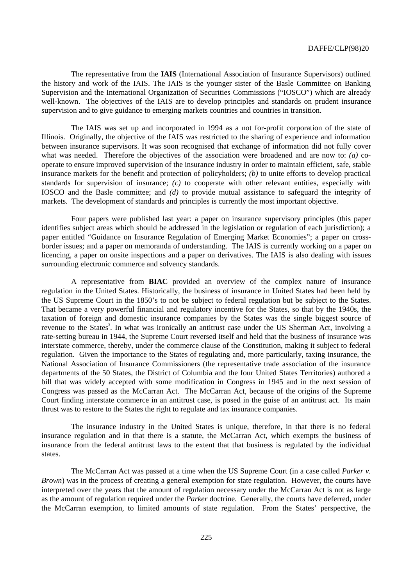The representative from the **IAIS** (International Association of Insurance Supervisors) outlined the history and work of the IAIS. The IAIS is the younger sister of the Basle Committee on Banking Supervision and the International Organization of Securities Commissions ("IOSCO") which are already well-known. The objectives of the IAIS are to develop principles and standards on prudent insurance supervision and to give guidance to emerging markets countries and countries in transition.

The IAIS was set up and incorporated in 1994 as a not for-profit corporation of the state of Illinois. Originally, the objective of the IAIS was restricted to the sharing of experience and information between insurance supervisors. It was soon recognised that exchange of information did not fully cover what was needed. Therefore the objectives of the association were broadened and are now to: *(a)* cooperate to ensure improved supervision of the insurance industry in order to maintain efficient, safe, stable insurance markets for the benefit and protection of policyholders; *(b)* to unite efforts to develop practical standards for supervision of insurance; *(c)* to cooperate with other relevant entities, especially with IOSCO and the Basle committee; and *(d)* to provide mutual assistance to safeguard the integrity of markets. The development of standards and principles is currently the most important objective.

Four papers were published last year: a paper on insurance supervisory principles (this paper identifies subject areas which should be addressed in the legislation or regulation of each jurisdiction); a paper entitled "Guidance on Insurance Regulation of Emerging Market Economies"; a paper on crossborder issues; and a paper on memoranda of understanding. The IAIS is currently working on a paper on licencing, a paper on onsite inspections and a paper on derivatives. The IAIS is also dealing with issues surrounding electronic commerce and solvency standards.

A representative from **BIAC** provided an overview of the complex nature of insurance regulation in the United States. Historically, the business of insurance in United States had been held by the US Supreme Court in the 1850's to not be subject to federal regulation but be subject to the States. That became a very powerful financial and regulatory incentive for the States, so that by the 1940s, the taxation of foreign and domestic insurance companies by the States was the single biggest source of revenue to the States<sup>3</sup>. In what was ironically an antitrust case under the US Sherman Act, involving a rate-setting bureau in 1944, the Supreme Court reversed itself and held that the business of insurance was interstate commerce, thereby, under the commerce clause of the Constitution, making it subject to federal regulation. Given the importance to the States of regulating and, more particularly, taxing insurance, the National Association of Insurance Commissioners (the representative trade association of the insurance departments of the 50 States, the District of Columbia and the four United States Territories) authored a bill that was widely accepted with some modification in Congress in 1945 and in the next session of Congress was passed as the McCarran Act. The McCarran Act, because of the origins of the Supreme Court finding interstate commerce in an antitrust case, is posed in the guise of an antitrust act. Its main thrust was to restore to the States the right to regulate and tax insurance companies.

The insurance industry in the United States is unique, therefore, in that there is no federal insurance regulation and in that there is a statute, the McCarran Act, which exempts the business of insurance from the federal antitrust laws to the extent that that business is regulated by the individual states.

The McCarran Act was passed at a time when the US Supreme Court (in a case called *Parker v. Brown*) was in the process of creating a general exemption for state regulation. However, the courts have interpreted over the years that the amount of regulation necessary under the McCarran Act is not as large as the amount of regulation required under the *Parker* doctrine. Generally, the courts have deferred, under the McCarran exemption, to limited amounts of state regulation. From the States' perspective, the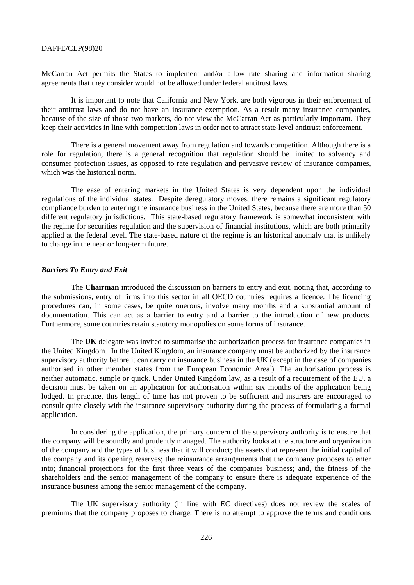McCarran Act permits the States to implement and/or allow rate sharing and information sharing agreements that they consider would not be allowed under federal antitrust laws.

It is important to note that California and New York, are both vigorous in their enforcement of their antitrust laws and do not have an insurance exemption. As a result many insurance companies, because of the size of those two markets, do not view the McCarran Act as particularly important. They keep their activities in line with competition laws in order not to attract state-level antitrust enforcement.

There is a general movement away from regulation and towards competition. Although there is a role for regulation, there is a general recognition that regulation should be limited to solvency and consumer protection issues, as opposed to rate regulation and pervasive review of insurance companies, which was the historical norm.

The ease of entering markets in the United States is very dependent upon the individual regulations of the individual states. Despite deregulatory moves, there remains a significant regulatory compliance burden to entering the insurance business in the United States, because there are more than 50 different regulatory jurisdictions. This state-based regulatory framework is somewhat inconsistent with the regime for securities regulation and the supervision of financial institutions, which are both primarily applied at the federal level. The state-based nature of the regime is an historical anomaly that is unlikely to change in the near or long-term future.

# *Barriers To Entry and Exit*

The **Chairman** introduced the discussion on barriers to entry and exit, noting that, according to the submissions, entry of firms into this sector in all OECD countries requires a licence. The licencing procedures can, in some cases, be quite onerous, involve many months and a substantial amount of documentation. This can act as a barrier to entry and a barrier to the introduction of new products. Furthermore, some countries retain statutory monopolies on some forms of insurance.

The **UK** delegate was invited to summarise the authorization process for insurance companies in the United Kingdom. In the United Kingdom, an insurance company must be authorized by the insurance supervisory authority before it can carry on insurance business in the UK (except in the case of companies authorised in other member states from the European Economic Area<sup>4</sup>). The authorisation process is neither automatic, simple or quick. Under United Kingdom law, as a result of a requirement of the EU, a decision must be taken on an application for authorisation within six months of the application being lodged. In practice, this length of time has not proven to be sufficient and insurers are encouraged to consult quite closely with the insurance supervisory authority during the process of formulating a formal application.

In considering the application, the primary concern of the supervisory authority is to ensure that the company will be soundly and prudently managed. The authority looks at the structure and organization of the company and the types of business that it will conduct; the assets that represent the initial capital of the company and its opening reserves; the reinsurance arrangements that the company proposes to enter into; financial projections for the first three years of the companies business; and, the fitness of the shareholders and the senior management of the company to ensure there is adequate experience of the insurance business among the senior management of the company.

The UK supervisory authority (in line with EC directives) does not review the scales of premiums that the company proposes to charge. There is no attempt to approve the terms and conditions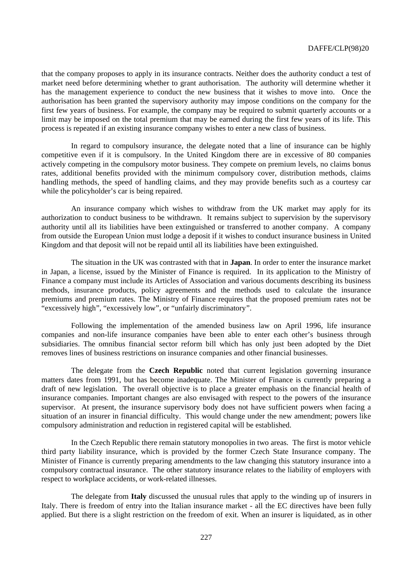that the company proposes to apply in its insurance contracts. Neither does the authority conduct a test of market need before determining whether to grant authorisation. The authority will determine whether it has the management experience to conduct the new business that it wishes to move into. Once the authorisation has been granted the supervisory authority may impose conditions on the company for the first few years of business. For example, the company may be required to submit quarterly accounts or a limit may be imposed on the total premium that may be earned during the first few years of its life. This process is repeated if an existing insurance company wishes to enter a new class of business.

In regard to compulsory insurance, the delegate noted that a line of insurance can be highly competitive even if it is compulsory. In the United Kingdom there are in excessive of 80 companies actively competing in the compulsory motor business. They compete on premium levels, no claims bonus rates, additional benefits provided with the minimum compulsory cover, distribution methods, claims handling methods, the speed of handling claims, and they may provide benefits such as a courtesy car while the policyholder's car is being repaired.

An insurance company which wishes to withdraw from the UK market may apply for its authorization to conduct business to be withdrawn. It remains subject to supervision by the supervisory authority until all its liabilities have been extinguished or transferred to another company. A company from outside the European Union must lodge a deposit if it wishes to conduct insurance business in United Kingdom and that deposit will not be repaid until all its liabilities have been extinguished.

The situation in the UK was contrasted with that in **Japan**. In order to enter the insurance market in Japan, a license, issued by the Minister of Finance is required. In its application to the Ministry of Finance a company must include its Articles of Association and various documents describing its business methods, insurance products, policy agreements and the methods used to calculate the insurance premiums and premium rates. The Ministry of Finance requires that the proposed premium rates not be "excessively high", "excessively low", or "unfairly discriminatory".

Following the implementation of the amended business law on April 1996, life insurance companies and non-life insurance companies have been able to enter each other's business through subsidiaries. The omnibus financial sector reform bill which has only just been adopted by the Diet removes lines of business restrictions on insurance companies and other financial businesses.

The delegate from the **Czech Republic** noted that current legislation governing insurance matters dates from 1991, but has become inadequate. The Minister of Finance is currently preparing a draft of new legislation. The overall objective is to place a greater emphasis on the financial health of insurance companies. Important changes are also envisaged with respect to the powers of the insurance supervisor. At present, the insurance supervisory body does not have sufficient powers when facing a situation of an insurer in financial difficulty. This would change under the new amendment; powers like compulsory administration and reduction in registered capital will be established.

In the Czech Republic there remain statutory monopolies in two areas. The first is motor vehicle third party liability insurance, which is provided by the former Czech State Insurance company. The Minister of Finance is currently preparing amendments to the law changing this statutory insurance into a compulsory contractual insurance. The other statutory insurance relates to the liability of employers with respect to workplace accidents, or work-related illnesses.

The delegate from **Italy** discussed the unusual rules that apply to the winding up of insurers in Italy. There is freedom of entry into the Italian insurance market - all the EC directives have been fully applied. But there is a slight restriction on the freedom of exit. When an insurer is liquidated, as in other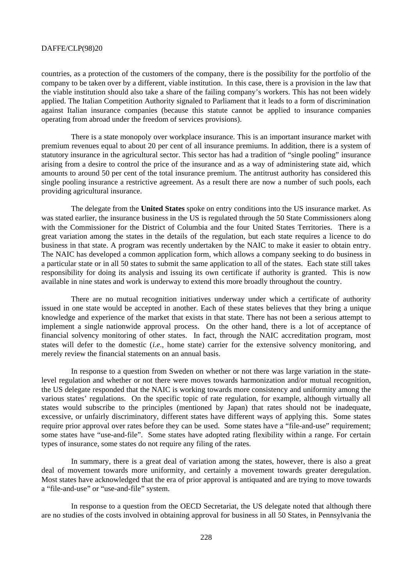countries, as a protection of the customers of the company, there is the possibility for the portfolio of the company to be taken over by a different, viable institution. In this case, there is a provision in the law that the viable institution should also take a share of the failing company's workers. This has not been widely applied. The Italian Competition Authority signaled to Parliament that it leads to a form of discrimination against Italian insurance companies (because this statute cannot be applied to insurance companies operating from abroad under the freedom of services provisions).

There is a state monopoly over workplace insurance. This is an important insurance market with premium revenues equal to about 20 per cent of all insurance premiums. In addition, there is a system of statutory insurance in the agricultural sector. This sector has had a tradition of "single pooling" insurance arising from a desire to control the price of the insurance and as a way of administering state aid, which amounts to around 50 per cent of the total insurance premium. The antitrust authority has considered this single pooling insurance a restrictive agreement. As a result there are now a number of such pools, each providing agricultural insurance.

The delegate from the **United States** spoke on entry conditions into the US insurance market. As was stated earlier, the insurance business in the US is regulated through the 50 State Commissioners along with the Commissioner for the District of Columbia and the four United States Territories. There is a great variation among the states in the details of the regulation, but each state requires a licence to do business in that state. A program was recently undertaken by the NAIC to make it easier to obtain entry. The NAIC has developed a common application form, which allows a company seeking to do business in a particular state or in all 50 states to submit the same application to all of the states. Each state still takes responsibility for doing its analysis and issuing its own certificate if authority is granted. This is now available in nine states and work is underway to extend this more broadly throughout the country.

There are no mutual recognition initiatives underway under which a certificate of authority issued in one state would be accepted in another. Each of these states believes that they bring a unique knowledge and experience of the market that exists in that state. There has not been a serious attempt to implement a single nationwide approval process. On the other hand, there is a lot of acceptance of financial solvency monitoring of other states. In fact, through the NAIC accreditation program, most states will defer to the domestic (*i.e.*, home state) carrier for the extensive solvency monitoring, and merely review the financial statements on an annual basis.

In response to a question from Sweden on whether or not there was large variation in the statelevel regulation and whether or not there were moves towards harmonization and/or mutual recognition, the US delegate responded that the NAIC is working towards more consistency and uniformity among the various states' regulations. On the specific topic of rate regulation, for example, although virtually all states would subscribe to the principles (mentioned by Japan) that rates should not be inadequate, excessive, or unfairly discriminatory, different states have different ways of applying this. Some states require prior approval over rates before they can be used. Some states have a "file-and-use" requirement; some states have "use-and-file". Some states have adopted rating flexibility within a range. For certain types of insurance, some states do not require any filing of the rates.

In summary, there is a great deal of variation among the states, however, there is also a great deal of movement towards more uniformity, and certainly a movement towards greater deregulation. Most states have acknowledged that the era of prior approval is antiquated and are trying to move towards a "file-and-use" or "use-and-file" system.

In response to a question from the OECD Secretariat, the US delegate noted that although there are no studies of the costs involved in obtaining approval for business in all 50 States, in Pennsylvania the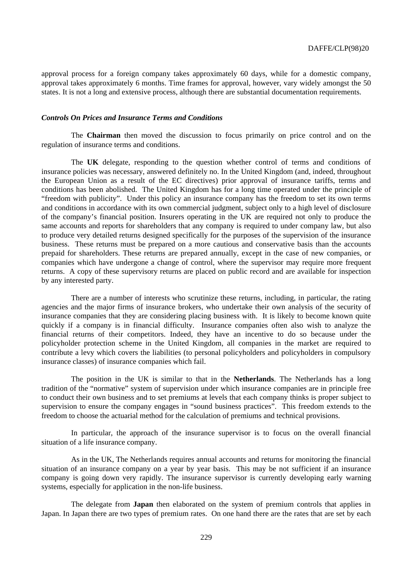approval process for a foreign company takes approximately 60 days, while for a domestic company, approval takes approximately 6 months. Time frames for approval, however, vary widely amongst the 50 states. It is not a long and extensive process, although there are substantial documentation requirements.

# *Controls On Prices and Insurance Terms and Conditions*

The **Chairman** then moved the discussion to focus primarily on price control and on the regulation of insurance terms and conditions.

The **UK** delegate, responding to the question whether control of terms and conditions of insurance policies was necessary, answered definitely no. In the United Kingdom (and, indeed, throughout the European Union as a result of the EC directives) prior approval of insurance tariffs, terms and conditions has been abolished. The United Kingdom has for a long time operated under the principle of "freedom with publicity". Under this policy an insurance company has the freedom to set its own terms and conditions in accordance with its own commercial judgment, subject only to a high level of disclosure of the company's financial position. Insurers operating in the UK are required not only to produce the same accounts and reports for shareholders that any company is required to under company law, but also to produce very detailed returns designed specifically for the purposes of the supervision of the insurance business. These returns must be prepared on a more cautious and conservative basis than the accounts prepaid for shareholders. These returns are prepared annually, except in the case of new companies, or companies which have undergone a change of control, where the supervisor may require more frequent returns. A copy of these supervisory returns are placed on public record and are available for inspection by any interested party.

There are a number of interests who scrutinize these returns, including, in particular, the rating agencies and the major firms of insurance brokers, who undertake their own analysis of the security of insurance companies that they are considering placing business with. It is likely to become known quite quickly if a company is in financial difficulty. Insurance companies often also wish to analyze the financial returns of their competitors. Indeed, they have an incentive to do so because under the policyholder protection scheme in the United Kingdom, all companies in the market are required to contribute a levy which covers the liabilities (to personal policyholders and policyholders in compulsory insurance classes) of insurance companies which fail.

The position in the UK is similar to that in the **Netherlands**. The Netherlands has a long tradition of the "normative" system of supervision under which insurance companies are in principle free to conduct their own business and to set premiums at levels that each company thinks is proper subject to supervision to ensure the company engages in "sound business practices". This freedom extends to the freedom to choose the actuarial method for the calculation of premiums and technical provisions.

In particular, the approach of the insurance supervisor is to focus on the overall financial situation of a life insurance company.

As in the UK, The Netherlands requires annual accounts and returns for monitoring the financial situation of an insurance company on a year by year basis. This may be not sufficient if an insurance company is going down very rapidly. The insurance supervisor is currently developing early warning systems, especially for application in the non-life business.

The delegate from **Japan** then elaborated on the system of premium controls that applies in Japan. In Japan there are two types of premium rates. On one hand there are the rates that are set by each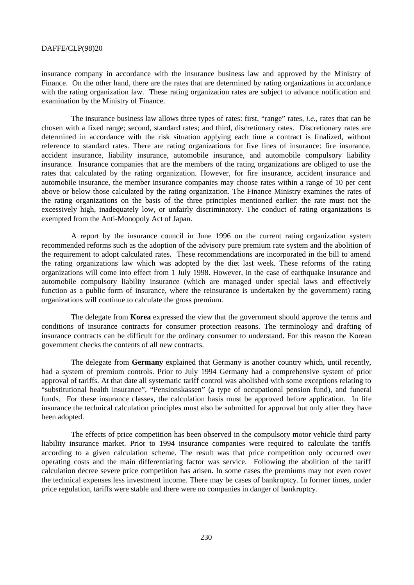insurance company in accordance with the insurance business law and approved by the Ministry of Finance. On the other hand, there are the rates that are determined by rating organizations in accordance with the rating organization law. These rating organization rates are subject to advance notification and examination by the Ministry of Finance.

The insurance business law allows three types of rates: first, "range" rates, *i.e.*, rates that can be chosen with a fixed range; second, standard rates; and third, discretionary rates. Discretionary rates are determined in accordance with the risk situation applying each time a contract is finalized, without reference to standard rates. There are rating organizations for five lines of insurance: fire insurance, accident insurance, liability insurance, automobile insurance, and automobile compulsory liability insurance. Insurance companies that are the members of the rating organizations are obliged to use the rates that calculated by the rating organization. However, for fire insurance, accident insurance and automobile insurance, the member insurance companies may choose rates within a range of 10 per cent above or below those calculated by the rating organization. The Finance Ministry examines the rates of the rating organizations on the basis of the three principles mentioned earlier: the rate must not the excessively high, inadequately low, or unfairly discriminatory. The conduct of rating organizations is exempted from the Anti-Monopoly Act of Japan.

A report by the insurance council in June 1996 on the current rating organization system recommended reforms such as the adoption of the advisory pure premium rate system and the abolition of the requirement to adopt calculated rates. These recommendations are incorporated in the bill to amend the rating organizations law which was adopted by the diet last week. These reforms of the rating organizations will come into effect from 1 July 1998. However, in the case of earthquake insurance and automobile compulsory liability insurance (which are managed under special laws and effectively function as a public form of insurance, where the reinsurance is undertaken by the government) rating organizations will continue to calculate the gross premium.

The delegate from **Korea** expressed the view that the government should approve the terms and conditions of insurance contracts for consumer protection reasons. The terminology and drafting of insurance contracts can be difficult for the ordinary consumer to understand. For this reason the Korean government checks the contents of all new contracts.

The delegate from **Germany** explained that Germany is another country which, until recently, had a system of premium controls. Prior to July 1994 Germany had a comprehensive system of prior approval of tariffs. At that date all systematic tariff control was abolished with some exceptions relating to "substitutional health insurance", "Pensionskassen" (a type of occupational pension fund), and funeral funds. For these insurance classes, the calculation basis must be approved before application. In life insurance the technical calculation principles must also be submitted for approval but only after they have been adopted.

The effects of price competition has been observed in the compulsory motor vehicle third party liability insurance market. Prior to 1994 insurance companies were required to calculate the tariffs according to a given calculation scheme. The result was that price competition only occurred over operating costs and the main differentiating factor was service. Following the abolition of the tariff calculation decree severe price competition has arisen. In some cases the premiums may not even cover the technical expenses less investment income. There may be cases of bankruptcy. In former times, under price regulation, tariffs were stable and there were no companies in danger of bankruptcy.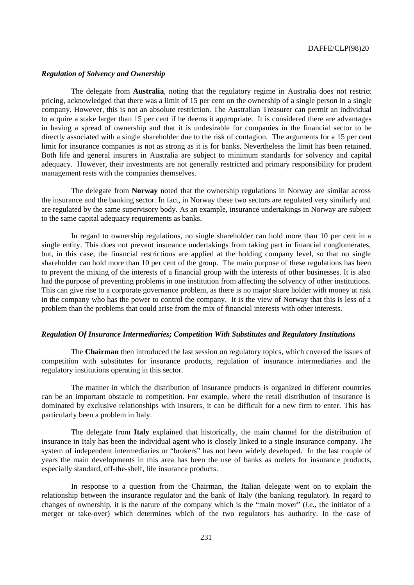#### *Regulation of Solvency and Ownership*

The delegate from **Australia**, noting that the regulatory regime in Australia does not restrict pricing, acknowledged that there was a limit of 15 per cent on the ownership of a single person in a single company. However, this is not an absolute restriction. The Australian Treasurer can permit an individual to acquire a stake larger than 15 per cent if he deems it appropriate. It is considered there are advantages in having a spread of ownership and that it is undesirable for companies in the financial sector to be directly associated with a single shareholder due to the risk of contagion. The arguments for a 15 per cent limit for insurance companies is not as strong as it is for banks. Nevertheless the limit has been retained. Both life and general insurers in Australia are subject to minimum standards for solvency and capital adequacy. However, their investments are not generally restricted and primary responsibility for prudent management rests with the companies themselves.

The delegate from **Norway** noted that the ownership regulations in Norway are similar across the insurance and the banking sector. In fact, in Norway these two sectors are regulated very similarly and are regulated by the same supervisory body. As an example, insurance undertakings in Norway are subject to the same capital adequacy requirements as banks.

In regard to ownership regulations, no single shareholder can hold more than 10 per cent in a single entity. This does not prevent insurance undertakings from taking part in financial conglomerates, but, in this case, the financial restrictions are applied at the holding company level, so that no single shareholder can hold more than 10 per cent of the group. The main purpose of these regulations has been to prevent the mixing of the interests of a financial group with the interests of other businesses. It is also had the purpose of preventing problems in one institution from affecting the solvency of other institutions. This can give rise to a corporate governance problem, as there is no major share holder with money at risk in the company who has the power to control the company. It is the view of Norway that this is less of a problem than the problems that could arise from the mix of financial interests with other interests.

#### *Regulation Of Insurance Intermediaries; Competition With Substitutes and Regulatory Institutions*

The **Chairman** then introduced the last session on regulatory topics, which covered the issues of competition with substitutes for insurance products, regulation of insurance intermediaries and the regulatory institutions operating in this sector.

The manner in which the distribution of insurance products is organized in different countries can be an important obstacle to competition. For example, where the retail distribution of insurance is dominated by exclusive relationships with insurers, it can be difficult for a new firm to enter. This has particularly been a problem in Italy.

The delegate from **Italy** explained that historically, the main channel for the distribution of insurance in Italy has been the individual agent who is closely linked to a single insurance company. The system of independent intermediaries or "brokers" has not been widely developed. In the last couple of years the main developments in this area has been the use of banks as outlets for insurance products, especially standard, off-the-shelf, life insurance products.

In response to a question from the Chairman, the Italian delegate went on to explain the relationship between the insurance regulator and the bank of Italy (the banking regulator). In regard to changes of ownership, it is the nature of the company which is the "main mover" (*i.e.*, the initiator of a merger or take-over) which determines which of the two regulators has authority. In the case of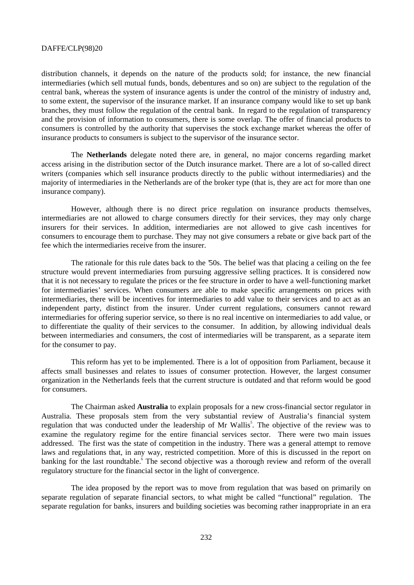distribution channels, it depends on the nature of the products sold; for instance, the new financial intermediaries (which sell mutual funds, bonds, debentures and so on) are subject to the regulation of the central bank, whereas the system of insurance agents is under the control of the ministry of industry and, to some extent, the supervisor of the insurance market. If an insurance company would like to set up bank branches, they must follow the regulation of the central bank. In regard to the regulation of transparency and the provision of information to consumers, there is some overlap. The offer of financial products to consumers is controlled by the authority that supervises the stock exchange market whereas the offer of insurance products to consumers is subject to the supervisor of the insurance sector.

The **Netherlands** delegate noted there are, in general, no major concerns regarding market access arising in the distribution sector of the Dutch insurance market. There are a lot of so-called direct writers (companies which sell insurance products directly to the public without intermediaries) and the majority of intermediaries in the Netherlands are of the broker type (that is, they are act for more than one insurance company).

However, although there is no direct price regulation on insurance products themselves, intermediaries are not allowed to charge consumers directly for their services, they may only charge insurers for their services. In addition, intermediaries are not allowed to give cash incentives for consumers to encourage them to purchase. They may not give consumers a rebate or give back part of the fee which the intermediaries receive from the insurer.

The rationale for this rule dates back to the '50s. The belief was that placing a ceiling on the fee structure would prevent intermediaries from pursuing aggressive selling practices. It is considered now that it is not necessary to regulate the prices or the fee structure in order to have a well-functioning market for intermediaries' services. When consumers are able to make specific arrangements on prices with intermediaries, there will be incentives for intermediaries to add value to their services and to act as an independent party, distinct from the insurer. Under current regulations, consumers cannot reward intermediaries for offering superior service, so there is no real incentive on intermediaries to add value, or to differentiate the quality of their services to the consumer. In addition, by allowing individual deals between intermediaries and consumers, the cost of intermediaries will be transparent, as a separate item for the consumer to pay.

This reform has yet to be implemented. There is a lot of opposition from Parliament, because it affects small businesses and relates to issues of consumer protection. However, the largest consumer organization in the Netherlands feels that the current structure is outdated and that reform would be good for consumers.

The Chairman asked **Australia** to explain proposals for a new cross-financial sector regulator in Australia. These proposals stem from the very substantial review of Australia's financial system regulation that was conducted under the leadership of Mr Wallis<sup>5</sup>. The objective of the review was to examine the regulatory regime for the entire financial services sector. There were two main issues addressed. The first was the state of competition in the industry. There was a general attempt to remove laws and regulations that, in any way, restricted competition. More of this is discussed in the report on banking for the last roundtable. The second objective was a thorough review and reform of the overall regulatory structure for the financial sector in the light of convergence.

The idea proposed by the report was to move from regulation that was based on primarily on separate regulation of separate financial sectors, to what might be called "functional" regulation. The separate regulation for banks, insurers and building societies was becoming rather inappropriate in an era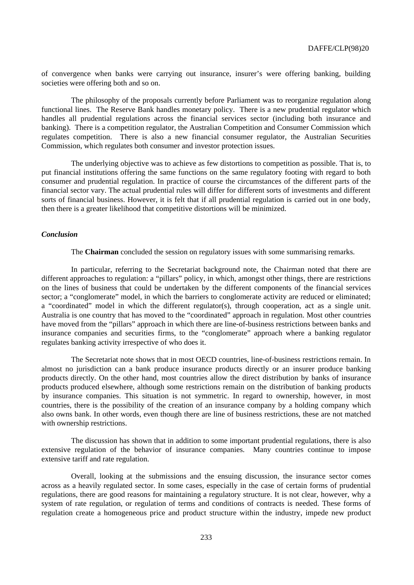of convergence when banks were carrying out insurance, insurer's were offering banking, building societies were offering both and so on.

The philosophy of the proposals currently before Parliament was to reorganize regulation along functional lines. The Reserve Bank handles monetary policy. There is a new prudential regulator which handles all prudential regulations across the financial services sector (including both insurance and banking). There is a competition regulator, the Australian Competition and Consumer Commission which regulates competition. There is also a new financial consumer regulator, the Australian Securities Commission, which regulates both consumer and investor protection issues.

The underlying objective was to achieve as few distortions to competition as possible. That is, to put financial institutions offering the same functions on the same regulatory footing with regard to both consumer and prudential regulation. In practice of course the circumstances of the different parts of the financial sector vary. The actual prudential rules will differ for different sorts of investments and different sorts of financial business. However, it is felt that if all prudential regulation is carried out in one body, then there is a greater likelihood that competitive distortions will be minimized.

# *Conclusion*

The **Chairman** concluded the session on regulatory issues with some summarising remarks.

In particular, referring to the Secretariat background note, the Chairman noted that there are different approaches to regulation: a "pillars" policy, in which, amongst other things, there are restrictions on the lines of business that could be undertaken by the different components of the financial services sector; a "conglomerate" model, in which the barriers to conglomerate activity are reduced or eliminated; a "coordinated" model in which the different regulator(s), through cooperation, act as a single unit. Australia is one country that has moved to the "coordinated" approach in regulation. Most other countries have moved from the "pillars" approach in which there are line-of-business restrictions between banks and insurance companies and securities firms, to the "conglomerate" approach where a banking regulator regulates banking activity irrespective of who does it.

The Secretariat note shows that in most OECD countries, line-of-business restrictions remain. In almost no jurisdiction can a bank produce insurance products directly or an insurer produce banking products directly. On the other hand, most countries allow the direct distribution by banks of insurance products produced elsewhere, although some restrictions remain on the distribution of banking products by insurance companies. This situation is not symmetric. In regard to ownership, however, in most countries, there is the possibility of the creation of an insurance company by a holding company which also owns bank. In other words, even though there are line of business restrictions, these are not matched with ownership restrictions.

The discussion has shown that in addition to some important prudential regulations, there is also extensive regulation of the behavior of insurance companies. Many countries continue to impose extensive tariff and rate regulation.

Overall, looking at the submissions and the ensuing discussion, the insurance sector comes across as a heavily regulated sector. In some cases, especially in the case of certain forms of prudential regulations, there are good reasons for maintaining a regulatory structure. It is not clear, however, why a system of rate regulation, or regulation of terms and conditions of contracts is needed. These forms of regulation create a homogeneous price and product structure within the industry, impede new product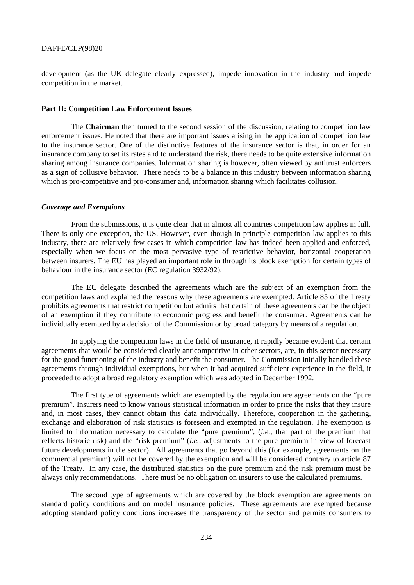development (as the UK delegate clearly expressed), impede innovation in the industry and impede competition in the market.

#### **Part II: Competition Law Enforcement Issues**

The **Chairman** then turned to the second session of the discussion, relating to competition law enforcement issues. He noted that there are important issues arising in the application of competition law to the insurance sector. One of the distinctive features of the insurance sector is that, in order for an insurance company to set its rates and to understand the risk, there needs to be quite extensive information sharing among insurance companies. Information sharing is however, often viewed by antitrust enforcers as a sign of collusive behavior. There needs to be a balance in this industry between information sharing which is pro-competitive and pro-consumer and, information sharing which facilitates collusion.

#### *Coverage and Exemptions*

From the submissions, it is quite clear that in almost all countries competition law applies in full. There is only one exception, the US. However, even though in principle competition law applies to this industry, there are relatively few cases in which competition law has indeed been applied and enforced, especially when we focus on the most pervasive type of restrictive behavior, horizontal cooperation between insurers. The EU has played an important role in through its block exemption for certain types of behaviour in the insurance sector (EC regulation 3932/92).

The **EC** delegate described the agreements which are the subject of an exemption from the competition laws and explained the reasons why these agreements are exempted. Article 85 of the Treaty prohibits agreements that restrict competition but admits that certain of these agreements can be the object of an exemption if they contribute to economic progress and benefit the consumer. Agreements can be individually exempted by a decision of the Commission or by broad category by means of a regulation.

In applying the competition laws in the field of insurance, it rapidly became evident that certain agreements that would be considered clearly anticompetitive in other sectors, are, in this sector necessary for the good functioning of the industry and benefit the consumer. The Commission initially handled these agreements through individual exemptions, but when it had acquired sufficient experience in the field, it proceeded to adopt a broad regulatory exemption which was adopted in December 1992.

The first type of agreements which are exempted by the regulation are agreements on the "pure premium". Insurers need to know various statistical information in order to price the risks that they insure and, in most cases, they cannot obtain this data individually. Therefore, cooperation in the gathering, exchange and elaboration of risk statistics is foreseen and exempted in the regulation. The exemption is limited to information necessary to calculate the "pure premium", (*i.e.*, that part of the premium that reflects historic risk) and the "risk premium" (*i.e.*, adjustments to the pure premium in view of forecast future developments in the sector). All agreements that go beyond this (for example, agreements on the commercial premium) will not be covered by the exemption and will be considered contrary to article 87 of the Treaty. In any case, the distributed statistics on the pure premium and the risk premium must be always only recommendations. There must be no obligation on insurers to use the calculated premiums.

The second type of agreements which are covered by the block exemption are agreements on standard policy conditions and on model insurance policies. These agreements are exempted because adopting standard policy conditions increases the transparency of the sector and permits consumers to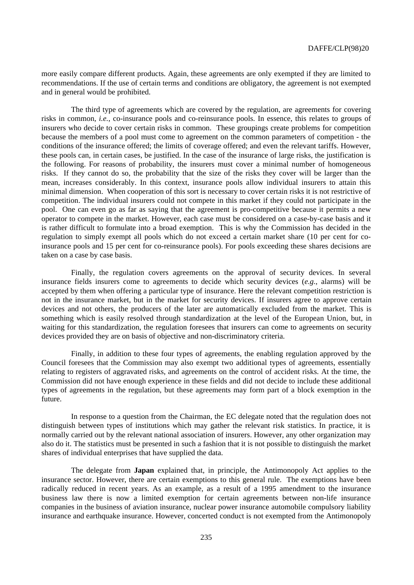more easily compare different products. Again, these agreements are only exempted if they are limited to recommendations. If the use of certain terms and conditions are obligatory, the agreement is not exempted and in general would be prohibited.

The third type of agreements which are covered by the regulation, are agreements for covering risks in common, *i.e.*, co-insurance pools and co-reinsurance pools. In essence, this relates to groups of insurers who decide to cover certain risks in common. These groupings create problems for competition because the members of a pool must come to agreement on the common parameters of competition - the conditions of the insurance offered; the limits of coverage offered; and even the relevant tariffs. However, these pools can, in certain cases, be justified. In the case of the insurance of large risks, the justification is the following. For reasons of probability, the insurers must cover a minimal number of homogeneous risks. If they cannot do so, the probability that the size of the risks they cover will be larger than the mean, increases considerably. In this context, insurance pools allow individual insurers to attain this minimal dimension. When cooperation of this sort is necessary to cover certain risks it is not restrictive of competition. The individual insurers could not compete in this market if they could not participate in the pool. One can even go as far as saying that the agreement is pro-competitive because it permits a new operator to compete in the market. However, each case must be considered on a case-by-case basis and it is rather difficult to formulate into a broad exemption. This is why the Commission has decided in the regulation to simply exempt all pools which do not exceed a certain market share (10 per cent for coinsurance pools and 15 per cent for co-reinsurance pools). For pools exceeding these shares decisions are taken on a case by case basis.

Finally, the regulation covers agreements on the approval of security devices. In several insurance fields insurers come to agreements to decide which security devices (*e.g.*, alarms) will be accepted by them when offering a particular type of insurance. Here the relevant competition restriction is not in the insurance market, but in the market for security devices. If insurers agree to approve certain devices and not others, the producers of the later are automatically excluded from the market. This is something which is easily resolved through standardization at the level of the European Union, but, in waiting for this standardization, the regulation foresees that insurers can come to agreements on security devices provided they are on basis of objective and non-discriminatory criteria.

Finally, in addition to these four types of agreements, the enabling regulation approved by the Council foresees that the Commission may also exempt two additional types of agreements, essentially relating to registers of aggravated risks, and agreements on the control of accident risks. At the time, the Commission did not have enough experience in these fields and did not decide to include these additional types of agreements in the regulation, but these agreements may form part of a block exemption in the future.

In response to a question from the Chairman, the EC delegate noted that the regulation does not distinguish between types of institutions which may gather the relevant risk statistics. In practice, it is normally carried out by the relevant national association of insurers. However, any other organization may also do it. The statistics must be presented in such a fashion that it is not possible to distinguish the market shares of individual enterprises that have supplied the data.

The delegate from **Japan** explained that, in principle, the Antimonopoly Act applies to the insurance sector. However, there are certain exemptions to this general rule. The exemptions have been radically reduced in recent years. As an example, as a result of a 1995 amendment to the insurance business law there is now a limited exemption for certain agreements between non-life insurance companies in the business of aviation insurance, nuclear power insurance automobile compulsory liability insurance and earthquake insurance. However, concerted conduct is not exempted from the Antimonopoly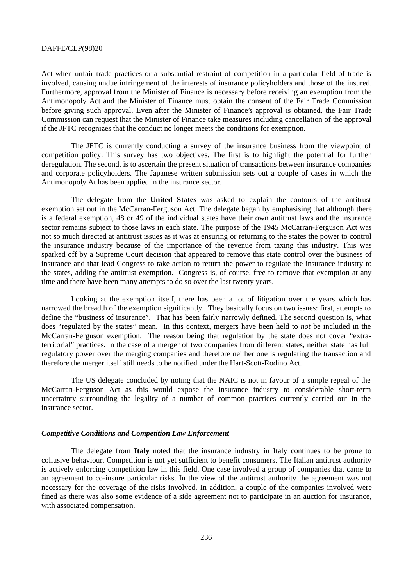Act when unfair trade practices or a substantial restraint of competition in a particular field of trade is involved, causing undue infringement of the interests of insurance policyholders and those of the insured. Furthermore, approval from the Minister of Finance is necessary before receiving an exemption from the Antimonopoly Act and the Minister of Finance must obtain the consent of the Fair Trade Commission before giving such approval. Even after the Minister of Finance's approval is obtained, the Fair Trade Commission can request that the Minister of Finance take measures including cancellation of the approval if the JFTC recognizes that the conduct no longer meets the conditions for exemption.

The JFTC is currently conducting a survey of the insurance business from the viewpoint of competition policy. This survey has two objectives. The first is to highlight the potential for further deregulation. The second, is to ascertain the present situation of transactions between insurance companies and corporate policyholders. The Japanese written submission sets out a couple of cases in which the Antimonopoly At has been applied in the insurance sector.

The delegate from the **United States** was asked to explain the contours of the antitrust exemption set out in the McCarran-Ferguson Act. The delegate began by emphasising that although there is a federal exemption, 48 or 49 of the individual states have their own antitrust laws and the insurance sector remains subject to those laws in each state. The purpose of the 1945 McCarran-Ferguson Act was not so much directed at antitrust issues as it was at ensuring or returning to the states the power to control the insurance industry because of the importance of the revenue from taxing this industry. This was sparked off by a Supreme Court decision that appeared to remove this state control over the business of insurance and that lead Congress to take action to return the power to regulate the insurance industry to the states, adding the antitrust exemption. Congress is, of course, free to remove that exemption at any time and there have been many attempts to do so over the last twenty years.

Looking at the exemption itself, there has been a lot of litigation over the years which has narrowed the breadth of the exemption significantly. They basically focus on two issues: first, attempts to define the "business of insurance". That has been fairly narrowly defined. The second question is, what does "regulated by the states" mean. In this context, mergers have been held to *not* be included in the McCarran-Ferguson exemption. The reason being that regulation by the state does not cover "extraterritorial" practices. In the case of a merger of two companies from different states, neither state has full regulatory power over the merging companies and therefore neither one is regulating the transaction and therefore the merger itself still needs to be notified under the Hart-Scott-Rodino Act.

The US delegate concluded by noting that the NAIC is not in favour of a simple repeal of the McCarran-Ferguson Act as this would expose the insurance industry to considerable short-term uncertainty surrounding the legality of a number of common practices currently carried out in the insurance sector.

#### *Competitive Conditions and Competition Law Enforcement*

The delegate from **Italy** noted that the insurance industry in Italy continues to be prone to collusive behaviour. Competition is not yet sufficient to benefit consumers. The Italian antitrust authority is actively enforcing competition law in this field. One case involved a group of companies that came to an agreement to co-insure particular risks. In the view of the antitrust authority the agreement was not necessary for the coverage of the risks involved. In addition, a couple of the companies involved were fined as there was also some evidence of a side agreement not to participate in an auction for insurance, with associated compensation.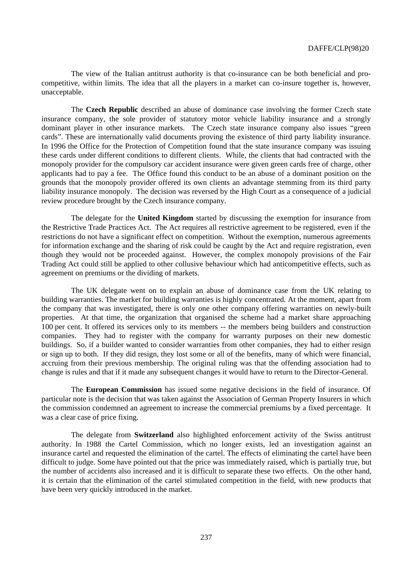The view of the Italian antitrust authority is that co-insurance can be both beneficial and procompetitive, within limits. The idea that all the players in a market can co-insure together is, however, unacceptable.

The **Czech Republic** described an abuse of dominance case involving the former Czech state insurance company, the sole provider of statutory motor vehicle liability insurance and a strongly dominant player in other insurance markets. The Czech state insurance company also issues "green cards". These are internationally valid documents proving the existence of third party liability insurance. In 1996 the Office for the Protection of Competition found that the state insurance company was issuing these cards under different conditions to different clients. While, the clients that had contracted with the monopoly provider for the compulsory car accident insurance were given green cards free of charge, other applicants had to pay a fee. The Office found this conduct to be an abuse of a dominant position on the grounds that the monopoly provider offered its own clients an advantage stemming from its third party liability insurance monopoly. The decision was reversed by the High Court as a consequence of a judicial review procedure brought by the Czech insurance company.

The delegate for the **United Kingdom** started by discussing the exemption for insurance from the Restrictive Trade Practices Act. The Act requires all restrictive agreement to be registered, even if the restrictions do not have a significant effect on competition. Without the exemption, numerous agreements for information exchange and the sharing of risk could be caught by the Act and require registration, even though they would not be proceeded against. However, the complex monopoly provisions of the Fair Trading Act could still be applied to other collusive behaviour which had anticompetitive effects, such as agreement on premiums or the dividing of markets.

The UK delegate went on to explain an abuse of dominance case from the UK relating to building warranties. The market for building warranties is highly concentrated. At the moment, apart from the company that was investigated, there is only one other company offering warranties on newly-built properties. At that time, the organization that organised the scheme had a market share approaching 100 per cent. It offered its services only to its members -- the members being builders and construction companies. They had to register with the company for warranty purposes on their new domestic buildings. So, if a builder wanted to consider warranties from other companies, they had to either resign or sign up to both. If they did resign, they lost some or all of the benefits, many of which were financial, accruing from their previous membership. The original ruling was that the offending association had to change is rules and that if it made any subsequent changes it would have to return to the Director-General.

The **European Commission** has issued some negative decisions in the field of insurance. Of particular note is the decision that was taken against the Association of German Property Insurers in which the commission condemned an agreement to increase the commercial premiums by a fixed percentage. It was a clear case of price fixing.

The delegate from **Switzerland** also highlighted enforcement activity of the Swiss antitrust authority. In 1988 the Cartel Commission, which no longer exists, led an investigation against an insurance cartel and requested the elimination of the cartel. The effects of eliminating the cartel have been difficult to judge. Some have pointed out that the price was immediately raised, which is partially true, but the number of accidents also increased and it is difficult to separate these two effects. On the other hand, it is certain that the elimination of the cartel stimulated competition in the field, with new products that have been very quickly introduced in the market.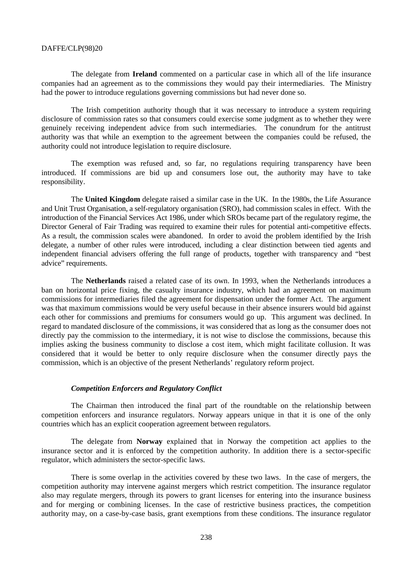The delegate from **Ireland** commented on a particular case in which all of the life insurance companies had an agreement as to the commissions they would pay their intermediaries. The Ministry had the power to introduce regulations governing commissions but had never done so.

The Irish competition authority though that it was necessary to introduce a system requiring disclosure of commission rates so that consumers could exercise some judgment as to whether they were genuinely receiving independent advice from such intermediaries. The conundrum for the antitrust authority was that while an exemption to the agreement between the companies could be refused, the authority could not introduce legislation to require disclosure.

The exemption was refused and, so far, no regulations requiring transparency have been introduced. If commissions are bid up and consumers lose out, the authority may have to take responsibility.

The **United Kingdom** delegate raised a similar case in the UK. In the 1980s, the Life Assurance and Unit Trust Organisation, a self-regulatory organisation (SRO), had commission scales in effect. With the introduction of the Financial Services Act 1986, under which SROs became part of the regulatory regime, the Director General of Fair Trading was required to examine their rules for potential anti-competitive effects. As a result, the commission scales were abandoned. In order to avoid the problem identified by the Irish delegate, a number of other rules were introduced, including a clear distinction between tied agents and independent financial advisers offering the full range of products, together with transparency and "best advice" requirements.

The **Netherlands** raised a related case of its own. In 1993, when the Netherlands introduces a ban on horizontal price fixing, the casualty insurance industry, which had an agreement on maximum commissions for intermediaries filed the agreement for dispensation under the former Act. The argument was that maximum commissions would be very useful because in their absence insurers would bid against each other for commissions and premiums for consumers would go up. This argument was declined. In regard to mandated disclosure of the commissions, it was considered that as long as the consumer does not directly pay the commission to the intermediary, it is not wise to disclose the commissions, because this implies asking the business community to disclose a cost item, which might facilitate collusion. It was considered that it would be better to only require disclosure when the consumer directly pays the commission, which is an objective of the present Netherlands' regulatory reform project.

## *Competition Enforcers and Regulatory Conflict*

The Chairman then introduced the final part of the roundtable on the relationship between competition enforcers and insurance regulators. Norway appears unique in that it is one of the only countries which has an explicit cooperation agreement between regulators.

The delegate from **Norway** explained that in Norway the competition act applies to the insurance sector and it is enforced by the competition authority. In addition there is a sector-specific regulator, which administers the sector-specific laws.

There is some overlap in the activities covered by these two laws. In the case of mergers, the competition authority may intervene against mergers which restrict competition. The insurance regulator also may regulate mergers, through its powers to grant licenses for entering into the insurance business and for merging or combining licenses. In the case of restrictive business practices, the competition authority may, on a case-by-case basis, grant exemptions from these conditions. The insurance regulator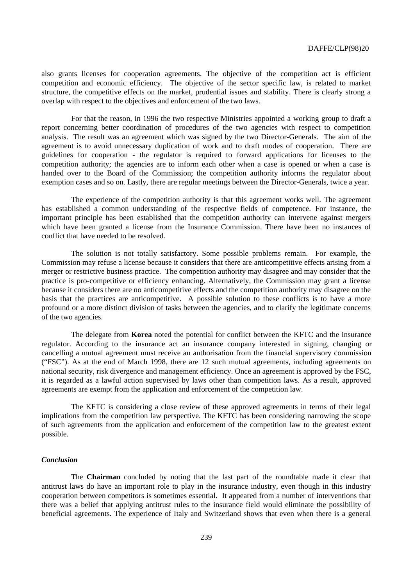also grants licenses for cooperation agreements. The objective of the competition act is efficient competition and economic efficiency. The objective of the sector specific law, is related to market structure, the competitive effects on the market, prudential issues and stability. There is clearly strong a overlap with respect to the objectives and enforcement of the two laws.

For that the reason, in 1996 the two respective Ministries appointed a working group to draft a report concerning better coordination of procedures of the two agencies with respect to competition analysis. The result was an agreement which was signed by the two Director-Generals. The aim of the agreement is to avoid unnecessary duplication of work and to draft modes of cooperation. There are guidelines for cooperation - the regulator is required to forward applications for licenses to the competition authority; the agencies are to inform each other when a case is opened or when a case is handed over to the Board of the Commission; the competition authority informs the regulator about exemption cases and so on. Lastly, there are regular meetings between the Director-Generals, twice a year.

The experience of the competition authority is that this agreement works well. The agreement has established a common understanding of the respective fields of competence. For instance, the important principle has been established that the competition authority can intervene against mergers which have been granted a license from the Insurance Commission. There have been no instances of conflict that have needed to be resolved.

The solution is not totally satisfactory. Some possible problems remain. For example, the Commission may refuse a license because it considers that there are anticompetitive effects arising from a merger or restrictive business practice. The competition authority may disagree and may consider that the practice is pro-competitive or efficiency enhancing. Alternatively, the Commission may grant a license because it considers there are no anticompetitive effects and the competition authority may disagree on the basis that the practices are anticompetitive. A possible solution to these conflicts is to have a more profound or a more distinct division of tasks between the agencies, and to clarify the legitimate concerns of the two agencies.

The delegate from **Korea** noted the potential for conflict between the KFTC and the insurance regulator. According to the insurance act an insurance company interested in signing, changing or cancelling a mutual agreement must receive an authorisation from the financial supervisory commission ("FSC"). As at the end of March 1998, there are 12 such mutual agreements, including agreements on national security, risk divergence and management efficiency. Once an agreement is approved by the FSC, it is regarded as a lawful action supervised by laws other than competition laws. As a result, approved agreements are exempt from the application and enforcement of the competition law.

The KFTC is considering a close review of these approved agreements in terms of their legal implications from the competition law perspective. The KFTC has been considering narrowing the scope of such agreements from the application and enforcement of the competition law to the greatest extent possible.

# *Conclusion*

The **Chairman** concluded by noting that the last part of the roundtable made it clear that antitrust laws do have an important role to play in the insurance industry, even though in this industry cooperation between competitors is sometimes essential. It appeared from a number of interventions that there was a belief that applying antitrust rules to the insurance field would eliminate the possibility of beneficial agreements. The experience of Italy and Switzerland shows that even when there is a general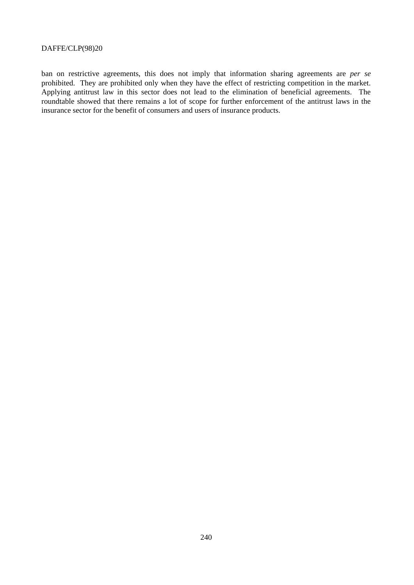ban on restrictive agreements, this does not imply that information sharing agreements are *per se* prohibited. They are prohibited only when they have the effect of restricting competition in the market. Applying antitrust law in this sector does not lead to the elimination of beneficial agreements. The roundtable showed that there remains a lot of scope for further enforcement of the antitrust laws in the insurance sector for the benefit of consumers and users of insurance products.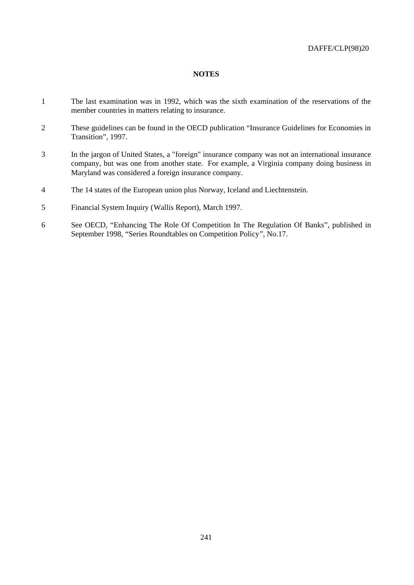# **NOTES**

- 1 The last examination was in 1992, which was the sixth examination of the reservations of the member countries in matters relating to insurance.
- 2 These guidelines can be found in the OECD publication "Insurance Guidelines for Economies in Transition", 1997.
- 3 In the jargon of United States, a "foreign" insurance company was not an international insurance company, but was one from another state. For example, a Virginia company doing business in Maryland was considered a foreign insurance company.
- 4 The 14 states of the European union plus Norway, Iceland and Liechtenstein.
- 5 Financial System Inquiry (Wallis Report), March 1997.
- 6 See OECD, "Enhancing The Role Of Competition In The Regulation Of Banks", published in September 1998, "Series Roundtables on Competition Policy", No.17.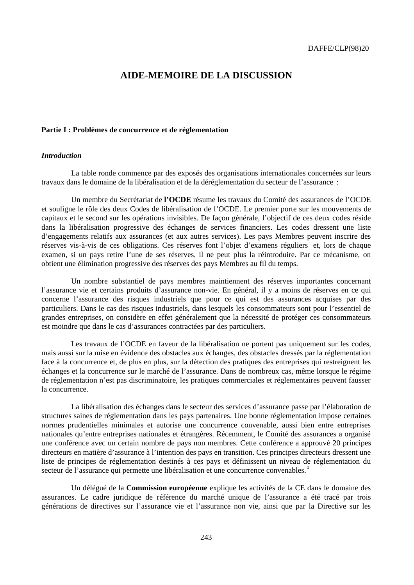# **AIDE-MEMOIRE DE LA DISCUSSION**

### **Partie I : Problèmes de concurrence et de réglementation**

# *Introduction*

La table ronde commence par des exposés des organisations internationales concernées sur leurs travaux dans le domaine de la libéralisation et de la déréglementation du secteur de l'assurance :

Un membre du Secrétariat de **l'OCDE** résume les travaux du Comité des assurances de l'OCDE et souligne le rôle des deux Codes de libéralisation de l'OCDE. Le premier porte sur les mouvements de capitaux et le second sur les opérations invisibles. De façon générale, l'objectif de ces deux codes réside dans la libéralisation progressive des échanges de services financiers. Les codes dressent une liste d'engagements relatifs aux assurances (et aux autres services). Les pays Membres peuvent inscrire des réserves vis-à-vis de ces obligations. Ces réserves font l'objet d'examens réguliers<sup>1</sup> et, lors de chaque examen, si un pays retire l'une de ses réserves, il ne peut plus la réintroduire. Par ce mécanisme, on obtient une élimination progressive des réserves des pays Membres au fil du temps.

Un nombre substantiel de pays membres maintiennent des réserves importantes concernant l'assurance vie et certains produits d'assurance non-vie. En général, il y a moins de réserves en ce qui concerne l'assurance des risques industriels que pour ce qui est des assurances acquises par des particuliers. Dans le cas des risques industriels, dans lesquels les consommateurs sont pour l'essentiel de grandes entreprises, on considère en effet généralement que la nécessité de protéger ces consommateurs est moindre que dans le cas d'assurances contractées par des particuliers.

Les travaux de l'OCDE en faveur de la libéralisation ne portent pas uniquement sur les codes, mais aussi sur la mise en évidence des obstacles aux échanges, des obstacles dressés par la réglementation face à la concurrence et, de plus en plus, sur la détection des pratiques des entreprises qui restreignent les échanges et la concurrence sur le marché de l'assurance. Dans de nombreux cas, même lorsque le régime de réglementation n'est pas discriminatoire, les pratiques commerciales et réglementaires peuvent fausser la concurrence.

La libéralisation des échanges dans le secteur des services d'assurance passe par l'élaboration de structures saines de réglementation dans les pays partenaires. Une bonne réglementation impose certaines normes prudentielles minimales et autorise une concurrence convenable, aussi bien entre entreprises nationales qu'entre entreprises nationales et étrangères. Récemment, le Comité des assurances a organisé une conférence avec un certain nombre de pays non membres. Cette conférence a approuvé 20 principes directeurs en matière d'assurance à l'intention des pays en transition. Ces principes directeurs dressent une liste de principes de réglementation destinés à ces pays et définissent un niveau de réglementation du secteur de l'assurance qui permette une libéralisation et une concurrence convenables.<sup>2</sup>

Un délégué de la **Commission européenne** explique les activités de la CE dans le domaine des assurances. Le cadre juridique de référence du marché unique de l'assurance a été tracé par trois générations de directives sur l'assurance vie et l'assurance non vie, ainsi que par la Directive sur les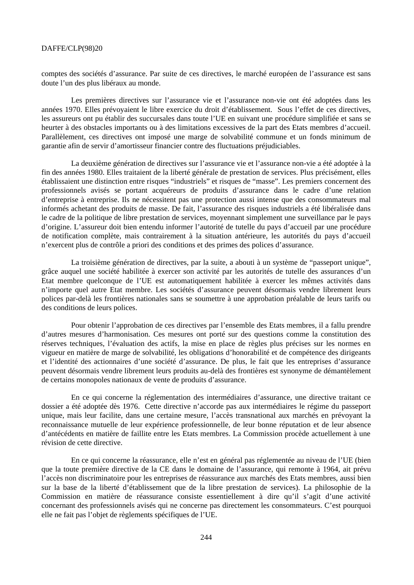comptes des sociétés d'assurance. Par suite de ces directives, le marché européen de l'assurance est sans doute l'un des plus libéraux au monde.

Les premières directives sur l'assurance vie et l'assurance non-vie ont été adoptées dans les années 1970. Elles prévoyaient le libre exercice du droit d'établissement. Sous l'effet de ces directives, les assureurs ont pu établir des succursales dans toute l'UE en suivant une procédure simplifiée et sans se heurter à des obstacles importants ou à des limitations excessives de la part des Etats membres d'accueil. Parallèlement, ces directives ont imposé une marge de solvabilité commune et un fonds minimum de garantie afin de servir d'amortisseur financier contre des fluctuations préjudiciables.

La deuxième génération de directives sur l'assurance vie et l'assurance non-vie a été adoptée à la fin des années 1980. Elles traitaient de la liberté générale de prestation de services. Plus précisément, elles établissaient une distinction entre risques "industriels" et risques de "masse". Les premiers concernent des professionnels avisés se portant acquéreurs de produits d'assurance dans le cadre d'une relation d'entreprise à entreprise. Ils ne nécessitent pas une protection aussi intense que des consommateurs mal informés achetant des produits de masse. De fait, l'assurance des risques industriels a été libéralisée dans le cadre de la politique de libre prestation de services, moyennant simplement une surveillance par le pays d'origine. L'assureur doit bien entendu informer l'autorité de tutelle du pays d'accueil par une procédure de notification complète, mais contrairement à la situation antérieure, les autorités du pays d'accueil n'exercent plus de contrôle a priori des conditions et des primes des polices d'assurance.

La troisième génération de directives, par la suite, a abouti à un système de "passeport unique", grâce auquel une société habilitée à exercer son activité par les autorités de tutelle des assurances d'un Etat membre quelconque de l'UE est automatiquement habilitée à exercer les mêmes activités dans n'importe quel autre Etat membre. Les sociétés d'assurance peuvent désormais vendre librement leurs polices par-delà les frontières nationales sans se soumettre à une approbation préalable de leurs tarifs ou des conditions de leurs polices.

Pour obtenir l'approbation de ces directives par l'ensemble des Etats membres, il a fallu prendre d'autres mesures d'harmonisation. Ces mesures ont porté sur des questions comme la constitution des réserves techniques, l'évaluation des actifs, la mise en place de règles plus précises sur les normes en vigueur en matière de marge de solvabilité, les obligations d'honorabilité et de compétence des dirigeants et l'identité des actionnaires d'une société d'assurance. De plus, le fait que les entreprises d'assurance peuvent désormais vendre librement leurs produits au-delà des frontières est synonyme de démantèlement de certains monopoles nationaux de vente de produits d'assurance.

En ce qui concerne la réglementation des intermédiaires d'assurance, une directive traitant ce dossier a été adoptée dès 1976. Cette directive n'accorde pas aux intermédiaires le régime du passeport unique, mais leur facilite, dans une certaine mesure, l'accès transnational aux marchés en prévoyant la reconnaissance mutuelle de leur expérience professionnelle, de leur bonne réputation et de leur absence d'antécédents en matière de faillite entre les Etats membres. La Commission procède actuellement à une révision de cette directive.

En ce qui concerne la réassurance, elle n'est en général pas réglementée au niveau de l'UE (bien que la toute première directive de la CE dans le domaine de l'assurance, qui remonte à 1964, ait prévu l'accès non discriminatoire pour les entreprises de réassurance aux marchés des Etats membres, aussi bien sur la base de la liberté d'établissement que de la libre prestation de services). La philosophie de la Commission en matière de réassurance consiste essentiellement à dire qu'il s'agit d'une activité concernant des professionnels avisés qui ne concerne pas directement les consommateurs. C'est pourquoi elle ne fait pas l'objet de règlements spécifiques de l'UE.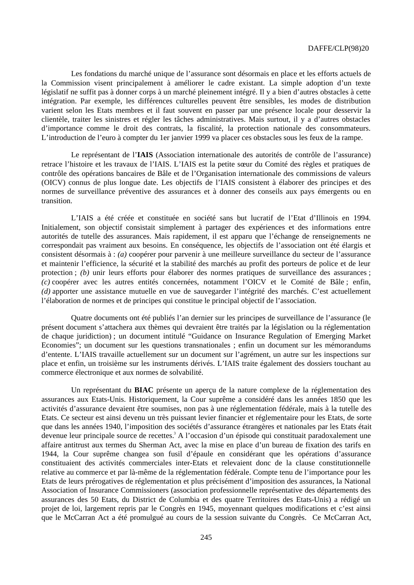Les fondations du marché unique de l'assurance sont désormais en place et les efforts actuels de la Commission visent principalement à améliorer le cadre existant. La simple adoption d'un texte législatif ne suffit pas à donner corps à un marché pleinement intégré. Il y a bien d'autres obstacles à cette intégration. Par exemple, les différences culturelles peuvent être sensibles, les modes de distribution varient selon les Etats membres et il faut souvent en passer par une présence locale pour desservir la clientèle, traiter les sinistres et régler les tâches administratives. Mais surtout, il y a d'autres obstacles d'importance comme le droit des contrats, la fiscalité, la protection nationale des consommateurs. L'introduction de l'euro à compter du 1er janvier 1999 va placer ces obstacles sous les feux de la rampe.

Le représentant de l'**IAIS** (Association internationale des autorités de contrôle de l'assurance) retrace l'histoire et les travaux de l'IAIS. L'IAIS est la petite sœur du Comité des règles et pratiques de contrôle des opérations bancaires de Bâle et de l'Organisation internationale des commissions de valeurs (OICV) connus de plus longue date. Les objectifs de l'IAIS consistent à élaborer des principes et des normes de surveillance préventive des assurances et à donner des conseils aux pays émergents ou en transition.

L'IAIS a été créée et constituée en société sans but lucratif de l'Etat d'Illinois en 1994. Initialement, son objectif consistait simplement à partager des expériences et des informations entre autorités de tutelle des assurances. Mais rapidement, il est apparu que l'échange de renseignements ne correspondait pas vraiment aux besoins. En conséquence, les objectifs de l'association ont été élargis et consistent désormais à : *(a)* coopérer pour parvenir à une meilleure surveillance du secteur de l'assurance et maintenir l'efficience, la sécurité et la stabilité des marchés au profit des porteurs de police et de leur protection ; *(b)* unir leurs efforts pour élaborer des normes pratiques de surveillance des assurances ; *(c)* coopérer avec les autres entités concernées, notamment l'OICV et le Comité de Bâle ; enfin, *(d)* apporter une assistance mutuelle en vue de sauvegarder l'intégrité des marchés. C'est actuellement l'élaboration de normes et de principes qui constitue le principal objectif de l'association.

Quatre documents ont été publiés l'an dernier sur les principes de surveillance de l'assurance (le présent document s'attachera aux thèmes qui devraient être traités par la législation ou la réglementation de chaque juridiction) ; un document intitulé "Guidance on Insurance Regulation of Emerging Market Economies"; un document sur les questions transnationales ; enfin un document sur les mémorandums d'entente. L'IAIS travaille actuellement sur un document sur l'agrément, un autre sur les inspections sur place et enfin, un troisième sur les instruments dérivés. L'IAIS traite également des dossiers touchant au commerce électronique et aux normes de solvabilité.

Un représentant du **BIAC** présente un aperçu de la nature complexe de la réglementation des assurances aux Etats-Unis. Historiquement, la Cour suprême a considéré dans les années 1850 que les activités d'assurance devaient être soumises, non pas à une réglementation fédérale, mais à la tutelle des Etats. Ce secteur est ainsi devenu un très puissant levier financier et réglementaire pour les Etats, de sorte que dans les années 1940, l'imposition des sociétés d'assurance étrangères et nationales par les Etats était devenue leur principale source de recettes.<sup>3</sup> A l'occasion d'un épisode qui constituait paradoxalement une affaire antitrust aux termes du Sherman Act, avec la mise en place d'un bureau de fixation des tarifs en 1944, la Cour suprême changea son fusil d'épaule en considérant que les opérations d'assurance constituaient des activités commerciales inter-Etats et relevaient donc de la clause constitutionnelle relative au commerce et par là-même de la réglementation fédérale. Compte tenu de l'importance pour les Etats de leurs prérogatives de réglementation et plus précisément d'imposition des assurances, la National Association of Insurance Commissioners (association professionnelle représentative des départements des assurances des 50 Etats, du District de Columbia et des quatre Territoires des Etats-Unis) a rédigé un projet de loi, largement repris par le Congrès en 1945, moyennant quelques modifications et c'est ainsi que le McCarran Act a été promulgué au cours de la session suivante du Congrès. Ce McCarran Act,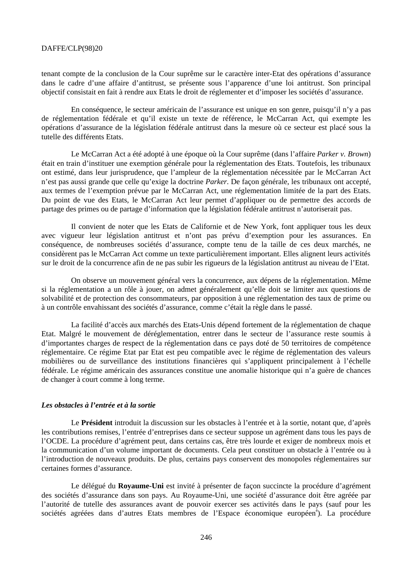tenant compte de la conclusion de la Cour suprême sur le caractère inter-Etat des opérations d'assurance dans le cadre d'une affaire d'antitrust, se présente sous l'apparence d'une loi antitrust. Son principal objectif consistait en fait à rendre aux Etats le droit de réglementer et d'imposer les sociétés d'assurance.

En conséquence, le secteur américain de l'assurance est unique en son genre, puisqu'il n'y a pas de réglementation fédérale et qu'il existe un texte de référence, le McCarran Act, qui exempte les opérations d'assurance de la législation fédérale antitrust dans la mesure où ce secteur est placé sous la tutelle des différents Etats.

Le McCarran Act a été adopté à une époque où la Cour suprême (dans l'affaire *Parker v. Brown*) était en train d'instituer une exemption générale pour la réglementation des Etats. Toutefois, les tribunaux ont estimé, dans leur jurisprudence, que l'ampleur de la réglementation nécessitée par le McCarran Act n'est pas aussi grande que celle qu'exige la doctrine *Parker*. De façon générale, les tribunaux ont accepté, aux termes de l'exemption prévue par le McCarran Act, une réglementation limitée de la part des Etats. Du point de vue des Etats, le McCarran Act leur permet d'appliquer ou de permettre des accords de partage des primes ou de partage d'information que la législation fédérale antitrust n'autoriserait pas.

Il convient de noter que les Etats de Californie et de New York, font appliquer tous les deux avec vigueur leur législation antitrust et n'ont pas prévu d'exemption pour les assurances. En conséquence, de nombreuses sociétés d'assurance, compte tenu de la taille de ces deux marchés, ne considèrent pas le McCarran Act comme un texte particulièrement important. Elles alignent leurs activités sur le droit de la concurrence afin de ne pas subir les rigueurs de la législation antitrust au niveau de l'Etat.

On observe un mouvement général vers la concurrence, aux dépens de la réglementation. Même si la réglementation a un rôle à jouer, on admet généralement qu'elle doit se limiter aux questions de solvabilité et de protection des consommateurs, par opposition à une réglementation des taux de prime ou à un contrôle envahissant des sociétés d'assurance, comme c'était la règle dans le passé.

La facilité d'accès aux marchés des Etats-Unis dépend fortement de la réglementation de chaque Etat. Malgré le mouvement de déréglementation, entrer dans le secteur de l'assurance reste soumis à d'importantes charges de respect de la réglementation dans ce pays doté de 50 territoires de compétence réglementaire. Ce régime Etat par Etat est peu compatible avec le régime de réglementation des valeurs mobilières ou de surveillance des institutions financières qui s'appliquent principalement à l'échelle fédérale. Le régime américain des assurances constitue une anomalie historique qui n'a guère de chances de changer à court comme à long terme.

## *Les obstacles à l'entrée et à la sortie*

Le **Président** introduit la discussion sur les obstacles à l'entrée et à la sortie, notant que, d'après les contributions remises, l'entrée d'entreprises dans ce secteur suppose un agrément dans tous les pays de l'OCDE. La procédure d'agrément peut, dans certains cas, être très lourde et exiger de nombreux mois et la communication d'un volume important de documents. Cela peut constituer un obstacle à l'entrée ou à l'introduction de nouveaux produits. De plus, certains pays conservent des monopoles réglementaires sur certaines formes d'assurance.

Le délégué du **Royaume-Uni** est invité à présenter de façon succincte la procédure d'agrément des sociétés d'assurance dans son pays. Au Royaume-Uni, une société d'assurance doit être agréée par l'autorité de tutelle des assurances avant de pouvoir exercer ses activités dans le pays (sauf pour les sociétés agréées dans d'autres Etats membres de l'Espace économique européen<sup>4</sup>). La procédure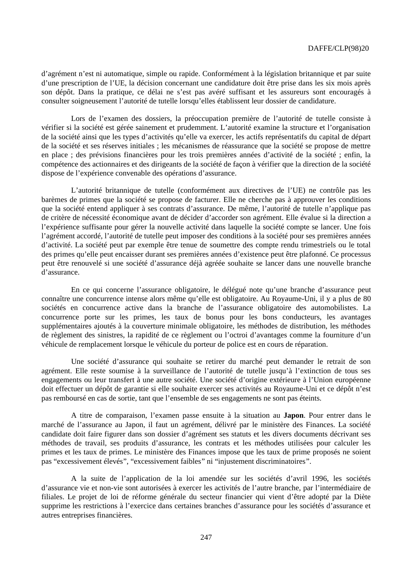d'agrément n'est ni automatique, simple ou rapide. Conformément à la législation britannique et par suite d'une prescription de l'UE, la décision concernant une candidature doit être prise dans les six mois après son dépôt. Dans la pratique, ce délai ne s'est pas avéré suffisant et les assureurs sont encouragés à consulter soigneusement l'autorité de tutelle lorsqu'elles établissent leur dossier de candidature.

Lors de l'examen des dossiers, la préoccupation première de l'autorité de tutelle consiste à vérifier si la société est gérée sainement et prudemment. L'autorité examine la structure et l'organisation de la société ainsi que les types d'activités qu'elle va exercer, les actifs représentatifs du capital de départ de la société et ses réserves initiales ; les mécanismes de réassurance que la société se propose de mettre en place ; des prévisions financières pour les trois premières années d'activité de la société ; enfin, la compétence des actionnaires et des dirigeants de la société de façon à vérifier que la direction de la société dispose de l'expérience convenable des opérations d'assurance.

L'autorité britannique de tutelle (conformément aux directives de l'UE) ne contrôle pas les barèmes de primes que la société se propose de facturer. Elle ne cherche pas à approuver les conditions que la société entend appliquer à ses contrats d'assurance. De même, l'autorité de tutelle n'applique pas de critère de nécessité économique avant de décider d'accorder son agrément. Elle évalue si la direction a l'expérience suffisante pour gérer la nouvelle activité dans laquelle la société compte se lancer. Une fois l'agrément accordé, l'autorité de tutelle peut imposer des conditions à la société pour ses premières années d'activité. La société peut par exemple être tenue de soumettre des compte rendu trimestriels ou le total des primes qu'elle peut encaisser durant ses premières années d'existence peut être plafonné. Ce processus peut être renouvelé si une société d'assurance déjà agréée souhaite se lancer dans une nouvelle branche d'assurance.

En ce qui concerne l'assurance obligatoire, le délégué note qu'une branche d'assurance peut connaître une concurrence intense alors même qu'elle est obligatoire. Au Royaume-Uni, il y a plus de 80 sociétés en concurrence active dans la branche de l'assurance obligatoire des automobilistes. La concurrence porte sur les primes, les taux de bonus pour les bons conducteurs, les avantages supplémentaires ajoutés à la couverture minimale obligatoire, les méthodes de distribution, les méthodes de règlement des sinistres, la rapidité de ce règlement ou l'octroi d'avantages comme la fourniture d'un véhicule de remplacement lorsque le véhicule du porteur de police est en cours de réparation.

Une société d'assurance qui souhaite se retirer du marché peut demander le retrait de son agrément. Elle reste soumise à la surveillance de l'autorité de tutelle jusqu'à l'extinction de tous ses engagements ou leur transfert à une autre société. Une société d'origine extérieure à l'Union européenne doit effectuer un dépôt de garantie si elle souhaite exercer ses activités au Royaume-Uni et ce dépôt n'est pas remboursé en cas de sortie, tant que l'ensemble de ses engagements ne sont pas éteints.

A titre de comparaison, l'examen passe ensuite à la situation au **Japon**. Pour entrer dans le marché de l'assurance au Japon, il faut un agrément, délivré par le ministère des Finances. La société candidate doit faire figurer dans son dossier d'agrément ses statuts et les divers documents décrivant ses méthodes de travail, ses produits d'assurance, les contrats et les méthodes utilisées pour calculer les primes et les taux de primes. Le ministère des Finances impose que les taux de prime proposés ne soient pas "excessivement élevés", "excessivement faibles" ni "injustement discriminatoires".

A la suite de l'application de la loi amendée sur les sociétés d'avril 1996, les sociétés d'assurance vie et non-vie sont autorisées à exercer les activités de l'autre branche, par l'intermédiaire de filiales. Le projet de loi de réforme générale du secteur financier qui vient d'être adopté par la Diète supprime les restrictions à l'exercice dans certaines branches d'assurance pour les sociétés d'assurance et autres entreprises financières.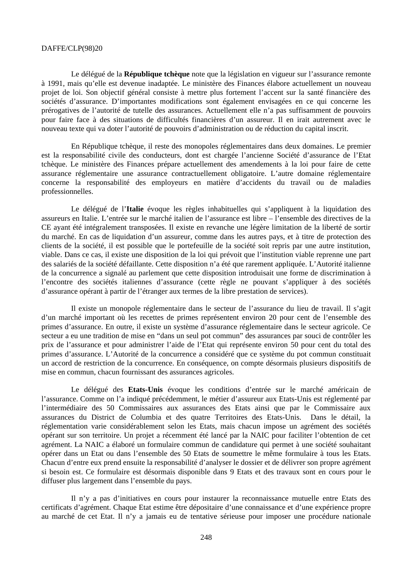Le délégué de la **République tchèque** note que la législation en vigueur sur l'assurance remonte à 1991, mais qu'elle est devenue inadaptée. Le ministère des Finances élabore actuellement un nouveau projet de loi. Son objectif général consiste à mettre plus fortement l'accent sur la santé financière des sociétés d'assurance. D'importantes modifications sont également envisagées en ce qui concerne les prérogatives de l'autorité de tutelle des assurances. Actuellement elle n'a pas suffisamment de pouvoirs pour faire face à des situations de difficultés financières d'un assureur. Il en irait autrement avec le nouveau texte qui va doter l'autorité de pouvoirs d'administration ou de réduction du capital inscrit.

En République tchèque, il reste des monopoles réglementaires dans deux domaines. Le premier est la responsabilité civile des conducteurs, dont est chargée l'ancienne Société d'assurance de l'Etat tchèque. Le ministère des Finances prépare actuellement des amendements à la loi pour faire de cette assurance réglementaire une assurance contractuellement obligatoire. L'autre domaine réglementaire concerne la responsabilité des employeurs en matière d'accidents du travail ou de maladies professionnelles.

Le délégué de l'**Italie** évoque les règles inhabituelles qui s'appliquent à la liquidation des assureurs en Italie. L'entrée sur le marché italien de l'assurance est libre – l'ensemble des directives de la CE ayant été intégralement transposées. Il existe en revanche une légère limitation de la liberté de sortir du marché. En cas de liquidation d'un assureur, comme dans les autres pays, et à titre de protection des clients de la société, il est possible que le portefeuille de la société soit repris par une autre institution, viable. Dans ce cas, il existe une disposition de la loi qui prévoit que l'institution viable reprenne une part des salariés de la société défaillante. Cette disposition n'a été que rarement appliquée. L'Autorité italienne de la concurrence a signalé au parlement que cette disposition introduisait une forme de discrimination à l'encontre des sociétés italiennes d'assurance (cette règle ne pouvant s'appliquer à des sociétés d'assurance opérant à partir de l'étranger aux termes de la libre prestation de services).

Il existe un monopole réglementaire dans le secteur de l'assurance du lieu de travail. Il s'agit d'un marché important où les recettes de primes représentent environ 20 pour cent de l'ensemble des primes d'assurance. En outre, il existe un système d'assurance réglementaire dans le secteur agricole. Ce secteur a eu une tradition de mise en "dans un seul pot commun" des assurances par souci de contrôler les prix de l'assurance et pour administrer l'aide de l'Etat qui représente environ 50 pour cent du total des primes d'assurance. L'Autorité de la concurrence a considéré que ce système du pot commun constituait un accord de restriction de la concurrence. En conséquence, on compte désormais plusieurs dispositifs de mise en commun, chacun fournissant des assurances agricoles.

Le délégué des **Etats-Unis** évoque les conditions d'entrée sur le marché américain de l'assurance. Comme on l'a indiqué précédemment, le métier d'assureur aux Etats-Unis est réglementé par l'intermédiaire des 50 Commissaires aux assurances des Etats ainsi que par le Commissaire aux assurances du District de Columbia et des quatre Territoires des Etats-Unis. Dans le détail, la réglementation varie considérablement selon les Etats, mais chacun impose un agrément des sociétés opérant sur son territoire. Un projet a récemment été lancé par la NAIC pour faciliter l'obtention de cet agrément. La NAIC a élaboré un formulaire commun de candidature qui permet à une société souhaitant opérer dans un Etat ou dans l'ensemble des 50 Etats de soumettre le même formulaire à tous les Etats. Chacun d'entre eux prend ensuite la responsabilité d'analyser le dossier et de délivrer son propre agrément si besoin est. Ce formulaire est désormais disponible dans 9 Etats et des travaux sont en cours pour le diffuser plus largement dans l'ensemble du pays.

Il n'y a pas d'initiatives en cours pour instaurer la reconnaissance mutuelle entre Etats des certificats d'agrément. Chaque Etat estime être dépositaire d'une connaissance et d'une expérience propre au marché de cet Etat. Il n'y a jamais eu de tentative sérieuse pour imposer une procédure nationale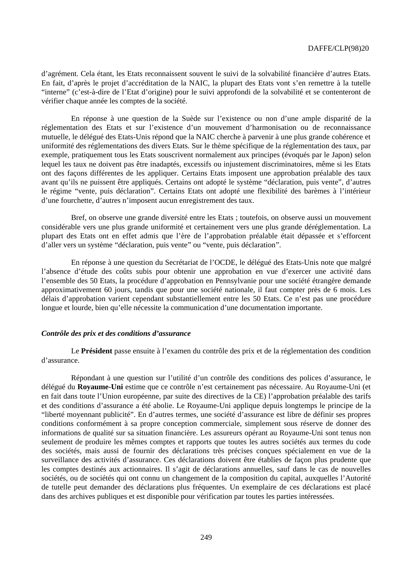d'agrément. Cela étant, les Etats reconnaissent souvent le suivi de la solvabilité financière d'autres Etats. En fait, d'après le projet d'accréditation de la NAIC, la plupart des Etats vont s'en remettre à la tutelle "interne" (c'est-à-dire de l'Etat d'origine) pour le suivi approfondi de la solvabilité et se contenteront de vérifier chaque année les comptes de la société.

En réponse à une question de la Suède sur l'existence ou non d'une ample disparité de la réglementation des Etats et sur l'existence d'un mouvement d'harmonisation ou de reconnaissance mutuelle, le délégué des Etats-Unis répond que la NAIC cherche à parvenir à une plus grande cohérence et uniformité des réglementations des divers Etats. Sur le thème spécifique de la réglementation des taux, par exemple, pratiquement tous les Etats souscrivent normalement aux principes (évoqués par le Japon) selon lequel les taux ne doivent pas être inadaptés, excessifs ou injustement discriminatoires, même si les Etats ont des façons différentes de les appliquer. Certains Etats imposent une approbation préalable des taux avant qu'ils ne puissent être appliqués. Certains ont adopté le système "déclaration, puis vente", d'autres le régime "vente, puis déclaration". Certains Etats ont adopté une flexibilité des barèmes à l'intérieur d'une fourchette, d'autres n'imposent aucun enregistrement des taux.

Bref, on observe une grande diversité entre les Etats ; toutefois, on observe aussi un mouvement considérable vers une plus grande uniformité et certainement vers une plus grande déréglementation. La plupart des Etats ont en effet admis que l'ère de l'approbation préalable était dépassée et s'efforcent d'aller vers un système "déclaration, puis vente" ou "vente, puis déclaration".

En réponse à une question du Secrétariat de l'OCDE, le délégué des Etats-Unis note que malgré l'absence d'étude des coûts subis pour obtenir une approbation en vue d'exercer une activité dans l'ensemble des 50 Etats, la procédure d'approbation en Pennsylvanie pour une société étrangère demande approximativement 60 jours, tandis que pour une société nationale, il faut compter près de 6 mois. Les délais d'approbation varient cependant substantiellement entre les 50 Etats. Ce n'est pas une procédure longue et lourde, bien qu'elle nécessite la communication d'une documentation importante.

#### *Contrôle des prix et des conditions d'assurance*

Le **Président** passe ensuite à l'examen du contrôle des prix et de la réglementation des condition d'assurance.

Répondant à une question sur l'utilité d'un contrôle des conditions des polices d'assurance, le délégué du **Royaume-Uni** estime que ce contrôle n'est certainement pas nécessaire. Au Royaume-Uni (et en fait dans toute l'Union européenne, par suite des directives de la CE) l'approbation préalable des tarifs et des conditions d'assurance a été abolie. Le Royaume-Uni applique depuis longtemps le principe de la "liberté moyennant publicité". En d'autres termes, une société d'assurance est libre de définir ses propres conditions conformément à sa propre conception commerciale, simplement sous réserve de donner des informations de qualité sur sa situation financière. Les assureurs opérant au Royaume-Uni sont tenus non seulement de produire les mêmes comptes et rapports que toutes les autres sociétés aux termes du code des sociétés, mais aussi de fournir des déclarations très précises conçues spécialement en vue de la surveillance des activités d'assurance. Ces déclarations doivent être établies de façon plus prudente que les comptes destinés aux actionnaires. Il s'agit de déclarations annuelles, sauf dans le cas de nouvelles sociétés, ou de sociétés qui ont connu un changement de la composition du capital, auxquelles l'Autorité de tutelle peut demander des déclarations plus fréquentes. Un exemplaire de ces déclarations est placé dans des archives publiques et est disponible pour vérification par toutes les parties intéressées.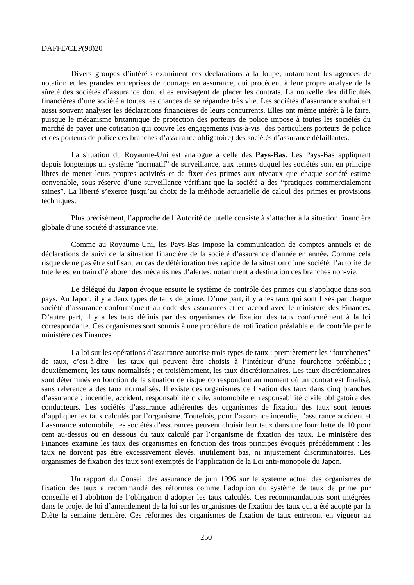Divers groupes d'intérêts examinent ces déclarations à la loupe, notamment les agences de notation et les grandes entreprises de courtage en assurance, qui procèdent à leur propre analyse de la sûreté des sociétés d'assurance dont elles envisagent de placer les contrats. La nouvelle des difficultés financières d'une société a toutes les chances de se répandre très vite. Les sociétés d'assurance souhaitent aussi souvent analyser les déclarations financières de leurs concurrents. Elles ont même intérêt à le faire, puisque le mécanisme britannique de protection des porteurs de police impose à toutes les sociétés du marché de payer une cotisation qui couvre les engagements (vis-à-vis des particuliers porteurs de police et des porteurs de police des branches d'assurance obligatoire) des sociétés d'assurance défaillantes.

La situation du Royaume-Uni est analogue à celle des **Pays-Bas**. Les Pays-Bas appliquent depuis longtemps un système "normatif" de surveillance, aux termes duquel les sociétés sont en principe libres de mener leurs propres activités et de fixer des primes aux niveaux que chaque société estime convenable, sous réserve d'une surveillance vérifiant que la société a des "pratiques commercialement saines". La liberté s'exerce jusqu'au choix de la méthode actuarielle de calcul des primes et provisions techniques.

Plus précisément, l'approche de l'Autorité de tutelle consiste à s'attacher à la situation financière globale d'une société d'assurance vie.

Comme au Royaume-Uni, les Pays-Bas impose la communication de comptes annuels et de déclarations de suivi de la situation financière de la société d'assurance d'année en année. Comme cela risque de ne pas être suffisant en cas de détérioration très rapide de la situation d'une société, l'autorité de tutelle est en train d'élaborer des mécanismes d'alertes, notamment à destination des branches non-vie.

Le délégué du **Japon** évoque ensuite le système de contrôle des primes qui s'applique dans son pays. Au Japon, il y a deux types de taux de prime. D'une part, il y a les taux qui sont fixés par chaque société d'assurance conformément au code des assurances et en accord avec le ministère des Finances. D'autre part, il y a les taux définis par des organismes de fixation des taux conformément à la loi correspondante. Ces organismes sont soumis à une procédure de notification préalable et de contrôle par le ministère des Finances.

La loi sur les opérations d'assurance autorise trois types de taux : premièrement les "fourchettes" de taux, c'est-à-dire les taux qui peuvent être choisis à l'intérieur d'une fourchette préétablie ; deuxièmement, les taux normalisés ; et troisièmement, les taux discrétionnaires. Les taux discrétionnaires sont déterminés en fonction de la situation de risque correspondant au moment où un contrat est finalisé, sans référence à des taux normalisés. Il existe des organismes de fixation des taux dans cinq branches d'assurance : incendie, accident, responsabilité civile, automobile et responsabilité civile obligatoire des conducteurs. Les sociétés d'assurance adhérentes des organismes de fixation des taux sont tenues d'appliquer les taux calculés par l'organisme. Toutefois, pour l'assurance incendie, l'assurance accident et l'assurance automobile, les sociétés d'assurances peuvent choisir leur taux dans une fourchette de 10 pour cent au-dessus ou en dessous du taux calculé par l'organisme de fixation des taux. Le ministère des Finances examine les taux des organismes en fonction des trois principes évoqués précédemment : les taux ne doivent pas être excessivement élevés, inutilement bas, ni injustement discriminatoires. Les organismes de fixation des taux sont exemptés de l'application de la Loi anti-monopole du Japon.

Un rapport du Conseil des assurance de juin 1996 sur le système actuel des organismes de fixation des taux a recommandé des réformes comme l'adoption du système de taux de prime pur conseillé et l'abolition de l'obligation d'adopter les taux calculés. Ces recommandations sont intégrées dans le projet de loi d'amendement de la loi sur les organismes de fixation des taux qui a été adopté par la Diète la semaine dernière. Ces réformes des organismes de fixation de taux entreront en vigueur au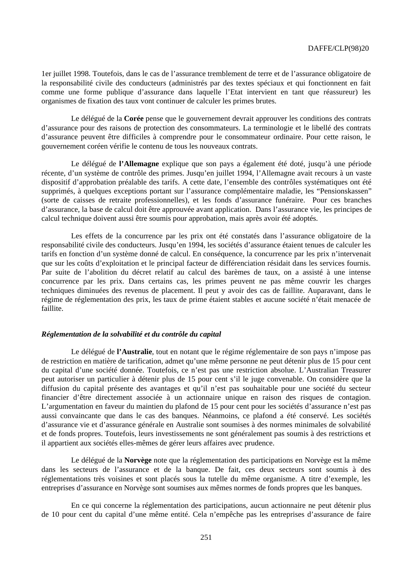1er juillet 1998. Toutefois, dans le cas de l'assurance tremblement de terre et de l'assurance obligatoire de la responsabilité civile des conducteurs (administrés par des textes spéciaux et qui fonctionnent en fait comme une forme publique d'assurance dans laquelle l'Etat intervient en tant que réassureur) les organismes de fixation des taux vont continuer de calculer les primes brutes.

Le délégué de la **Corée** pense que le gouvernement devrait approuver les conditions des contrats d'assurance pour des raisons de protection des consommateurs. La terminologie et le libellé des contrats d'assurance peuvent être difficiles à comprendre pour le consommateur ordinaire. Pour cette raison, le gouvernement coréen vérifie le contenu de tous les nouveaux contrats.

Le délégué de **l'Allemagne** explique que son pays a également été doté, jusqu'à une période récente, d'un système de contrôle des primes. Jusqu'en juillet 1994, l'Allemagne avait recours à un vaste dispositif d'approbation préalable des tarifs. A cette date, l'ensemble des contrôles systématiques ont été supprimés, à quelques exceptions portant sur l'assurance complémentaire maladie, les "Pensionskassen" (sorte de caisses de retraite professionnelles), et les fonds d'assurance funéraire. Pour ces branches d'assurance, la base de calcul doit être approuvée avant application. Dans l'assurance vie, les principes de calcul technique doivent aussi être soumis pour approbation, mais après avoir été adoptés.

Les effets de la concurrence par les prix ont été constatés dans l'assurance obligatoire de la responsabilité civile des conducteurs. Jusqu'en 1994, les sociétés d'assurance étaient tenues de calculer les tarifs en fonction d'un système donné de calcul. En conséquence, la concurrence par les prix n'intervenait que sur les coûts d'exploitation et le principal facteur de différenciation résidait dans les services fournis. Par suite de l'abolition du décret relatif au calcul des barèmes de taux, on a assisté à une intense concurrence par les prix. Dans certains cas, les primes peuvent ne pas même couvrir les charges techniques diminuées des revenus de placement. Il peut y avoir des cas de faillite. Auparavant, dans le régime de réglementation des prix, les taux de prime étaient stables et aucune société n'était menacée de faillite.

## *Réglementation de la solvabilité et du contrôle du capital*

Le délégué de **l'Australie**, tout en notant que le régime réglementaire de son pays n'impose pas de restriction en matière de tarification, admet qu'une même personne ne peut détenir plus de 15 pour cent du capital d'une société donnée. Toutefois, ce n'est pas une restriction absolue. L'Australian Treasurer peut autoriser un particulier à détenir plus de 15 pour cent s'il le juge convenable. On considère que la diffusion du capital présente des avantages et qu'il n'est pas souhaitable pour une société du secteur financier d'être directement associée à un actionnaire unique en raison des risques de contagion. L'argumentation en faveur du maintien du plafond de 15 pour cent pour les sociétés d'assurance n'est pas aussi convaincante que dans le cas des banques. Néanmoins, ce plafond a été conservé. Les sociétés d'assurance vie et d'assurance générale en Australie sont soumises à des normes minimales de solvabilité et de fonds propres. Toutefois, leurs investissements ne sont généralement pas soumis à des restrictions et il appartient aux sociétés elles-mêmes de gérer leurs affaires avec prudence.

Le délégué de la **Norvège** note que la réglementation des participations en Norvège est la même dans les secteurs de l'assurance et de la banque. De fait, ces deux secteurs sont soumis à des réglementations très voisines et sont placés sous la tutelle du même organisme. A titre d'exemple, les entreprises d'assurance en Norvège sont soumises aux mêmes normes de fonds propres que les banques.

En ce qui concerne la réglementation des participations, aucun actionnaire ne peut détenir plus de 10 pour cent du capital d'une même entité. Cela n'empêche pas les entreprises d'assurance de faire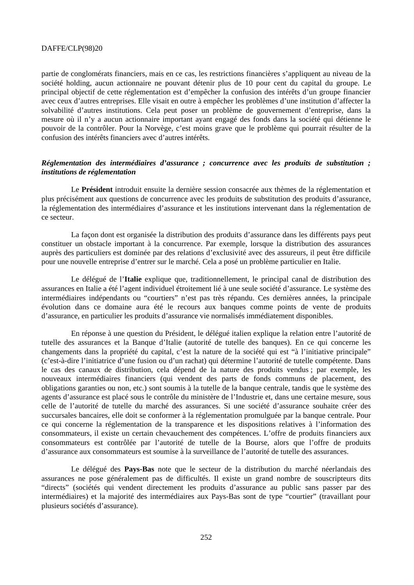partie de conglomérats financiers, mais en ce cas, les restrictions financières s'appliquent au niveau de la société holding, aucun actionnaire ne pouvant détenir plus de 10 pour cent du capital du groupe. Le principal objectif de cette réglementation est d'empêcher la confusion des intérêts d'un groupe financier avec ceux d'autres entreprises. Elle visait en outre à empêcher les problèmes d'une institution d'affecter la solvabilité d'autres institutions. Cela peut poser un problème de gouvernement d'entreprise, dans la mesure où il n'y a aucun actionnaire important ayant engagé des fonds dans la société qui détienne le pouvoir de la contrôler. Pour la Norvège, c'est moins grave que le problème qui pourrait résulter de la confusion des intérêts financiers avec d'autres intérêts.

### *Réglementation des intermédiaires d'assurance ; concurrence avec les produits de substitution ; institutions de réglementation*

Le **Président** introduit ensuite la dernière session consacrée aux thèmes de la réglementation et plus précisément aux questions de concurrence avec les produits de substitution des produits d'assurance, la réglementation des intermédiaires d'assurance et les institutions intervenant dans la réglementation de ce secteur.

La façon dont est organisée la distribution des produits d'assurance dans les différents pays peut constituer un obstacle important à la concurrence. Par exemple, lorsque la distribution des assurances auprès des particuliers est dominée par des relations d'exclusivité avec des assureurs, il peut être difficile pour une nouvelle entreprise d'entrer sur le marché. Cela a posé un problème particulier en Italie.

Le délégué de l'**Italie** explique que, traditionnellement, le principal canal de distribution des assurances en Italie a été l'agent individuel étroitement lié à une seule société d'assurance. Le système des intermédiaires indépendants ou "courtiers" n'est pas très répandu. Ces dernières années, la principale évolution dans ce domaine aura été le recours aux banques comme points de vente de produits d'assurance, en particulier les produits d'assurance vie normalisés immédiatement disponibles.

En réponse à une question du Président, le délégué italien explique la relation entre l'autorité de tutelle des assurances et la Banque d'Italie (autorité de tutelle des banques). En ce qui concerne les changements dans la propriété du capital, c'est la nature de la société qui est "à l'initiative principale" (c'est-à-dire l'initiatrice d'une fusion ou d'un rachat) qui détermine l'autorité de tutelle compétente. Dans le cas des canaux de distribution, cela dépend de la nature des produits vendus ; par exemple, les nouveaux intermédiaires financiers (qui vendent des parts de fonds communs de placement, des obligations garanties ou non, etc.) sont soumis à la tutelle de la banque centrale, tandis que le système des agents d'assurance est placé sous le contrôle du ministère de l'Industrie et, dans une certaine mesure, sous celle de l'autorité de tutelle du marché des assurances. Si une société d'assurance souhaite créer des succursales bancaires, elle doit se conformer à la réglementation promulguée par la banque centrale. Pour ce qui concerne la réglementation de la transparence et les dispositions relatives à l'information des consommateurs, il existe un certain chevauchement des compétences. L'offre de produits financiers aux consommateurs est contrôlée par l'autorité de tutelle de la Bourse, alors que l'offre de produits d'assurance aux consommateurs est soumise à la surveillance de l'autorité de tutelle des assurances.

Le délégué des **Pays-Bas** note que le secteur de la distribution du marché néerlandais des assurances ne pose généralement pas de difficultés. Il existe un grand nombre de souscripteurs dits "directs" (sociétés qui vendent directement les produits d'assurance au public sans passer par des intermédiaires) et la majorité des intermédiaires aux Pays-Bas sont de type "courtier" (travaillant pour plusieurs sociétés d'assurance).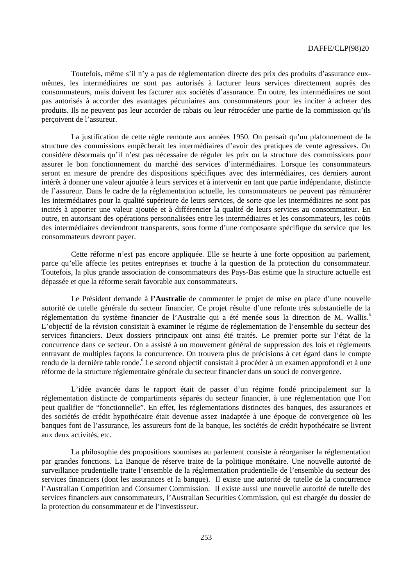Toutefois, même s'il n'y a pas de réglementation directe des prix des produits d'assurance euxmêmes, les intermédiaires ne sont pas autorisés à facturer leurs services directement auprès des consommateurs, mais doivent les facturer aux sociétés d'assurance. En outre, les intermédiaires ne sont pas autorisés à accorder des avantages pécuniaires aux consommateurs pour les inciter à acheter des produits. Ils ne peuvent pas leur accorder de rabais ou leur rétrocéder une partie de la commission qu'ils perçoivent de l'assureur.

La justification de cette règle remonte aux années 1950. On pensait qu'un plafonnement de la structure des commissions empêcherait les intermédiaires d'avoir des pratiques de vente agressives. On considère désormais qu'il n'est pas nécessaire de réguler les prix ou la structure des commissions pour assurer le bon fonctionnement du marché des services d'intermédiaires. Lorsque les consommateurs seront en mesure de prendre des dispositions spécifiques avec des intermédiaires, ces derniers auront intérêt à donner une valeur ajoutée à leurs services et à intervenir en tant que partie indépendante, distincte de l'assureur. Dans le cadre de la réglementation actuelle, les consommateurs ne peuvent pas rémunérer les intermédiaires pour la qualité supérieure de leurs services, de sorte que les intermédiaires ne sont pas incités à apporter une valeur ajoutée et à différencier la qualité de leurs services au consommateur. En outre, en autorisant des opérations personnalisées entre les intermédiaires et les consommateurs, les coûts des intermédiaires deviendront transparents, sous forme d'une composante spécifique du service que les consommateurs devront payer.

Cette réforme n'est pas encore appliquée. Elle se heurte à une forte opposition au parlement, parce qu'elle affecte les petites entreprises et touche à la question de la protection du consommateur. Toutefois, la plus grande association de consommateurs des Pays-Bas estime que la structure actuelle est dépassée et que la réforme serait favorable aux consommateurs.

Le Président demande à **l'Australie** de commenter le projet de mise en place d'une nouvelle autorité de tutelle générale du secteur financier. Ce projet résulte d'une refonte très substantielle de la réglementation du système financier de l'Australie qui a été menée sous la direction de M. Wallis.<sup>5</sup> L'objectif de la révision consistait à examiner le régime de réglementation de l'ensemble du secteur des services financiers. Deux dossiers principaux ont ainsi été traités. Le premier porte sur l'état de la concurrence dans ce secteur. On a assisté à un mouvement général de suppression des lois et règlements entravant de multiples façons la concurrence. On trouvera plus de précisions à cet égard dans le compte rendu de la dernière table ronde. <sup>6</sup> Le second objectif consistait à procéder à un examen approfondi et à une réforme de la structure réglementaire générale du secteur financier dans un souci de convergence.

L'idée avancée dans le rapport était de passer d'un régime fondé principalement sur la réglementation distincte de compartiments séparés du secteur financier, à une réglementation que l'on peut qualifier de "fonctionnelle". En effet, les réglementations distinctes des banques, des assurances et des sociétés de crédit hypothécaire était devenue assez inadaptée à une époque de convergence où les banques font de l'assurance, les assureurs font de la banque, les sociétés de crédit hypothécaire se livrent aux deux activités, etc.

La philosophie des propositions soumises au parlement consiste à réorganiser la réglementation par grandes fonctions. La Banque de réserve traite de la politique monétaire. Une nouvelle autorité de surveillance prudentielle traite l'ensemble de la réglementation prudentielle de l'ensemble du secteur des services financiers (dont les assurances et la banque). Il existe une autorité de tutelle de la concurrence l'Australian Competition and Consumer Commission. Il existe aussi une nouvelle autorité de tutelle des services financiers aux consommateurs, l'Australian Securities Commission, qui est chargée du dossier de la protection du consommateur et de l'investisseur.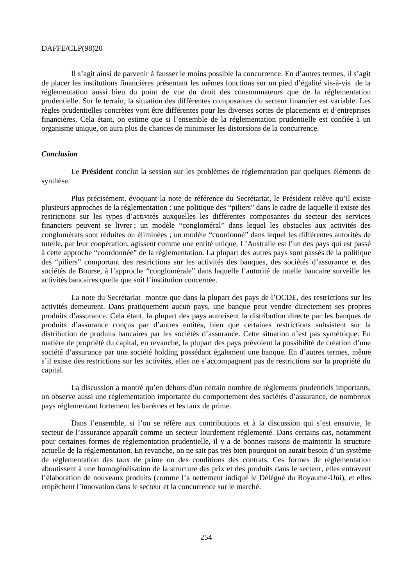Il s'agit ainsi de parvenir à fausser le moins possible la concurrence. En d'autres termes, il s'agit de placer les institutions financières présentant les mêmes fonctions sur un pied d'égalité vis-à-vis de la réglementation aussi bien du point de vue du droit des consommateurs que de la réglementation prudentielle. Sur le terrain, la situation des différentes composantes du secteur financier est variable. Les règles prudentielles concrètes vont être différentes pour les diverses sortes de placements et d'entreprises financières. Cela étant, on estime que si l'ensemble de la réglementation prudentielle est confiée à un organisme unique, on aura plus de chances de minimiser les distorsions de la concurrence.

#### *Conclusion*

Le **Président** conclut la session sur les problèmes de réglementation par quelques éléments de synthèse.

Plus précisément, évoquant la note de référence du Secrétariat, le Président relève qu'il existe plusieurs approches de la réglementation : une politique des "piliers" dans le cadre de laquelle il existe des restrictions sur les types d'activités auxquelles les différentes composantes du secteur des services financiers peuvent se livrer ; un modèle "congloméral" dans lequel les obstacles aux activités des conglomérats sont réduites ou éliminées ; un modèle "coordonné" dans lequel les différentes autorités de tutelle, par leur coopération, agissent comme une entité unique. L'Australie est l'un des pays qui est passé à cette approche "coordonnée" de la réglementation. La plupart des autres pays sont passés de la politique des "piliers" comportant des restrictions sur les activités des banques, des sociétés d'assurance et des sociétés de Bourse, à l'approche "conglomérale" dans laquelle l'autorité de tutelle bancaire surveille les activités bancaires quelle que soit l'institution concernée.

La note du Secrétariat montre que dans la plupart des pays de l'OCDE, des restrictions sur les activités demeurent. Dans pratiquement aucun pays, une banque peut vendre directement ses propres produits d'assurance. Cela étant, la plupart des pays autorisent la distribution directe par les banques de produits d'assurance conçus par d'autres entités, bien que certaines restrictions subsistent sur la distribution de produits bancaires par les sociétés d'assurance. Cette situation n'est pas symétrique. En matière de propriété du capital, en revanche, la plupart des pays prévoient la possibilité de création d'une société d'assurance par une société holding possédant également une banque. En d'autres termes, même s'il existe des restrictions sur les activités, elles ne s'accompagnent pas de restrictions sur la propriété du capital.

La discussion a montré qu'en dehors d'un certain nombre de règlements prudentiels importants, on observe aussi une réglementation importante du comportement des sociétés d'assurance, de nombreux pays réglementant fortement les barèmes et les taux de prime.

Dans l'ensemble, si l'on se réfère aux contributions et à la discussion qui s'est ensuivie, le secteur de l'assurance apparaît comme un secteur lourdement réglementé. Dans certains cas, notamment pour certaines formes de réglementation prudentielle, il y a de bonnes raisons de maintenir la structure actuelle de la réglementation. En revanche, on ne sait pas très bien pourquoi on aurait besoin d'un système de réglementation des taux de prime ou des conditions des contrats. Ces formes de réglementation aboutissent à une homogénéisation de la structure des prix et des produits dans le secteur, elles entravent l'élaboration de nouveaux produits (comme l'a nettement indiqué le Délégué du Royaume-Uni), et elles empêchent l'innovation dans le secteur et la concurrence sur le marché.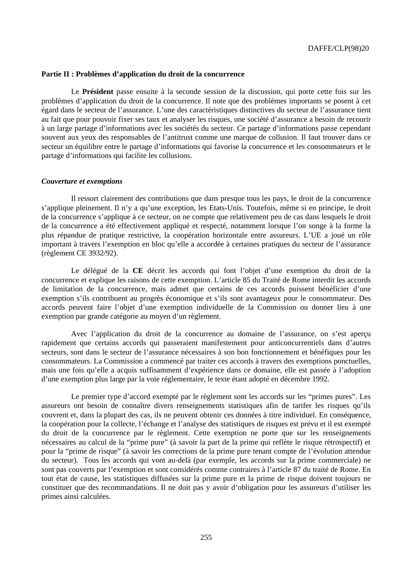#### **Partie II : Problèmes d'application du droit de la concurrence**

Le **Président** passe ensuite à la seconde session de la discussion, qui porte cette fois sur les problèmes d'application du droit de la concurrence. Il note que des problèmes importants se posent à cet égard dans le secteur de l'assurance. L'une des caractéristiques distinctives du secteur de l'assurance tient au fait que pour pouvoir fixer ses taux et analyser les risques, une société d'assurance a besoin de recourir à un large partage d'informations avec les sociétés du secteur. Ce partage d'informations passe cependant souvent aux yeux des responsables de l'antitrust comme une marque de collusion. Il faut trouver dans ce secteur un équilibre entre le partage d'informations qui favorise la concurrence et les consommateurs et le partage d'informations qui facilite les collusions.

#### *Couverture et exemptions*

Il ressort clairement des contributions que dans presque tous les pays, le droit de la concurrence s'applique pleinement. Il n'y a qu'une exception, les Etats-Unis. Toutefois, même si en principe, le droit de la concurrence s'applique à ce secteur, on ne compte que relativement peu de cas dans lesquels le droit de la concurrence a été effectivement appliqué et respecté, notamment lorsque l'on songe à la forme la plus répandue de pratique restrictive, la coopération horizontale entre assureurs. L'UE a joué un rôle important à travers l'exemption en bloc qu'elle a accordée à certaines pratiques du secteur de l'assurance (règlement CE 3932/92).

Le délégué de la **CE** décrit les accords qui font l'objet d'une exemption du droit de la concurrence et explique les raisons de cette exemption. L'article 85 du Traité de Rome interdit les accords de limitation de la concurrence, mais admet que certains de ces accords puissent bénéficier d'une exemption s'ils contribuent au progrès économique et s'ils sont avantageux pour le consommateur. Des accords peuvent faire l'objet d'une exemption individuelle de la Commission ou donner lieu à une exemption par grande catégorie au moyen d'un règlement.

Avec l'application du droit de la concurrence au domaine de l'assurance, on s'est aperçu rapidement que certains accords qui passeraient manifestement pour anticoncurrentiels dans d'autres secteurs, sont dans le secteur de l'assurance nécessaires à son bon fonctionnement et bénéfiques pour les consommateurs. La Commission a commencé par traiter ces accords à travers des exemptions ponctuelles, mais une fois qu'elle a acquis suffisamment d'expérience dans ce domaine, elle est passée à l'adoption d'une exemption plus large par la voie réglementaire, le texte étant adopté en décembre 1992.

Le premier type d'accord exempté par le règlement sont les accords sur les "primes pures". Les assureurs ont besoin de connaître divers renseignements statistiques afin de tarifer les risques qu'ils couvrent et, dans la plupart des cas, ils ne peuvent obtenir ces données à titre individuel. En conséquence, la coopération pour la collecte, l'échange et l'analyse des statistiques de risques est prévu et il est exempté du droit de la concurrence par le règlement. Cette exemption ne porte que sur les renseignements nécessaires au calcul de la "prime pure" (à savoir la part de la prime qui reflète le risque rétrospectif) et pour la "prime de risque" (à savoir les corrections de la prime pure tenant compte de l'évolution attendue du secteur). Tous les accords qui vont au-delà (par exemple, les accords sur la prime commerciale) ne sont pas couverts par l'exemption et sont considérés comme contraires à l'article 87 du traité de Rome. En tout état de cause, les statistiques diffusées sur la prime pure et la prime de risque doivent toujours ne constituer que des recommandations. Il ne doit pas y avoir d'obligation pour les assureurs d'utiliser les primes ainsi calculées.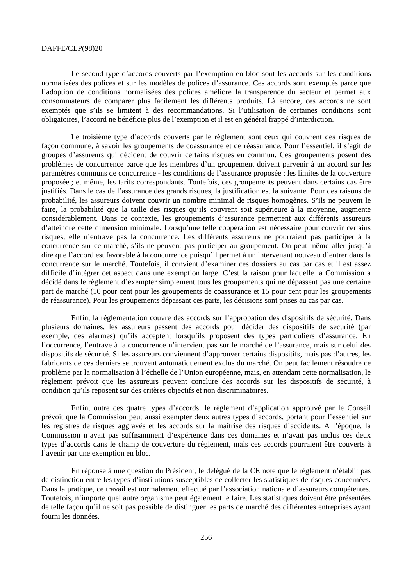Le second type d'accords couverts par l'exemption en bloc sont les accords sur les conditions normalisées des polices et sur les modèles de polices d'assurance. Ces accords sont exemptés parce que l'adoption de conditions normalisées des polices améliore la transparence du secteur et permet aux consommateurs de comparer plus facilement les différents produits. Là encore, ces accords ne sont exemptés que s'ils se limitent à des recommandations. Si l'utilisation de certaines conditions sont obligatoires, l'accord ne bénéficie plus de l'exemption et il est en général frappé d'interdiction.

Le troisième type d'accords couverts par le règlement sont ceux qui couvrent des risques de façon commune, à savoir les groupements de coassurance et de réassurance. Pour l'essentiel, il s'agit de groupes d'assureurs qui décident de couvrir certains risques en commun. Ces groupements posent des problèmes de concurrence parce que les membres d'un groupement doivent parvenir à un accord sur les paramètres communs de concurrence - les conditions de l'assurance proposée ; les limites de la couverture proposée ; et même, les tarifs correspondants. Toutefois, ces groupements peuvent dans certains cas être justifiés. Dans le cas de l'assurance des grands risques, la justification est la suivante. Pour des raisons de probabilité, les assureurs doivent couvrir un nombre minimal de risques homogènes. S'ils ne peuvent le faire, la probabilité que la taille des risques qu'ils couvrent soit supérieure à la moyenne, augmente considérablement. Dans ce contexte, les groupements d'assurance permettent aux différents assureurs d'atteindre cette dimension minimale. Lorsqu'une telle coopération est nécessaire pour couvrir certains risques, elle n'entrave pas la concurrence. Les différents assureurs ne pourraient pas participer à la concurrence sur ce marché, s'ils ne peuvent pas participer au groupement. On peut même aller jusqu'à dire que l'accord est favorable à la concurrence puisqu'il permet à un intervenant nouveau d'entrer dans la concurrence sur le marché. Toutefois, il convient d'examiner ces dossiers au cas par cas et il est assez difficile d'intégrer cet aspect dans une exemption large. C'est la raison pour laquelle la Commission a décidé dans le règlement d'exempter simplement tous les groupements qui ne dépassent pas une certaine part de marché (10 pour cent pour les groupements de coassurance et 15 pour cent pour les groupements de réassurance). Pour les groupements dépassant ces parts, les décisions sont prises au cas par cas.

Enfin, la réglementation couvre des accords sur l'approbation des dispositifs de sécurité. Dans plusieurs domaines, les assureurs passent des accords pour décider des dispositifs de sécurité (par exemple, des alarmes) qu'ils acceptent lorsqu'ils proposent des types particuliers d'assurance. En l'occurrence, l'entrave à la concurrence n'intervient pas sur le marché de l'assurance, mais sur celui des dispositifs de sécurité. Si les assureurs conviennent d'approuver certains dispositifs, mais pas d'autres, les fabricants de ces derniers se trouvent automatiquement exclus du marché. On peut facilement résoudre ce problème par la normalisation à l'échelle de l'Union européenne, mais, en attendant cette normalisation, le règlement prévoit que les assureurs peuvent conclure des accords sur les dispositifs de sécurité, à condition qu'ils reposent sur des critères objectifs et non discriminatoires.

Enfin, outre ces quatre types d'accords, le règlement d'application approuvé par le Conseil prévoit que la Commission peut aussi exempter deux autres types d'accords, portant pour l'essentiel sur les registres de risques aggravés et les accords sur la maîtrise des risques d'accidents. A l'époque, la Commission n'avait pas suffisamment d'expérience dans ces domaines et n'avait pas inclus ces deux types d'accords dans le champ de couverture du règlement, mais ces accords pourraient être couverts à l'avenir par une exemption en bloc.

En réponse à une question du Président, le délégué de la CE note que le règlement n'établit pas de distinction entre les types d'institutions susceptibles de collecter les statistiques de risques concernées. Dans la pratique, ce travail est normalement effectué par l'association nationale d'assureurs compétentes. Toutefois, n'importe quel autre organisme peut également le faire. Les statistiques doivent être présentées de telle façon qu'il ne soit pas possible de distinguer les parts de marché des différentes entreprises ayant fourni les données.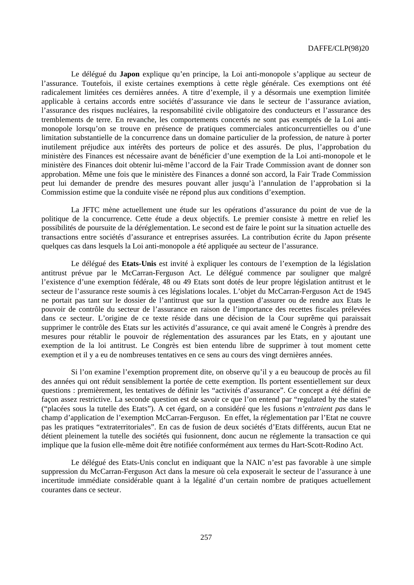Le délégué du **Japon** explique qu'en principe, la Loi anti-monopole s'applique au secteur de l'assurance. Toutefois, il existe certaines exemptions à cette règle générale. Ces exemptions ont été radicalement limitées ces dernières années. A titre d'exemple, il y a désormais une exemption limitée applicable à certains accords entre sociétés d'assurance vie dans le secteur de l'assurance aviation, l'assurance des risques nucléaires, la responsabilité civile obligatoire des conducteurs et l'assurance des tremblements de terre. En revanche, les comportements concertés ne sont pas exemptés de la Loi antimonopole lorsqu'on se trouve en présence de pratiques commerciales anticoncurrentielles ou d'une limitation substantielle de la concurrence dans un domaine particulier de la profession, de nature à porter inutilement préjudice aux intérêts des porteurs de police et des assurés. De plus, l'approbation du ministère des Finances est nécessaire avant de bénéficier d'une exemption de la Loi anti-monopole et le ministère des Finances doit obtenir lui-même l'accord de la Fair Trade Commission avant de donner son approbation. Même une fois que le ministère des Finances a donné son accord, la Fair Trade Commission peut lui demander de prendre des mesures pouvant aller jusqu'à l'annulation de l'approbation si la Commission estime que la conduite visée ne répond plus aux conditions d'exemption.

La JFTC mène actuellement une étude sur les opérations d'assurance du point de vue de la politique de la concurrence. Cette étude a deux objectifs. Le premier consiste à mettre en relief les possibilités de poursuite de la déréglementation. Le second est de faire le point sur la situation actuelle des transactions entre sociétés d'assurance et entreprises assurées. La contribution écrite du Japon présente quelques cas dans lesquels la Loi anti-monopole a été appliquée au secteur de l'assurance.

Le délégué des **Etats-Unis** est invité à expliquer les contours de l'exemption de la législation antitrust prévue par le McCarran-Ferguson Act. Le délégué commence par souligner que malgré l'existence d'une exemption fédérale, 48 ou 49 Etats sont dotés de leur propre législation antitrust et le secteur de l'assurance reste soumis à ces législations locales. L'objet du McCarran-Ferguson Act de 1945 ne portait pas tant sur le dossier de l'antitrust que sur la question d'assurer ou de rendre aux Etats le pouvoir de contrôle du secteur de l'assurance en raison de l'importance des recettes fiscales prélevées dans ce secteur. L'origine de ce texte réside dans une décision de la Cour suprême qui paraissait supprimer le contrôle des Etats sur les activités d'assurance, ce qui avait amené le Congrès à prendre des mesures pour rétablir le pouvoir de réglementation des assurances par les Etats, en y ajoutant une exemption de la loi antitrust. Le Congrès est bien entendu libre de supprimer à tout moment cette exemption et il y a eu de nombreuses tentatives en ce sens au cours des vingt dernières années.

Si l'on examine l'exemption proprement dite, on observe qu'il y a eu beaucoup de procès au fil des années qui ont réduit sensiblement la portée de cette exemption. Ils portent essentiellement sur deux questions : premièrement, les tentatives de définir les "activités d'assurance". Ce concept a été défini de façon assez restrictive. La seconde question est de savoir ce que l'on entend par "regulated by the states" ("placées sous la tutelle des Etats"). A cet égard, on a considéré que les fusions *n'entraient pas* dans le champ d'application de l'exemption McCarran-Ferguson. En effet, la réglementation par l'Etat ne couvre pas les pratiques "extraterritoriales". En cas de fusion de deux sociétés d'Etats différents, aucun Etat ne détient pleinement la tutelle des sociétés qui fusionnent, donc aucun ne réglemente la transaction ce qui implique que la fusion elle-même doit être notifiée conformément aux termes du Hart-Scott-Rodino Act.

Le délégué des Etats-Unis conclut en indiquant que la NAIC n'est pas favorable à une simple suppression du McCarran-Ferguson Act dans la mesure où cela exposerait le secteur de l'assurance à une incertitude immédiate considérable quant à la légalité d'un certain nombre de pratiques actuellement courantes dans ce secteur.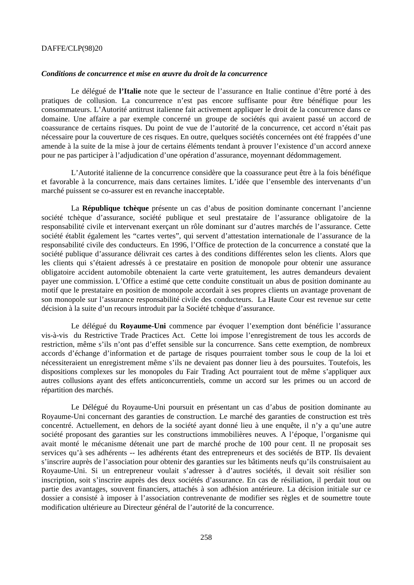#### *Conditions de concurrence et mise en œuvre du droit de la concurrence*

Le délégué de **l'Italie** note que le secteur de l'assurance en Italie continue d'être porté à des pratiques de collusion. La concurrence n'est pas encore suffisante pour être bénéfique pour les consommateurs. L'Autorité antitrust italienne fait activement appliquer le droit de la concurrence dans ce domaine. Une affaire a par exemple concerné un groupe de sociétés qui avaient passé un accord de coassurance de certains risques. Du point de vue de l'autorité de la concurrence, cet accord n'était pas nécessaire pour la couverture de ces risques. En outre, quelques sociétés concernées ont été frappées d'une amende à la suite de la mise à jour de certains éléments tendant à prouver l'existence d'un accord annexe pour ne pas participer à l'adjudication d'une opération d'assurance, moyennant dédommagement.

L'Autorité italienne de la concurrence considère que la coassurance peut être à la fois bénéfique et favorable à la concurrence, mais dans certaines limites. L'idée que l'ensemble des intervenants d'un marché puissent se co-assurer est en revanche inacceptable.

La **République tchèque** présente un cas d'abus de position dominante concernant l'ancienne société tchèque d'assurance, société publique et seul prestataire de l'assurance obligatoire de la responsabilité civile et intervenant exerçant un rôle dominant sur d'autres marchés de l'assurance. Cette société établit également les "cartes vertes", qui servent d'attestation internationale de l'assurance de la responsabilité civile des conducteurs. En 1996, l'Office de protection de la concurrence a constaté que la société publique d'assurance délivrait ces cartes à des conditions différentes selon les clients. Alors que les clients qui s'étaient adressés à ce prestataire en position de monopole pour obtenir une assurance obligatoire accident automobile obtenaient la carte verte gratuitement, les autres demandeurs devaient payer une commission. L'Office a estimé que cette conduite constituait un abus de position dominante au motif que le prestataire en position de monopole accordait à ses propres clients un avantage provenant de son monopole sur l'assurance responsabilité civile des conducteurs. La Haute Cour est revenue sur cette décision à la suite d'un recours introduit par la Société tchèque d'assurance.

Le délégué du **Royaume-Uni** commence par évoquer l'exemption dont bénéficie l'assurance vis-à-vis du Restrictive Trade Practices Act. Cette loi impose l'enregistrement de tous les accords de restriction, même s'ils n'ont pas d'effet sensible sur la concurrence. Sans cette exemption, de nombreux accords d'échange d'information et de partage de risques pourraient tomber sous le coup de la loi et nécessiteraient un enregistrement même s'ils ne devaient pas donner lieu à des poursuites. Toutefois, les dispositions complexes sur les monopoles du Fair Trading Act pourraient tout de même s'appliquer aux autres collusions ayant des effets anticoncurrentiels, comme un accord sur les primes ou un accord de répartition des marchés.

Le Délégué du Royaume-Uni poursuit en présentant un cas d'abus de position dominante au Royaume-Uni concernant des garanties de construction. Le marché des garanties de construction est très concentré. Actuellement, en dehors de la société ayant donné lieu à une enquête, il n'y a qu'une autre société proposant des garanties sur les constructions immobilières neuves. A l'époque, l'organisme qui avait monté le mécanisme détenait une part de marché proche de 100 pour cent. Il ne proposait ses services qu'à ses adhérents -- les adhérents étant des entrepreneurs et des sociétés de BTP. Ils devaient s'inscrire auprès de l'association pour obtenir des garanties sur les bâtiments neufs qu'ils construisaient au Royaume-Uni. Si un entrepreneur voulait s'adresser à d'autres sociétés, il devait soit résilier son inscription, soit s'inscrire auprès des deux sociétés d'assurance. En cas de résiliation, il perdait tout ou partie des avantages, souvent financiers, attachés à son adhésion antérieure. La décision initiale sur ce dossier a consisté à imposer à l'association contrevenante de modifier ses règles et de soumettre toute modification ultérieure au Directeur général de l'autorité de la concurrence.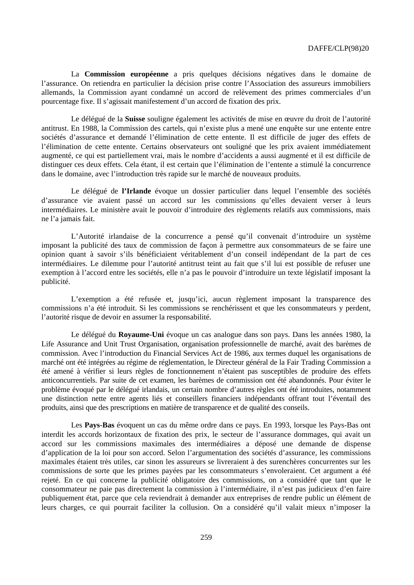La **Commission européenne** a pris quelques décisions négatives dans le domaine de l'assurance. On retiendra en particulier la décision prise contre l'Association des assureurs immobiliers allemands, la Commission ayant condamné un accord de relèvement des primes commerciales d'un pourcentage fixe. Il s'agissait manifestement d'un accord de fixation des prix.

Le délégué de la **Suisse** souligne également les activités de mise en œuvre du droit de l'autorité antitrust. En 1988, la Commission des cartels, qui n'existe plus a mené une enquête sur une entente entre sociétés d'assurance et demandé l'élimination de cette entente. Il est difficile de juger des effets de l'élimination de cette entente. Certains observateurs ont souligné que les prix avaient immédiatement augmenté, ce qui est partiellement vrai, mais le nombre d'accidents a aussi augmenté et il est difficile de distinguer ces deux effets. Cela étant, il est certain que l'élimination de l'entente a stimulé la concurrence dans le domaine, avec l'introduction très rapide sur le marché de nouveaux produits.

Le délégué de **l'Irlande** évoque un dossier particulier dans lequel l'ensemble des sociétés d'assurance vie avaient passé un accord sur les commissions qu'elles devaient verser à leurs intermédiaires. Le ministère avait le pouvoir d'introduire des règlements relatifs aux commissions, mais ne l'a jamais fait.

L'Autorité irlandaise de la concurrence a pensé qu'il convenait d'introduire un système imposant la publicité des taux de commission de façon à permettre aux consommateurs de se faire une opinion quant à savoir s'ils bénéficiaient véritablement d'un conseil indépendant de la part de ces intermédiaires. Le dilemme pour l'autorité antitrust teint au fait que s'il lui est possible de refuser une exemption à l'accord entre les sociétés, elle n'a pas le pouvoir d'introduire un texte législatif imposant la publicité.

L'exemption a été refusée et, jusqu'ici, aucun règlement imposant la transparence des commissions n'a été introduit. Si les commissions se renchérissent et que les consommateurs y perdent, l'autorité risque de devoir en assumer la responsabilité.

Le délégué du **Royaume-Uni** évoque un cas analogue dans son pays. Dans les années 1980, la Life Assurance and Unit Trust Organisation, organisation professionnelle de marché, avait des barèmes de commission. Avec l'introduction du Financial Services Act de 1986, aux termes duquel les organisations de marché ont été intégrées au régime de réglementation, le Directeur général de la Fair Trading Commission a été amené à vérifier si leurs règles de fonctionnement n'étaient pas susceptibles de produire des effets anticoncurrentiels. Par suite de cet examen, les barèmes de commission ont été abandonnés. Pour éviter le problème évoqué par le délégué irlandais, un certain nombre d'autres règles ont été introduites, notamment une distinction nette entre agents liés et conseillers financiers indépendants offrant tout l'éventail des produits, ainsi que des prescriptions en matière de transparence et de qualité des conseils.

Les **Pays-Bas** évoquent un cas du même ordre dans ce pays. En 1993, lorsque les Pays-Bas ont interdit les accords horizontaux de fixation des prix, le secteur de l'assurance dommages, qui avait un accord sur les commissions maximales des intermédiaires a déposé une demande de dispense d'application de la loi pour son accord. Selon l'argumentation des sociétés d'assurance, les commissions maximales étaient très utiles, car sinon les assureurs se livreraient à des surenchères concurrentes sur les commissions de sorte que les primes payées par les consommateurs s'envoleraient. Cet argument a été rejeté. En ce qui concerne la publicité obligatoire des commissions, on a considéré que tant que le consommateur ne paie pas directement la commission à l'intermédiaire, il n'est pas judicieux d'en faire publiquement état, parce que cela reviendrait à demander aux entreprises de rendre public un élément de leurs charges, ce qui pourrait faciliter la collusion. On a considéré qu'il valait mieux n'imposer la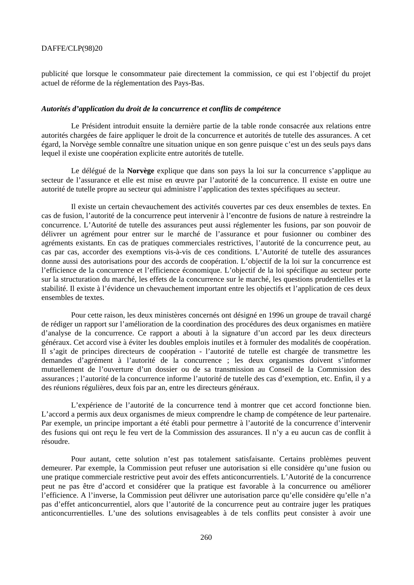publicité que lorsque le consommateur paie directement la commission, ce qui est l'objectif du projet actuel de réforme de la réglementation des Pays-Bas.

#### *Autorités d'application du droit de la concurrence et conflits de compétence*

Le Président introduit ensuite la dernière partie de la table ronde consacrée aux relations entre autorités chargées de faire appliquer le droit de la concurrence et autorités de tutelle des assurances. A cet égard, la Norvège semble connaître une situation unique en son genre puisque c'est un des seuls pays dans lequel il existe une coopération explicite entre autorités de tutelle.

Le délégué de la **Norvège** explique que dans son pays la loi sur la concurrence s'applique au secteur de l'assurance et elle est mise en œuvre par l'autorité de la concurrence. Il existe en outre une autorité de tutelle propre au secteur qui administre l'application des textes spécifiques au secteur.

Il existe un certain chevauchement des activités couvertes par ces deux ensembles de textes. En cas de fusion, l'autorité de la concurrence peut intervenir à l'encontre de fusions de nature à restreindre la concurrence. L'Autorité de tutelle des assurances peut aussi réglementer les fusions, par son pouvoir de délivrer un agrément pour entrer sur le marché de l'assurance et pour fusionner ou combiner des agréments existants. En cas de pratiques commerciales restrictives, l'autorité de la concurrence peut, au cas par cas, accorder des exemptions vis-à-vis de ces conditions. L'Autorité de tutelle des assurances donne aussi des autorisations pour des accords de coopération. L'objectif de la loi sur la concurrence est l'efficience de la concurrence et l'efficience économique. L'objectif de la loi spécifique au secteur porte sur la structuration du marché, les effets de la concurrence sur le marché, les questions prudentielles et la stabilité. Il existe à l'évidence un chevauchement important entre les objectifs et l'application de ces deux ensembles de textes.

Pour cette raison, les deux ministères concernés ont désigné en 1996 un groupe de travail chargé de rédiger un rapport sur l'amélioration de la coordination des procédures des deux organismes en matière d'analyse de la concurrence. Ce rapport a abouti à la signature d'un accord par les deux directeurs généraux. Cet accord vise à éviter les doubles emplois inutiles et à formuler des modalités de coopération. Il s'agit de principes directeurs de coopération - l'autorité de tutelle est chargée de transmettre les demandes d'agrément à l'autorité de la concurrence ; les deux organismes doivent s'informer mutuellement de l'ouverture d'un dossier ou de sa transmission au Conseil de la Commission des assurances ; l'autorité de la concurrence informe l'autorité de tutelle des cas d'exemption, etc. Enfin, il y a des réunions régulières, deux fois par an, entre les directeurs généraux.

L'expérience de l'autorité de la concurrence tend à montrer que cet accord fonctionne bien. L'accord a permis aux deux organismes de mieux comprendre le champ de compétence de leur partenaire. Par exemple, un principe important a été établi pour permettre à l'autorité de la concurrence d'intervenir des fusions qui ont reçu le feu vert de la Commission des assurances. Il n'y a eu aucun cas de conflit à résoudre.

Pour autant, cette solution n'est pas totalement satisfaisante. Certains problèmes peuvent demeurer. Par exemple, la Commission peut refuser une autorisation si elle considère qu'une fusion ou une pratique commerciale restrictive peut avoir des effets anticoncurrentiels. L'Autorité de la concurrence peut ne pas être d'accord et considérer que la pratique est favorable à la concurrence ou améliorer l'efficience. A l'inverse, la Commission peut délivrer une autorisation parce qu'elle considère qu'elle n'a pas d'effet anticoncurrentiel, alors que l'autorité de la concurrence peut au contraire juger les pratiques anticoncurrentielles. L'une des solutions envisageables à de tels conflits peut consister à avoir une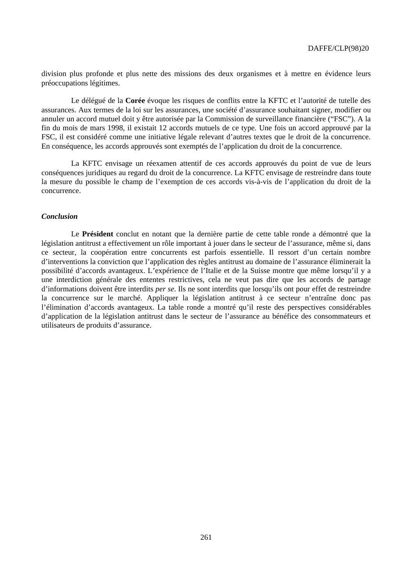division plus profonde et plus nette des missions des deux organismes et à mettre en évidence leurs préoccupations légitimes.

Le délégué de la **Corée** évoque les risques de conflits entre la KFTC et l'autorité de tutelle des assurances. Aux termes de la loi sur les assurances, une société d'assurance souhaitant signer, modifier ou annuler un accord mutuel doit y être autorisée par la Commission de surveillance financière ("FSC"). A la fin du mois de mars 1998, il existait 12 accords mutuels de ce type. Une fois un accord approuvé par la FSC, il est considéré comme une initiative légale relevant d'autres textes que le droit de la concurrence. En conséquence, les accords approuvés sont exemptés de l'application du droit de la concurrence.

La KFTC envisage un réexamen attentif de ces accords approuvés du point de vue de leurs conséquences juridiques au regard du droit de la concurrence. La KFTC envisage de restreindre dans toute la mesure du possible le champ de l'exemption de ces accords vis-à-vis de l'application du droit de la concurrence.

### *Conclusion*

Le **Président** conclut en notant que la dernière partie de cette table ronde a démontré que la législation antitrust a effectivement un rôle important à jouer dans le secteur de l'assurance, même si, dans ce secteur, la coopération entre concurrents est parfois essentielle. Il ressort d'un certain nombre d'interventions la conviction que l'application des règles antitrust au domaine de l'assurance éliminerait la possibilité d'accords avantageux. L'expérience de l'Italie et de la Suisse montre que même lorsqu'il y a une interdiction générale des ententes restrictives, cela ne veut pas dire que les accords de partage d'informations doivent être interdits *per se*. Ils ne sont interdits que lorsqu'ils ont pour effet de restreindre la concurrence sur le marché. Appliquer la législation antitrust à ce secteur n'entraîne donc pas l'élimination d'accords avantageux. La table ronde a montré qu'il reste des perspectives considérables d'application de la législation antitrust dans le secteur de l'assurance au bénéfice des consommateurs et utilisateurs de produits d'assurance.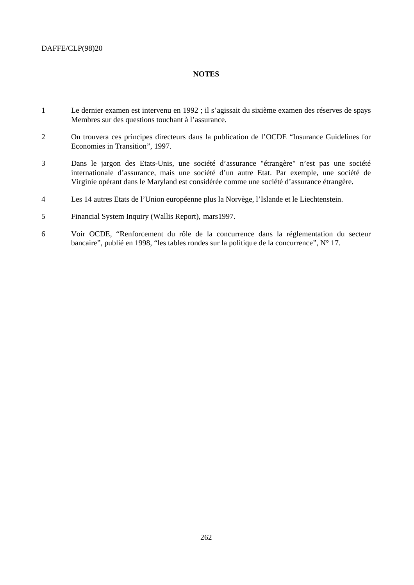### **NOTES**

- 1 Le dernier examen est intervenu en 1992 ; il s'agissait du sixième examen des réserves de spays Membres sur des questions touchant à l'assurance.
- 2 On trouvera ces principes directeurs dans la publication de l'OCDE "Insurance Guidelines for Economies in Transition", 1997.
- 3 Dans le jargon des Etats-Unis, une société d'assurance "étrangère" n'est pas une société internationale d'assurance, mais une société d'un autre Etat. Par exemple, une société de Virginie opérant dans le Maryland est considérée comme une société d'assurance étrangère.
- 4 Les 14 autres Etats de l'Union européenne plus la Norvège, l'Islande et le Liechtenstein.
- 5 Financial System Inquiry (Wallis Report), mars1997.
- 6 Voir OCDE, "Renforcement du rôle de la concurrence dans la réglementation du secteur bancaire", publié en 1998, "les tables rondes sur la politique de la concurrence", N° 17.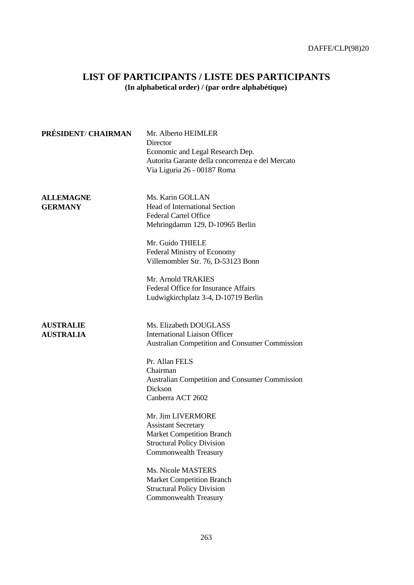# **LIST OF PARTICIPANTS / LISTE DES PARTICIPANTS (In alphabetical order) / (par ordre alphabétique)**

| PRÉSIDENT/ CHAIRMAN                  | Mr. Alberto HEIMLER<br>Director<br>Economic and Legal Research Dep.<br>Autorita Garante della concorrenza e del Mercato<br>Via Liguria 26 - 00187 Roma                                                                                                  |
|--------------------------------------|---------------------------------------------------------------------------------------------------------------------------------------------------------------------------------------------------------------------------------------------------------|
| <b>ALLEMAGNE</b><br><b>GERMANY</b>   | Ms. Karin GOLLAN<br><b>Head of International Section</b><br><b>Federal Cartel Office</b><br>Mehringdamm 129, D-10965 Berlin<br>Mr. Guido THIELE<br>Federal Ministry of Economy<br>Villemombler Str. 76, D-53123 Bonn                                    |
|                                      | Mr. Arnold TRAKIES<br>Federal Office for Insurance Affairs<br>Ludwigkirchplatz 3-4, D-10719 Berlin                                                                                                                                                      |
| <b>AUSTRALIE</b><br><b>AUSTRALIA</b> | Ms. Elizabeth DOUGLASS<br><b>International Liaison Officer</b><br>Australian Competition and Consumer Commission<br>Pr. Allan FELS<br>Chairman<br><b>Australian Competition and Consumer Commission</b><br>Dickson<br>Canberra ACT 2602                 |
|                                      | Mr. Jim LIVERMORE<br><b>Assistant Secretary</b><br><b>Market Competition Branch</b><br><b>Structural Policy Division</b><br><b>Commonwealth Treasury</b><br>Ms. Nicole MASTERS<br><b>Market Competition Branch</b><br><b>Structural Policy Division</b> |
|                                      | <b>Commonwealth Treasury</b>                                                                                                                                                                                                                            |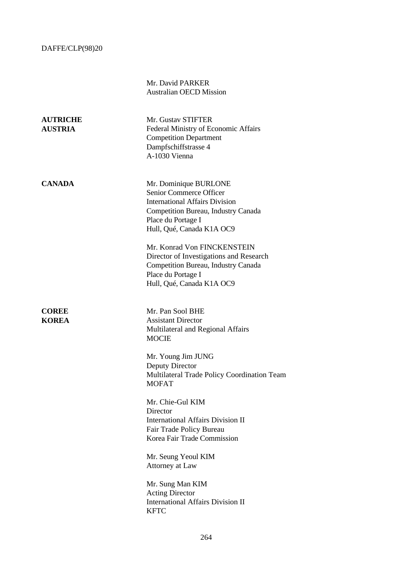Mr. David PARKER Australian OECD Mission

| <b>AUTRICHE</b><br><b>AUSTRIA</b> | Mr. Gustav STIFTER<br>Federal Ministry of Economic Affairs<br><b>Competition Department</b><br>Dampfschiffstrasse 4<br>A-1030 Vienna                                                |
|-----------------------------------|-------------------------------------------------------------------------------------------------------------------------------------------------------------------------------------|
| <b>CANADA</b>                     | Mr. Dominique BURLONE<br>Senior Commerce Officer<br><b>International Affairs Division</b><br>Competition Bureau, Industry Canada<br>Place du Portage I<br>Hull, Qué, Canada K1A OC9 |
|                                   | Mr. Konrad Von FINCKENSTEIN<br>Director of Investigations and Research<br>Competition Bureau, Industry Canada<br>Place du Portage I<br>Hull, Qué, Canada K1A OC9                    |
| <b>COREE</b><br><b>KOREA</b>      | Mr. Pan Sool BHE<br><b>Assistant Director</b><br>Multilateral and Regional Affairs<br><b>MOCIE</b>                                                                                  |
|                                   | Mr. Young Jim JUNG<br>Deputy Director<br>Multilateral Trade Policy Coordination Team<br><b>MOFAT</b>                                                                                |
|                                   | Mr. Chie-Gul KIM<br>Director<br>International Affairs Division II<br>Fair Trade Policy Bureau<br>Korea Fair Trade Commission                                                        |
|                                   | Mr. Seung Yeoul KIM<br>Attorney at Law                                                                                                                                              |
|                                   | Mr. Sung Man KIM<br><b>Acting Director</b><br><b>International Affairs Division II</b><br><b>KFTC</b>                                                                               |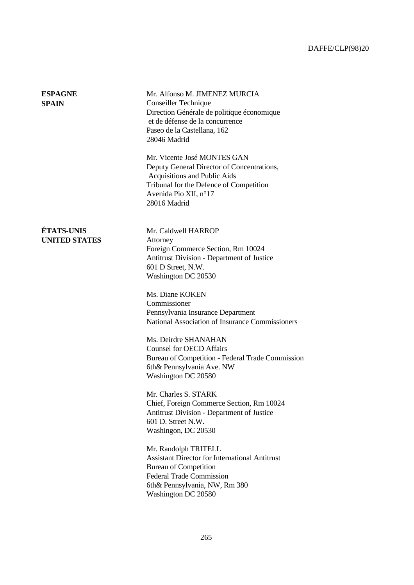| <b>ESPAGNE</b><br><b>SPAIN</b>     | Mr. Alfonso M. JIMENEZ MURCIA<br>Conseiller Technique<br>Direction Générale de politique économique<br>et de défense de la concurrence<br>Paseo de la Castellana, 162<br>28046 Madrid                    |
|------------------------------------|----------------------------------------------------------------------------------------------------------------------------------------------------------------------------------------------------------|
|                                    | Mr. Vicente José MONTES GAN<br>Deputy General Director of Concentrations,<br>Acquisitions and Public Aids<br>Tribunal for the Defence of Competition<br>Avenida Pio XII, $n^{\circ}17$<br>28016 Madrid   |
| ÉTATS-UNIS<br><b>UNITED STATES</b> | Mr. Caldwell HARROP<br>Attorney<br>Foreign Commerce Section, Rm 10024<br><b>Antitrust Division - Department of Justice</b><br>601 D Street, N.W.<br>Washington DC 20530                                  |
|                                    | Ms. Diane KOKEN<br>Commissioner<br>Pennsylvania Insurance Department<br>National Association of Insurance Commissioners                                                                                  |
|                                    | Ms. Deirdre SHANAHAN<br><b>Counsel for OECD Affairs</b><br>Bureau of Competition - Federal Trade Commission<br>6th& Pennsylvania Ave. NW<br>Washington DC 20580                                          |
|                                    | Mr. Charles S. STARK<br>Chief, Foreign Commerce Section, Rm 10024<br>Antitrust Division - Department of Justice<br>601 D. Street N.W.<br>Washingon, DC 20530                                             |
|                                    | Mr. Randolph TRITELL<br><b>Assistant Director for International Antitrust</b><br><b>Bureau of Competition</b><br><b>Federal Trade Commission</b><br>6th& Pennsylvania, NW, Rm 380<br>Washington DC 20580 |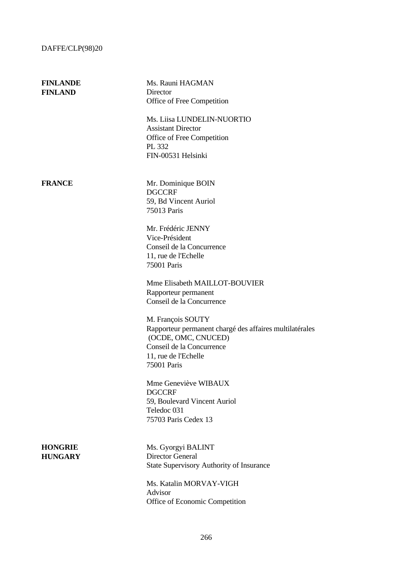| <b>FINLANDE</b><br><b>FINLAND</b> | Ms. Rauni HAGMAN<br>Director<br>Office of Free Competition                                                                                                              |
|-----------------------------------|-------------------------------------------------------------------------------------------------------------------------------------------------------------------------|
|                                   | Ms. Liisa LUNDELIN-NUORTIO<br><b>Assistant Director</b><br>Office of Free Competition<br>PL 332<br>FIN-00531 Helsinki                                                   |
| <b>FRANCE</b>                     | Mr. Dominique BOIN<br><b>DGCCRF</b><br>59, Bd Vincent Auriol<br>75013 Paris                                                                                             |
|                                   | Mr. Frédéric JENNY<br>Vice-Président<br>Conseil de la Concurrence<br>11, rue de l'Echelle<br>75001 Paris                                                                |
|                                   | Mme Elisabeth MAILLOT-BOUVIER<br>Rapporteur permanent<br>Conseil de la Concurrence                                                                                      |
|                                   | M. François SOUTY<br>Rapporteur permanent chargé des affaires multilatérales<br>(OCDE, OMC, CNUCED)<br>Conseil de la Concurrence<br>11, rue de l'Echelle<br>75001 Paris |
|                                   | Mme Geneviève WIBAUX<br><b>DGCCRF</b><br>59, Boulevard Vincent Auriol<br>Teledoc 031<br>75703 Paris Cedex 13                                                            |
| <b>HONGRIE</b><br><b>HUNGARY</b>  | Ms. Gyorgyi BALINT<br><b>Director General</b><br>State Supervisory Authority of Insurance                                                                               |
|                                   | Ms. Katalin MORVAY-VIGH<br>Advisor<br>Office of Economic Competition                                                                                                    |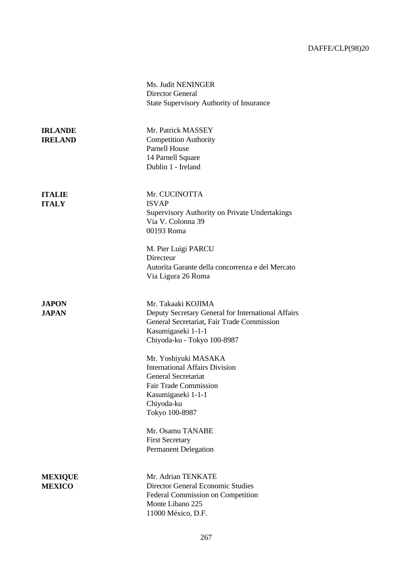|                                  | Ms. Judit NENINGER<br><b>Director General</b><br>State Supervisory Authority of Insurance                                                                                   |
|----------------------------------|-----------------------------------------------------------------------------------------------------------------------------------------------------------------------------|
| <b>IRLANDE</b><br><b>IRELAND</b> | Mr. Patrick MASSEY<br><b>Competition Authority</b><br><b>Parnell House</b><br>14 Parnell Square<br>Dublin 1 - Ireland                                                       |
| <b>ITALIE</b><br><b>ITALY</b>    | Mr. CUCINOTTA<br><b>ISVAP</b><br>Supervisory Authority on Private Undertakings<br>Via V. Colonna 39<br>00193 Roma                                                           |
|                                  | M. Pier Luigi PARCU<br>Directeur<br>Autorita Garante della concorrenza e del Mercato<br>Via Ligura 26 Roma                                                                  |
| <b>JAPON</b><br><b>JAPAN</b>     | Mr. Takaaki KOJIMA<br>Deputy Secretary General for International Affairs<br>General Secretariat, Fair Trade Commission<br>Kasumigaseki 1-1-1<br>Chiyoda-ku - Tokyo 100-8987 |
|                                  | Mr. Yoshiyuki MASAKA<br><b>International Affairs Division</b><br>General Secretariat<br><b>Fair Trade Commission</b><br>Kasumigaseki 1-1-1<br>Chiyoda-ku<br>Tokyo 100-8987  |
|                                  | Mr. Osamu TANABE<br><b>First Secretary</b><br><b>Permanent Delegation</b>                                                                                                   |
| <b>MEXIQUE</b><br><b>MEXICO</b>  | Mr. Adrian TENKATE<br>Director General Economic Studies<br>Federal Commission on Competition<br>Monte Libano 225<br>11000 México, D.F.                                      |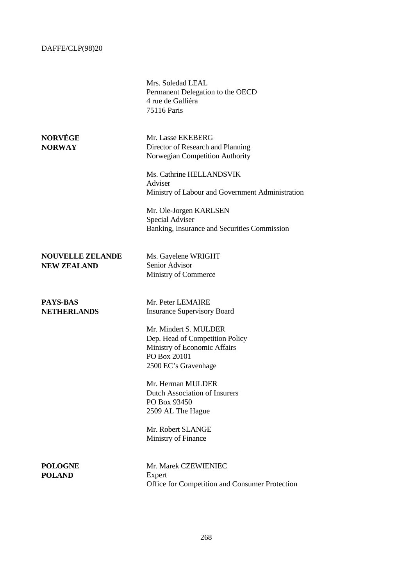|                                               | Mrs. Soledad LEAL<br>Permanent Delegation to the OECD<br>4 rue de Galliéra<br>75116 Paris                                        |
|-----------------------------------------------|----------------------------------------------------------------------------------------------------------------------------------|
| <b>NORVÈGE</b><br><b>NORWAY</b>               | Mr. Lasse EKEBERG<br>Director of Research and Planning<br>Norwegian Competition Authority                                        |
|                                               | Ms. Cathrine HELLANDSVIK<br>Adviser<br>Ministry of Labour and Government Administration                                          |
|                                               | Mr. Ole-Jorgen KARLSEN<br>Special Adviser<br>Banking, Insurance and Securities Commission                                        |
| <b>NOUVELLE ZELANDE</b><br><b>NEW ZEALAND</b> | Ms. Gayelene WRIGHT<br>Senior Advisor<br>Ministry of Commerce                                                                    |
| PAYS-BAS<br><b>NETHERLANDS</b>                | Mr. Peter LEMAIRE<br><b>Insurance Supervisory Board</b>                                                                          |
|                                               | Mr. Mindert S. MULDER<br>Dep. Head of Competition Policy<br>Ministry of Economic Affairs<br>PO Box 20101<br>2500 EC's Gravenhage |
|                                               | Mr. Herman MULDER<br><b>Dutch Association of Insurers</b><br>PO Box 93450<br>2509 AL The Hague                                   |
|                                               | Mr. Robert SLANGE<br>Ministry of Finance                                                                                         |
| <b>POLOGNE</b><br><b>POLAND</b>               | Mr. Marek CZEWIENIEC<br>Expert<br>Office for Competition and Consumer Protection                                                 |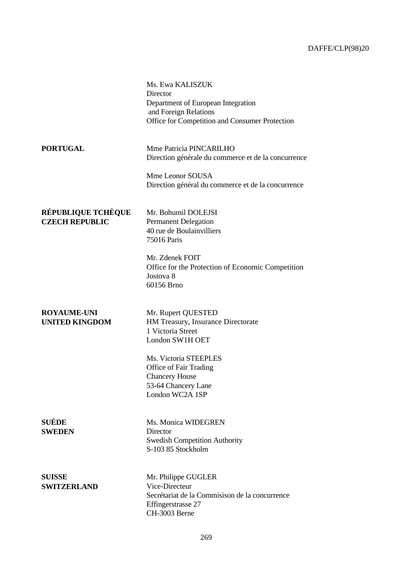|                           | Ms. Ewa KALISZUK                                    |
|---------------------------|-----------------------------------------------------|
|                           | Director                                            |
|                           | Department of European Integration                  |
|                           | and Foreign Relations                               |
|                           | Office for Competition and Consumer Protection      |
|                           |                                                     |
|                           |                                                     |
| <b>PORTUGAL</b>           | Mme Patricia PINCARILHO                             |
|                           | Direction générale du commerce et de la concurrence |
|                           |                                                     |
|                           | Mme Leonor SOUSA                                    |
|                           | Direction général du commerce et de la concurrence  |
|                           |                                                     |
|                           |                                                     |
| <b>RÉPUBLIQUE TCHÈQUE</b> | Mr. Bohumil DOLEJSI                                 |
| <b>CZECH REPUBLIC</b>     | <b>Permanent Delegation</b>                         |
|                           | 40 rue de Boulainvilliers                           |
|                           | 75016 Paris                                         |
|                           |                                                     |
|                           | Mr. Zdenek FOIT                                     |
|                           | Office for the Protection of Economic Competition   |
|                           | Jostova <sub>8</sub>                                |
|                           | 60156 Brno                                          |
|                           |                                                     |
|                           |                                                     |
| <b>ROYAUME-UNI</b>        | Mr. Rupert QUESTED                                  |
| <b>UNITED KINGDOM</b>     | HM Treasury, Insurance Directorate                  |
|                           |                                                     |
|                           | 1 Victoria Street                                   |
|                           | London SW1H OET                                     |
|                           |                                                     |
|                           | Ms. Victoria STEEPLES                               |
|                           | Office of Fair Trading                              |
|                           | <b>Chancery House</b>                               |
|                           | 53-64 Chancery Lane                                 |
|                           | London WC2A 1SP                                     |
|                           |                                                     |
|                           |                                                     |
| <b>SUÈDE</b>              | Ms. Monica WIDEGREN                                 |
| <b>SWEDEN</b>             | Director                                            |
|                           | <b>Swedish Competition Authority</b>                |
|                           | S-103 85 Stockholm                                  |
|                           |                                                     |
|                           |                                                     |
| <b>SUISSE</b>             | Mr. Philippe GUGLER                                 |
| <b>SWITZERLAND</b>        | Vice-Directeur                                      |
|                           | Secrétariat de la Commisison de la concurrence      |
|                           | Effingerstrasse 27<br>CH-3003 Berne                 |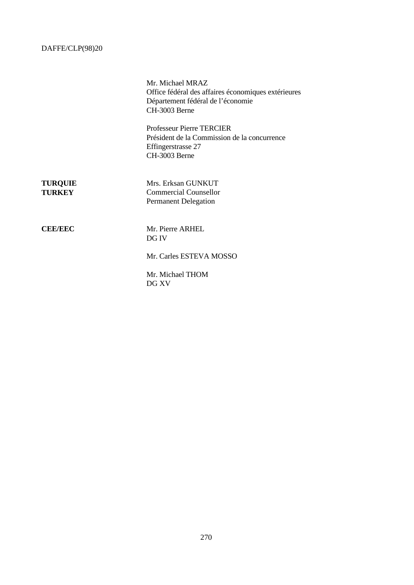Mr. Michael MRAZ Office fédéral des affaires économiques extérieures Département fédéral de l'économie CH-3003 Berne

Professeur Pierre TERCIER Président de la Commission de la concurrence Effingerstrasse 27 CH-3003 Berne

| <b>TURQUIE</b> | Mrs. Erksan GUNKUT           |
|----------------|------------------------------|
| <b>TURKEY</b>  | <b>Commercial Counsellor</b> |
|                | <b>Permanent Delegation</b>  |

**CEE/EEC** Mr. Pierre ARHEL DG IV

Mr. Carles ESTEVA MOSSO

Mr. Michael THOM DG XV